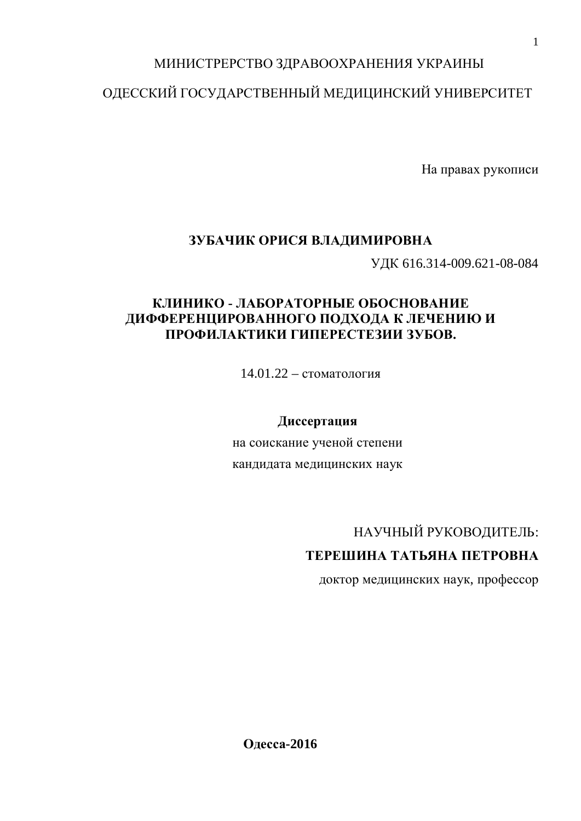### МИНИСТРЕРСТВО ЗДРАВООХРАНЕНИЯ УКРАИНЫ

### ОДЕССКИЙ ГОСУДАРСТВЕННЫЙ МЕДИЦИНСКИЙ УНИВЕРСИТЕТ

На правах рукописи

### ЗУБАЧИК ОРИСЯ ВЛАДИМИРОВНА

ɍȾɄ 616.314-009.621-08-084

### КЛИНИКО - ЛАБОРАТОРНЫЕ ОБОСНОВАНИЕ ДИФФЕРЕНЦИРОВАННОГО ПОДХОДА К ЛЕЧЕНИЮ И ПРОФИЛАКТИКИ ГИПЕРЕСТЕЗИИ ЗУБОВ.

 $14.01.22 -$  стоматология

### **Диссертация**

на соискание ученой степени кандидата медицинских наук

# НАУЧНЫЙ РУКОВОДИТЕЛЬ:

### ТЕРЕШИНА ТАТЬЯНА ПЕТРОВНА

доктор медицинских наук, профессор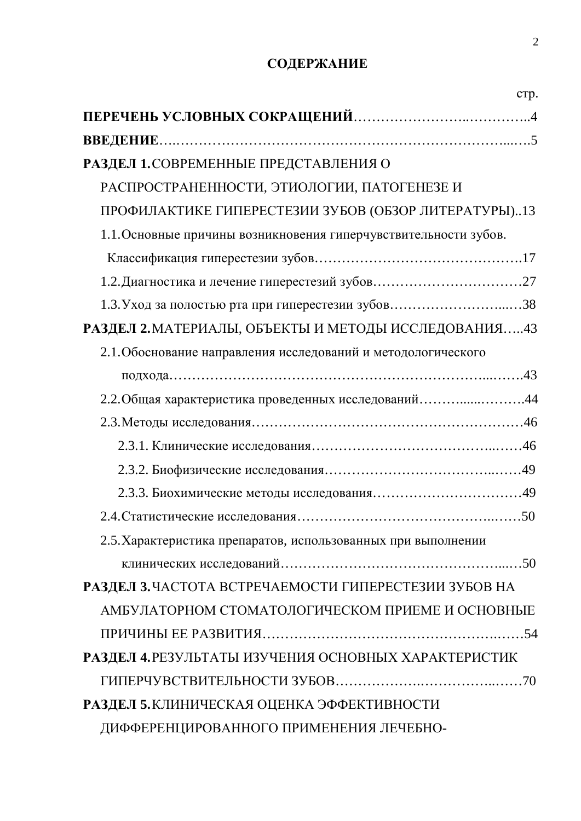## СОДЕРЖАНИЕ

| crp.                                                             |
|------------------------------------------------------------------|
|                                                                  |
|                                                                  |
| РАЗДЕЛ 1. СОВРЕМЕННЫЕ ПРЕДСТАВЛЕНИЯ О                            |
| РАСПРОСТРАНЕННОСТИ, ЭТИОЛОГИИ, ПАТОГЕНЕЗЕ И                      |
| ПРОФИЛАКТИКЕ ГИПЕРЕСТЕЗИИ ЗУБОВ (ОБЗОР ЛИТЕРАТУРЫ)13             |
| 1.1. Основные причины возникновения гиперчувствительности зубов. |
|                                                                  |
|                                                                  |
|                                                                  |
| РАЗДЕЛ 2. МАТЕРИАЛЫ, ОБЪЕКТЫ И МЕТОДЫ ИССЛЕДОВАНИЯ43             |
| 2.1. Обоснование направления исследований и методологического    |
|                                                                  |
| 2.2. Общая характеристика проведенных исследований44             |
|                                                                  |
|                                                                  |
|                                                                  |
|                                                                  |
|                                                                  |
| 2.5. Характеристика препаратов, использованных при выполнении    |
|                                                                  |
| РАЗДЕЛ З.ЧАСТОТА ВСТРЕЧАЕМОСТИ ГИПЕРЕСТЕЗИИ ЗУБОВ НА             |
| АМБУЛАТОРНОМ СТОМАТОЛОГИЧЕСКОМ ПРИЕМЕ И ОСНОВНЫЕ                 |
|                                                                  |
| РАЗДЕЛ 4. РЕЗУЛЬТАТЫ ИЗУЧЕНИЯ ОСНОВНЫХ ХАРАКТЕРИСТИК             |
|                                                                  |
| РАЗДЕЛ 5. КЛИНИЧЕСКАЯ ОЦЕНКА ЭФФЕКТИВНОСТИ                       |
| ДИФФЕРЕНЦИРОВАННОГО ПРИМЕНЕНИЯ ЛЕЧЕБНО-                          |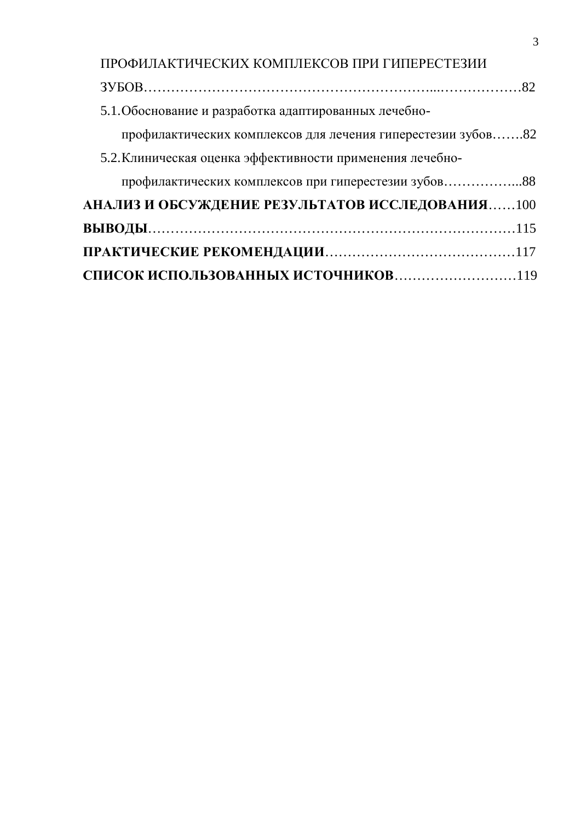| ПРОФИЛАКТИЧЕСКИХ КОМПЛЕКСОВ ПРИ ГИПЕРЕСТЕЗИИ                 |  |
|--------------------------------------------------------------|--|
|                                                              |  |
| 5.1. Обоснование и разработка адаптированных лечебно-        |  |
| профилактических комплексов для лечения гиперестезии зубов82 |  |
| 5.2. Клиническая оценка эффективности применения лечебно-    |  |
| профилактических комплексов при гиперестезии зубов88         |  |
| АНАЛИЗ И ОБСУЖДЕНИЕ РЕЗУЛЬТАТОВ ИССЛЕДОВАНИЯ100              |  |
|                                                              |  |
|                                                              |  |
|                                                              |  |

3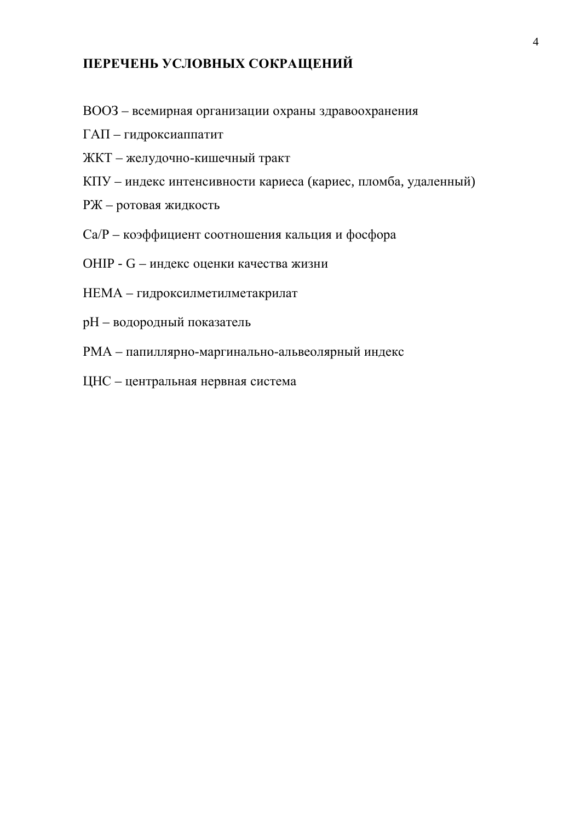### ПЕРЕЧЕНЬ УСЛОВНЫХ СОКРАЩЕНИЙ

- ВООЗ всемирная организации охраны здравоохранения
- $\Gamma$ АП гидроксиаппатит
- ЖКТ желудочно-кишечный тракт
- КПУ индекс интенсивности кариеса (кариес, пломба, удаленный)
- РЖ ротовая жидкость
- Са/Р коэффициент соотношения кальция и фосфора
- OHIP G индекс оценки качества жизни
- НЕМА гидроксилметилметакрилат
- рН водородный показатель
- РМА папиллярно-маргинально-альвеолярный индекс
- ЦНС центральная нервная система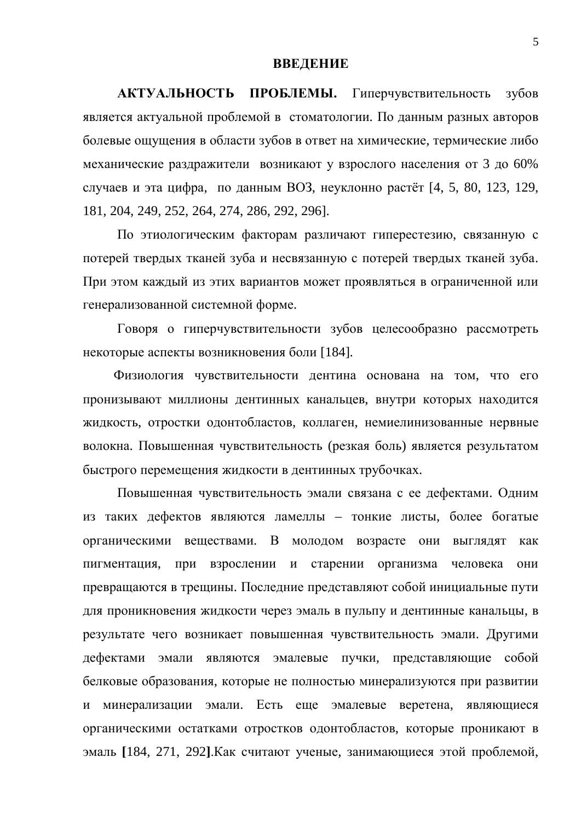#### **ВВЕДЕНИЕ**

АКТУАЛЬНОСТЬ ПРОБЛЕМЫ. Гиперчувствительность зубов является актуальной проблемой в стоматологии. По данным разных авторов болевые ощущения в области зубов в ответ на химические, термические либо механические раздражители возникают у взрослого населения от 3 до 60% случаев и эта цифра, по данным ВОЗ, неуклонно растёт [4, 5, 80, 123, 129, 181, 204, 249, 252, 264, 274, 286, 292, 296].

По этиологическим факторам различают гиперестезию, связанную с потерей твердых тканей зуба и несвязанную с потерей твердых тканей зуба. При этом каждый из этих вариантов может проявляться в ограниченной или генерализованной системной форме.

Говоря о гиперчувствительности зубов целесообразно рассмотреть некоторые аспекты возникновения боли [184].

Физиология чувствительности дентина основана на том, что его пронизывают миллионы дентинных канальцев, внутри которых находится жидкость, отростки одонтобластов, коллаген, немиелинизованные нервные волокна. Повышенная чувствительность (резкая боль) является результатом быстрого перемещения жидкости в дентинных трубочках.

Повышенная чувствительность эмали связана с ее дефектами. Одним из таких дефектов являются ламеллы – тонкие листы, более богатые органическими веществами. В молодом возрасте они выглядят как пигментация, при взрослении и старении организма человека они превращаются в трещины. Последние представляют собой инициальные пути для проникновения жидкости через эмаль в пульпу и дентинные канальцы, в результате чего возникает повышенная чувствительность эмали. Другими дефектами эмали являются эмалевые пучки, представляющие собой белковые образования, которые не полностью минерализуются при развитии и минерализации эмали. Есть еще эмалевые веретена, являющиеся органическими остатками отростков одонтобластов, которые проникают в эмаль [184, 271, 292]. Как считают ученые, занимающиеся этой проблемой,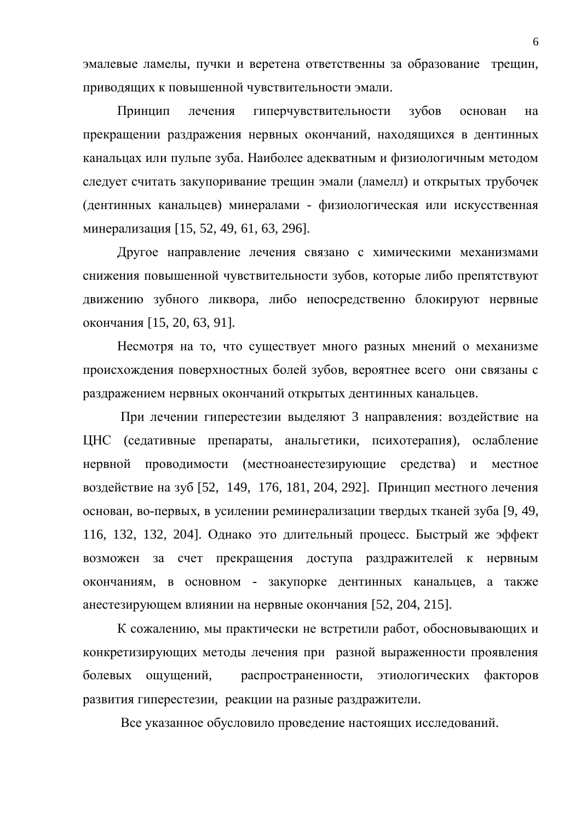эмалевые ламелы, пучки и веретена ответственны за образование трещин, приводящих к повышенной чувствительности эмали.

Принцип лечения гиперчувствительности зубов основан на прекращении раздражения нервных окончаний, находящихся в дентинных канальцах или пульпе зуба. Наиболее адекватным и физиологичным методом следует считать закупоривание трещин эмали (ламелл) и открытых трубочек (дентинных канальцев) минералами - физиологическая или искусственная минерализация [15, 52, 49, 61, 63, 296].

Другое направление лечения связано с химическими механизмами снижения повышенной чувствительности зубов, которые либо препятствуют движению зубного ликвора, либо непосредственно блокируют нервные окончания [15, 20, 63, 91].

Несмотря на то, что существует много разных мнений о механизме происхождения поверхностных болей зубов, вероятнее всего они связаны с раздражением нервных окончаний открытых дентинных канальцев.

При лечении гиперестезии выделяют 3 направления: воздействие на ЦНС (седативные препараты, анальгетики, психотерапия), ослабление нервной проводимости (местноанестезирующие средства) и местное воздействие на зуб [52, 149, 176, 181, 204, 292]. Принцип местного лечения основан, во-первых, в усилении реминерализации твердых тканей зуба [9, 49, 116, 132, 132, 204]. Однако это длительный процесс. Быстрый же эффект возможен за счет прекращения доступа раздражителей к нервным окончаниям, в основном - закупорке дентинных канальцев, а также анестезирующем влиянии на нервные окончания [52, 204, 215].

К сожалению, мы практически не встретили работ, обосновывающих и конкретизирующих методы лечения при разной выраженности проявления болевых ощущений, распространенности, этиологических факторов развития гиперестезии, реакции на разные раздражители.

Все указанное обусловило проведение настоящих исследований.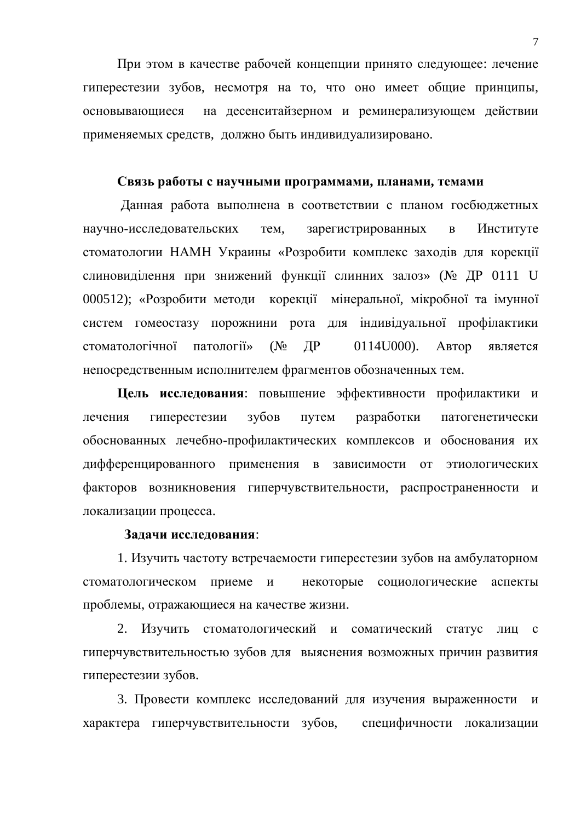При этом в качестве рабочей концепции принято следующее: лечение гиперестезии зубов, несмотря на то, что оно имеет общие принципы, основывающиеся на десенситайзерном и реминерализующем действии применяемых средств, должно быть индивидуализировано.

#### Связь работы с научными программами, планами, темами

Данная работа выполнена в соответствии с планом госбюджетных научно-исследовательских тем, зарегистрированных в Институте стоматологии НАМН Украины «Розробити комплекс заходів для корекції слиновиділення при знижений функції слинних залоз» (№ ДР 0111 U 000512); «Розробити методи корекції мінеральної, мікробної та імунної систем гомеостазу порожнини рота для індивідуальної профілактики стоматологічної патології» ( $N_2$  ДР 0114U000). Автор является непосредственным исполнителем фрагментов обозначенных тем.

**Цель исследования:** повышение эффективности профилактики и лечения гиперестезии зубов путем разработки патогенетически обоснованных лечебно-профилактических комплексов и обоснования их дифференцированного применения в зависимости от этиологических факторов возникновения гиперчувствительности, распространенности и локализации процесса.

#### Задачи исследования:

1. Изучить частоту встречаемости гиперестезии зубов на амбулаторном стоматологическом приеме и некоторые социологические аспекты проблемы, отражающиеся на качестве жизни.

2. Изучить стоматологический и соматический статус лиц с гиперчувствительностью зубов для выяснения возможных причин развития гиперестезии зубов.

3. Провести комплекс исследований для изучения выраженности и характера гиперчувствительности зубов, специфичности локализации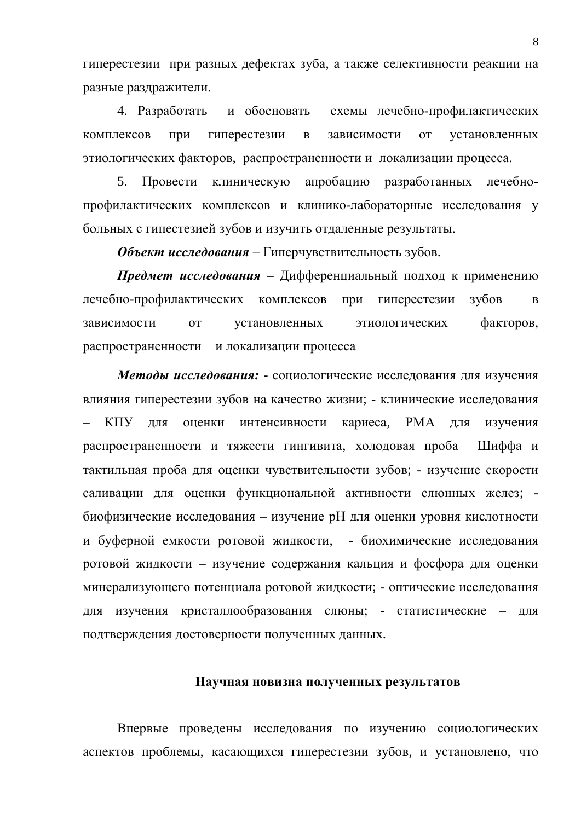гиперестезии при разных дефектах зуба, а также селективности реакции на разные раздражители.

4. Разработать и обосновать схемы лечебно-профилактических комплексов при гиперестезии в зависимости от установленных этиологических факторов, распространенности и локализации процесса.

5. Провести клиническую апробацию разработанных лечебнопрофилактических комплексов и клинико-лабораторные исследования у больных с гипестезией зубов и изучить отдаленные результаты.

**Объект исследования** – Гиперчувствительность зубов.

**Предмет исследования** – Дифференциальный подход к применению лечебно-профилактических комплексов при гиперестезии зубов в зависимости от установленных этиологических факторов, распространенности и локализации процесса

Методы исследования: - социологические исследования для изучения влияния гиперестезии зубов на качество жизни; - клинические исследования КПУ для оценки интенсивности кариеса, РМА для изучения распространенности и тяжести гингивита, холодовая проба Шиффа и тактильная проба для оценки чувствительности зубов; - изучение скорости саливации для оценки функциональной активности слюнных желез; биофизические исследования – изучение pH для оценки уровня кислотности и буферной емкости ротовой жидкости, - биохимические исследования ротовой жидкости – изучение содержания кальция и фосфора для оценки минерализующего потенциала ротовой жидкости; - оптические исследования для изучения кристаллообразования слюны; - статистические – для подтверждения достоверности полученных данных.

#### Научная новизна полученных результатов

Впервые проведены исследования по изучению социологических аспектов проблемы, касающихся гиперестезии зубов, и установлено, что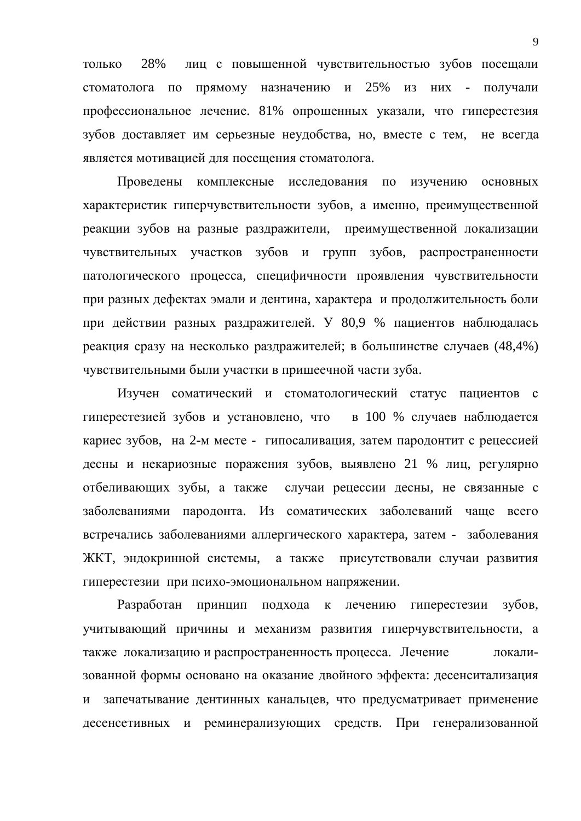только 28% лиц с повышенной чувствительностью зубов посещали стоматолога по прямому назначению и 25% из них - получали профессиональное лечение. 81% опрошенных указали, что гиперестезия зубов доставляет им серьезные неудобства, но, вместе с тем, не всегда является мотивацией для посещения стоматолога.

Проведены комплексные исследования по изучению основных характеристик гиперчувствительности зубов, а именно, преимущественной реакции зубов на разные раздражители, преимущественной локализации чувствительных участков зубов и групп зубов, распространенности патологического процесса, специфичности проявления чувствительности при разных дефектах эмали и дентина, характера и продолжительность боли при действии разных раздражителей. У 80,9 % пациентов наблюдалась реакция сразу на несколько раздражителей; в большинстве случаев (48,4%) чувствительными были участки в пришеечной части зуба.

Изучен соматический и стоматологический статус пациентов с гиперестезией зубов и установлено, что в 100 % случаев наблюдается кариес зубов, на 2-м месте - гипосаливация, затем пародонтит с рецессией десны и некариозные поражения зубов, выявлено 21 % лиц, регулярно отбеливающих зубы, а также случаи рецессии десны, не связанные с заболеваниями пародонта. Из соматических заболеваний чаще всего встречались заболеваниями аллергического характера, затем - заболевания ЖКТ, эндокринной системы, а также присутствовали случаи развития гиперестезии при психо-эмоциональном напряжении.

Разработан принцип подхода к лечению гиперестезии зубов, учитывающий причины и механизм развития гиперчувствительности, а также локализацию и распространенность процесса. Лечение локализованной формы основано на оказание двойного эффекта: десенситализация и запечатывание дентинных канальцев, что предусматривает применение десенсетивных и реминерализующих средств. При генерализованной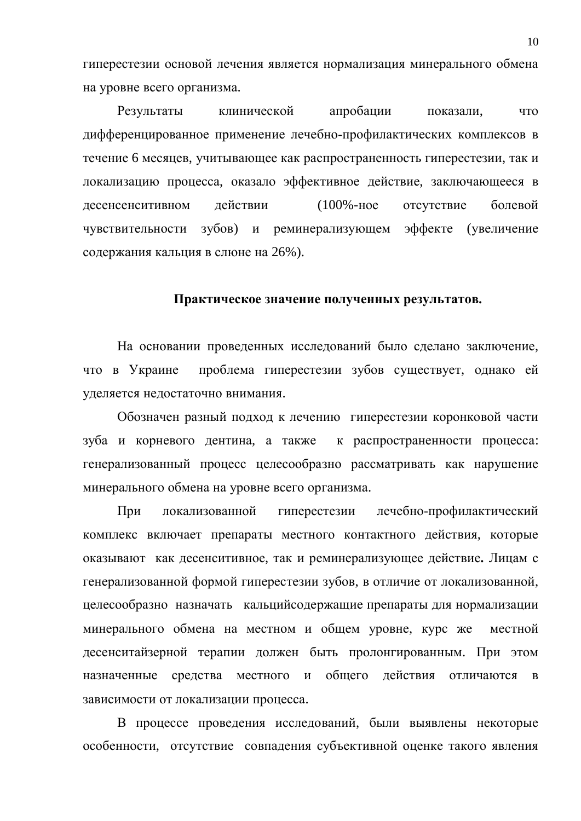гиперестезии основой лечения является нормализация минерального обмена на уровне всего организма.

Результаты клинической апробации показали, что дифференцированное применение лечебно-профилактических комплексов в течение 6 месяцев, учитывающее как распространенность гиперестезии, так и локализацию процесса, оказало эффективное действие, заключающееся в десенсенситивном действии (100%-ное отсутствие болевой чувствительности зубов) и реминерализующем эффекте (увеличение содержания кальция в слюне на 26%).

#### Практическое значение полученных результатов.

На основании проведенных исследований было сделано заключение, что в Украине проблема гиперестезии зубов существует, однако ей уделяется недостаточно внимания.

Обозначен разный подход к лечению гиперестезии коронковой части зуба и корневого дентина, а также к распространенности процесса: генерализованный процесс целесообразно рассматривать как нарушение минерального обмена на уровне всего организма.

При локализованной гиперестезии лечебно-профилактический комплекс включает препараты местного контактного действия, которые оказывают как десенситивное, так и реминерализующее действие. Лицам с генерализованной формой гиперестезии зубов, в отличие от локализованной, целесообразно назначать кальцийсодержащие препараты для нормализации минерального обмена на местном и общем уровне, курс же местной десенситайзерной терапии должен быть пролонгированным. При этом назначенные средства местного и общего действия отличаются в зависимости от локализации процесса.

В процессе проведения исследований, были выявлены некоторые особенности, отсутствие совпадения субъективной оценке такого явления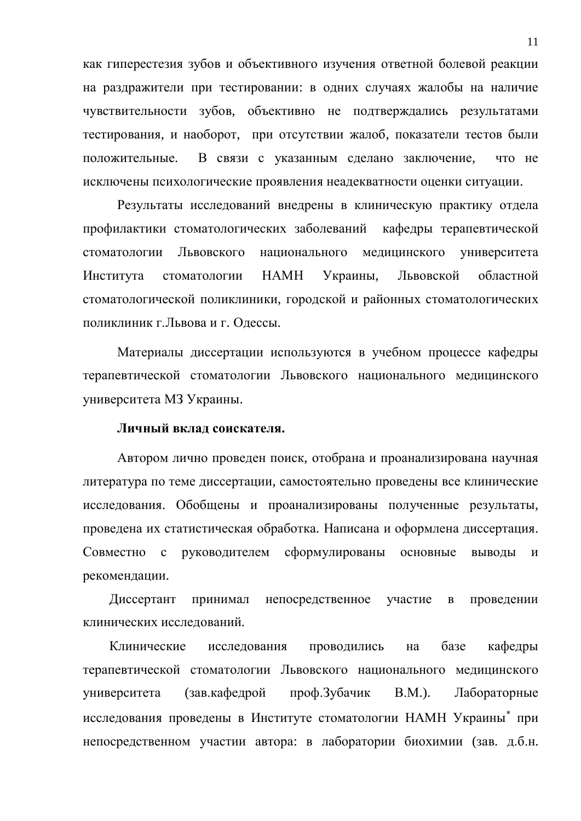как гиперестезия зубов и объективного изучения ответной болевой реакции на раздражители при тестировании: в одних случаях жалобы на наличие чувствительности зубов, объективно не подтверждались результатами тестирования, и наоборот, при отсутствии жалоб, показатели тестов были положительные. В связи с указанным сделано заключение, что не исключены психологические проявления неадекватности оценки ситуации.

Результаты исследований внедрены в клиническую практику отдела профилактики стоматологических заболеваний кафедры терапевтической стоматологии Львовского национального медицинского университета Института стоматологии НАМН Украины, Львовской областной стоматологической поликлиники, городской и районных стоматологических поликлиник г. Львова и г. Одессы.

Материалы диссертации используются в учебном процессе кафедры терапевтической стоматологии Львовского национального медицинского университета МЗ Украины.

#### **Личный вклад соискателя.**

Автором лично проведен поиск, отобрана и проанализирована научная литература по теме диссертации, самостоятельно проведены все клинические исследования. Обобщены и проанализированы полученные результаты, проведена их статистическая обработка. Написана и оформлена диссертация. Совместно с руководителем сформулированы основные выводы и рекомендации.

Диссертант принимал непосредственное участие в проведении клинических исследований.

Клинические исследования проводились на базе кафедры терапевтической стоматологии Львовского национального медицинского университета (зав. кафедрой проф. Зубачик В.М.). Лабораторные исследования проведены в Институте стоматологии НАМН Украины\* при непосредственном участии автора: в лаборатории биохимии (зав. д.б.н.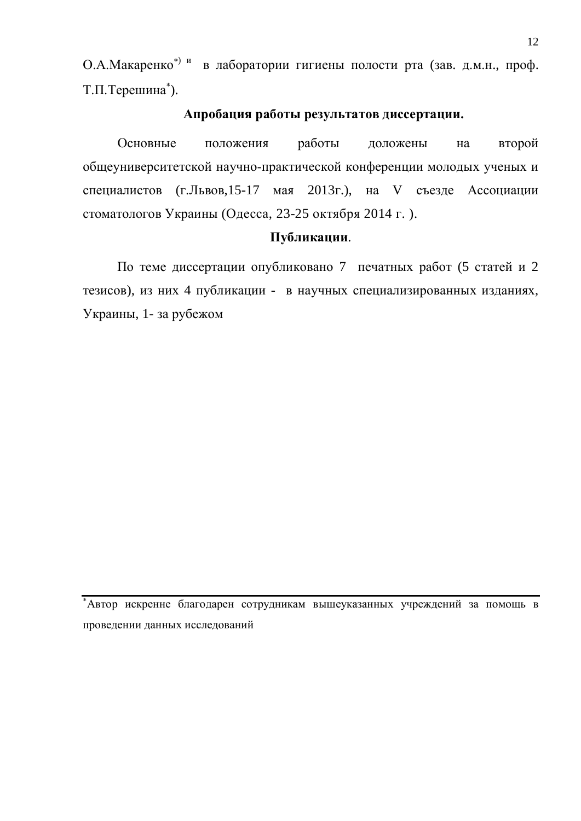О.А. Макаренко<sup>\*) и</sup> в лаборатории гигиены полости рта (зав. д.м.н., проф. Т.П.Терешина\*).

### **Апробация работы результатов диссертации.**

Основные положения работы доложены на второй общеуниверситетской научно-практической конференции молодых ученых и специалистов (г.Львов, 15-17 мая 2013 г.), на V съезде Ассоциации стоматологов Украины (Одесса, 23-25 октября 2014 г.).

#### Публикации.

По теме диссертации опубликовано 7 печатных работ (5 статей и 2 тезисов), из них 4 публикации - в научных специализированных изданиях, Украины, 1- за рубежом

 $*$ Автор искренне благоларен сотрудникам вышеуказанных учреждений за помошь в проведении данных исследований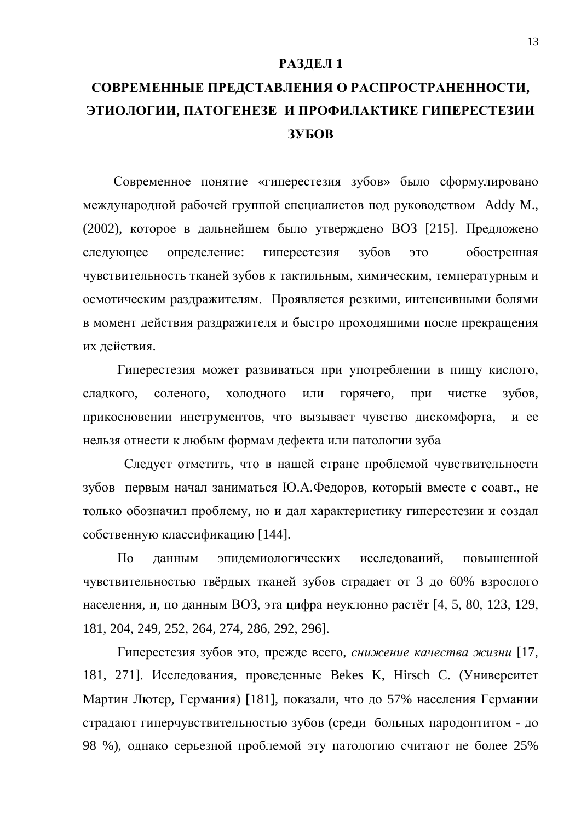#### РАЗДЕЛ 1

# СОВРЕМЕННЫЕ ПРЕДСТАВЛЕНИЯ О РАСПРОСТРАНЕННОСТИ, ЭТИОЛОГИИ, ПАТОГЕНЕЗЕ И ПРОФИЛАКТИКЕ ГИПЕРЕСТЕЗИИ **3YEOB**

Современное понятие «гиперестезия зубов» было сформулировано международной рабочей группой специалистов под руководством Addy M., (2002), которое в дальнейшем было утверждено ВОЗ [215]. Предложено следующее определение: гиперестезия зубов это обостренная чувствительность тканей зубов к тактильным, химическим, температурным и осмотическим раздражителям. Проявляется резкими, интенсивными болями в момент действия раздражителя и быстро проходящими после прекращения их действия.

Гиперестезия может развиваться при употреблении в пищу кислого, сладкого, соленого, холодного или горячего, при чистке зубов, прикосновении инструментов, что вызывает чувство дискомфорта, и ее нельзя отнести к любым формам дефекта или патологии зуба

Следует отметить, что в нашей стране проблемой чувствительности зубов первым начал заниматься Ю.А.Федоров, который вместе с соавт., не только обозначил проблему, но и дал характеристику гиперестезии и создал собственную классификацию [144].

По данным эпидемиологических исследований, повышенной чувствительностью твёрдых тканей зубов страдает от 3 до 60% взрослого населения, и, по данным ВОЗ, эта цифра неуклонно растёт [4, 5, 80, 123, 129, 181, 204, 249, 252, 264, 274, 286, 292, 296].

Гиперестезия зубов это, прежде всего, *снижение качества жизни* [17, 181, 271]. Исследования, проведенные Bekes K, Hirsch C. (Университет Мартин Лютер, Германия) [181], показали, что до 57% населения Германии страдают гиперчувствительностью зубов (среди больных пародонтитом - до 98 %), однако серьезной проблемой эту патологию считают не более 25%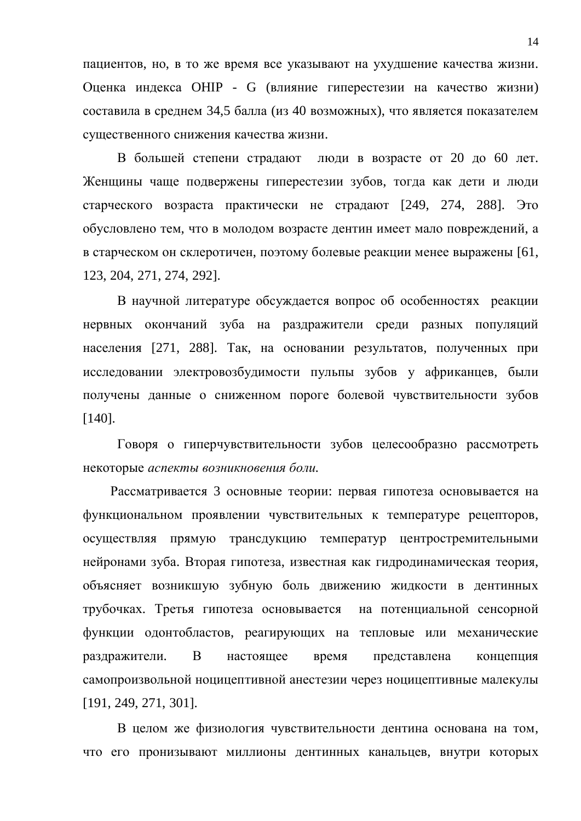пациентов, но, в то же время все указывают на ухудшение качества жизни. Оценка индекса ОНІР - G (влияние гиперестезии на качество жизни) составила в среднем 34,5 балла (из 40 возможных), что является показателем существенного снижения качества жизни.

В большей степени страдают люди в возрасте от 20 до 60 лет. Женщины чаще подвержены гиперестезии зубов, тогда как дети и люди старческого возраста практически не страдают [249, 274, 288]. Это обусловлено тем, что в молодом возрасте дентин имеет мало повреждений, а в старческом он склеротичен, поэтому болевые реакции менее выражены [61, 123, 204, 271, 274, 292].

В научной литературе обсуждается вопрос об особенностях реакции нервных окончаний зуба на раздражители среди разных популяций населения [271, 288]. Так, на основании результатов, полученных при исследовании электровозбудимости пульпы зубов у африканцев, были получены данные о сниженном пороге болевой чувствительности зубов [140].

Говоря о гиперчувствительности зубов целесообразно рассмотреть некоторые аспекты возникновения боли.

Рассматривается 3 основные теории: первая гипотеза основывается на функциональном проявлении чувствительных к температуре рецепторов, осуществляя прямую трансдукцию температур центростремительными нейронами зуба. Вторая гипотеза, известная как гидродинамическая теория, объясняет возникшую зубную боль движению жидкости в дентинных трубочках. Третья гипотеза основывается на потенциальной сенсорной функции одонтобластов, реагирующих на тепловые или механические раздражители. В настоящее время представлена концепция самопроизвольной ноцицептивной анестезии через ноцицептивные малекулы [191, 249, 271, 301].

В целом же физиология чувствительности дентина основана на том, что его пронизывают миллионы дентинных канальцев, внутри которых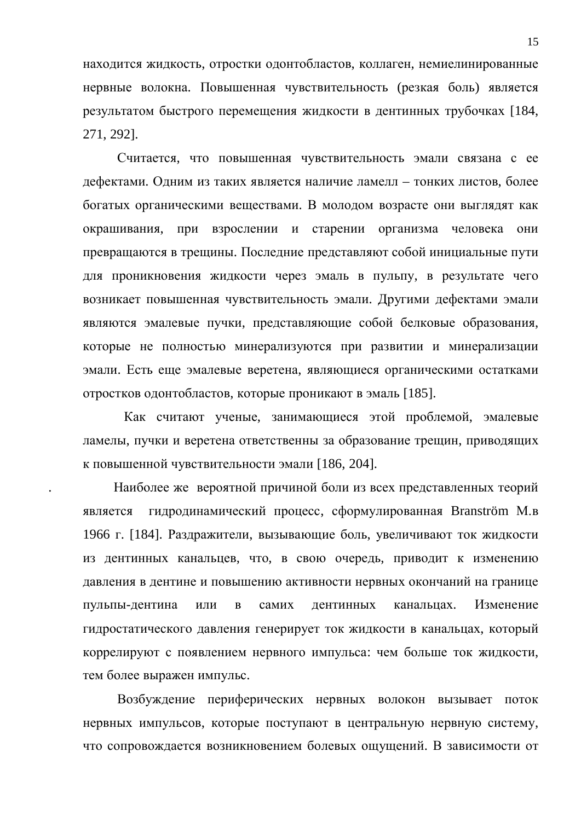находится жидкость, отростки одонтобластов, коллаген, немиелинированные нервные волокна. Повышенная чувствительность (резкая боль) является результатом быстрого перемещения жидкости в дентинных трубочках [184, 271, 292].

Считается, что повышенная чувствительность эмали связана с ее дефектами. Одним из таких является наличие ламелл – тонких листов, более богатых органическими веществами. В молодом возрасте они выглядят как окрашивания, при взрослении и старении организма человека они превращаются в трещины. Последние представляют собой инициальные пути для проникновения жидкости через эмаль в пульпу, в результате чего возникает повышенная чувствительность эмали. Другими дефектами эмали являются эмалевые пучки, представляющие собой белковые образования, которые не полностью минерализуются при развитии и минерализации эмали. Есть еще эмалевые веретена, являющиеся органическими остатками отростков одонтобластов, которые проникают в эмаль [185].

Как считают ученые, занимающиеся этой проблемой, эмалевые ламелы, пучки и веретена ответственны за образование трещин, приводящих к повышенной чувствительности эмали [186, 204].

Наиболее же вероятной причиной боли из всех представленных теорий является гидродинамический процесс, сформулированная Branström М.в 1966 г. [184]. Раздражители, вызывающие боль, увеличивают ток жидкости из дентинных канальцев, что, в свою очередь, приводит к изменению давления в дентине и повышению активности нервных окончаний на границе пульпы-дентина или в самих дентинных канальцах. Изменение гидростатического давления генерирует ток жидкости в канальцах, который коррелируют с появлением нервного импульса: чем больше ток жидкости, тем более выражен импульс.

Возбуждение периферических нервных волокон вызывает поток нервных импульсов, которые поступают в центральную нервную систему, что сопровождается возникновением болевых ощущений. В зависимости от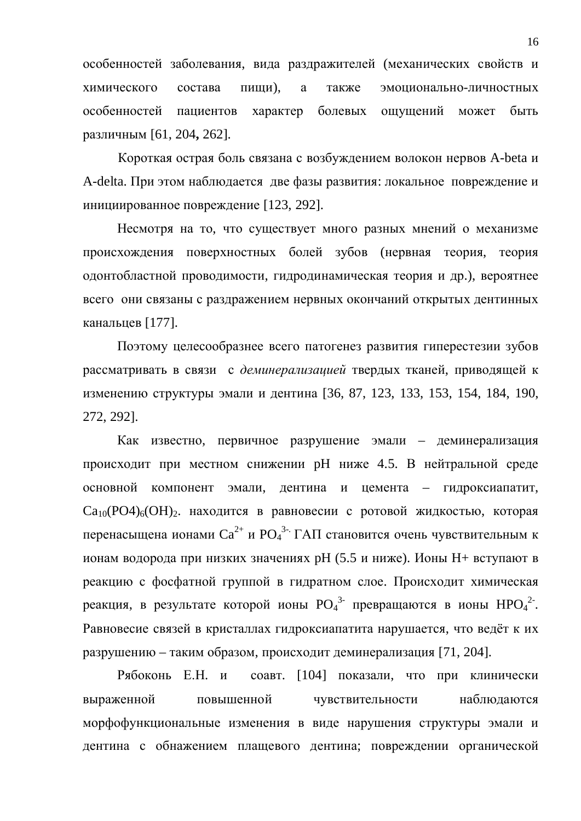особенностей заболевания, вида раздражителей (механических свойств и химического состава пиши), а также эмоционально-личностных особенностей пациентов характер болевых ощущений может быть различным [61, 204, 262].

Короткая острая боль связана с возбуждением волокон нервов A-beta и A-delta. При этом наблюдается две фазы развития: локальное повреждение и инициированное повреждение [123, 292].

Несмотря на то, что существует много разных мнений о механизме происхождения поверхностных болей зубов (нервная теория, теория одонтобластной проводимости, гидродинамическая теория и др.), вероятнее всего они связаны с раздражением нервных окончаний открытых дентинных канальцев [177].

Поэтому целесообразнее всего патогенез развития гиперестезии зубов рассматривать в связи с деминерализацией твердых тканей, приводящей к изменению структуры эмали и дентина [36, 87, 123, 133, 153, 154, 184, 190, 272, 292].

Как известно, первичное разрушение эмали – деминерализация происходит при местном снижении рН ниже 4.5. В нейтральной среде основной компонент эмали, дентина и цемента – гидроксиапатит,  $Ca_{10}(PO4)_6(OH)_2$ . находится в равновесии с ротовой жидкостью, которая перенасыщена ионами Са<sup>2+</sup> и РО<sub>4</sub><sup>3</sup> ГАП становится очень чувствительным к ионам водорода при низких значениях рН (5.5 и ниже). Ионы Н+ вступают в реакцию с фосфатной группой в гидратном слое. Происходит химическая реакция, в результате которой ионы  $\mathrm{PO_4}^{3-}$  превращаются в ионы  $\mathrm{HPO_4}^{2-}.$ Равновесие связей в кристаллах гидроксиапатита нарушается, что ведёт к их разрушению – таким образом, происходит деминерализация [71, 204].

Рябоконь Е.Н. и соавт. [104] показали, что при клинически выраженной повышенной чувствительности наблюдаются морфофункциональные изменения в виде нарушения структуры эмали и дентина с обнажением плащевого дентина; повреждении органической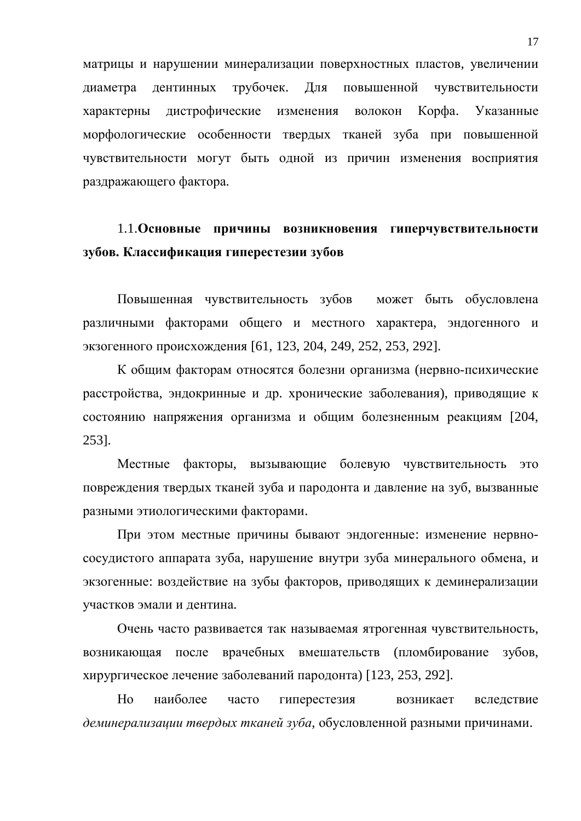матрицы и нарушении минерализации поверхностных пластов, увеличении диаметра дентинных трубочек. Для повышенной чувствительности характерны дистрофические изменения волокон Корфа. Указанные морфологические особенности твердых тканей зуба при повышенной чувствительности могут быть одной из причин изменения восприятия раздражающего фактора.

### 1.1. Основные причины возникновения гиперчувствительности зубов. Классификация гиперестезии зубов

Повышенная чувствительность зубов может быть обусловлена различными факторами общего и местного характера, эндогенного и экзогенного происхождения [61, 123, 204, 249, 252, 253, 292].

К общим факторам относятся болезни организма (нервно-психические расстройства, эндокринные и др. хронические заболевания), приводящие к состоянию напряжения организма и общим болезненным реакциям [204, 253].

Местные факторы, вызывающие болевую чувствительность это повреждения твердых тканей зуба и пародонта и давление на зуб, вызванные разными этиологическими факторами.

При этом местные причины бывают эндогенные: изменение нервнососудистого аппарата зуба, нарушение внутри зуба минерального обмена, и экзогенные: воздействие на зубы факторов, приводящих к деминерализации участков эмали и дентина.

Очень часто развивается так называемая ятрогенная чувствительность, возникающая после врачебных вмешательств (пломбирование зубов, хирургическое лечение заболеваний пародонта) [123, 253, 292].

Но наиболее часто гиперестезия возникает вследствие деминерализации твердых тканей зуба, обусловленной разными причинами.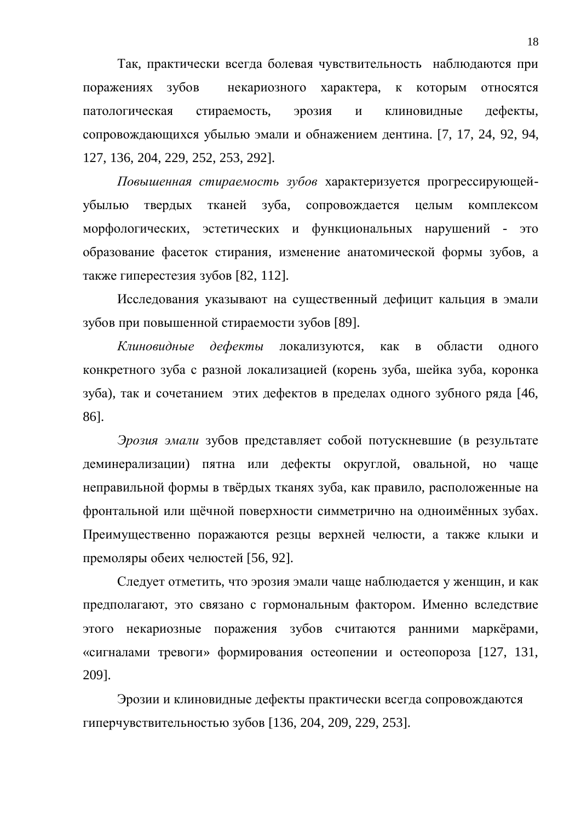Так, практически всегда болевая чувствительность наблюдаются при поражениях зубов некариозного характера, к которым относятся патологическая стираемость, эрозия и клиновидные дефекты, сопровождающихся убылью эмали и обнажением дентина. [7, 17, 24, 92, 94, 127, 136, 204, 229, 252, 253, 292].

Повышенная стираемость зубов характеризуется прогрессирующейубылью твердых тканей зуба, сопровождается целым комплексом морфологических, эстетических и функциональных нарушений - это образование фасеток стирания, изменение анатомической формы зубов, а также гиперестезия зубов [82, 112].

Исследования указывают на существенный дефицит кальция в эмали зубов при повышенной стираемости зубов [89].

Kлиновидные дефекты локализуются, как в области одного конкретного зуба с разной локализацией (корень зуба, шейка зуба, коронка зуба), так и сочетанием этих дефектов в пределах одного зубного ряда [46, 86].

Эрозия эмали зубов представляет собой потускневшие (в результате деминерализации) пятна или дефекты округлой, овальной, но чаше неправильной формы в твёрдых тканях зуба, как правило, расположенные на фронтальной или щёчной поверхности симметрично на одноимённых зубах. Преимущественно поражаются резцы верхней челюсти, а также клыки и премоляры обеих челюстей [56, 92].

Следует отметить, что эрозия эмали чаще наблюдается у женщин, и как предполагают, это связано с гормональным фактором. Именно вследствие этого некариозные поражения зубов считаются ранними маркёрами, «сигналами тревоги» формирования остеопении и остеопороза [127, 131, 209].

Эрозии и клиновидные дефекты практически всегда сопровождаются гиперчувствительностью зубов [136, 204, 209, 229, 253].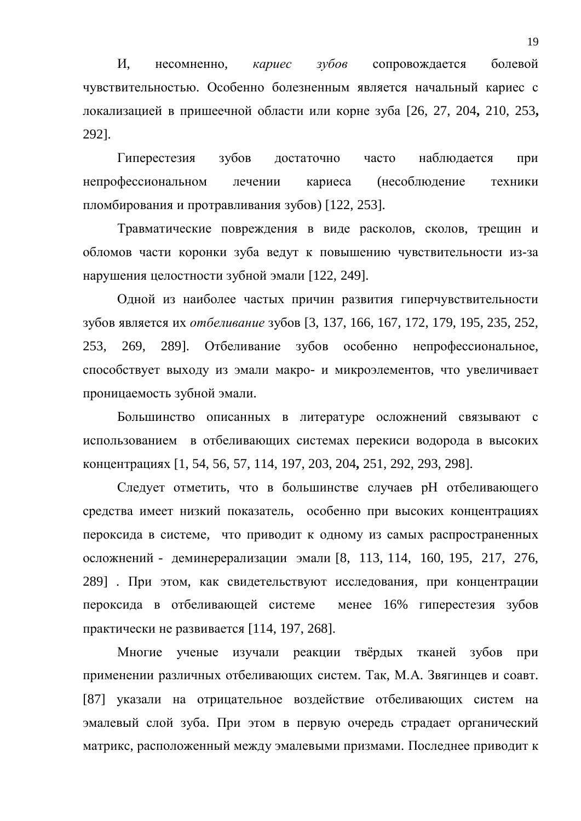И, несомненно, *кариес зубов* сопровождается болевой чувствительностью. Особенно болезненным является начальный кариес с локализацией в пришеечной области или корне зуба [26, 27, 204, 210, 253, 292].

Гиперестезия зубов достаточно часто наблюдается при непрофессиональном лечении кариеса (несоблюдение техники пломбирования и протравливания зубов) [122, 253].

Травматические повреждения в виде расколов, сколов, трещин и обломов части коронки зуба ведут к повышению чувствительности из-за нарушения целостности зубной эмали [122, 249].

Одной из наиболее частых причин развития гиперчувствительности зубов является их *отбеливание* зубов [3, 137, 166, 167, 172, 179, 195, 235, 252, 253, 269, 289]. Отбеливание зубов особенно непрофессиональное, способствует выходу из эмали макро- и микроэлементов, что увеличивает проницаемость зубной эмали.

Большинство описанных в литературе осложнений связывают с использованием в отбеливающих системах перекиси водорода в высоких концентрациях [1, 54, 56, 57, 114, 197, 203, 204, 251, 292, 293, 298].

Следует отметить, что в большинстве случаев рН отбеливающего средства имеет низкий показатель, особенно при высоких концентрациях пероксида в системе, что приводит к одному из самых распространенных осложнений - деминерерализации эмали [8, 113, 114, 160, 195, 217, 276, 289] . При этом, как свидетельствуют исследования, при концентрации пероксида в отбеливающей системе менее 16% гиперестезия зубов практически не развивается [114, 197, 268].

Многие ученые изучали реакции твёрдых тканей зубов при применении различных отбеливающих систем. Так, М.А. Звягинцев и соавт. [87] указали на отрицательное воздействие отбеливающих систем на эмалевый слой зуба. При этом в первую очередь страдает органический матрикс, расположенный между эмалевыми призмами. Последнее приводит к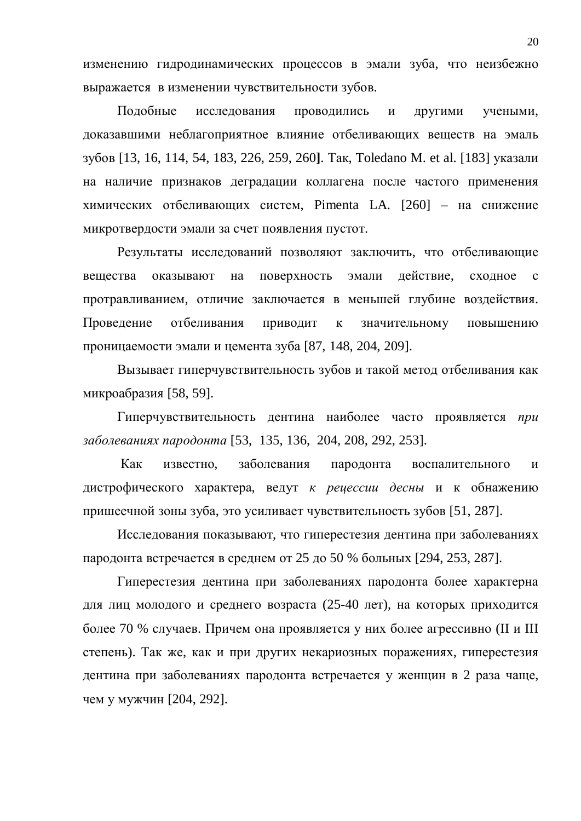изменению гидродинамических процессов в эмали зуба, что неизбежно выражается в изменении чувствительности зубов.

Подобные исследования проводились и другими учеными, доказавшими неблагоприятное влияние отбеливающих веществ на эмаль зубов [13, 16, 114, 54, 183, 226, 259, 260]. Так, Toledano M. et al. [183] указали на наличие признаков деградации коллагена после частого применения химических отбеливающих систем, Pimenta LA. [260] – на снижение микротвердости эмали за счет появления пустот.

Результаты исследований позволяют заключить, что отбеливающие вещества оказывают на поверхность эмали действие, сходное с протравливанием, отличие заключается в меньшей глубине воздействия. Проведение отбеливания приводит к значительному повышению проницаемости эмали и цемента зуба [87, 148, 204, 209].

Вызывает гиперчувствительность зубов и такой метод отбеливания как микроабразия [58, 59].

Гиперчувствительность дентина наиболее часто проявляется при заболеваниях пародонта [53, 135, 136, 204, 208, 292, 253].

Как известно, заболевания пародонта воспалительного и дистрофического характера, ведут *к рецессии десны* и к обнажению пришеечной зоны зуба, это усиливает чувствительность зубов [51, 287].

Исследования показывают, что гиперестезия дентина при заболеваниях пародонта встречается в среднем от 25 до 50 % больных [294, 253, 287].

Гиперестезия дентина при заболеваниях пародонта более характерна для лиц молодого и среднего возраста (25-40 лет), на которых приходится более 70 % случаев. Причем она проявляется у них более агрессивно (II и III степень). Так же, как и при других некариозных поражениях, гиперестезия дентина при заболеваниях пародонта встречается у женщин в 2 раза чаще, чем у мужчин [204, 292].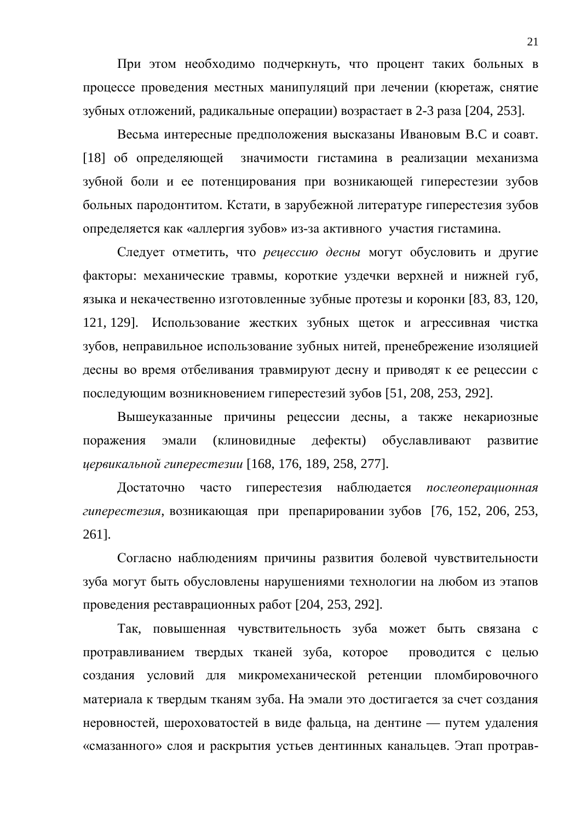При этом необходимо подчеркнуть, что процент таких больных в процессе проведения местных манипуляций при лечении (кюретаж, снятие зубных отложений, радикальные операции) возрастает в 2-3 раза [204, 253].

Весьма интересные предположения высказаны Ивановым В.С и соавт. [18] об определяющей значимости гистамина в реализации механизма зубной боли и ее потенцирования при возникающей гиперестезии зубов больных пародонтитом. Кстати, в зарубежной литературе гиперестезия зубов определяется как «аллергия зубов» из-за активного участия гистамина.

Следует отметить, что *рецессию десны* могут обусловить и другие факторы: механические травмы, короткие уздечки верхней и нижней губ, языка и некачественно изготовленные зубные протезы и коронки [83, 83, 120, 121, 129]. Использование жестких зубных щеток и агрессивная чистка зубов, неправильное использование зубных нитей, пренебрежение изоляцией десны во время отбеливания травмируют десну и приводят к ее рецессии с последующим возникновением гиперестезий зубов [51, 208, 253, 292].

Вышеуказанные причины рецессии десны, а также некариозные поражения эмали (клиновидные дефекты) обуславливают развитие *ɰɟɪɜɢɤɚɥɶɧɨɣɝɢɩɟɪɟɫɬɟɡɢɢ* [168, 176, 189, 258, 277].

Достаточно часто гиперестезия наблюдается послеоперационная *гиперестезия*, возникающая при препарировании зубов [76, 152, 206, 253, 261].

Согласно наблюдениям причины развития болевой чувствительности зуба могут быть обусловлены нарушениями технологии на любом из этапов проведения реставрационных работ [204, 253, 292].

Так, повышенная чувствительность зуба может быть связана с протравливанием твердых тканей зуба, которое проводится с целью создания условий для микромеханической ретенции пломбировочного материала к твердым тканям зуба. На эмали это достигается за счет создания неровностей, шероховатостей в виде фальца, на дентине — путем удаления «смазанного» слоя и раскрытия устьев дентинных канальцев. Этап протрав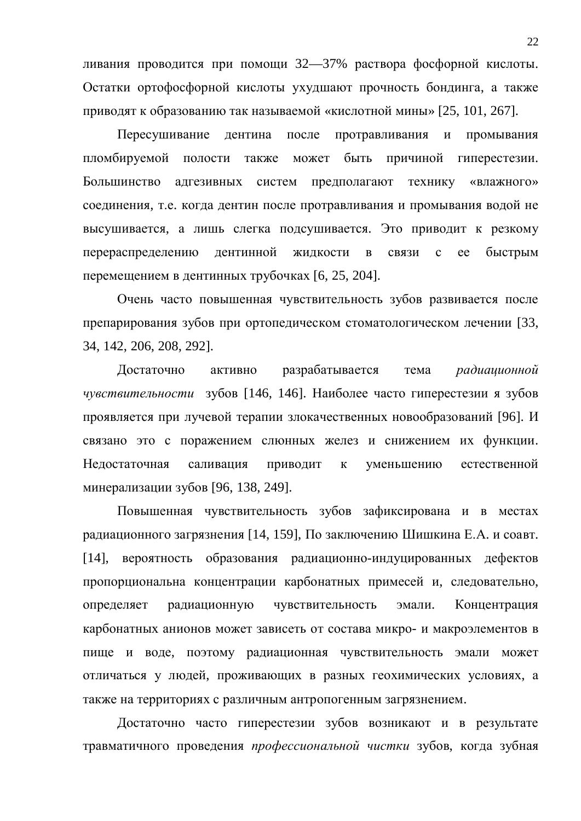ливания проводится при помощи 32—37% раствора фосфорной кислоты. Остатки ортофосфорной кислоты ухудшают прочность бондинга, а также приводят к образованию так называемой «кислотной мины» [25, 101, 267].

Пересушивание дентина после протравливания и промывания пломбируемой полости также может быть причиной гиперестезии. Большинство адгезивных систем предполагают технику «влажного» соединения, т.е. когда дентин после протравливания и промывания водой не высушивается, а лишь слегка подсушивается. Это приводит к резкому перераспределению дентинной жидкости в связи с ее быстрым перемещением в дентинных трубочках [6, 25, 204].

Очень часто повышенная чувствительность зубов развивается после препарирования зубов при ортопедическом стоматологическом лечении [33, 34, 142, 206, 208, 292].

Лостаточно активно разрабатывается тема *радиационной* чувствительности зубов [146, 146]. Наиболее часто гиперестезии я зубов проявляется при лучевой терапии злокачественных новообразований [96]. И связано это с поражением слюнных желез и снижением их функции. Нелостаточная саливация приволит к уменьшению естественной минерализации зубов [96, 138, 249].

Повышенная чувствительность зубов зафиксирована и в местах радиационного загрязнения [14, 159], По заключению Шишкина Е.А. и соавт. [14], вероятность образования радиационно-индуцированных дефектов пропорциональна концентрации карбонатных примесей и, следовательно, определяет радиационную чувствительность эмали. Концентрация карбонатных анионов может зависеть от состава микро- и макроэлементов в пище и воде, поэтому радиационная чувствительность эмали может отличаться у людей, проживающих в разных геохимических условиях, а также на территориях с различным антропогенным загрязнением.

Достаточно часто гиперестезии зубов возникают и в результате травматичного проведения профессиональной чистки зубов, когда зубная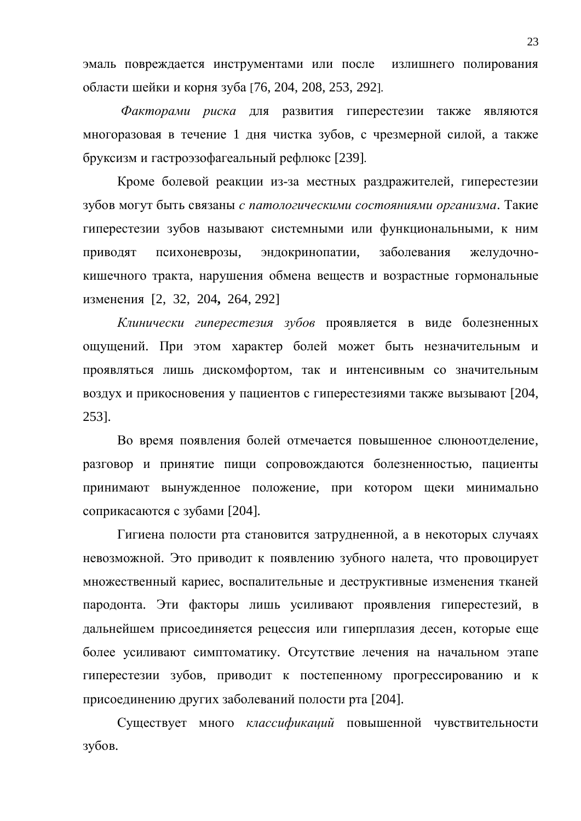эмаль повреждается инструментами или после излишнего полирования области шейки и корня зуба [76, 204, 208, 253, 292].

Факторами риска для развития гиперестезии также являются многоразовая в течение 1 дня чистка зубов, с чрезмерной силой, а также бруксизм и гастроэзофагеальный рефлюкс [239].

Кроме болевой реакции из-за местных раздражителей, гиперестезии зубов могут быть связаны с патологическими состояниями организма. Такие гиперестезии зубов называют системными или функциональными, к ним приводят психоневрозы, эндокринопатии, заболевания желудочнокишечного тракта, нарушения обмена веществ и возрастные гормональные изменения [2, 32, 204, 264, 292]

Kлинически гиперестезия зубов проявляется в виде болезненных ощущений. При этом характер болей может быть незначительным и проявляться лишь дискомфортом, так и интенсивным со значительным воздух и прикосновения у пациентов с гиперестезиями также вызывают [204, 253].

Во время появления болей отмечается повышенное слюноотделение, разговор и принятие пищи сопровождаются болезненностью, пациенты принимают вынужденное положение, при котором щеки минимально соприкасаются с зубами [204].

Гигиена полости рта становится затрудненной, а в некоторых случаях невозможной. Это приводит к появлению зубного налета, что провоцирует множественный кариес, воспалительные и деструктивные изменения тканей пародонта. Эти факторы лишь усиливают проявления гиперестезий, в дальнейшем присоединяется рецессия или гиперплазия десен, которые еще более усиливают симптоматику. Отсутствие лечения на начальном этапе гиперестезии зубов, приводит к постепенному прогрессированию и к присоединению других заболеваний полости рта [204].

Существует много *классификаций* повышенной чувствительности зубов.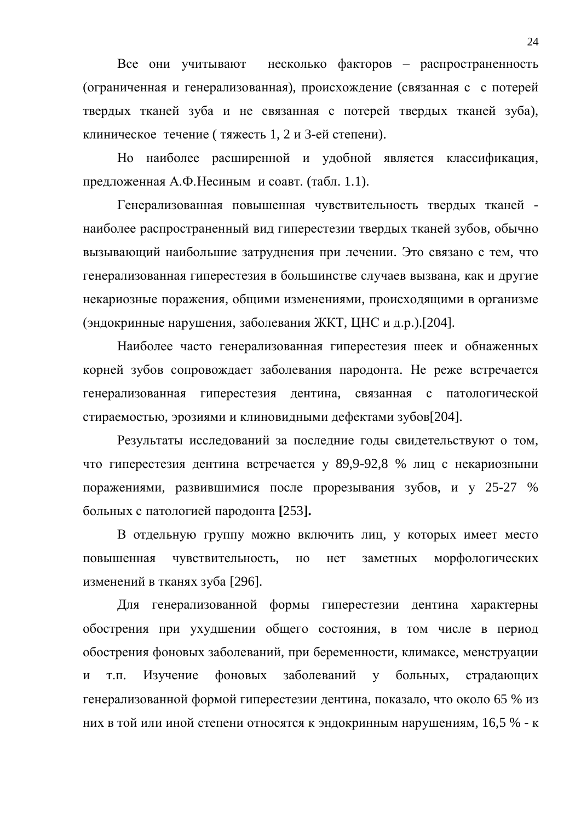Все они учитывают несколько факторов – распространенность (ограниченная и генерализованная), происхождение (связанная с с потерей твердых тканей зуба и не связанная с потерей твердых тканей зуба), клиническое течение ( тяжесть 1, 2 и 3-ей степени).

Но наиболее расширенной и удобной является классификация, предложенная А.Ф. Несиным и соавт. (табл. 1.1).

Генерализованная повышенная чувствительность твердых тканей наиболее распространенный вид гиперестезии твердых тканей зубов, обычно вызывающий наибольшие затруднения при лечении. Это связано с тем, что генерализованная гиперестезия в большинстве случаев вызвана, как и другие некариозные поражения, общими изменениями, происходящими в организме (эндокринные нарушения, заболевания ЖКТ, ЦНС и д.р.).[204].

Наиболее часто генерализованная гиперестезия шеек и обнаженных корней зубов сопровождает заболевания пародонта. Не реже встречается генерализованная гиперестезия дентина, связанная с патологической стираемостью, эрозиями и клиновидными дефектами зубов[204].

Результаты исследований за последние годы свидетельствуют о том, что гиперестезия дентина встречается у 89,9-92,8 % лиц с некариозныни поражениями, развившимися после прорезывания зубов, и у 25-27 % больных с патологией пародонта [253].

В отдельную группу можно включить лиц, у которых имеет место повышенная чувствительность, но нет заметных морфологических изменений в тканях зуба [296].

Для генерализованной формы гиперестезии дентина характерны обострения при ухудшении общего состояния, в том числе в период обострения фоновых заболеваний, при беременности, климаксе, менструации и т.п. Изучение фоновых заболеваний у больных, страдающих генерализованной формой гиперестезии дентина, показало, что около 65 % из них в той или иной степени относятся к эндокринным нарушениям, 16,5 % - к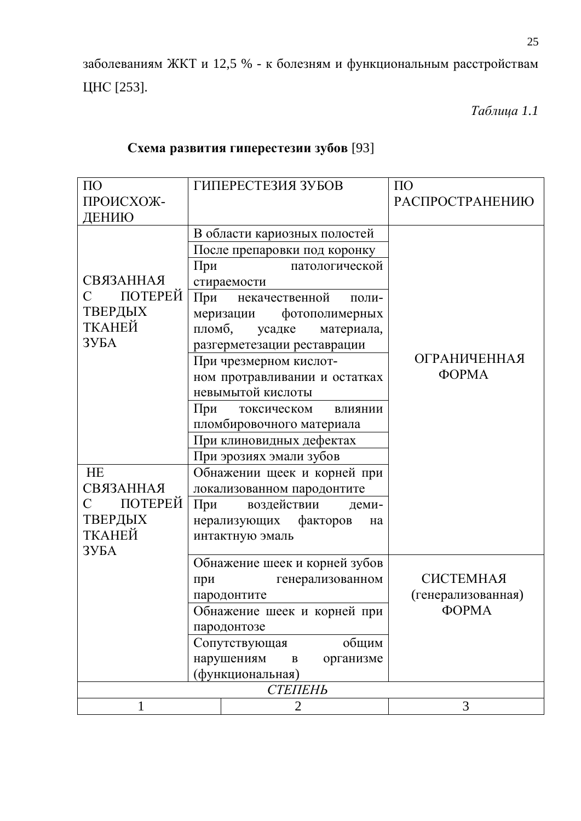заболеваниям ЖКТ и 12,5 % - к болезням и функциональным расстройствам ЦНС [253].

*Таблица* 1.1

| $\Pi$ <sup>O</sup>        |        | ГИПЕРЕСТЕЗИЯ ЗУБОВ                      | $\Pi$ <sup>O</sup>  |  |  |
|---------------------------|--------|-----------------------------------------|---------------------|--|--|
| ПРОИСХОЖ-                 |        |                                         | РАСПРОСТРАНЕНИЮ     |  |  |
| ДЕНИЮ                     |        |                                         |                     |  |  |
|                           |        | В области кариозных полостей            |                     |  |  |
|                           |        | После препаровки под коронку            |                     |  |  |
|                           | При    | патологической                          |                     |  |  |
| <b>СВЯЗАННАЯ</b>          |        | стираемости                             |                     |  |  |
| ПОТЕРЕЙ<br>$\overline{C}$ |        | При некачественной<br>поли-             |                     |  |  |
| ТВЕРДЫХ                   |        | фотополимерных<br>меризации             |                     |  |  |
| ТКАНЕЙ                    | пломб, | усадке<br>материала,                    |                     |  |  |
| 3Y <sub>B</sub> A         |        | разгерметезации реставрации             |                     |  |  |
|                           |        | При чрезмерном кислот-                  | <b>ОГРАНИЧЕННАЯ</b> |  |  |
|                           |        | ном протравливании и остатках           | <b>ΦΟΡΜΑ</b>        |  |  |
|                           |        | невымытой кислоты                       |                     |  |  |
|                           | При    | токсическом влиянии                     |                     |  |  |
|                           |        | пломбировочного материала               |                     |  |  |
|                           |        | При клиновидных дефектах                |                     |  |  |
|                           |        | При эрозиях эмали зубов                 |                     |  |  |
| HE                        |        | Обнажении щеек и корней при             |                     |  |  |
| <b>СВЯЗАННАЯ</b>          |        | локализованном пародонтите              |                     |  |  |
| ПОТЕРЕЙ<br>$\overline{C}$ | При    | воздействии<br>деми-                    |                     |  |  |
| ТВЕРДЫХ                   |        | нерализующих факторов<br>на             |                     |  |  |
| ТКАНЕЙ                    |        | интактную эмаль                         |                     |  |  |
| ЗУБА                      |        |                                         |                     |  |  |
|                           |        | Обнажение шеек и корней зубов           |                     |  |  |
|                           | при    | генерализованном                        | <b>СИСТЕМНАЯ</b>    |  |  |
|                           |        | пародонтите                             | (генерализованная)  |  |  |
|                           |        | Обнажение шеек и корней при             | <b>ΦΟΡΜΑ</b>        |  |  |
|                           |        | пародонтозе                             |                     |  |  |
|                           |        | Сопутствующая<br>общим                  |                     |  |  |
|                           |        | нарушениям<br>организме<br>$\, {\bf B}$ |                     |  |  |
|                           |        | (функциональная)                        |                     |  |  |
| СТЕПЕНЬ                   |        |                                         |                     |  |  |
| 1                         |        | $\overline{2}$                          | 3                   |  |  |

### Схема развития гиперестезии зубов [93]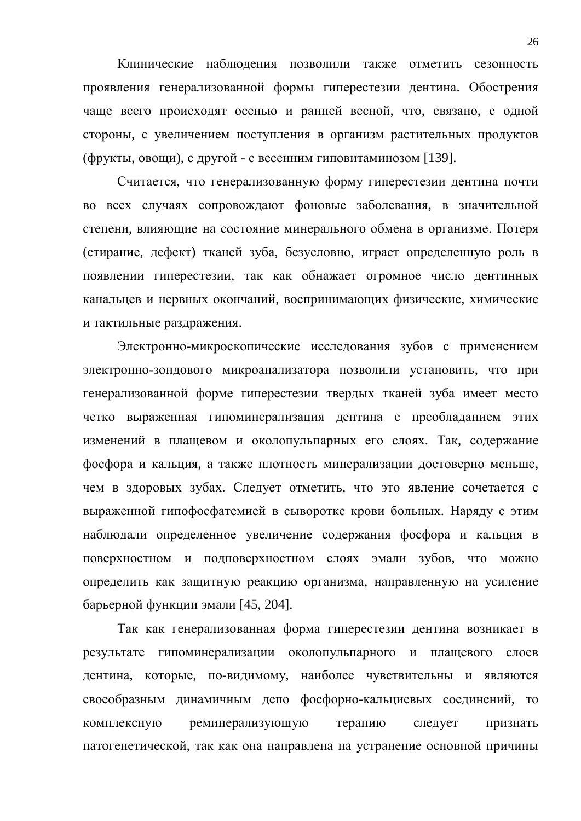Клинические наблюдения позволили также отметить сезонность проявления генерализованной формы гиперестезии дентина. Обострения чаще всего происходят осенью и ранней весной, что, связано, с одной стороны, с увеличением поступления в организм растительных продуктов (фрукты, овощи), с другой - с весенним гиповитаминозом [139].

Считается, что генерализованную форму гиперестезии дентина почти во всех случаях сопровождают фоновые заболевания, в значительной степени, влияющие на состояние минерального обмена в организме. Потеря (стирание, дефект) тканей зуба, безусловно, играет определенную роль в появлении гиперестезии, так как обнажает огромное число дентинных канальцев и нервных окончаний, воспринимающих физические, химические и тактильные раздражения.

Электронно-микроскопические исследования зубов с применением электронно-зондового микроанализатора позволили установить, что при генерализованной форме гиперестезии твердых тканей зуба имеет место четко выраженная гипоминерализация дентина с преобладанием этих изменений в плащевом и околопульпарных его слоях. Так, содержание фосфора и кальция, а также плотность минерализации достоверно меньше, чем в здоровых зубах. Следует отметить, что это явление сочетается с выраженной гипофосфатемией в сыворотке крови больных. Наряду с этим наблюдали определенное увеличение содержания фосфора и кальция в поверхностном и подповерхностном слоях эмали зубов, что можно определить как защитную реакцию организма, направленную на усиление барьерной функции эмали [45, 204].

Так как генерализованная форма гиперестезии дентина возникает в результате гипоминерализации околопульпарного и плащевого слоев дентина, которые, по-видимому, наиболее чувствительны и являются своеобразным динамичным депо фосфорно-кальциевых соединений, то комплексную реминерализующую терапию следует признать патогенетической, так как она направлена на устранение основной причины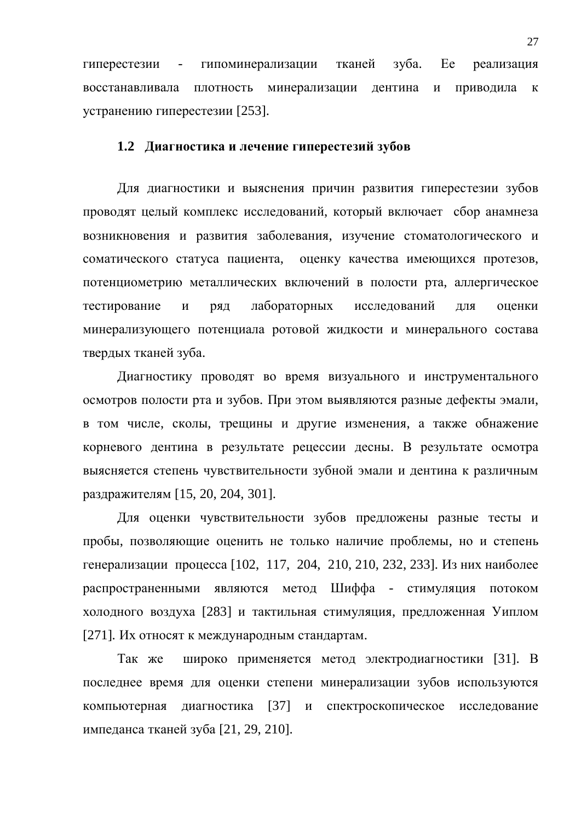гиперестезии - гипоминерализации тканей зуба. Ее реализация восстанавливала плотность минерализации дентина и приводила к устранению гиперестезии [253].

#### 1.2 Диагностика и лечение гиперестезий зубов

Для диагностики и выяснения причин развития гиперестезии зубов проводят целый комплекс исследований, который включает сбор анамнеза возникновения и развития заболевания, изучение стоматологического и соматического статуса пациента, оценку качества имеющихся протезов, потенциометрию металлических включений в полости рта, аллергическое тестирование и ряд лабораторных исследований для оценки минерализующего потенциала ротовой жидкости и минерального состава твердых тканей зуба.

Диагностику проводят во время визуального и инструментального осмотров полости рта и зубов. При этом выявляются разные дефекты эмали, в том числе, сколы, трещины и другие изменения, а также обнажение корневого дентина в результате рецессии десны. В результате осмотра выясняется степень чувствительности зубной эмали и дентина к различным раздражителям [15, 20, 204, 301].

Для оценки чувствительности зубов предложены разные тесты и пробы, позволяющие оценить не только наличие проблемы, но и степень генерализации процесса [102, 117, 204, 210, 210, 232, 233]. Из них наиболее распространенными являются метод Шиффа - стимуляция потоком холодного воздуха [283] и тактильная стимуляция, предложенная Уиплом [271]. Их относят к международным стандартам.

Так же широко применяется метод электродиагностики [31]. В последнее время для оценки степени минерализации зубов используются компьютерная диагностика [37] и спектроскопическое исследование импеданса тканей зуба [21, 29, 210].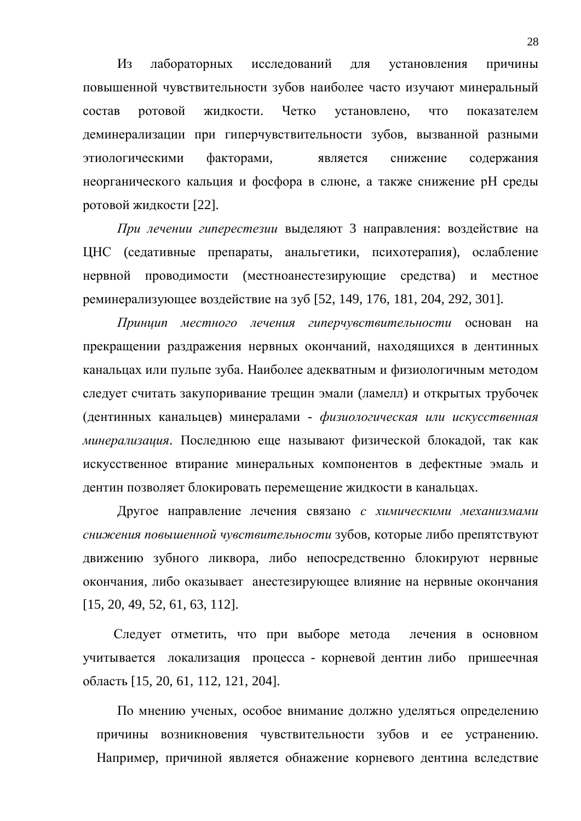Из лабораторных исследований для установления причины повышенной чувствительности зубов наиболее часто изучают минеральный состав ротовой жидкости. Четко установлено, что показателем деминерализации при гиперчувствительности зубов, вызванной разными этиологическими факторами, является снижение содержания неорганического кальция и фосфора в слюне, а также снижение рН среды ротовой жидкости [22].

При лечении гиперестезии выделяют 3 направления: воздействие на ЦНС (седативные препараты, анальгетики, психотерапия), ослабление нервной проводимости (местноанестезирующие средства) и местное реминерализующее воздействие на зуб [52, 149, 176, 181, 204, 292, 301].

Принцип местного лечения гиперчувствительности основан на прекращении раздражения нервных окончаний, находящихся в дентинных канальцах или пульпе зуба. Наиболее адекватным и физиологичным методом следует считать закупоривание трещин эмали (ламелл) и открытых трубочек (дентинных канальцев) минералами - физиологическая или искусственная *минерализация*. Последнюю еще называют физической блокадой, так как искусственное втирание минеральных компонентов в дефектные эмаль и дентин позволяет блокировать перемещение жидкости в канальцах.

Другое направление лечения связано с химическими механизмами снижения повышенной чувствительности зубов, которые либо препятствуют движению зубного ликвора, либо непосредственно блокируют нервные окончания, либо оказывает анестезирующее влияние на нервные окончания [15, 20, 49, 52, 61, 63, 112].

Следует отметить, что при выборе метода лечения в основном учитывается локализация процесса - корневой дентин либо пришеечная область [15, 20, 61, 112, 121, 204].

По мнению ученых, особое внимание должно уделяться определению причины возникновения чувствительности зубов и ее устранению. Например, причиной является обнажение корневого дентина вследствие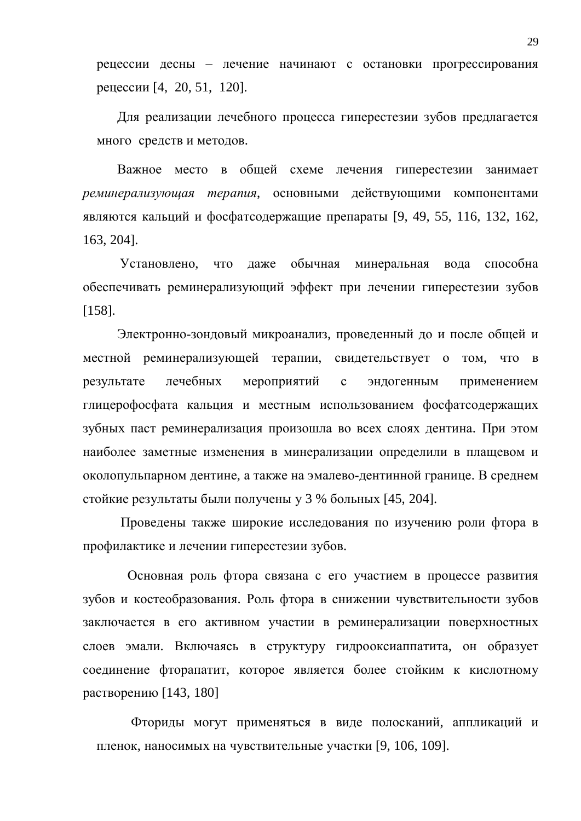рецессии десны – лечение начинают с остановки прогрессирования рецессии [4, 20, 51, 120].

Для реализации лечебного процесса гиперестезии зубов предлагается много средств и методов.

Важное место в общей схеме лечения гиперестезии занимает реминерализующая терапия, основными действующими компонентами являются кальций и фосфатсодержащие препараты [9, 49, 55, 116, 132, 162, 163, 204].

Установлено, что даже обычная минеральная вода способна обеспечивать реминерализующий эффект при лечении гиперестезии зубов [158].

Электронно-зондовый микроанализ, проведенный до и после общей и местной реминерализующей терапии, свидетельствует о том, что в результате лечебных мероприятий с эндогенным применением глицерофосфата кальция и местным использованием фосфатсодержащих зубных паст реминерализация произошла во всех слоях дентина. При этом наиболее заметные изменения в минерализации определили в плащевом и околопульпарном дентине, а также на эмалево-дентинной границе. В среднем стойкие результаты были получены у 3 % больных [45, 204].

Проведены также широкие исследования по изучению роли фтора в профилактике и лечении гиперестезии зубов.

Основная роль фтора связана с его участием в процессе развития зубов и костеобразования. Роль фтора в снижении чувствительности зубов заключается в его активном участии в реминерализации поверхностных слоев эмали. Включаясь в структуру гидрооксиаппатита, он образует соединение фторапатит, которое является более стойким к кислотному растворению  $[143, 180]$ 

Фториды могут применяться в виде полосканий, аппликаций и пленок, наносимых на чувствительные участки [9, 106, 109].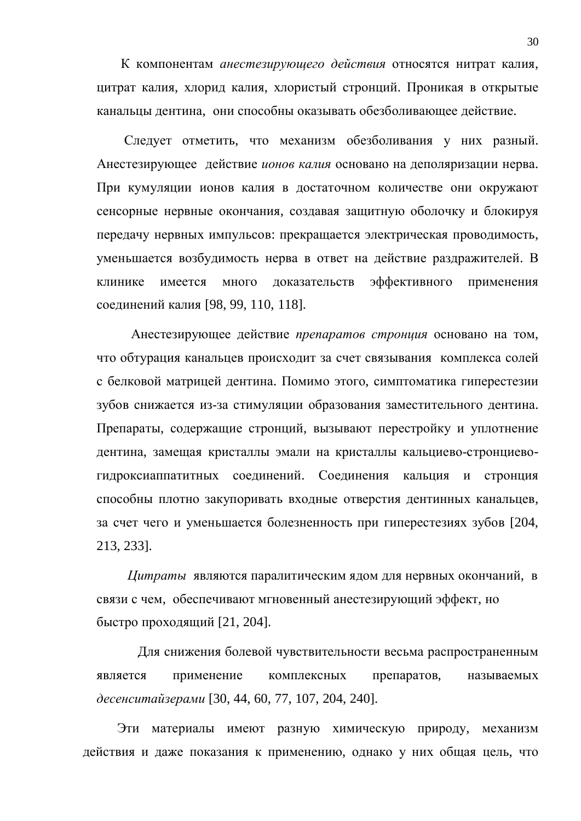К компонентам *анестезирующего действия* относятся нитрат калия, цитрат калия, хлорид калия, хлористый стронций. Проникая в открытые канальцы дентина, они способны оказывать обезболивающее действие.

Следует отметить, что механизм обезболивания у них разный. Анестезирующее действие ионов калия основано на деполяризации нерва. При кумуляции ионов калия в достаточном количестве они окружают сенсорные нервные окончания, создавая защитную оболочку и блокируя передачу нервных импульсов: прекращается электрическая проводимость, уменьшается возбудимость нерва в ответ на действие раздражителей. В клинике имеется много доказательств эффективного применения соединений калия [98, 99, 110, 118].

Анестезирующее действие препаратов стронция основано на том, что обтурация канальцев происходит за счет связывания комплекса солей с белковой матрицей дентина. Помимо этого, симптоматика гиперестезии зубов снижается из-за стимуляции образования заместительного дентина. Препараты, содержащие стронций, вызывают перестройку и уплотнение дентина, замещая кристаллы эмали на кристаллы кальциево-стронциевогидроксиаппатитных соединений. Соединения кальция и стронция способны плотно закупоривать входные отверстия дентинных канальцев, за счет чего и уменьшается болезненность при гиперестезиях зубов [204, 213, 233].

*Цитраты* являются паралитическим ядом для нервных окончаний, в связи с чем, обеспечивают мгновенный анестезирующий эффект, но быстро проходящий [21, 204].

Для снижения болевой чувствительности весьма распространенным является применение комплексных препаратов, называемых *ɞɟɫɟɧɫɢɬɚɣɡɟɪɚɦɢ* [30, 44, 60, 77, 107, 204, 240].

Эти материалы имеют разную химическую природу, механизм действия и даже показания к применению, однако у них общая цель, что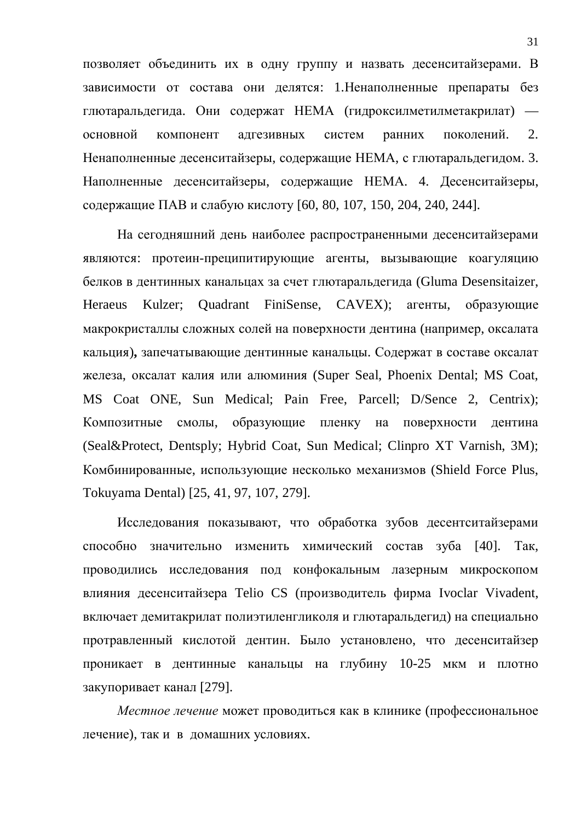позволяет объединить их в одну группу и назвать десенситайзерами. В зависимости от состава они делятся: 1. Ненаполненные препараты без глютаральдегида. Они содержат НЕМА (гидроксилметилметакрилат) основной компонент адгезивных систем ранних поколений. 2. Ненаполненные десенситайзеры, содержащие НЕМА, с глютаральдегидом. 3. Наполненные десенситайзеры, содержащие НЕМА. 4. Десенситайзеры, содержащие ПАВ и слабую кислоту [60, 80, 107, 150, 204, 240, 244].

На сегодняшний день наиболее распространенными десенситайзерами являются: протеин-преципитирующие агенты, вызывающие коагуляцию белков в дентинных канальцах за счет глютаральдегида (Gluma Desensitaizer, Heraeus Kulzer; Quadrant FiniSense, CAVEX); агенты, образующие макрокристаллы сложных солей на поверхности дентина (например, оксалата кальция), запечатывающие дентинные канальцы. Содержат в составе оксалат железа, оксалат калия или алюминия (Super Seal, Phoenix Dental; MS Coat, MS Coat ONE, Sun Medical; Pain Free, Parcell; D/Sence 2, Centrix); Композитные смолы, образующие пленку на поверхности дентина (Seal&Protect, Dentsply; Hybrid Coat, Sun Medical; Clinpro XT Varnish, 3M); Комбинированные, использующие несколько механизмов (Shield Force Plus, Tokuyama Dental) [25, 41, 97, 107, 279].

Исследования показывают, что обработка зубов десентситайзерами способно значительно изменить химический состав зуба [40]. Так, проводились исследования под конфокальным лазерным микроскопом влияния десенситайзера Telio CS (производитель фирма Ivoclar Vivadent, включает демитакрилат полиэтиленгликоля и глютаральдегид) на специально протравленный кислотой дентин. Было установлено, что десенситайзер проникает в дентинные канальцы на глубину 10-25 мкм и плотно закупоривает канал [279].

*Местное лечение* может проводиться как в клинике (профессиональное лечение), так и в домашних условиях.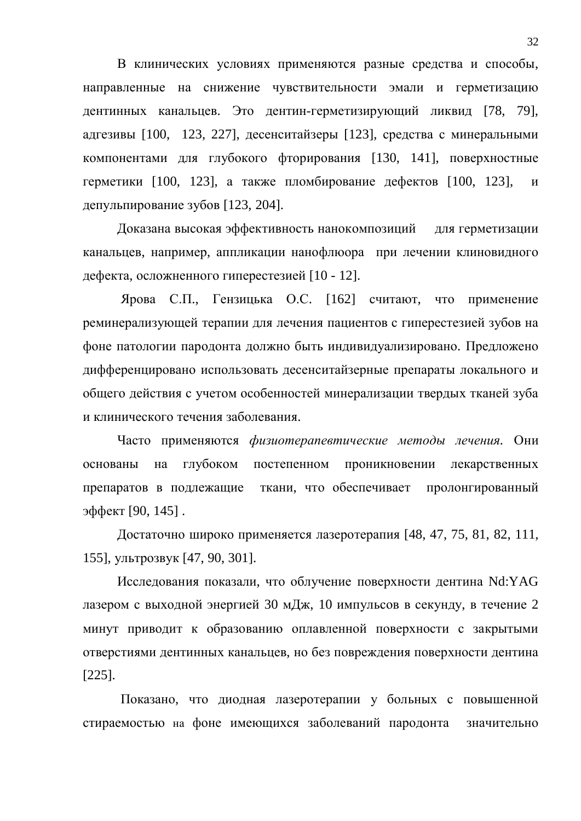В клинических условиях применяются разные средства и способы, направленные на снижение чувствительности эмали и герметизацию дентинных канальцев. Это дентин-герметизирующий ликвид [78, 79], адгезивы [100, 123, 227], десенситайзеры [123], средства с минеральными компонентами для глубокого фторирования [130, 141], поверхностные герметики [100, 123], а также пломбирование дефектов [100, 123], и депульпирование зубов [123, 204].

Доказана высокая эффективность нанокомпозиций для герметизации канальцев, например, аппликации нанофлюора при лечении клиновидного дефекта, осложненного гиперестезией [10 - 12].

Ярова С.П., Гензицька О.С. [162] считают, что применение реминерализующей терапии для лечения пациентов с гиперестезией зубов на фоне патологии пародонта должно быть индивидуализировано. Предложено дифференцировано использовать десенситайзерные препараты локального и общего действия с учетом особенностей минерализации твердых тканей зуба и клинического течения заболевания.

Часто применяются физиотерапевтические методы лечения. Они основаны на глубоком постепенном проникновении лекарственных препаратов в подлежащие ткани, что обеспечивает пролонгированный эффект [90, 145].

Достаточно широко применяется лазеротерапия [48, 47, 75, 81, 82, 111, 155], ультрозвук [47, 90, 301].

Исследования показали, что облучение поверхности дентина Nd:YAG лазером с выходной энергией 30 мДж, 10 импульсов в секунду, в течение 2 минут приводит к образованию оплавленной поверхности с закрытыми отверстиями дентинных канальцев, но без повреждения поверхности дентина [225].

Показано, что диодная лазеротерапии у больных с повышенной стираемостью на фоне имеющихся заболеваний пародонта значительно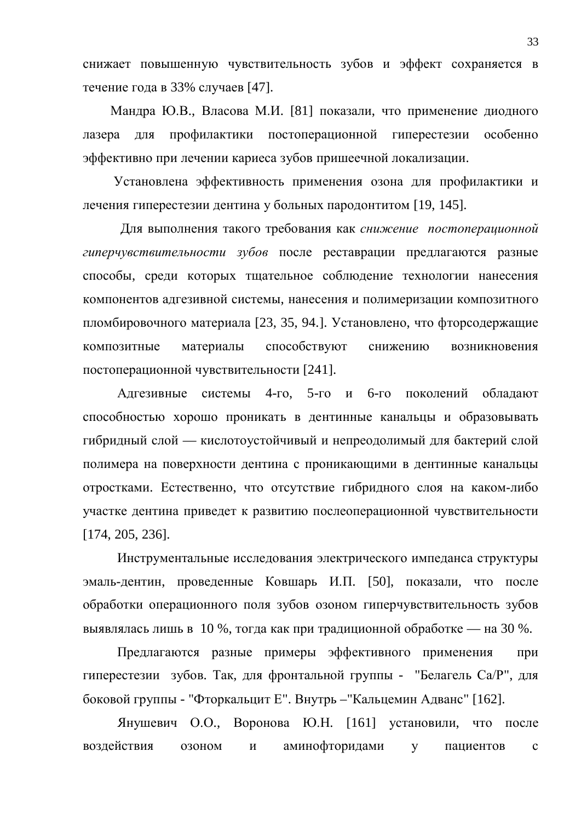снижает повышенную чувствительность зубов и эффект сохраняется в течение года в 33% случаев [47].

Мандра Ю.В., Власова М.И. [81] показали, что применение диодного лазера для профилактики постоперационной гиперестезии особенно эффективно при лечении кариеса зубов пришеечной локализации.

Установлена эффективность применения озона для профилактики и лечения гиперестезии дентина у больных пародонтитом [19, 145].

Для выполнения такого требования как снижение постоперационной гиперчувствительности зубов после реставрации предлагаются разные способы, среди которых тщательное соблюдение технологии нанесения компонентов адгезивной системы, нанесения и полимеризации композитного пломбировочного материала [23, 35, 94.]. Установлено, что фторсодержащие композитные материалы способствуют снижению возникновения постоперационной чувствительности [241].

Алгезивные системы 4-го. 5-го и 6-го поколений облалают способностью хорошо проникать в дентинные канальцы и образовывать гибридный слой — кислотоустойчивый и непреодолимый для бактерий слой полимера на поверхности дентина с проникающими в дентинные канальцы отростками. Естественно, что отсутствие гибридного слоя на каком-либо участке дентина приведет к развитию послеоперационной чувствительности [174, 205, 236].

Инструментальные исследования электрического импеданса структуры эмаль-дентин, проведенные Ковшарь И.П. [50], показали, что после обработки операционного поля зубов озоном гиперчувствительность зубов выявлялась лишь в 10 %, тогда как при традиционной обработке — на 30 %.

Предлагаются разные примеры эффективного применения при гиперестезии зубов. Так, для фронтальной группы - "Белагель Са/Р", для боковой группы - "Фторкальцит Е". Внутрь - "Кальцемин Адванс" [162].

Янушевич О.О., Воронова Ю.Н. [161] установили, что после воздействия озоном и аминофторидами у пациентов с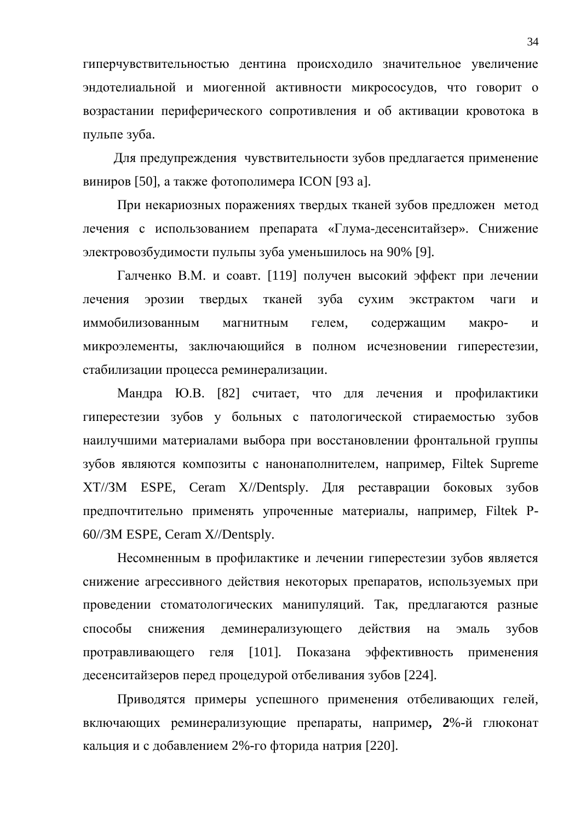гиперчувствительностью дентина происходило значительное увеличение эндотелиальной и миогенной активности микрососудов, что говорит о возрастании периферического сопротивления и об активации кровотока в пульпе зуба.

Для предупреждения чувствительности зубов предлагается применение виниров [50], а также фотополимера ICON [93 а].

При некариозных поражениях твердых тканей зубов предложен метод лечения с использованием препарата «Глума-десенситайзер». Снижение электровозбудимости пульпы зуба уменьшилось на 90% [9].

Галченко В.М. и соавт. [119] получен высокий эффект при лечении лечения эрозии твердых тканей зуба сухим экстрактом чаги и иммобилизованным магнитным гелем, содержащим макро- и микроэлементы, заключающийся в полном исчезновении гиперестезии, стабилизации процесса реминерализации.

Мандра Ю.В. [82] считает, что для лечения и профилактики гиперестезии зубов у больных с патологической стираемостью зубов наилучшими материалами выбора при восстановлении фронтальной группы зубов являются композиты с нанонаполнителем, например, Filtek Supreme XT//ЗМ ESPE, Ceram X//Dentsply. Для реставрации боковых зубов предпочтительно применять упроченные материалы, например, Filtek P-60//3M ESPE, Ceram X//Dentsply.

Несомненным в профилактике и лечении гиперестезии зубов является снижение агрессивного действия некоторых препаратов, используемых при проведении стоматологических манипуляций. Так, предлагаются разные способы снижения деминерализующего действия на эмаль зубов протравливающего геля [101]. Показана эффективность применения десенситайзеров перед процедурой отбеливания зубов [224].

Приводятся примеры успешного применения отбеливающих гелей, включающих реминерализующие препараты, например, 2%-й глюконат кальция и с добавлением 2%-го фторида натрия [220].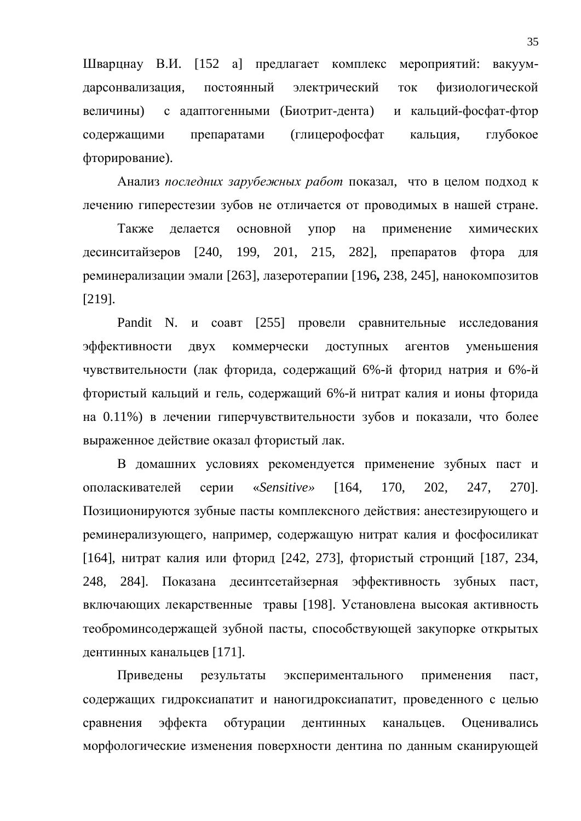Шварцнау В.И. [152 а] предлагает комплекс мероприятий: вакуумдарсонвализация, постоянный электрический ток физиологической величины) с адаптогенными (Биотрит-дента) и кальций-фосфат-фтор содержащими препаратами (глицерофосфат кальция, глубокое фторирование).

Анализ последних зарубежных работ показал, что в целом подход к лечению гиперестезии зубов не отличается от проводимых в нашей стране.

Также делается основной упор на применение химических десинситайзеров [240, 199, 201, 215, 282], препаратов фтора для реминерализации эмали [263], лазеротерапии [196, 238, 245], нанокомпозитов [219].

Pandit N. и соавт [255] провели сравнительные исследования эффективности двух коммерчески доступных агентов уменьшения чувствительности (лак фторида, содержащий 6%-й фторид натрия и 6%-й фтористый кальций и гель, содержащий 6%-й нитрат калия и ионы фторида на 0.11%) в лечении гиперчувствительности зубов и показали, что более выраженное действие оказал фтористый лак.

В домашних условиях рекомендуется применение зубных паст и ɨɩɨɥɚɫɤɢɜɚɬɟɥɟɣ ɫɟɪɢɢ «*Sensitive»* [164, 170, 202, 247, 270]. Позиционируются зубные пасты комплексного действия: анестезирующего и реминерализующего, например, содержащую нитрат калия и фосфосиликат [164], нитрат калия или фторид [242, 273], фтористый стронций [187, 234, 248, 284]. Показана десинтсетайзерная эффективность зубных паст. включающих лекарственные травы [198]. Установлена высокая активность теоброминсодержащей зубной пасты, способствующей закупорке открытых дентинных канальцев [171].

Приведены результаты экспериментального применения паст, содержащих гидроксиапатит и наногидроксиапатит, проведенного с целью сравнения эффекта обтурации дентинных канальцев. Оценивались морфологические изменения поверхности дентина по данным сканирующей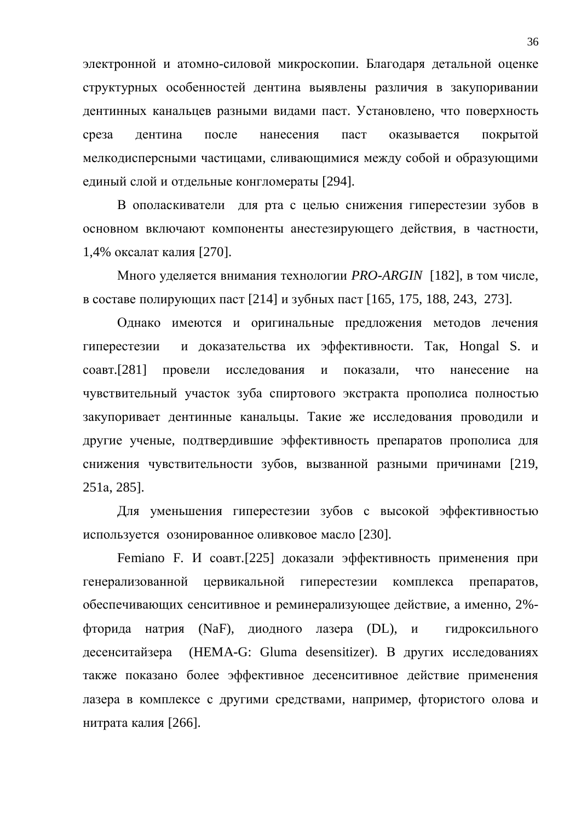электронной и атомно-силовой микроскопии. Благодаря детальной оценке структурных особенностей дентина выявлены различия в закупоривании дентинных канальцев разными видами паст. Установлено, что поверхность среза дентина после нанесения паст оказывается покрытой мелкодисперсными частицами, сливающимися между собой и образующими единый слой и отдельные конгломераты [294].

В ополаскиватели для рта с целью снижения гиперестезии зубов в основном включают компоненты анестезирующего действия, в частности, 1,4% оксалат калия [270].

Много уделяется внимания технологии *PRO-ARGIN* [182], в том числе, в составе полирующих паст [214] и зубных паст [165, 175, 188, 243, 273].

Однако имеются и оригинальные предложения методов лечения гиперестезии и доказательства их эффективности. Так, Hongal S. и соавт.[281] провели исследования и показали, что нанесение на чувствительный участок зуба спиртового экстракта прополиса полностью закупоривает дентинные канальцы. Такие же исследования проводили и другие ученые, подтвердившие эффективность препаратов прополиса для снижения чувствительности зубов, вызванной разными причинами [219, 251a, 285].

Для уменьшения гиперестезии зубов с высокой эффективностью используется озонированное оливковое масло [230].

Femiano F. И соавт.[225] доказали эффективность применения при генерализованной цервикальной гиперестезии комплекса препаратов, обеспечивающих сенситивное и реминерализующее действие, а именно, 2%фторида натрия (NaF), диодного лазера (DL), и гидроксильного десенситайзера (HEMA-G: Gluma desensitizer). В других исследованиях также показано более эффективное десенситивное действие применения лазера в комплексе с другими средствами, например, фтористого олова и нитрата калия [266].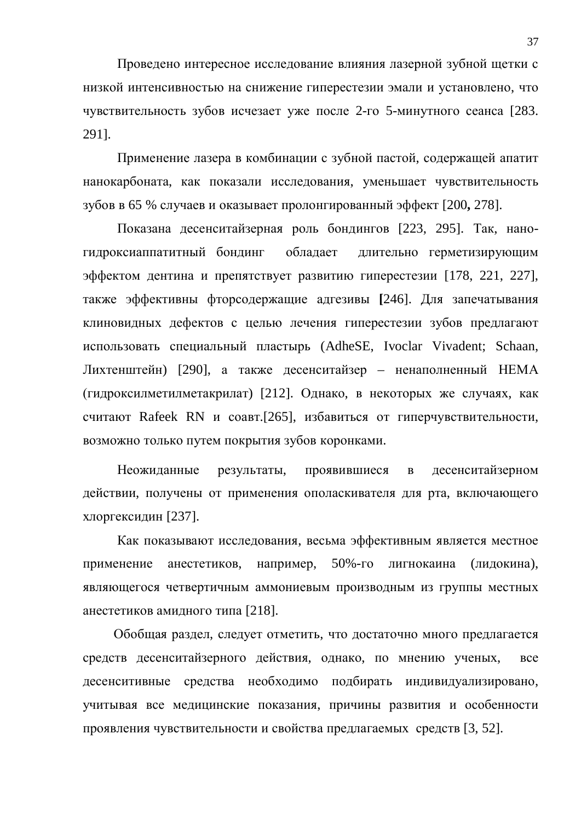Проведено интересное исследование влияния лазерной зубной щетки с низкой интенсивностью на снижение гиперестезии эмали и установлено, что чувствительность зубов исчезает уже после 2-го 5-минутного сеанса [283. 291].

Применение лазера в комбинации с зубной пастой, содержащей апатит нанокарбоната, как показали исследования, уменьшает чувствительность зубов в 65 % случаев и оказывает пролонгированный эффект [200, 278].

Показана десенситайзерная роль бондингов [223, 295]. Так, наногидроксиаппатитный бондинг обладает длительно герметизирующим эффектом дентина и препятствует развитию гиперестезии [178, 221, 227], также эффективны фторсодержащие адгезивы [246]. Для запечатывания клиновидных дефектов с целью лечения гиперестезии зубов предлагают использовать специальный пластырь (AdheSE, Ivoclar Vivadent; Schaan, Лихтенштейн) [290], а также десенситайзер – ненаполненный НЕМА (гидроксилметилметакрилат) [212]. Однако, в некоторых же случаях, как считают Rafeek RN и соавт.[265], избавиться от гиперчувствительности, возможно только путем покрытия зубов коронками.

Неожиданные результаты, проявившиеся в десенситайзерном действии, получены от применения ополаскивателя для рта, включающего хлоргексидин [237].

Как показывают исследования, весьма эффективным является местное применение анестетиков, например, 50%-го лигнокаина (лидокина), являющегося четвертичным аммониевым производным из группы местных анестетиков амидного типа [218].

Обобщая раздел, следует отметить, что достаточно много предлагается средств десенситайзерного действия, однако, по мнению ученых, все десенситивные средства необходимо подбирать индивидуализировано, учитывая все медицинские показания, причины развития и особенности проявления чувствительности и свойства предлагаемых средств [3, 52].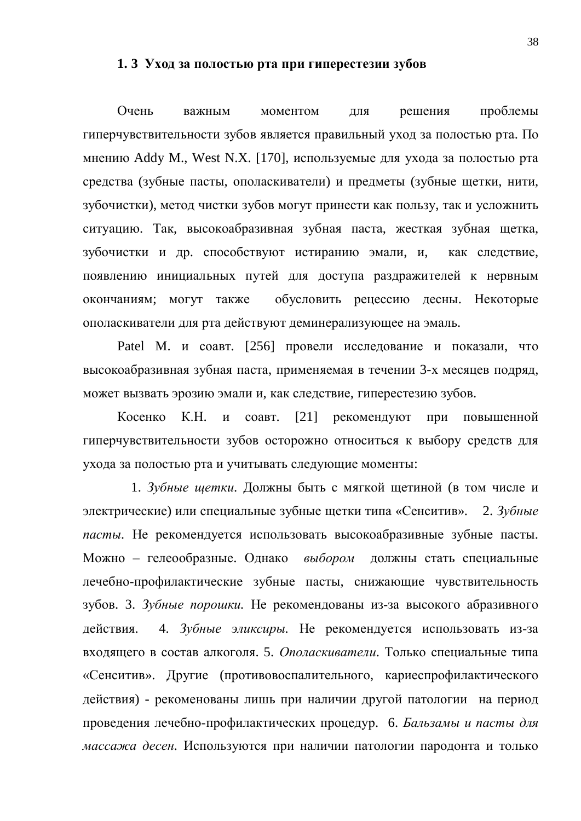#### 1. 3 Уход за полостью рта при гиперестезии зубов

Очень важным моментом для решения проблемы гиперчувствительности зубов является правильный уход за полостью рта. По мнению Addy M., West N.X. [170], используемые для ухода за полостью рта средства (зубные пасты, ополаскиватели) и предметы (зубные щетки, нити, зубочистки), метод чистки зубов могут принести как пользу, так и усложнить ситуацию. Так, высокоабразивная зубная паста, жесткая зубная щетка, зубочистки и др. способствуют истиранию эмали, и, как следствие, появлению инициальных путей для доступа раздражителей к нервным окончаниям; могут также обусловить рецессию десны. Некоторые ополаскиватели для рта действуют деминерализующее на эмаль.

Patel M. и соавт. [256] провели исследование и показали, что высокоабразивная зубная паста, применяемая в течении 3-х месяцев подряд, может вызвать эрозию эмали и, как следствие, гиперестезию зубов.

Косенко К.Н. и соавт. [21] рекомендуют при повышенной гиперчувствительности зубов осторожно относиться к выбору средств для ухода за полостью рта и учитывать следующие моменты:

1. Зубные щетки. Должны быть с мягкой щетиной (в том числе и электрические) или специальные зубные щетки типа «Сенситив». 2. Зубные пасты. Не рекомендуется использовать высокоабразивные зубные пасты. Можно – гелеообразные. Однако выбором должны стать специальные лечебно-профилактические зубные пасты, снижающие чувствительность зубов. 3. Зубные порошки. Не рекомендованы из-за высокого абразивного действия. 4. Зубные эликсиры. Не рекомендуется использовать из-за входящего в состав алкоголя. 5. *Ополаскиватели*. Только специальные типа «Сенситив». Другие (противовоспалительного, кариеспрофилактического действия) - рекоменованы лишь при наличии другой патологии на период проведения лечебно-профилактических процедур. 6. *Бальзамы и пасты для массажа десен*. Используются при наличии патологии пародонта и только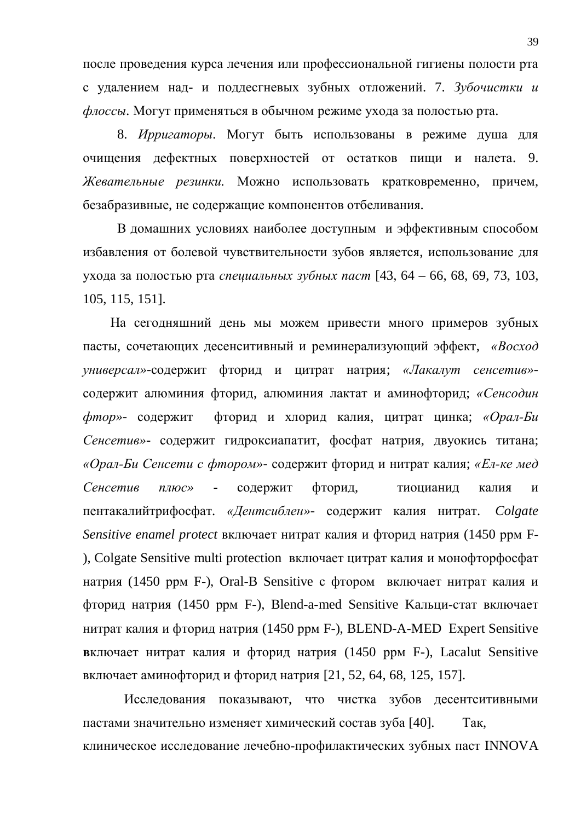после проведения курса лечения или профессиональной гигиены полости рта с удалением над- и поддестневых зубных отложений. 7. Зубочистки и  $\phi$ лоссы. Могут применяться в обычном режиме ухода за полостью рта.

8. *Ирригаторы*. Могут быть использованы в режиме душа для очищения дефектных поверхностей от остатков пищи и налета. 9. Жевательные резинки. Можно использовать кратковременно, причем, безабразивные, не содержащие компонентов отбеливания.

В домашних условиях наиболее доступным и эффективным способом избавления от болевой чувствительности зубов является, использование для ухода за полостью рта *специальных зубных паст* [43, 64 – 66, 68, 69, 73, 103, 105, 115, 151].

На сегодняшний день мы можем привести много примеров зубных пасты, сочетающих десенситивный и реминерализующий эффект, *«Восход* универсал»-содержит фторид и цитрат натрия; *«Лакалут сенсетив»*содержит алюминия фторид, алюминия лактат и аминофторид; «Сенсодин *фтор»-* содержит фторид и хлорид калия, цитрат цинка; «Орал-Би Сенсетив»- содержит гидроксиапатит, фосфат натрия, двуокись титана; «Орал-Би Сенсети с фтором»- содержит фторид и нитрат калия; «Ел-ке мед Сенсетив плюс» - содержит фторид, тиоцианид калия и пентакалийтрифосфат. «Дентсиблен»- содержит калия нитрат. Colgate *Sensitive enamel protect* включает нитрат калия и фторид натрия (1450 ррм F-), Colgate Sensitive multi protection включает цитрат калия и монофторфосфат натрия (1450 ррм F-), Oral-B Sensitive с фтором включает нитрат калия и фторид натрия (1450 ррм F-), Blend-a-med Sensitive Кальци-стат включает нитрат калия и фторид натрия (1450 ррм F-), BLEND-A-MED Expert Sensitive **в**ключает нитрат калия и фторид натрия (1450 ррм F-), Lacalut Sensitive включает аминофторид и фторид натрия [21, 52, 64, 68, 125, 157].

Исследования показывают, что чистка зубов десентситивными пастами значительно изменяет химический состав зуба [40]. Так, клиническое исследование лечебно-профилактических зубных паст INNOVA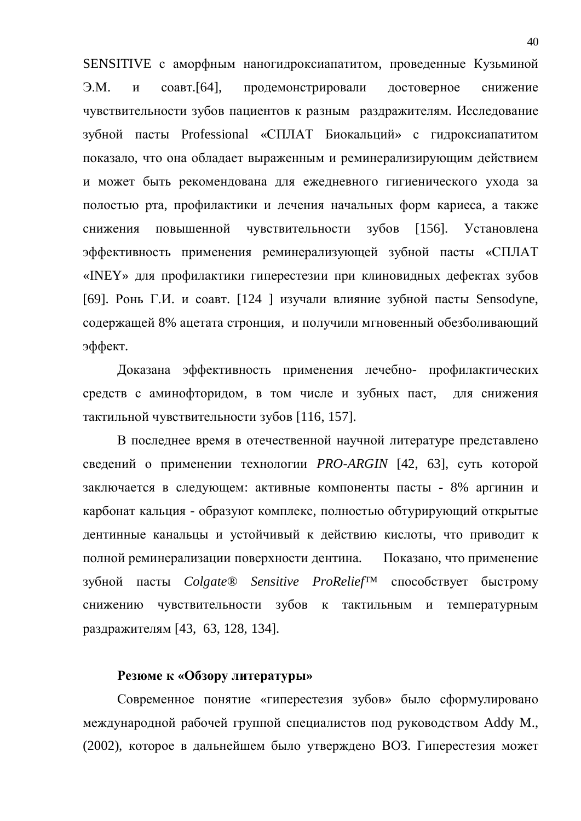SENSITIVE с аморфным наногидроксиапатитом, проведенные Кузьминой Э.М. и соавт.[64], продемонстрировали достоверное снижение чувствительности зубов пациентов к разным раздражителям. Исследование зубной пасты Professional «СПЛАТ Биокальций» с гидроксиапатитом показало, что она обладает выраженным и реминерализирующим действием и может быть рекомендована для ежедневного гигиенического ухода за полостью рта, профилактики и лечения начальных форм кариеса, а также снижения повышенной чувствительности зубов [156]. Установлена эффективность применения реминерализующей зубной пасты «СПЛАТ «INEY» для профилактики гиперестезии при клиновидных дефектах зубов [69]. Ронь Г.И. и соавт. [124 ] изучали влияние зубной пасты Sensodyne, содержащей 8% ацетата стронция, и получили мгновенный обезболивающий эффект.

Доказана эффективность применения лечебно- профилактических средств с аминофторидом, в том числе и зубных паст, для снижения тактильной чувствительности зубов [116, 157].

В последнее время в отечественной научной литературе представлено сведений о применении технологии *PRO-ARGIN* [42, 63], суть которой заключается в следующем: активные компоненты пасты - 8% аргинин и карбонат кальция - образуют комплекс, полностью обтурирующий открытые дентинные канальцы и устойчивый к действию кислоты, что приводит к полной реминерализации поверхности дентина. Показано, что применение зубной пасты *Colgate® Sensitive ProRelief<sup>™</sup>* способствует быстрому снижению чувствительности зубов к тактильным и температурным раздражителям [43, 63, 128, 134].

#### **Резюме к «Обзору литературы»**

Современное понятие «гиперестезия зубов» было сформулировано международной рабочей группой специалистов под руководством Addy M., (2002), которое в дальнейшем было утверждено ВОЗ. Гиперестезия может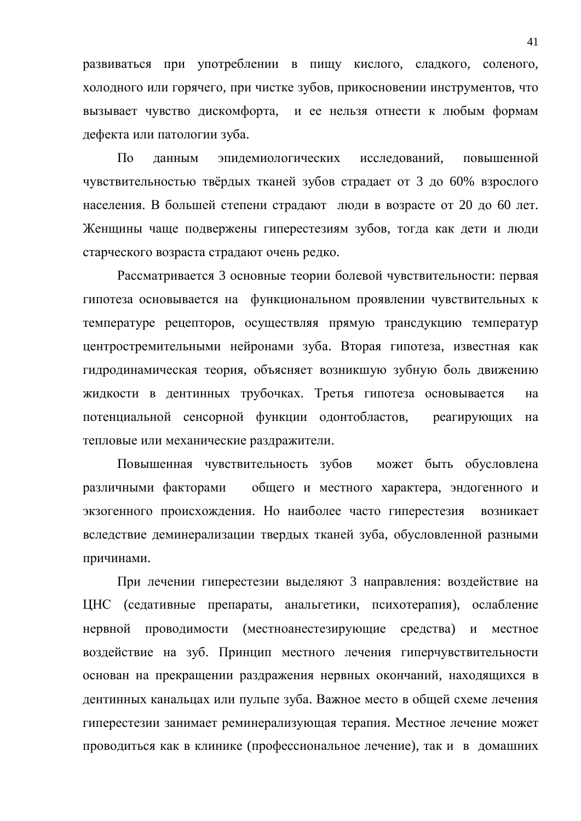развиваться при употреблении в пищу кислого, сладкого, соленого, холодного или горячего, при чистке зубов, прикосновении инструментов, что вызывает чувство дискомфорта, и ее нельзя отнести к любым формам дефекта или патологии зуба.

По данным эпидемиологических исследований, повышенной чувствительностью твёрдых тканей зубов страдает от 3 до 60% взрослого населения. В большей степени страдают люди в возрасте от 20 до 60 лет. Женщины чаще подвержены гиперестезиям зубов, тогда как дети и люди старческого возраста страдают очень редко.

Рассматривается 3 основные теории болевой чувствительности: первая гипотеза основывается на функциональном проявлении чувствительных к температуре рецепторов, осуществляя прямую трансдукцию температур центростремительными нейронами зуба. Вторая гипотеза, известная как гидродинамическая теория, объясняет возникшую зубную боль движению жидкости в дентинных трубочках. Третья гипотеза основывается на потенциальной сенсорной функции одонтобластов, реагирующих на тепловые или механические раздражители.

Повышенная чувствительность зубов может быть обусловлена различными факторами общего и местного характера, эндогенного и экзогенного происхождения. Но наиболее часто гиперестезия возникает вследствие деминерализации твердых тканей зуба, обусловленной разными причинами.

При лечении гиперестезии выделяют 3 направления: воздействие на ЦНС (седативные препараты, анальгетики, психотерапия), ослабление нервной проводимости (местноанестезирующие средства) и местное воздействие на зуб. Принцип местного лечения гиперчувствительности основан на прекращении раздражения нервных окончаний, находящихся в дентинных канальцах или пульпе зуба. Важное место в общей схеме лечения гиперестезии занимает реминерализующая терапия. Местное лечение может проводиться как в клинике (профессиональное лечение), так и в домашних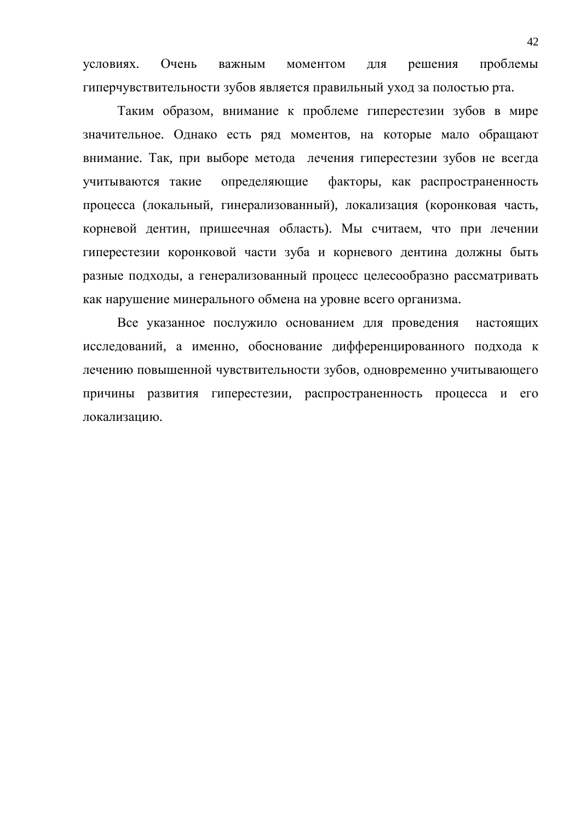үсловиях. Очень важным моментом для решения проблемы гиперчувствительности зубов является правильный уход за полостью рта.

Таким образом, внимание к проблеме гиперестезии зубов в мире значительное. Однако есть ряд моментов, на которые мало обращают внимание. Так, при выборе метода лечения гиперестезии зубов не всегда учитываются такие определяющие факторы, как распространенность процесса (локальный, гинерализованный), локализация (коронковая часть, корневой дентин, пришеечная область). Мы считаем, что при лечении гиперестезии коронковой части зуба и корневого дентина должны быть разные подходы, а генерализованный процесс целесообразно рассматривать как нарушение минерального обмена на уровне всего организма.

Все указанное послужило основанием для проведения настоящих исследований, а именно, обоснование дифференцированного подхода к лечению повышенной чувствительности зубов, одновременно учитывающего причины развития гиперестезии, распространенность процесса и его локализацию.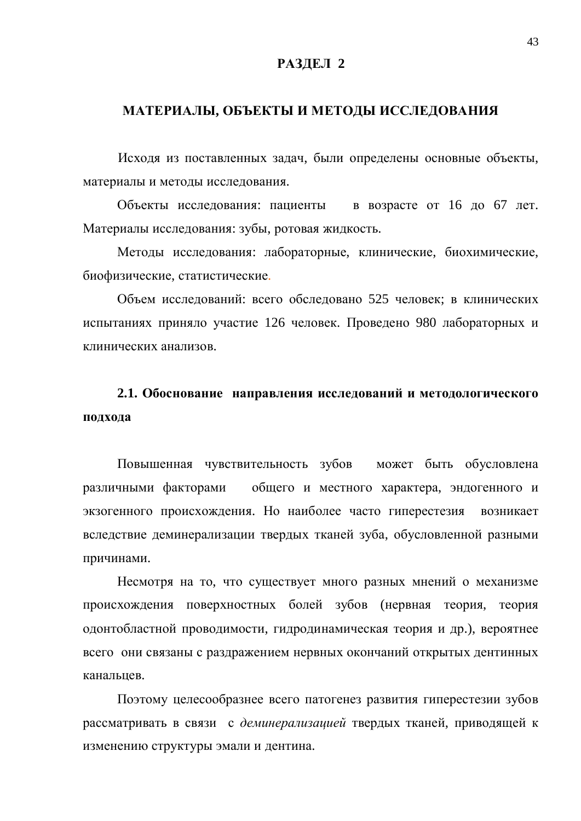### РАЗДЕЛ 2

## МАТЕРИАЛЫ, ОБЪЕКТЫ И МЕТОДЫ ИССЛЕДОВАНИЯ

Исходя из поставленных задач, были определены основные объекты, материалы и методы исследования.

Объекты исследования: пациенты в возрасте от 16 до 67 лет. Материалы исследования: зубы, ротовая жидкость.

Методы исследования: лабораторные, клинические, биохимические, биофизические, статистические.

Объем исследований: всего обследовано 525 человек; в клинических испытаниях приняло участие 126 человек. Проведено 980 лабораторных и клинических анализов.

# 2.1. Обоснование направления исследований и методологического подхода

Повышенная чувствительность зубов может быть обусловлена различными факторами общего и местного характера, эндогенного и экзогенного происхождения. Но наиболее часто гиперестезия возникает вследствие деминерализации твердых тканей зуба, обусловленной разными причинами.

Несмотря на то, что существует много разных мнений о механизме происхождения поверхностных болей зубов (нервная теория, теория одонтобластной проводимости, гидродинамическая теория и др.), вероятнее всего они связаны с раздражением нервных окончаний открытых дентинных канальцев.

Поэтому целесообразнее всего патогенез развития гиперестезии зубов рассматривать в связи с деминерализацией твердых тканей, приводящей к изменению структуры эмали и дентина.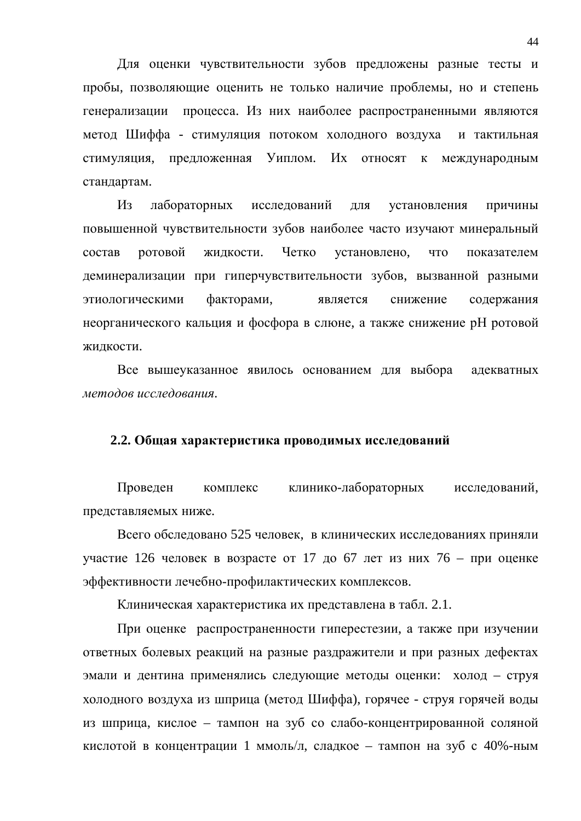Для оценки чувствительности зубов предложены разные тесты и пробы, позволяющие оценить не только наличие проблемы, но и степень генерализации процесса. Из них наиболее распространенными являются метод Шиффа - стимуляция потоком холодного воздуха и тактильная стимуляция, предложенная Уиплом. Их относят к международным стандартам.

Из лабораторных исследований для установления причины повышенной чувствительности зубов наиболее часто изучают минеральный состав ротовой жидкости. Четко установлено, что показателем деминерализации при гиперчувствительности зубов, вызванной разными этиологическими факторами, является снижение содержания неорганического кальция и фосфора в слюне, а также снижение рН ротовой жидкости.

Все вышеуказанное явилось основанием для выбора адекватных *методов исследования.* 

#### 2.2. Общая характеристика проводимых исследований

Проведен комплекс клинико-лабораторных исследований, представляемых ниже.

Всего обследовано 525 человек, в клинических исследованиях приняли участие 126 человек в возрасте от 17 до 67 лет из них 76 – при оценке эффективности лечебно-профилактических комплексов.

Клиническая характеристика их представлена в табл. 2.1.

При оценке распространенности гиперестезии, а также при изучении ответных болевых реакций на разные раздражители и при разных дефектах эмали и дентина применялись следующие методы оценки: холод - струя холодного воздуха из шприца (метод Шиффа), горячее - струя горячей воды из шприца, кислое – тампон на зуб со слабо-концентрированной соляной кислотой в концентрации 1 ммоль/л, сладкое – тампон на зуб с 40%-ным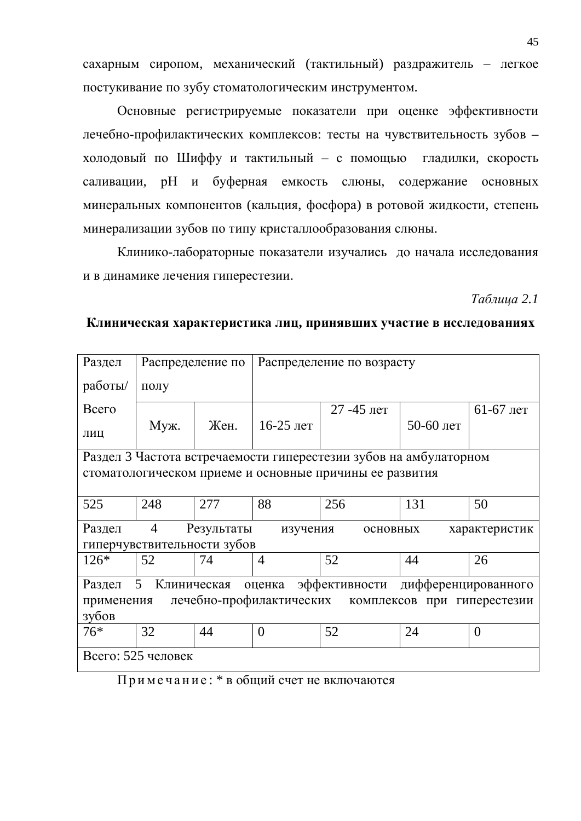сахарным сиропом, механический (тактильный) раздражитель – легкое постукивание по зубу стоматологическим инструментом.

Основные регистрируемые показатели при оценке эффективности лечебно-профилактических комплексов: тесты на чувствительность зубов – холодовый по Шиффу и тактильный – с помощью гладилки, скорость саливации, рН и буферная емкость слюны, содержание основных минеральных компонентов (кальция, фосфора) в ротовой жидкости, степень минерализации зубов по типу кристаллообразования слюны.

Клинико-лабораторные показатели изучались до начала исследования и в динамике лечения гиперестезии.

### *Ɍɚɛɥɢɰɚ 2.1*

#### Клиническая характеристика лиц, принявших участие в исследованиях

| Раздел     | Распределение по   |                             | Распределение по возрасту |                                                                   |                     |               |
|------------|--------------------|-----------------------------|---------------------------|-------------------------------------------------------------------|---------------------|---------------|
| работы/    | полу               |                             |                           |                                                                   |                     |               |
| Всего      |                    |                             |                           | 27 -45 лет                                                        |                     | $61-67$ лет   |
| ЛИЦ        | Муж.               | Жен.                        | 16-25 лет                 |                                                                   | 50-60 лет           |               |
|            |                    |                             |                           | Раздел 3 Частота встречаемости гиперестезии зубов на амбулаторном |                     |               |
|            |                    |                             |                           | стоматологическом приеме и основные причины ее развития           |                     |               |
|            |                    |                             |                           |                                                                   |                     |               |
| 525        | 248                | 277                         | 88                        | 256                                                               | 131                 | 50            |
| Раздел     | $\overline{4}$     | Результаты                  | изучения                  | основных                                                          |                     | характеристик |
|            |                    | гиперчувствительности зубов |                           |                                                                   |                     |               |
| $126*$     | 52                 | 74                          | $\overline{4}$            | 52                                                                | 44                  | 26            |
| Раздел     | 5<br>Клиническая   |                             | оценка                    | эффективности                                                     | дифференцированного |               |
| применения |                    |                             |                           | лечебно-профилактических комплексов при гиперестезии              |                     |               |
| зубов      |                    |                             |                           |                                                                   |                     |               |
| $76*$      | 32                 | 44                          | $\theta$                  | 52                                                                | 24                  | $\theta$      |
|            | Всего: 525 человек |                             |                           |                                                                   |                     |               |

Примечание: \* в общий счет не включаются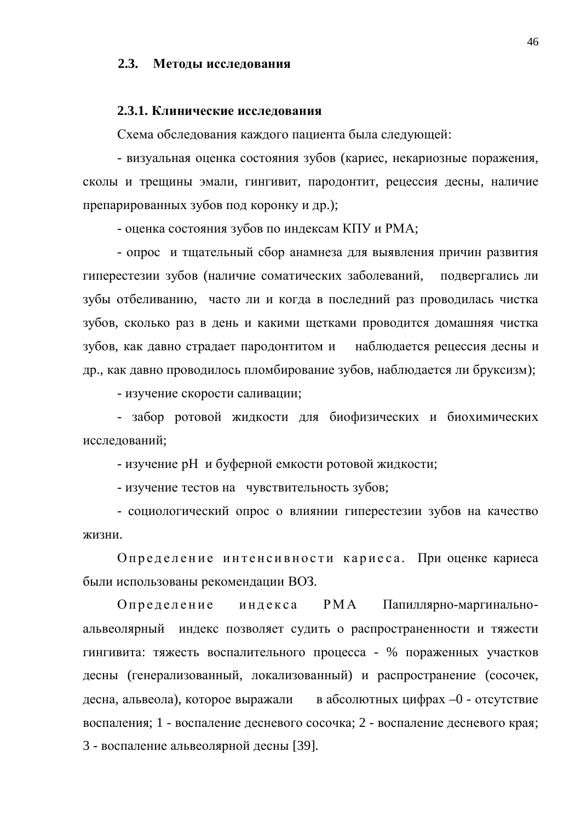#### 2.3. Методы исследования

#### 2.3.1. Клинические исследования

Схема обследования каждого пациента была следующей:

- визуальная оценка состояния зубов (кариес, некариозные поражения, сколы и трещины эмали, гингивит, пародонтит, рецессия десны, наличие препарированных зубов под коронку и др.);

- оценка состояния зубов по индексам КПУ и РМА;

- опрос и тщательный сбор анамнеза для выявления причин развития гиперестезии зубов (наличие соматических заболеваний, подвергались ли зубы отбеливанию, часто ли и когда в последний раз проводилась чистка зубов, сколько раз в день и какими щетками проводится домашняя чистка зубов, как давно страдает пародонтитом и наблюдается рецессия десны и др., как давно проводилось пломбирование зубов, наблюдается ли бруксизм);

- изучение скорости саливации;

- забор ротовой жидкости для биофизических и биохимических исследований:

- изучение рН и буферной емкости ротовой жидкости;

- изучение тестов на чувствительность зубов;

- социологический опрос о влиянии гиперестезии зубов на качество жизни.

Определение интенсивности кариеса. При оценке кариеса были использованы рекомендации ВОЗ.

Определение индекса РМА Папиллярно-маргинальноальвеолярный индекс позволяет судить о распространенности и тяжести гингивита: тяжесть воспалительного процесса - % пораженных участков десны (генерализованный, локализованный) и распространение (сосочек, десна, альвеола), которое выражали в абсолютных цифрах –0 - отсутствие воспаления; 1 - воспаление десневого сосочка; 2 - воспаление десневого края; 3 - воспаление альвеолярной десны [39].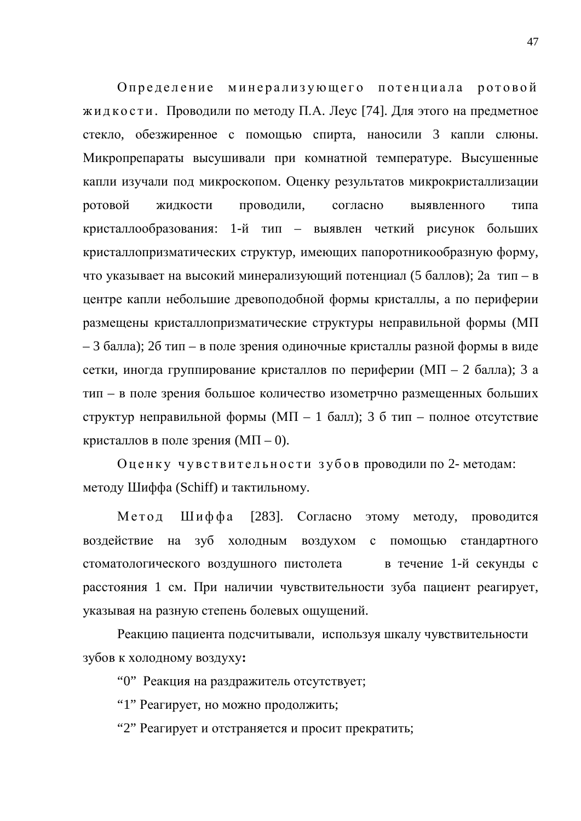Определение минерализующего потенциала ротовой жидкости. Проводили по методу П.А. Леус [74]. Для этого на предметное стекло, обезжиренное с помощью спирта, наносили 3 капли слюны. Микропрепараты высушивали при комнатной температуре. Высушенные капли изучали под микроскопом. Оценку результатов микрокристаллизации ротовой жидкости проводили, согласно выявленного типа кристаллообразования: 1-й тип – выявлен четкий рисунок больших кристаллопризматических структур, имеющих папоротникообразную форму, что указывает на высокий минерализующий потенциал (5 баллов); 2а тип – в центре капли небольшие древоподобной формы кристаллы, а по периферии размещены кристаллопризматические структуры неправильной формы (МП  $-3$  балла); 2б тип – в поле зрения одиночные кристаллы разной формы в виде сетки, иногда группирование кристаллов по периферии (МП – 2 балла); 3 а тип – в поле зрения большое количество изометрчно размещенных больших структур неправильной формы (МП – 1 балл); 3 б тип – полное отсутствие кристаллов в поле зрения  $(M\Pi - 0)$ .

Оценку чувствительности зубов проводили по 2-методам: методу Шиффа (Schiff) и тактильному.

Метод Шиффа [283]. Согласно этому методу, проводится воздействие на зуб холодным воздухом с помощью стандартного стоматологического воздушного пистолета в течение 1-й секунды с расстояния 1 см. При наличии чувствительности зуба пациент реагирует, указывая на разную степень болевых ощущений.

Реакцию пациента подсчитывали, используя шкалу чувствительности зубов к холодному воздуху:

"0" Реакция на раздражитель отсутствует;

"1" Реагирует, но можно продолжить;

"2" Реагирует и отстраняется и просит прекратить;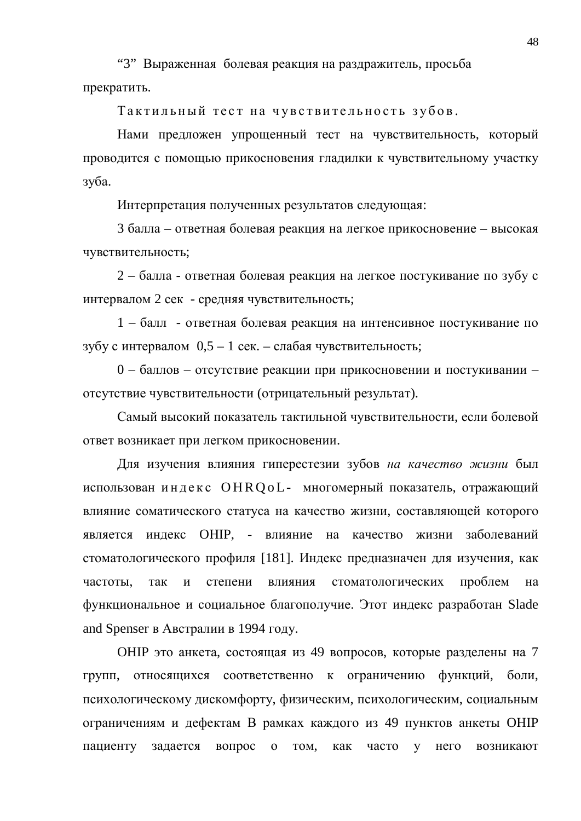"3" Выраженная болевая реакция на раздражитель, просьба прекратить.

Тактильный тест на чувствительность зубов.

Нами предложен упрощенный тест на чувствительность, который проводится с помощью прикосновения гладилки к чувствительному участку зуба.

Интерпретация полученных результатов следующая:

3 балла – ответная болевая реакция на легкое прикосновение – высокая чувствительность;

 $2 - 6a$ лла - ответная болевая реакция на легкое постукивание по зубу с интервалом 2 сек - средняя чувствительность;

1 – балл - ответная болевая реакция на интенсивное постукивание по зубу с интервалом  $0.5 - 1$  сек. – слабая чувствительность;

0 – баллов – отсутствие реакции при прикосновении и постукивании – отсутствие чувствительности (отрицательный результат).

Самый высокий показатель тактильной чувствительности, если болевой ответ возникает при легком прикосновении.

Для изучения влияния гиперестезии зубов на качество жизни был использован индекс OHR QoL- многомерный показатель, отражающий влияние соматического статуса на качество жизни, составляющей которого является индекс ОНІР, - влияние на качество жизни заболеваний стоматологического профиля [181]. Индекс предназначен для изучения, как частоты, так и степени влияния стоматологических проблем на функциональное и социальное благополучие. Этот индекс разработан Slade and Spenser в Австралии в 1994 году.

ОНІР это анкета, состоящая из 49 вопросов, которые разделены на 7 групп, относящихся соответственно к ограничению функций, боли, психологическому дискомфорту, физическим, психологическим, социальным ограничениям и дефектам В рамках каждого из 49 пунктов анкеты ОНIP пациенту задается вопрос о том, как часто у него возникают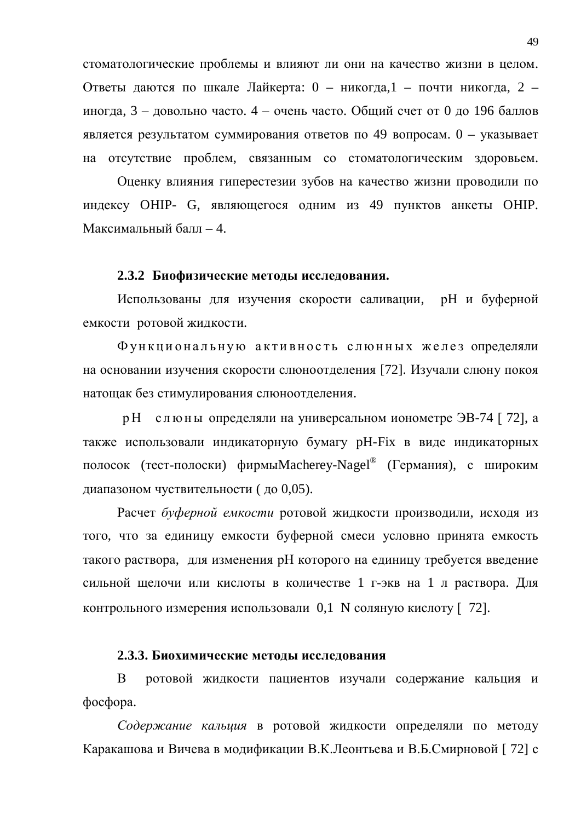стоматологические проблемы и влияют ли они на качество жизни в целом. Ответы даются по шкале Лайкерта: 0 – никогда,1 – почти никогда, 2 – иногда, 3 – довольно часто. 4 – очень часто. Общий счет от 0 до 196 баллов является результатом суммирования ответов по 49 вопросам.  $0$  – указывает на отсутствие проблем, связанным со стоматологическим здоровьем.

Оценку влияния гиперестезии зубов на качество жизни проводили по индексу ОНІР- G, являющегося одним из 49 пунктов анкеты ОНІР. Максимальный балл – 4.

#### 2.3.2 Биофизические метолы исследования.

Использованы для изучения скорости саливации, рН и буферной емкости ротовой жидкости.

Функциональную активность слюнных желез определяли на основании изучения скорости слюноотделения [72]. Изучали слюну покоя натощак без стимулирования слюноотделения.

р Н слюны определяли на универсальном ионометре ЭВ-74 [72], а также использовали индикаторную бумагу рН-Fix в виде индикаторных полосок (тест-полоски) фирмыМacherey-Nagel® (Германия), с широким диапазоном чуствительности (до 0,05).

Расчет буферной емкости ротовой жидкости производили, исходя из того, что за единицу емкости буферной смеси условно принята емкость такого раствора, для изменения рН которого на единицу требуется введение сильной щелочи или кислоты в количестве 1 г-экв на 1 л раствора. Для контрольного измерения использовали  $0,1$  N соляную кислоту [72].

#### 2.3.3. Биохимические методы исследования

В ротовой жидкости пациентов изучали содержание кальция и  $\phi$ <sub>b</sub>oc $\phi$ <sub>p</sub>opa.

Содержание кальция в ротовой жидкости определяли по методу Каракашова и Вичева в модификации В.К.Леонтьева и В.Б.Смирновой [72] с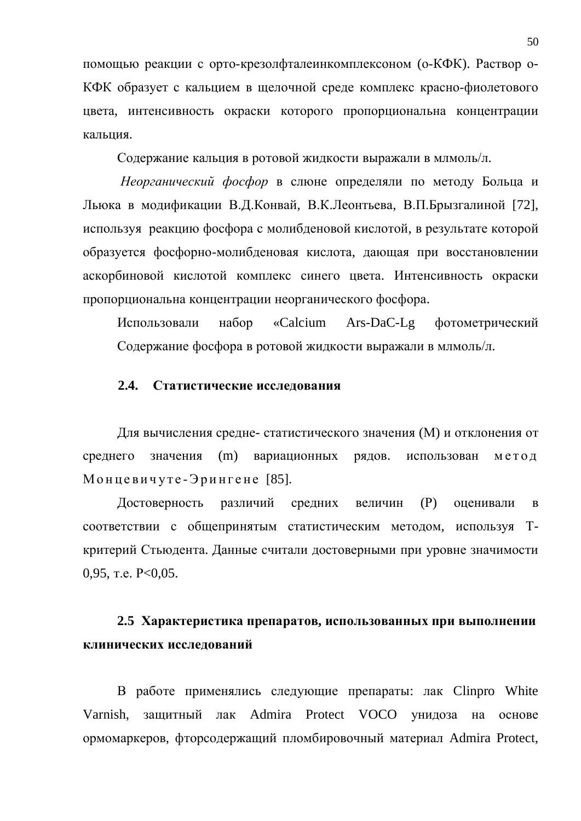помощью реакции с орто-крезолфталеинкомплексоном (о-КФК). Раствор о-КФК образует с кальцием в щелочной среде комплекс красно-фиолетового цвета, интенсивность окраски которого пропорциональна концентрации кальция.

Содержание кальция в ротовой жидкости выражали в млмоль/л.

*Неорганический фосфор* в слюне определяли по методу Больца и Льюка в модификации В.Д.Конвай, В.К.Леонтьева, В.П.Брызгалиной [72], используя реакцию фосфора с молибденовой кислотой, в результате которой образуется фосфорно-молибденовая кислота, дающая при восстановлении аскорбиновой кислотой комплекс синего цвета. Интенсивность окраски пропорциональна концентрации неорганического фосфора.

Использовали набор «Calcium Ars-DaC-Lg фотометрический Содержание фосфора в ротовой жидкости выражали в млмоль/л.

## 2.4. Статистические исследования

Для вычисления средне- статистического значения (М) и отклонения от среднего значения (m) вариационных рядов. использован метод Монцевичуте-Эрингене [85].

Достоверность различий средних величин (Р) оценивали в соответствии с общепринятым статистическим методом, используя Ткритерий Стьюдента. Данные считали достоверными при уровне значимости 0,95, r.e.  $P<0.05$ .

# 2.5 Характеристика препаратов, использованных при выполнении клинических исследований

В работе применялись следующие препараты: лак Clinpro White Varnish, защитный лак Admira Protect VOCO унидоза на основе ормомаркеров, фторсодержащий пломбировочный материал Admira Protect,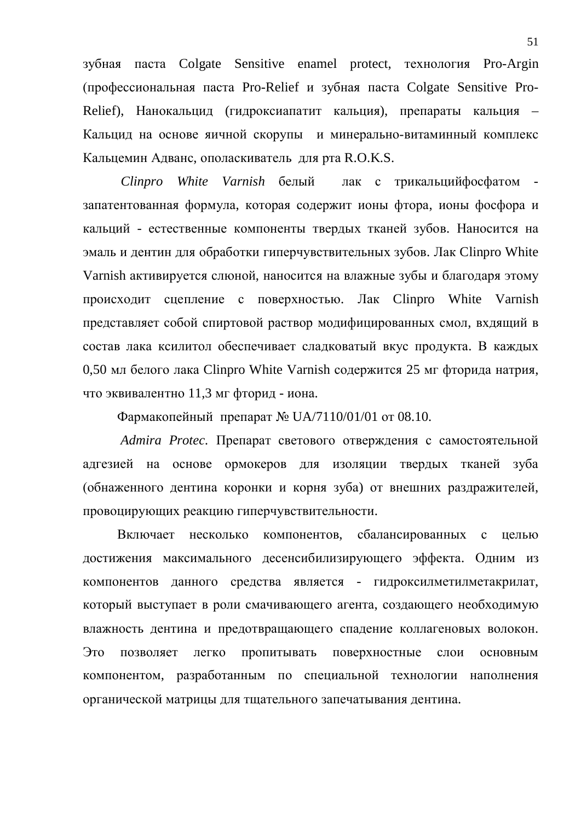зубная паста Colgate Sensitive enamel protect, технология Pro-Argin (профессиональная паста Pro-Relief и зубная паста Colgate Sensitive Pro-Relief), Нанокальцид (гидроксиапатит кальция), препараты кальция – Кальцид на основе яичной скорупы и минерально-витаминный комплекс Кальцемин Адванс, ополаскиватель для рта R.O.K.S.

*Clinpro White Varnish* белый лак с трикальцийфосфатом запатентованная формула, которая содержит ионы фтора, ионы фосфора и кальций - естественные компоненты твердых тканей зубов. Наносится на эмаль и дентин для обработки гиперчувствительных зубов. Лак Clinpro White Varnish активируется слюной, наносится на влажные зубы и благодаря этому происходит сцепление с поверхностью. Лак Clinpro White Varnish представляет собой спиртовой раствор модифицированных смол, вхдящий в состав лака ксилитол обеспечивает сладковатый вкус продукта. В каждых 0,50 мл белого лака Clinpro White Varnish содержится 25 мг фторида натрия, что эквивалентно 11,3 мг фторид - иона.

Фармакопейный препарат № UA/7110/01/01 от 08.10.

*Admira Protec*. Препарат светового отверждения с самостоятельной адгезией на основе ормокеров для изоляции твердых тканей зуба (обнаженного дентина коронки и корня зуба) от внешних раздражителей, провоцирующих реакцию гиперчувствительности.

Включает несколько компонентов, сбалансированных с целью достижения максимального десенсибилизирующего эффекта. Одним из компонентов данного средства является - гидроксилметилметакрилат, который выступает в роли смачивающего агента, создающего необходимую влажность дентина и предотвращающего спадение коллагеновых волокон. Это позволяет легко пропитывать поверхностные слои основным компонентом, разработанным по специальной технологии наполнения органической матрицы для тщательного запечатывания дентина.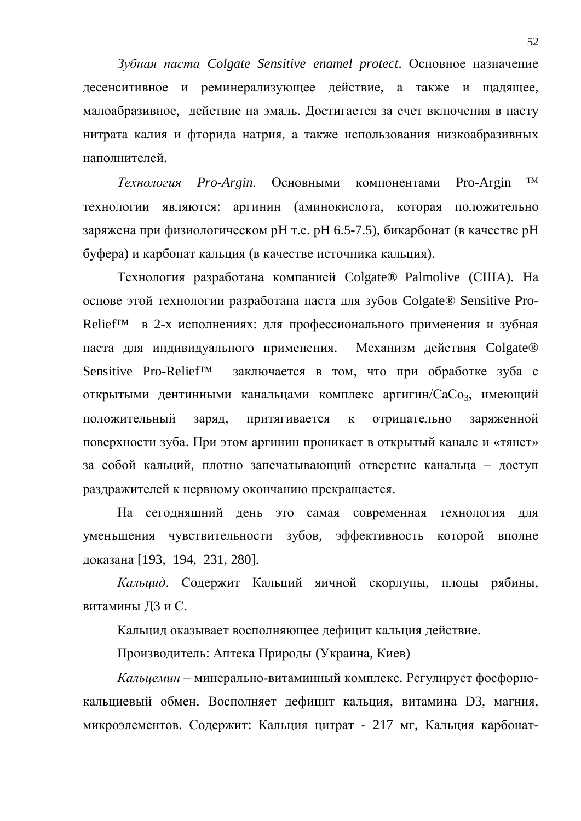$3$ убная паста Colgate Sensitive enamel protect. Основное назначение десенситивное и реминерализующее действие, а также и щадящее, малоабразивное, действие на эмаль. Достигается за счет включения в пасту нитрата калия и фторида натрия, а также использования низкоабразивных наполнителей.

Tехнология Pro-Argin. Основными компонентами Pro-Argin<sup>™</sup> технологии являются: аргинин (аминокислота, которая положительно заряжена при физиологическом рН т.е. рН 6.5-7.5), бикарбонат (в качестве рН буфера) и карбонат кальция (в качестве источника кальция).

Технология разработана компанией Colgate® Palmolive (США). На основе этой технологии разработана паста для зубов Colgate® Sensitive Pro-Relief<sup>™</sup> в 2-х исполнениях: для профессионального применения и зубная паста для индивидуального применения. Механизм действия Colgate® Sensitive Pro-Relief<sup>™</sup> заключается в том, что при обработке зуба с открытыми дентинными канальцами комплекс аргигин/СаСо<sub>3</sub>, имеющий положительный заряд, притягивается к отрицательно заряженной поверхности зуба. При этом аргинин проникает в открытый канале и «тянет» за собой кальций, плотно запечатывающий отверстие канальца – доступ раздражителей к нервному окончанию прекращается.

На сегодняшний день это самая современная технология для уменьшения чувствительности зубов, эффективность которой вполне доказана [193, 194, 231, 280].

Кальцид. Содержит Кальций яичной скорлупы, плоды рябины, витамины ДЗ и С.

Кальцид оказывает восполняющее дефицит кальция действие.

Производитель: Аптека Природы (Украина, Киев)

Кальиемин – минерально-витаминный комплекс. Регулирует фосфорнокальциевый обмен. Восполняет дефицит кальция, витамина D3, магния, микроэлементов. Содержит: Кальция цитрат - 217 мг, Кальция карбонат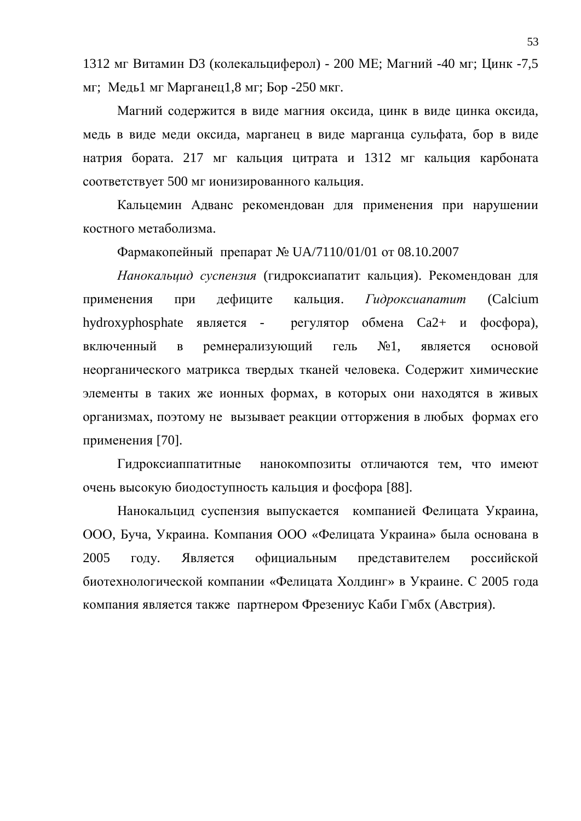1312 мг Витамин D3 (колекальциферол) - 200 МЕ; Магний -40 мг; Цинк -7,5 мг; Медь1 мг Марганец1,8 мг; Бор -250 мкг.

Магний содержится в виде магния оксида, цинк в виде цинка оксида, медь в виде меди оксида, марганец в виде марганца сульфата, бор в виде натрия бората. 217 мг кальция цитрата и 1312 мг кальция карбоната соответствует 500 мг ионизированного кальция.

Кальцемин Адванс рекомендован для применения при нарушении костного метаболизма.

 $\Phi$ армакопейный препарат № UA/7110/01/01 от 08.10.2007

Нанокальцид суспензия (гидроксиапатит кальция). Рекомендован для применения при дефиците кальция. Гидроксианатит (Calcium hydroxyphosphate является - регулятор обмена Ca2+ и фосфора), включенный в ремнерализующий гель №1, является основой неорганического матрикса твердых тканей человека. Содержит химические элементы в таких же ионных формах, в которых они находятся в живых организмах, поэтому не вызывает реакции отторжения в любых формах его применения [70].

Гилроксиаппатитные нанокомпозиты отличаются тем, что имеют очень высокую биодоступность кальция и фосфора [88].

Нанокальцид суспензия выпускается компанией Фелицата Украина, ООО, Буча, Украина. Компания ООО «Фелицата Украина» была основана в 2005 году. Является официальным представителем российской биотехнологической компании «Фелицата Холдинг» в Украине. С 2005 года компания является также партнером Фрезениус Каби Гмбх (Австрия).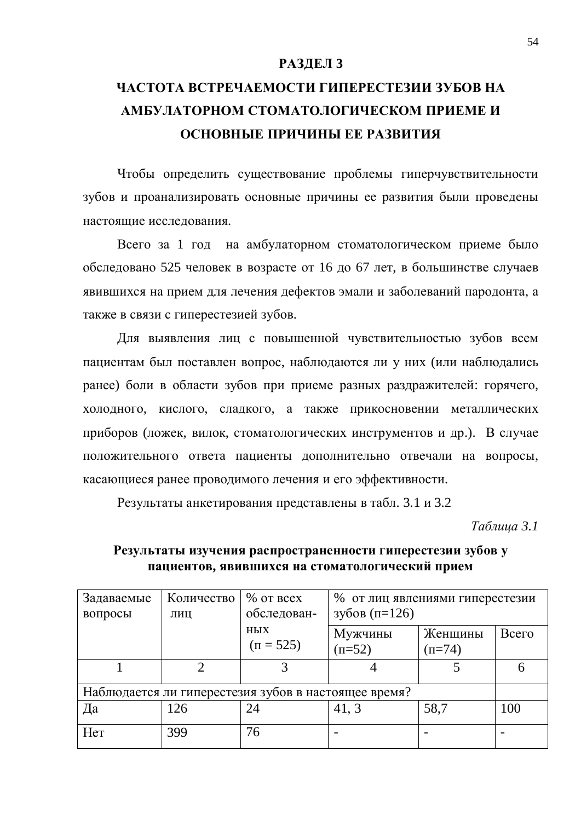#### РАЗДЕЛ 3

# ЧАСТОТА ВСТРЕЧАЕМОСТИ ГИПЕРЕСТЕЗИИ ЗУБОВ НА АМБУЛАТОРНОМ СТОМАТОЛОГИЧЕСКОМ ПРИЕМЕ И **ОСНОВНЫЕ ПРИЧИНЫ ЕЕ РАЗВИТИЯ**

Чтобы определить существование проблемы гиперчувствительности зубов и проанализировать основные причины ее развития были проведены настоящие исслелования.

Всего за 1 год на амбулаторном стоматологическом приеме было обследовано 525 человек в возрасте от 16 до 67 лет, в большинстве случаев явившихся на прием для лечения дефектов эмали и заболеваний пародонта, а также в связи с гиперестезией зубов.

Для выявления лиц с повышенной чувствительностью зубов всем пациентам был поставлен вопрос, наблюдаются ли у них (или наблюдались ранее) боли в области зубов при приеме разных раздражителей: горячего, холодного, кислого, сладкого, а также прикосновении металлических приборов (ложек, вилок, стоматологических инструментов и др.). В случае положительного ответа пациенты дополнительно отвечали на вопросы, касающиеся ранее проводимого лечения и его эффективности.

Результаты анкетирования представлены в табл. 3.1 и 3.2

*Tаблица* 3.1

| Задаваемые<br>вопросы                                | Количество<br>ЛИЦ | $%$ or $ $ bcex<br>обследован- | % от лиц явлениями гиперестезии<br>зубов (п=126) |                     |       |
|------------------------------------------------------|-------------------|--------------------------------|--------------------------------------------------|---------------------|-------|
|                                                      |                   | <b>НЫХ</b><br>$(\Pi = 525)$    | Мужчины<br>$(n=52)$                              | Женщины<br>$(n=74)$ | Всего |
|                                                      |                   | 3                              |                                                  |                     | 6     |
| Наблюдается ли гиперестезия зубов в настоящее время? |                   |                                |                                                  |                     |       |
| Да                                                   | 126               | 24                             | 41, 3                                            | 58,7                | 100   |
| Her                                                  | 399               | 76                             |                                                  |                     |       |

## Результаты изучения распространенности гиперестезии зубов у ПАЦИЕНТОВ, ЯВИВШИХСЯ НА СТОМАТОЛОГИЧЕСКИЙ ПРИЕМ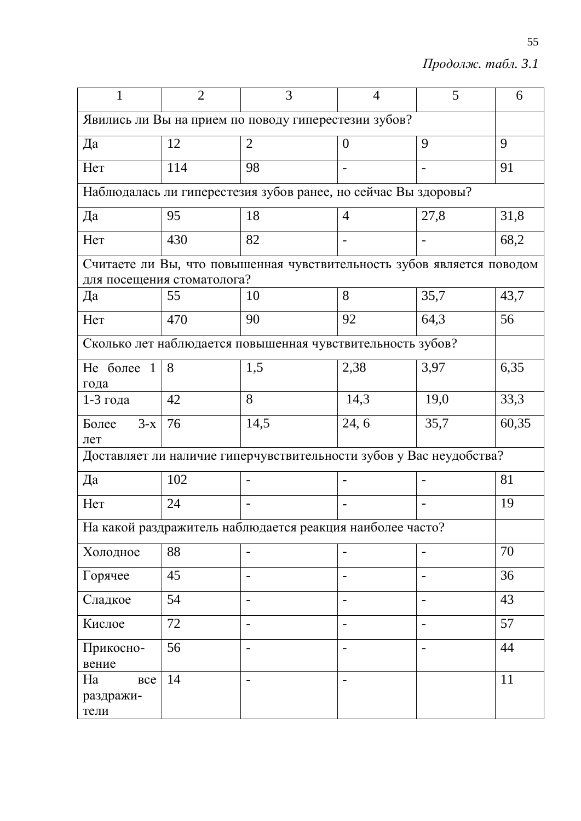$II$ родолж. табл. 3.1

| 1                                                    | $\overline{2}$ | 3                                                                      | $\overline{4}$ | 5                        | 6     |  |
|------------------------------------------------------|----------------|------------------------------------------------------------------------|----------------|--------------------------|-------|--|
| Явились ли Вы на прием по поводу гиперестезии зубов? |                |                                                                        |                |                          |       |  |
| Да                                                   | 12             | $\overline{2}$                                                         | $\theta$       | 9                        | 9     |  |
| Her                                                  | 114            | 98                                                                     |                | $\overline{\phantom{0}}$ | 91    |  |
|                                                      |                | Наблюдалась ли гиперестезия зубов ранее, но сейчас Вы здоровы?         |                |                          |       |  |
| Да                                                   | 95             | 18                                                                     | $\overline{4}$ | 27,8                     | 31,8  |  |
| Her                                                  | 430            | 82                                                                     |                |                          | 68,2  |  |
|                                                      |                | Считаете ли Вы, что повышенная чувствительность зубов является поводом |                |                          |       |  |
| для посещения стоматолога?<br>Да                     | 55             | 10                                                                     | 8              | 35,7                     | 43,7  |  |
| Her                                                  | 470            | 90                                                                     | 92             | 64,3                     | 56    |  |
|                                                      |                | Сколько лет наблюдается повышенная чувствительность зубов?             |                |                          |       |  |
| Не более<br>$\mathbf{1}$                             | 8              | 1,5                                                                    | 2,38           | 3,97                     | 6,35  |  |
| года<br>$1-3$ года                                   | 42             | 8                                                                      | 14,3           | 19,0                     | 33,3  |  |
| $3-x$<br>Более                                       | 76             | 14,5                                                                   | 24, 6          | 35,7                     | 60,35 |  |
| лет                                                  |                | Доставляет ли наличие гиперчувствительности зубов у Вас неудобства?    |                |                          |       |  |
|                                                      |                |                                                                        |                |                          |       |  |
| Да                                                   | 102            |                                                                        |                |                          | 81    |  |
| Her                                                  | 24             |                                                                        |                |                          | 19    |  |
|                                                      |                | На какой раздражитель наблюдается реакция наиболее часто?              |                |                          |       |  |
| Холодное                                             | 88             |                                                                        |                |                          | 70    |  |
| Горячее                                              | 45             |                                                                        |                |                          | 36    |  |
| Сладкое                                              | 54             |                                                                        |                |                          | 43    |  |
| Кислое                                               | 72             | $\overline{\phantom{a}}$                                               |                | $\overline{\phantom{a}}$ | 57    |  |
| Прикосно-<br>вение                                   | 56             | $\qquad \qquad -$                                                      |                | $\overline{a}$           | 44    |  |
| Ha<br><b>BCC</b><br>раздражи-<br>тели                | 14             |                                                                        |                |                          | 11    |  |

55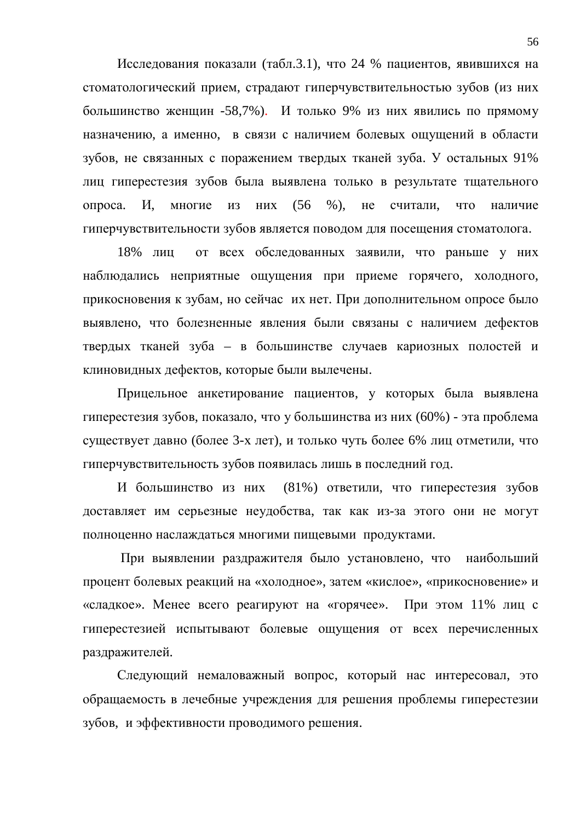Исследования показали (табл.3.1), что 24 % пациентов, явившихся на стоматологический прием, страдают гиперчувствительностью зубов (из них большинство женщин -58,7%). И только 9% из них явились по прямому назначению, а именно, в связи с наличием болевых ощущений в области зубов, не связанных с поражением твердых тканей зуба. У остальных 91% лиц гиперестезия зубов была выявлена только в результате тщательного опроса. И, многие из них (56 %), не считали, что наличие гиперчувствительности зубов является поводом для посещения стоматолога.

18% лиц от всех обследованных заявили, что раньше у них наблюдались неприятные ощущения при приеме горячего, холодного, прикосновения к зубам, но сейчас их нет. При дополнительном опросе было выявлено, что болезненные явления были связаны с наличием дефектов твердых тканей зуба – в большинстве случаев кариозных полостей и клиновидных дефектов, которые были вылечены.

Прицельное анкетирование пациентов, у которых была выявлена гиперестезия зубов, показало, что у большинства из них (60%) - эта проблема существует давно (более 3-х лет), и только чуть более 6% лиц отметили, что гиперчувствительность зубов появилась лишь в последний год.

И большинство из них (81%) ответили, что гиперестезия зубов доставляет им серьезные неудобства, так как из-за этого они не могут полноценно наслаждаться многими пищевыми продуктами.

При выявлении раздражителя было установлено, что наибольший процент болевых реакций на «холодное», затем «кислое», «прикосновение» и «сладкое». Менее всего реагируют на «горячее». При этом 11% лиц с гиперестезией испытывают болевые ощущения от всех перечисленных раздражителей.

Следующий немаловажный вопрос, который нас интересовал, это обращаемость в лечебные учреждения для решения проблемы гиперестезии зубов, и эффективности проводимого решения.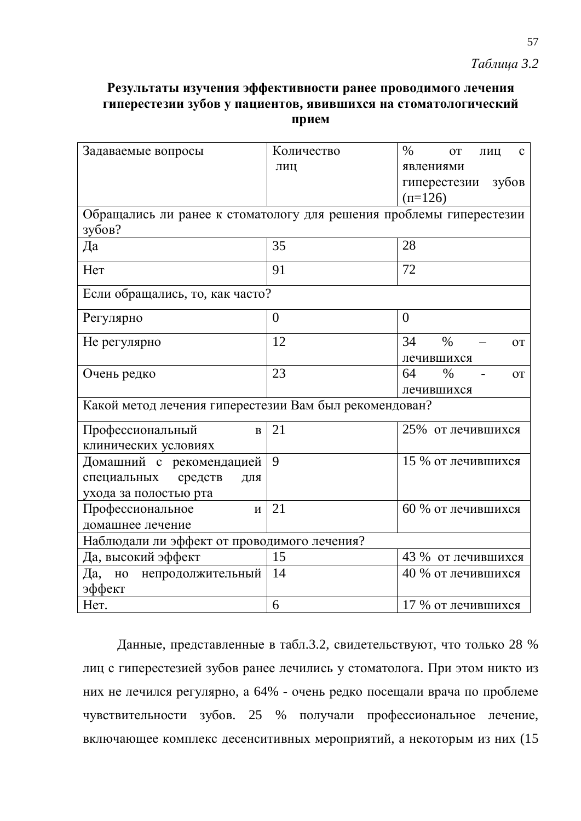# *Ɍɚɛɥɢɰɚ 3.2*

# Результаты изучения эффективности ранее проводимого лечения гиперестезии зубов у пациентов, явившихся на стоматологический прием

| Задаваемые вопросы                                                  | Количество     | $\%$<br><b>OT</b><br>$\mathbf{C}$<br>ЛИЦ |  |  |  |
|---------------------------------------------------------------------|----------------|------------------------------------------|--|--|--|
|                                                                     | ЛИЦ            | явлениями                                |  |  |  |
|                                                                     |                | гиперестезии зубов                       |  |  |  |
|                                                                     |                | $(\pi = 126)$                            |  |  |  |
| Обращались ли ранее к стоматологу для решения проблемы гиперестезии |                |                                          |  |  |  |
| зубов?                                                              |                |                                          |  |  |  |
| Да                                                                  | 35             | 28                                       |  |  |  |
| Her                                                                 | 91             | 72                                       |  |  |  |
| Если обращались, то, как часто?                                     |                |                                          |  |  |  |
| Регулярно                                                           | $\overline{0}$ | $\theta$                                 |  |  |  |
| Не регулярно                                                        | 12             | 34<br>$\%$<br><b>OT</b>                  |  |  |  |
|                                                                     |                | лечившихся                               |  |  |  |
| Очень редко                                                         | 23             | 64<br>$\%$<br><b>OT</b>                  |  |  |  |
|                                                                     |                | лечившихся                               |  |  |  |
| Какой метод лечения гиперестезии Вам был рекомендован?              |                |                                          |  |  |  |
| Профессиональный<br>$\bf{B}$                                        | 21             | 25% от лечившихся                        |  |  |  |
| клинических условиях                                                |                |                                          |  |  |  |
| Домашний с рекомендацией                                            | 9              | 15 % от лечившихся                       |  |  |  |
| специальных<br>средств<br>ДЛЯ                                       |                |                                          |  |  |  |
| ухода за полостью рта                                               |                |                                          |  |  |  |
| Профессиональное<br>$\boldsymbol{\mathrm{M}}$                       | 21             | 60 % от лечившихся                       |  |  |  |
| домашнее лечение                                                    |                |                                          |  |  |  |
| Наблюдали ли эффект от проводимого лечения?                         |                |                                          |  |  |  |
| Да, высокий эффект                                                  | 15             | 43 % от лечившихся                       |  |  |  |
| непродолжительный<br>Да, но                                         | 14             | 40 % от лечившихся                       |  |  |  |
| эффект                                                              |                |                                          |  |  |  |
| Her.                                                                | 6              | 17 % от лечившихся                       |  |  |  |

Данные, представленные в табл.3.2, свидетельствуют, что только 28 % лиц с гиперестезией зубов ранее лечились у стоматолога. При этом никто из них не лечился регулярно, а 64% - очень редко посещали врача по проблеме чувствительности зубов. 25 % получали профессиональное лечение, включающее комплекс десенситивных мероприятий, а некоторым из них (15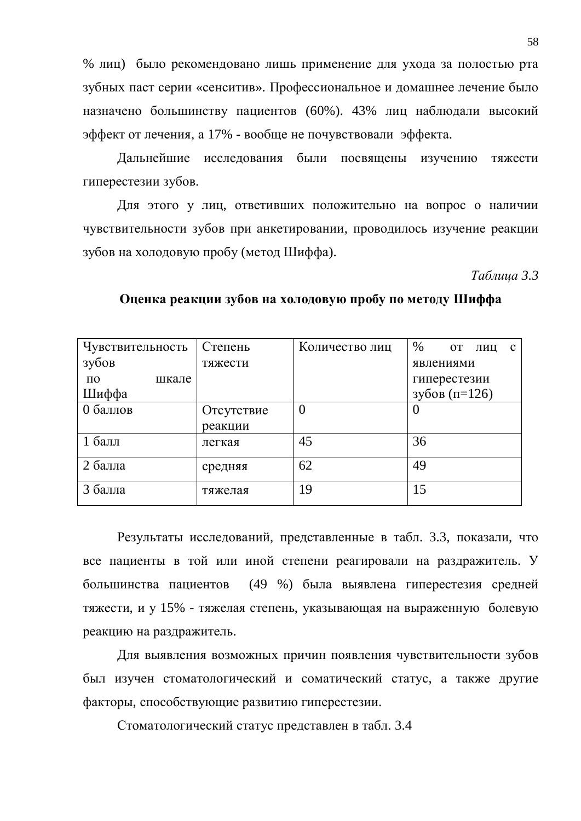% лиц) было рекомендовано лишь применение для ухода за полостью рта зубных паст серии «сенситив». Профессиональное и домашнее лечение было назначено большинству пациентов (60%). 43% лиц наблюдали высокий эффект от лечения, а 17% - вообще не почувствовали эффекта.

Дальнейшие исследования были посвящены изучению тяжести гиперестезии зубов.

Для этого у лиц, ответивших положительно на вопрос о наличии чувствительности зубов при анкетировании, проводилось изучение реакции зубов на холодовую пробу (метод Шиффа).

*Ɍɚɛɥɢɰɚ 3.3*

| Чувствительность | Степень    | Количество лиц | %<br><b>OT</b><br>ЛИЦ<br>$\mathbf{c}$ |
|------------------|------------|----------------|---------------------------------------|
| зубов            | тяжести    |                | явлениями                             |
| $\Pi$ O<br>шкале |            |                | гиперестезии                          |
| Шиффа            |            |                | зубов (п=126)                         |
| 0 баллов         | Отсутствие | $\overline{0}$ |                                       |
|                  | реакции    |                |                                       |
| $16a$ лл         | легкая     | 45             | 36                                    |
| 2 балла          | средняя    | 62             | 49                                    |
| 3 балла          | тяжелая    | 19             | 15                                    |

Оценка реакции зубов на холодовую пробу по методу Шиффа

Результаты исследований, представленные в табл. 3.3, показали, что все пациенты в той или иной степени реагировали на раздражитель. У большинства пациентов (49 %) была выявлена гиперестезия средней тяжести, и у 15% - тяжелая степень, указывающая на выраженную болевую реакцию на раздражитель.

Для выявления возможных причин появления чувствительности зубов был изучен стоматологический и соматический статус, а также другие факторы, способствующие развитию гиперестезии.

Стоматологический статус представлен в табл. 3.4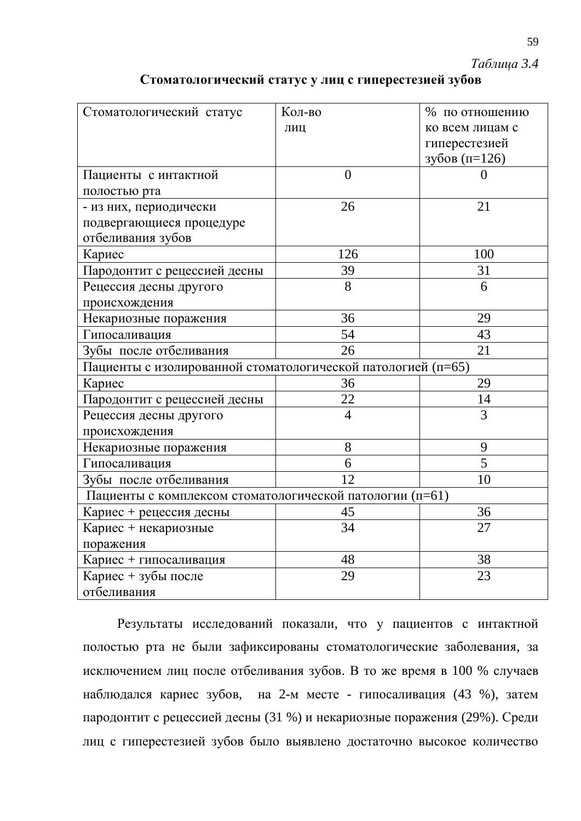*Ɍɚɛɥɢɰɚ 3.4*

| Стоматологический статус                                     | Кол-во         | % по отношению  |  |  |  |
|--------------------------------------------------------------|----------------|-----------------|--|--|--|
|                                                              | ЛИЦ            | ко всем лицам с |  |  |  |
|                                                              |                | гиперестезией   |  |  |  |
|                                                              |                | зубов (п=126)   |  |  |  |
| Пациенты с интактной                                         | $\overline{0}$ | $\Omega$        |  |  |  |
| полостью рта                                                 |                |                 |  |  |  |
| - из них, периодически                                       | 26             | 21              |  |  |  |
| подвергающиеся процедуре                                     |                |                 |  |  |  |
| отбеливания зубов                                            |                |                 |  |  |  |
| Кариес                                                       | 126            | 100             |  |  |  |
| Пародонтит с рецессией десны                                 | 39             | 31              |  |  |  |
| Рецессия десны другого                                       | 8              | 6               |  |  |  |
| происхождения                                                |                |                 |  |  |  |
| Некариозные поражения                                        | 36             | 29              |  |  |  |
| Гипосаливация                                                | 54             | 43              |  |  |  |
| Зубы после отбеливания                                       | 26             | 21              |  |  |  |
| Пациенты с изолированной стоматологической патологией (п=65) |                |                 |  |  |  |
| Кариес                                                       | 36             | 29              |  |  |  |
| Пародонтит с рецессией десны                                 | 22             | 14              |  |  |  |
| Рецессия десны другого                                       | $\overline{4}$ | 3               |  |  |  |
| происхождения                                                |                |                 |  |  |  |
| Некариозные поражения                                        | 8              | 9               |  |  |  |
| Гипосаливация                                                | 6              | 5               |  |  |  |
| Зубы после отбеливания                                       | 12             | 10              |  |  |  |
| Пациенты с комплексом стоматологической патологии (п=61)     |                |                 |  |  |  |
| Кариес + рецессия десны                                      | 45             | 36              |  |  |  |
| Кариес + некариозные                                         | 34             | 27              |  |  |  |
| поражения                                                    |                |                 |  |  |  |
| Кариес + гипосаливация                                       | 48             | 38              |  |  |  |
| Кариес + зубы после                                          | 29             | 23              |  |  |  |
| отбеливания                                                  |                |                 |  |  |  |

## Стоматологический статус у лиц с гиперестезией зубов

Результаты исследований показали, что у пациентов с интактной полостью рта не были зафиксированы стоматологические заболевания, за исключением лиц после отбеливания зубов. В то же время в 100 % случаев наблюдался кариес зубов, на 2-м месте - гипосаливация (43 %), затем пародонтит с рецессией десны (31 %) и некариозные поражения (29%). Среди лиц с гиперестезией зубов было выявлено достаточно высокое количество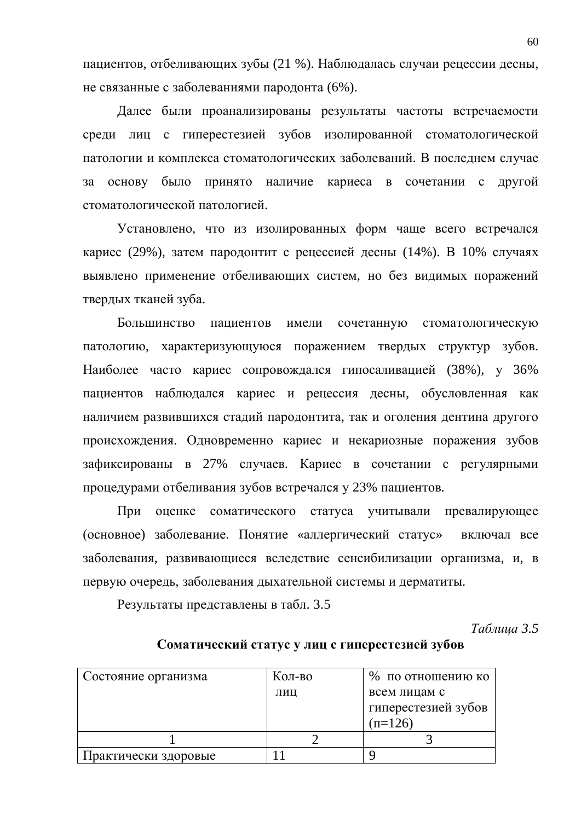пациентов, отбеливающих зубы (21 %). Наблюдалась случаи рецессии десны, не связанные с заболеваниями пародонта (6%).

Далее были проанализированы результаты частоты встречаемости среди лиц с гиперестезией зубов изолированной стоматологической патологии и комплекса стоматологических заболеваний. В последнем случае за основу было принято наличие кариеса в сочетании с другой стоматологической патологией.

Установлено, что из изолированных форм чаще всего встречался кариес (29%), затем пародонтит с рецессией десны (14%). В 10% случаях выявлено применение отбеливающих систем, но без видимых поражений твердых тканей зуба.

Большинство пациентов имели сочетанную стоматологическую патологию, характеризующуюся поражением твердых структур зубов. Наиболее часто кариес сопровождался гипосаливацией (38%), у 36% пациентов наблюдался кариес и рецессия десны, обусловленная как наличием развившихся стадий пародонтита, так и оголения дентина другого происхождения. Одновременно кариес и некариозные поражения зубов зафиксированы в 27% случаев. Кариес в сочетании с регулярными процедурами отбеливания зубов встречался у 23% пациентов.

При оценке соматического статуса учитывали превалирующее (основное) заболевание. Понятие «аллергический статус» включал все заболевания, развивающиеся вследствие сенсибилизации организма, и, в первую очередь, заболевания дыхательной системы и дерматиты.

Результаты представлены в табл. 3.5

*Tаблица* 3.5

| Соматический статус у лиц с гиперестезией зубов |  |  |
|-------------------------------------------------|--|--|
|                                                 |  |  |

| Состояние организма  | Кол-во | % по отношению ко   |
|----------------------|--------|---------------------|
|                      | ЛИЦ    | всем лицам с        |
|                      |        | гиперестезией зубов |
|                      |        | $(n=126)$           |
|                      |        |                     |
| Практически здоровые |        |                     |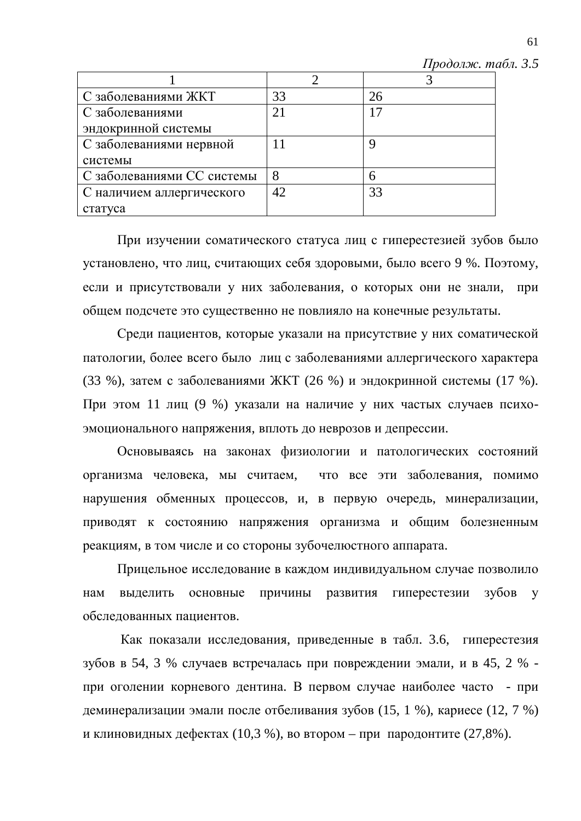$II$ родолж. табл. 3.5

| С заболеваниями ЖКТ        | 33 | 26 |
|----------------------------|----|----|
| С заболеваниями            |    |    |
| эндокринной системы        |    |    |
| С заболеваниями нервной    |    |    |
| системы                    |    |    |
| С заболеваниями СС системы |    | 6  |
| С наличием аллергического  | 42 | 33 |
| статуса                    |    |    |

При изучении соматического статуса лиц с гиперестезией зубов было установлено, что лиц, считающих себя здоровыми, было всего 9 %. Поэтому, если и присутствовали у них заболевания, о которых они не знали, при общем подсчете это существенно не повлияло на конечные результаты.

Среди пациентов, которые указали на присутствие у них соматической патологии, более всего было лиц с заболеваниями аллергического характера (33 %), затем с заболеваниями ЖКТ (26 %) и эндокринной системы (17 %). При этом 11 лиц (9 %) указали на наличие у них частых случаев психоэмоционального напряжения, вплоть до неврозов и депрессии.

Основываясь на законах физиологии и патологических состояний организма человека, мы считаем, что все эти заболевания, помимо нарушения обменных процессов, и, в первую очередь, минерализации, приводят к состоянию напряжения организма и общим болезненным реакциям, в том числе и со стороны зубочелю стного аппарата.

Прицельное исследование в каждом индивидуальном случае позволило нам выделить основные причины развития гиперестезии зубов у обследованных пациентов.

Как показали исследования, приведенные в табл. 3.6, гиперестезия зубов в 54, 3 % случаев встречалась при повреждении эмали, и в 45, 2 % при оголении корневого дентина. В первом случае наиболее часто - при деминерализации эмали после отбеливания зубов (15, 1 %), кариесе (12, 7 %) и клиновидных дефектах (10,3 %), во втором – при пародонтите (27,8%).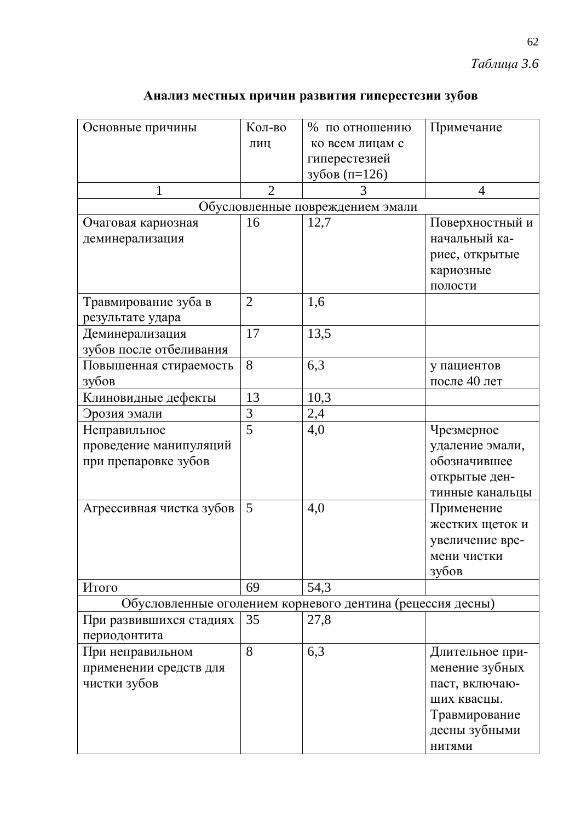|  |  |  |  | Анализ местных причин развития гиперестезии зубов |  |
|--|--|--|--|---------------------------------------------------|--|
|--|--|--|--|---------------------------------------------------|--|

| Основные причины         | Кол-во         | % по отношению                                             | Примечание      |
|--------------------------|----------------|------------------------------------------------------------|-----------------|
|                          | ЛИЦ            | ко всем лицам с                                            |                 |
|                          |                | гиперестезией                                              |                 |
|                          |                | зубов (п=126)                                              |                 |
| 1                        | $\overline{2}$ | 3                                                          | 4               |
|                          |                | Обусловленные повреждением эмали                           |                 |
| Очаговая кариозная       | 16             | 12,7                                                       | Поверхностный и |
| деминерализация          |                |                                                            | начальный ка-   |
|                          |                |                                                            | риес, открытые  |
|                          |                |                                                            | кариозные       |
|                          |                |                                                            | полости         |
| Травмирование зуба в     | $\overline{2}$ | 1,6                                                        |                 |
| результате удара         |                |                                                            |                 |
| Деминерализация          | 17             | 13,5                                                       |                 |
| зубов после отбеливания  |                |                                                            |                 |
| Повышенная стираемость   | 8              | 6,3                                                        | у пациентов     |
| зубов                    |                |                                                            | после 40 лет    |
| Клиновидные дефекты      | 13             | 10,3                                                       |                 |
| Эрозия эмали             | 3              | 2,4                                                        |                 |
| Неправильное             | $\overline{5}$ | 4,0                                                        | Чрезмерное      |
| проведение манипуляций   |                |                                                            | удаление эмали, |
| при препаровке зубов     |                |                                                            | обозначившее    |
|                          |                |                                                            | открытые ден-   |
|                          |                |                                                            | тинные канальцы |
| Агрессивная чистка зубов | 5              | 4,0                                                        | Применение      |
|                          |                |                                                            | жестких щеток и |
|                          |                |                                                            | увеличение вре- |
|                          |                |                                                            | мени чистки     |
|                          |                |                                                            | зубов           |
| Итого                    | 69             | 54,3                                                       |                 |
|                          |                | Обусловленные оголением корневого дентина (рецессия десны) |                 |
| При развившихся стадиях  | 35             | 27,8                                                       |                 |
| периодонтита             |                |                                                            |                 |
| При неправильном         | 8              | 6,3                                                        | Длительное при- |
| применении средств для   |                |                                                            | менение зубных  |
| чистки зубов             |                |                                                            | паст, включаю-  |
|                          |                |                                                            | щих квасцы.     |
|                          |                |                                                            | Травмирование   |
|                          |                |                                                            | десны зубными   |
|                          |                |                                                            | <b>НИТЯМИ</b>   |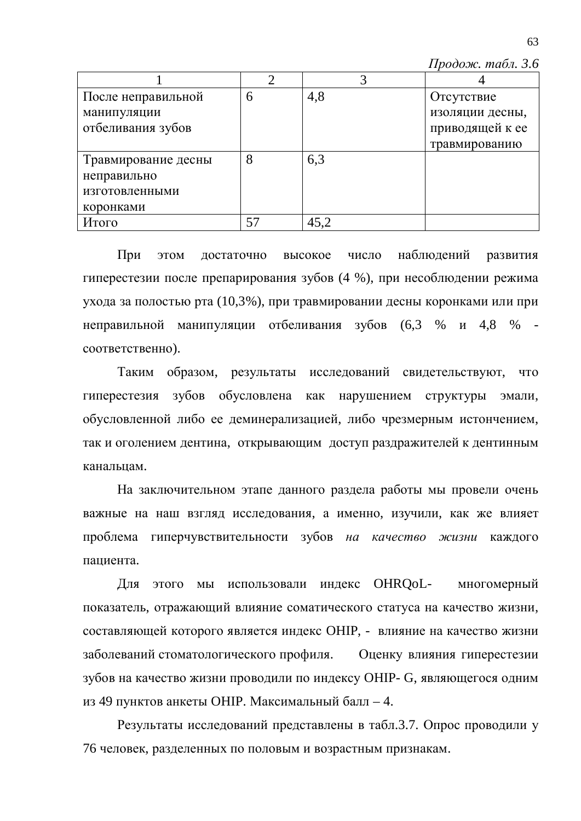$\Pi$ родож. табл. 3.6

| После неправильной  | 6  | 4,8  | Отсутствие      |
|---------------------|----|------|-----------------|
| манипуляции         |    |      | изоляции десны, |
| отбеливания зубов   |    |      | приводящей к ее |
|                     |    |      | травмированию   |
| Травмирование десны | 8  | 6,3  |                 |
| неправильно         |    |      |                 |
| изготовленными      |    |      |                 |
| коронками           |    |      |                 |
| Итого               | 57 | 45,2 |                 |

При этом достаточно высокое число наблюдений развития гиперестезии после препарирования зубов (4 %), при несоблюдении режима ухода за полостью рта (10,3%), при травмировании десны коронками или при неправильной манипуляции отбеливания зубов  $(6,3, 96, 4,8, 96)$ соответственно).

Таким образом, результаты исследований свидетельствуют, что гиперестезия зубов обусловлена как нарушением структуры эмали, обусловленной либо ее деминерализацией, либо чрезмерным истончением, так и оголением дентина, открывающим доступ раздражителей к дентинным канальцам.

На заключительном этапе данного раздела работы мы провели очень важные на наш взгляд исследования, а именно, изучили, как же влияет проблема гиперчувствительности зубов на качество жизни каждого пациента.

Для этого мы использовали индекс OHRQoL- многомерный показатель, отражающий влияние соматического статуса на качество жизни, составляющей которого является индекс ОНIP, - влияние на качество жизни заболеваний стоматологического профиля. Оценку влияния гиперестезии зубов на качество жизни проводили по индексу OHIP- G, являющегося одним из 49 пунктов анкеты ОНІР. Максимальный балл – 4.

Результаты исследований представлены в табл.3.7. Опрос проводили у 76 человек, разделенных по половым и возрастным признакам.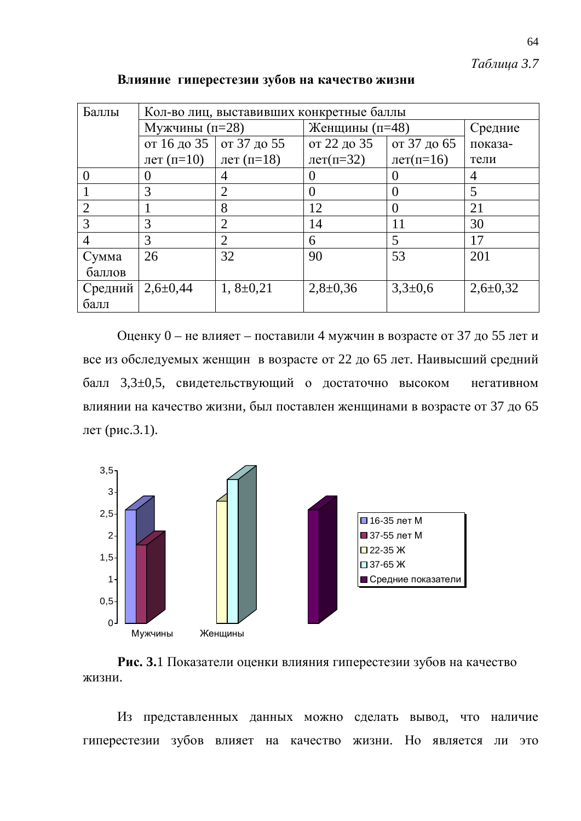*Таблица* 3.7

| Баллы   | Кол-во лиц, выставивших конкретные баллы |                 |                            |              |                |  |  |  |  |
|---------|------------------------------------------|-----------------|----------------------------|--------------|----------------|--|--|--|--|
|         | Мужчины $(n=28)$                         |                 | Женщины (п=48)             | Средние      |                |  |  |  |  |
|         | от 16 до 35   от 37 до 55                |                 | от 22 до 35                | от 37 до 65  | показа-        |  |  |  |  |
|         | лет $(n=10)$                             | лет (п=18)      | $\text{IPT}(\text{II}=32)$ | лет $(n=16)$ | тели           |  |  |  |  |
|         | 0                                        | 4               | 0                          |              | 4              |  |  |  |  |
|         | 3                                        | $\overline{2}$  | $\theta$                   |              | 5              |  |  |  |  |
|         | 8                                        |                 | 12                         | $\theta$     | 21             |  |  |  |  |
| 3       | 3                                        | 2               | 14                         | 11           | 30             |  |  |  |  |
| 4       | 3                                        | 2               | 6                          | 5            | 17             |  |  |  |  |
| Сумма   | 26                                       | 32              | 90                         | 53           | 201            |  |  |  |  |
| баллов  |                                          |                 |                            |              |                |  |  |  |  |
| Средний | $2,6 \pm 0,44$                           | $1, 8 \pm 0.21$ | $2,8 \pm 0,36$             | $3,3\pm0,6$  | $2,6 \pm 0,32$ |  |  |  |  |
| балл    |                                          |                 |                            |              |                |  |  |  |  |

Влияние гиперестезии зубов на качество жизни

Оценку 0 – не влияет – поставили 4 мужчин в возрасте от 37 до 55 лет и все из обследуемых женщин в возрасте от 22 до 65 лет. Наивысший средний балл 3,3±0,5, свидетельствующий о достаточно высоком негативном влиянии на качество жизни, был поставлен женщинами в возрасте от 37 до 65 лет (рис. $3.1$ ).





Из представленных данных можно сделать вывод, что наличие гиперестезии зубов влияет на качество жизни. Но является ли это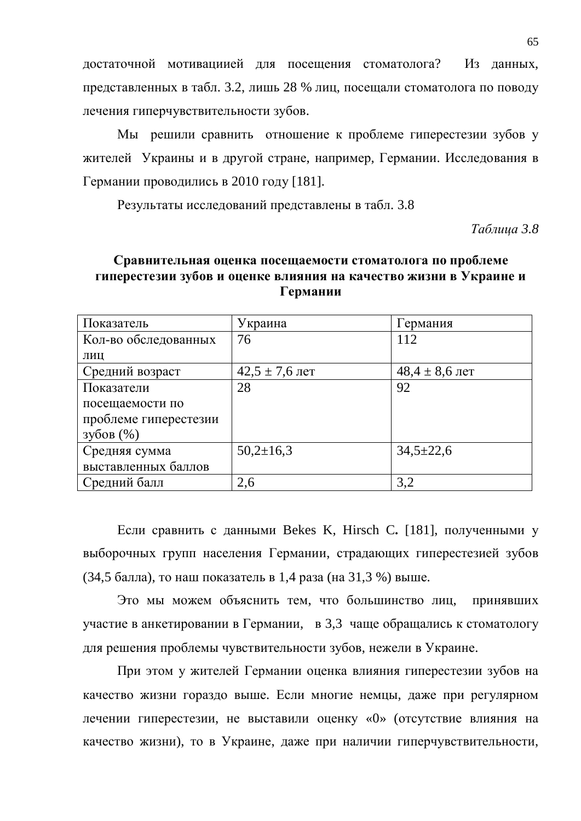достаточной мотивациией для посещения стоматолога? Из данных, представленных в табл. 3.2, лишь 28 % лиц, посещали стоматолога по поводу лечения гиперчувствительности зубов.

Мы решили сравнить отношение к проблеме гиперестезии зубов у жителей Украины и в другой стране, например, Германии. Исследования в Германии проводились в 2010 году [181].

Результаты исследований представлены в табл. 3.8

*Ɍɚɛɥɢɰɚ 3.8*

## **Сравнительная оценка посещаемости стоматолога по проблеме** гиперестезии зубов и оценке влияния на качество жизни в Украине и **Германии**

| Показатель            | Украина            | Германия           |
|-----------------------|--------------------|--------------------|
| Кол-во обследованных  | 76                 | 112                |
| ЛИЦ                   |                    |                    |
| Средний возраст       | $42,5 \pm 7,6$ лет | $48,4 \pm 8,6$ лет |
| Показатели            | 28                 | 92                 |
| посещаемости по       |                    |                    |
| проблеме гиперестезии |                    |                    |
| $3\sqrt{6}$ OB $(\%)$ |                    |                    |
| Средняя сумма         | $50,2{\pm}16,3$    | $34,5 \pm 22,6$    |
| выставленных баллов   |                    |                    |
| Средний балл          | 2,6                | 3,2                |

Если сравнить с данными Bekes K, Hirsch C. [181], полученными у выборочных групп населения Германии, страдающих гиперестезией зубов (34,5 балла), то наш показатель в 1,4 раза (на 31,3 %) выше.

Это мы можем объяснить тем, что большинство лиц, принявших үчастие в анкетировании в Германии, в 3,3 чаще обращались к стоматологу для решения проблемы чувствительности зубов, нежели в Украине.

При этом у жителей Германии оценка влияния гиперестезии зубов на качество жизни гораздо выше. Если многие немцы, даже при регулярном лечении гиперестезии, не выставили оценку «0» (отсутствие влияния на качество жизни), то в Украине, даже при наличии гиперчувствительности,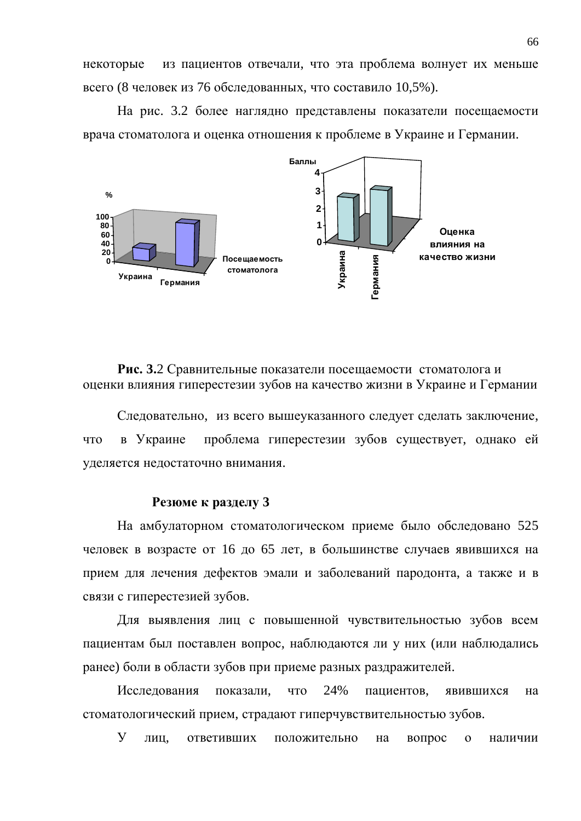некоторые из пациентов отвечали, что эта проблема волнует их меньше всего (8 человек из 76 обследованных, что составило  $10,5\%$ ).

На рис. 3.2 более наглядно представлены показатели посещаемости врача стоматолога и оценка отношения к проблеме в Украине и Германии.



Рис. 3.2 Сравнительные показатели посещаемости стоматолога и оценки влияния гиперестезии зубов на качество жизни в Украине и Германии

Следовательно, из всего вышеуказанного следует сделать заключение, что в Украине проблема гиперестезии зубов существует, однако ей уделяется недостаточно внимания.

#### **Резюме к разделу 3**

На амбулаторном стоматологическом приеме было обследовано 525 человек в возрасте от 16 до 65 лет, в большинстве случаев явившихся на прием для лечения дефектов эмали и заболеваний пародонта, а также и в связи с гиперестезией зубов.

Для выявления лиц с повышенной чувствительностью зубов всем пациентам был поставлен вопрос, наблюдаются ли у них (или наблюдались ранее) боли в области зубов при приеме разных раздражителей.

Исследования показали, что 24% пациентов, явившихся на стоматологический прием, страдают гиперчувствительностью зубов.

У лиц, ответивших положительно на вопрос о наличии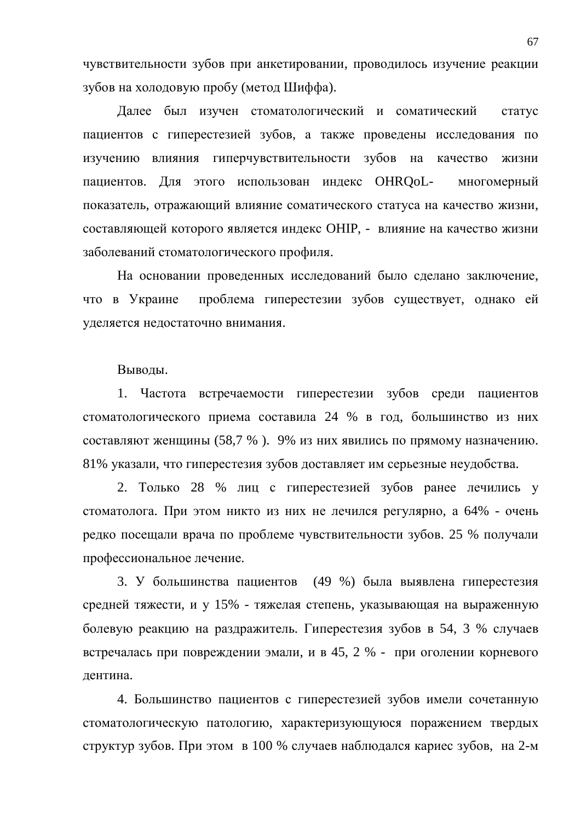чувствительности зубов при анкетировании, проводилось изучение реакции зубов на холодовую пробу (метод Шиффа).

Далее был изучен стоматологический и соматический статус пациентов с гиперестезией зубов, а также проведены исследования по изучению влияния гиперчувствительности зубов на качество жизни пациентов. Для этого использован индекс OHRQoL- многомерный показатель, отражающий влияние соматического статуса на качество жизни, составляющей которого является индекс ОНIP, - влияние на качество жизни заболеваний стоматологического профиля.

На основании проведенных исследований было сделано заключение, что в Украине проблема гиперестезии зубов существует, однако ей уделяется недостаточно внимания.

Выводы.

1. Частота встречаемости гиперестезии зубов среди пациентов стоматологического приема составила 24 % в год, большинство из них составляют женщины (58,7 %). 9% из них явились по прямому назначению. 81% указали, что гиперестезия зубов доставляет им серьезные неудобства.

2. Только 28 % лиц с гиперестезией зубов ранее лечились у стоматолога. При этом никто из них не лечился регулярно, а 64% - очень редко посещали врача по проблеме чувствительности зубов. 25 % получали профессиональное лечение.

3. У большинства пациентов (49 %) была выявлена гиперестезия средней тяжести, и у 15% - тяжелая степень, указывающая на выраженную болевую реакцию на раздражитель. Гиперестезия зубов в 54, 3 % случаев встречалась при повреждении эмали, и в 45, 2 % - при оголении корневого дентина.

4. Большинство пациентов с гиперестезией зубов имели сочетанную стоматологическую патологию, характеризующуюся поражением твердых структур зубов. При этом в 100 % случаев наблюдался кариес зубов, на 2-м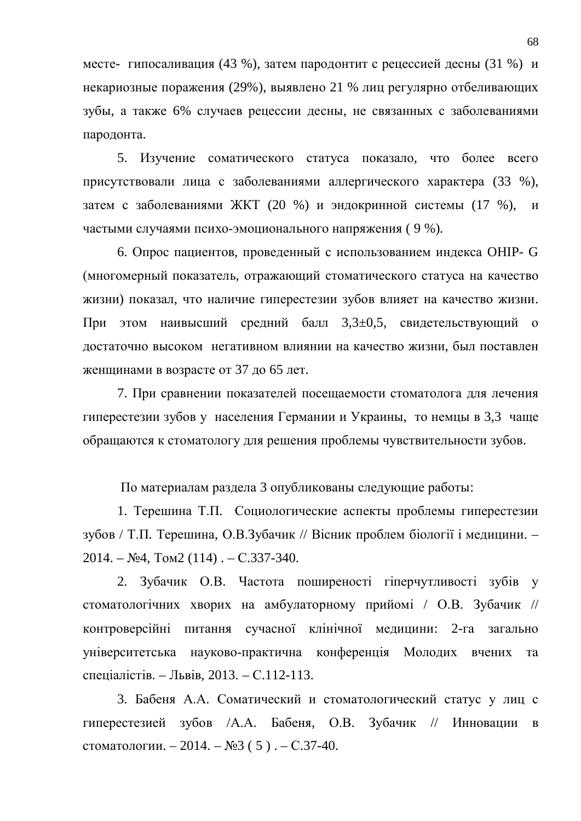месте- гипосаливация (43 %), затем пародонтит с рецессией десны (31 %) и некариозные поражения (29%), выявлено 21 % лиц регулярно отбеливающих зубы, а также 6% случаев рецессии десны, не связанных с заболеваниями пародонта.

5. Изучение соматического статуса показало, что более всего присутствовали лица с заболеваниями аллергического характера (33 %), затем с заболеваниями ЖКТ (20 %) и эндокринной системы (17 %), и частыми случаями психо-эмоционального напряжения (9 %).

6. Опрос пациентов, проведенный с использованием индекса ОНIP- G (многомерный показатель, отражающий стоматического статуса на качество жизни) показал, что наличие гиперестезии зубов влияет на качество жизни. При этом наивысший средний балл 3,3±0,5, свидетельствующий о достаточно высоком негативном влиянии на качество жизни, был поставлен женщинами в возрасте от 37 до 65 лет.

7. При сравнении показателей посещаемости стоматолога для лечения гиперестезии зубов у населения Германии и Украины, то немцы в 3,3 чаще обращаются к стоматологу для решения проблемы чувствительности зубов.

По материалам раздела 3 опубликованы следующие работы:

1. Терешина Т.П. Социологические аспекты проблемы гиперестезии зубов / Т.П. Терешина, О.В.Зубачик // Вісник проблем біології і медицини. –  $2014. - N<sub>2</sub>4, Tom2 (114) . - C.337-340.$ 

2. Зубачик О.В. Частота поширеності гіперчутливості зубів у стоматологічних хворих на амбулаторному прийомі / О.В. Зубачик // контроверсійні питання сучасної клінічної медицини: 2-га загально університетська науково-практична конференція Молодих вчених та спеціалістів. – Львів, 2013. – С.112-113.

3. Бабеня А.А. Соматический и стоматологический статус у лиц с гиперестезией зубов /А.А. Бабеня, О.В. Зубачик // Инновации в стоматологии. – 2014. –  $N_2$ 3 (5). – С.37-40.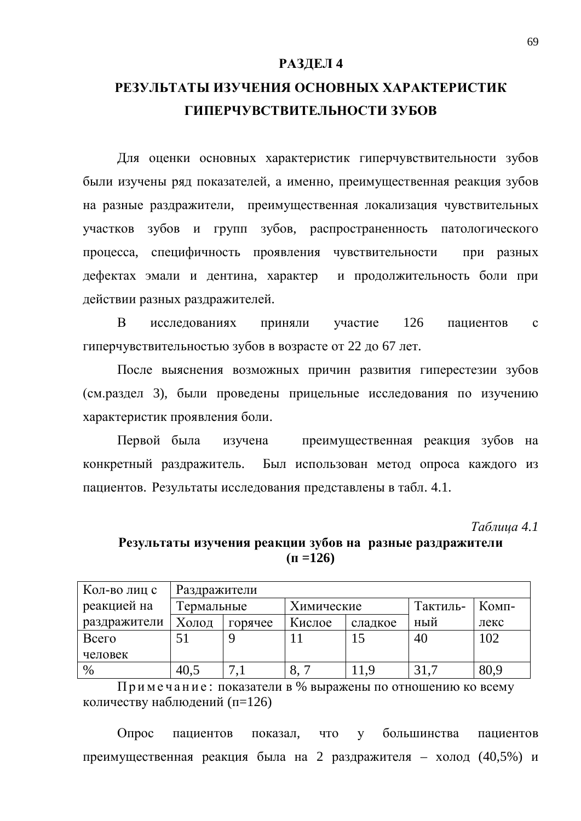#### РАЗДЕЛ 4

# РЕЗУЛЬТАТЫ ИЗУЧЕНИЯ ОСНОВНЫХ ХАРАКТЕРИСТИК ГИПЕРЧУВСТВИТЕЛЬНОСТИ ЗУБОВ

Для оценки основных характеристик гиперчувствительности зубов были изучены ряд показателей, а именно, преимущественная реакция зубов на разные раздражители, преимущественная локализация чувствительных участков зубов и групп зубов, распространенность патологического процесса, специфичность проявления чувствительности при разных дефектах эмали и дентина, характер и продолжительность боли при действии разных раздражителей.

В исследованиях приняли участие 126 пациентов с гиперчувствительностью зубов в возрасте от 22 до 67 лет.

После выяснения возможных причин развития гиперестезии зубов (см. раздел 3), были проведены прицельные исследования по изучению характеристик проявления боли.

Первой была изучена преимущественная реакция зубов на конкретный раздражитель. Был использован метод опроса каждого из пациентов. Результаты исследования представлены в табл. 4.1.

*Ɍɚɛɥɢɰɚ 4.1*

# Результаты изучения реакции зубов на разные раздражители  $(\Pi = 126)$

| Кол-во лиц с | Раздражители |         |            |         |          |       |  |  |  |
|--------------|--------------|---------|------------|---------|----------|-------|--|--|--|
| реакцией на  | Гермальные   |         | Химические |         | Тактиль- | Комп- |  |  |  |
| раздражители | Холод        | горячее | Кислое     | сладкое | ный      | лекс  |  |  |  |
| Всего        |              |         |            | 15      | 40       | 102   |  |  |  |
| человек      |              |         |            |         |          |       |  |  |  |
| $\%$         | 40.5         |         | o.         | 11.9    | 31,7     | 80,9  |  |  |  |

Примечание: показатели в % выражены по отношению ко всему количеству наблюдений (п=126)

Опрос пациентов показал, что у большинства пациентов преимущественная реакция была на 2 раздражителя – холод (40,5%) и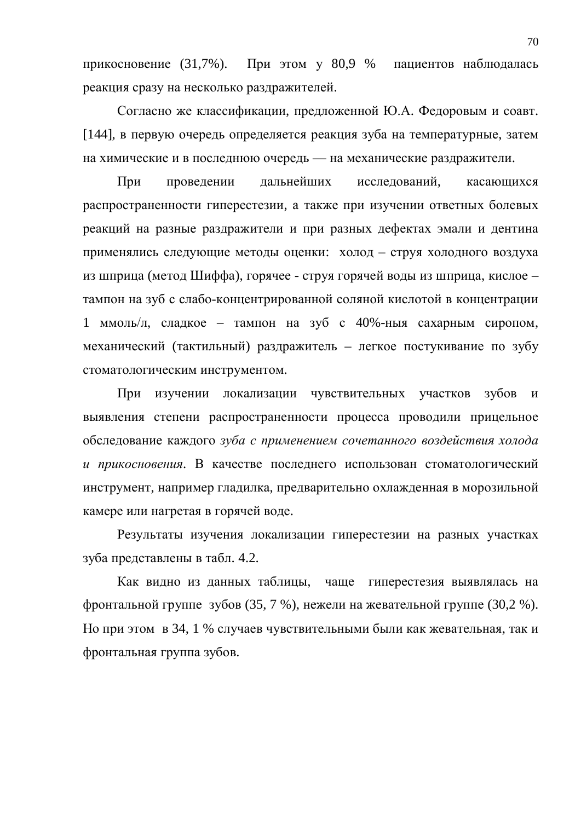прикосновение (31,7%). При этом у 80,9 % пациентов наблюдалась реакция сразу на несколько раздражителей.

Согласно же классификации, предложенной Ю.А. Федоровым и соавт. [144], в первую очередь определяется реакция зуба на температурные, затем на химические и в последнюю очередь — на механические раздражители.

При проведении дальнейших исследований, касающихся распространенности гиперестезии, а также при изучении ответных болевых реакций на разные раздражители и при разных дефектах эмали и дентина применялись следующие методы оценки: холод – струя холодного воздуха из шприца (метод Шиффа), горячее - струя горячей воды из шприца, кислое – тампон на зуб с слабо-концентрированной соляной кислотой в концентрации 1 ммоль/л, сладкое – тампон на зуб с 40%-ныя сахарным сиропом, механический (тактильный) раздражитель – легкое постукивание по зубу стоматологическим инструментом.

При изучении локализации чувствительных участков зубов и выявления степени распространенности процесса проводили прицельное обследование каждого *зуба с применением сочетанного воздействия холода* и прикосновения. В качестве последнего использован стоматологический инструмент, например гладилка, предварительно охлажденная в морозильной камере или нагретая в горячей воде.

Результаты изучения локализации гиперестезии на разных участках зуба представлены в табл. 4.2.

Как видно из данных таблицы, чаще гиперестезия выявлялась на фронтальной группе зубов (35, 7 %), нежели на жевательной группе (30,2 %). Но при этом в 34, 1 % случаев чувствительными были как жевательная, так и фронтальная группа зубов.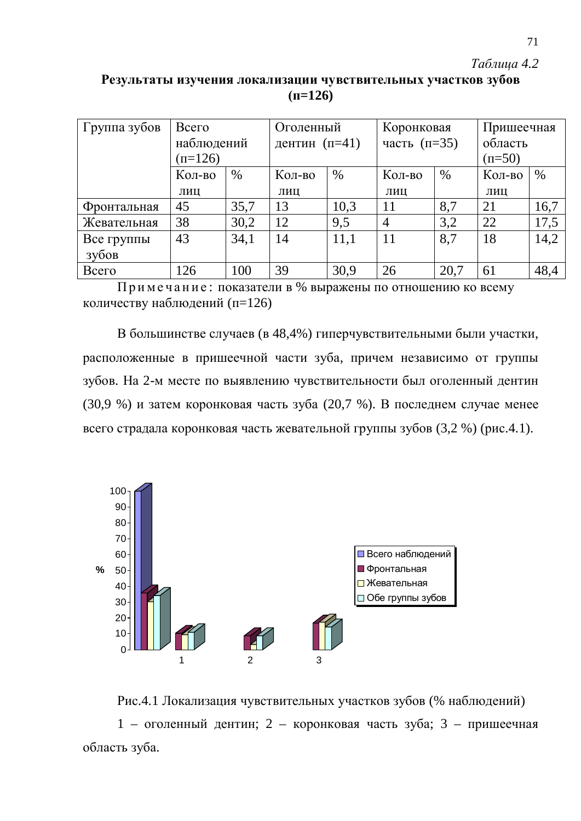## *Таблица* 4.2

## Результаты изучения локализации чувствительных участков зубов  $(\text{π=126})$

| Группа зубов | Всего      |      | Оголенный       |      | Коронковая       |      | Пришеечная |      |
|--------------|------------|------|-----------------|------|------------------|------|------------|------|
|              | наблюдений |      | дентин $(n=41)$ |      | часть $(\pi=35)$ |      | область    |      |
|              | $(n=126)$  |      |                 |      |                  |      | $(n=50)$   |      |
|              | Кол-во     | $\%$ | Кол-во          | $\%$ | Кол-во           | $\%$ | Кол-во     | $\%$ |
|              | ЛИЦ        |      | ЛИЦ             |      | ЛИЦ              |      | ЛИЦ        |      |
| Фронтальная  | 45         | 35,7 | 13              | 10,3 | 11               | 8,7  | 21         | 16,7 |
| Жевательная  | 38         | 30,2 | 12              | 9,5  | $\overline{4}$   | 3,2  | 22         | 17,5 |
| Все группы   | 43         | 34,1 | 14              | 11,1 | 11               | 8,7  | 18         | 14,2 |
| зубов        |            |      |                 |      |                  |      |            |      |
| Всего        | 126        | 100  | 39              | 30,9 | 26               | 20,7 | 61         | 48,4 |

Примечание: показатели в % выражены по отношению ко всему количеству наблюдений (п=126)

В большинстве случаев (в 48,4%) гиперчувствительными были участки, расположенные в пришеечной части зуба, причем независимо от группы зубов. На 2-м месте по выявлению чувствительности был оголенный дентин (30,9 %) и затем коронковая часть зуба (20,7 %). В последнем случае менее всего страдала коронковая часть жевательной группы зубов  $(3,2, 2)$  (рис.4.1).



Рис.4.1 Локализация чувствительных участков зубов (% наблюдений)  $1$  – оголенный дентин; 2 – коронковая часть зуба; 3 – пришеечная область зуба.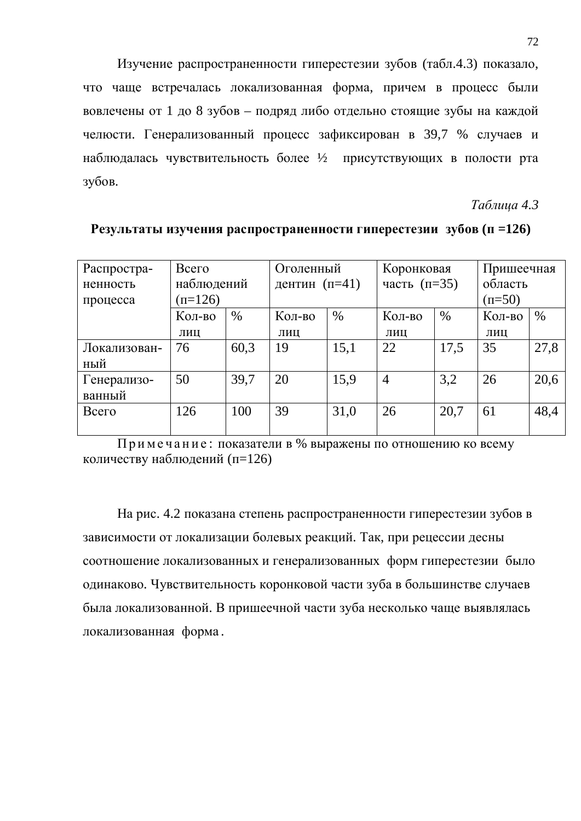Изучение распространенности гиперестезии зубов (табл.4.3) показало, что чаще встречалась локализованная форма, причем в процесс были вовлечены от 1 до 8 зубов – подряд либо отдельно стоящие зубы на каждой челюсти. Генерализованный процесс зафиксирован в 39,7 % случаев и наблюдалась чувствительность более 1/2 присутствующих в полости рта зубов.

*Ɍɚɛɥɢɰɚ 4.3*

| Распростра-  | Всего      |      | Оголенный       |      | Коронковая       |      | Пришеечная |      |
|--------------|------------|------|-----------------|------|------------------|------|------------|------|
| ненность     | наблюдений |      | дентин $(n=41)$ |      | часть $(\pi=35)$ |      | область    |      |
| процесса     | $(n=126)$  |      |                 |      |                  |      | $(n=50)$   |      |
|              | Кол-во     | $\%$ | Кол-во          | $\%$ | Кол-во           | $\%$ | Кол-во     | $\%$ |
|              | ЛИЦ        |      | ЛИЦ             |      | ЛИЦ              |      | ЛИЦ        |      |
| Локализован- | 76         | 60,3 | 19              | 15,1 | 22               | 17,5 | 35         | 27,8 |
| ный          |            |      |                 |      |                  |      |            |      |
| Генерализо-  | 50         | 39,7 | 20              | 15,9 | $\overline{4}$   | 3,2  | 26         | 20,6 |
| ванный       |            |      |                 |      |                  |      |            |      |
| Всего        | 126        | 100  | 39              | 31,0 | 26               | 20,7 | 61         | 48,4 |
|              |            |      |                 |      |                  |      |            |      |

**Результаты изучения распространенности гиперестезии зубов (п =126)** 

Примечание: показатели в % выражены по отношению ко всему количеству наблюдений (п=126)

На рис. 4.2 показана степень распространенности гиперестезии зубов в зависимости от локализации болевых реакций. Так, при рецессии десны соотношение локализованных и генерализованных форм гиперестезии было одинаково. Чувствительность коронковой части зуба в большинстве случаев была локализованной. В пришеечной части зуба несколько чаще выявлялась локализованная форма.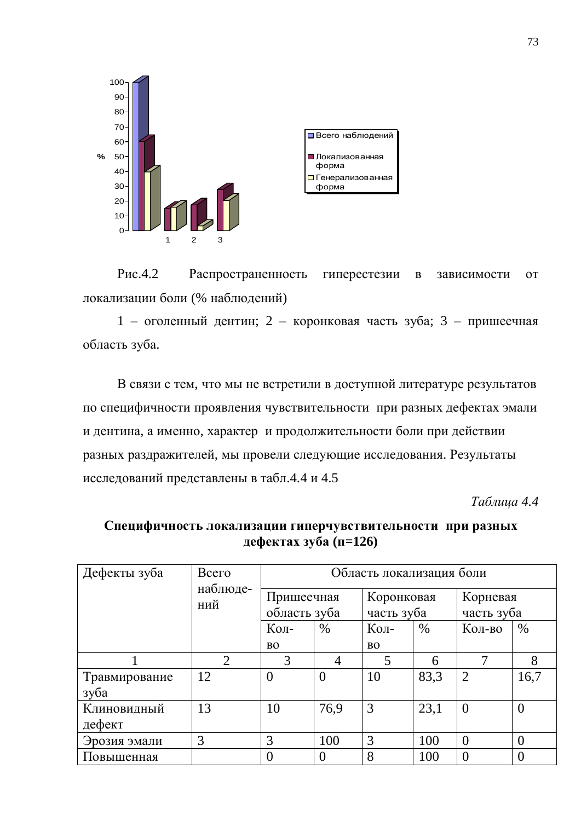

Рис.4.2 Распространенность гиперестезии в зависимости от локализации боли (% наблюдений)

 $1$  – оголенный дентин; 2 – коронковая часть зуба; 3 – пришеечная область зуба.

В связи с тем, что мы не встретили в доступной литературе результатов по специфичности проявления чувствительности при разных дефектах эмали и дентина, а именно, характер и продолжительности боли при действии разных раздражителей, мы провели следующие исследования. Результаты исследований представлены в табл.4.4 и 4.5

*Ɍɚɛɥɢɰɚ 4.4*

| Дефекты зуба  | Всего           | Область локализация боли   |                |                          |      |                        |          |
|---------------|-----------------|----------------------------|----------------|--------------------------|------|------------------------|----------|
|               | наблюде-<br>ний | Пришеечная<br>область зуба |                | Коронковая<br>часть зуба |      | Корневая<br>часть зуба |          |
|               |                 | Кол-                       | $\%$           | Кол-                     | $\%$ | Кол-во                 | $\%$     |
|               |                 | <b>BO</b>                  |                | B <sub>O</sub>           |      |                        |          |
|               | $\overline{2}$  | 3                          | 4              | 5                        | 6    | 7                      | 8        |
| Травмирование | 12              | $\overline{0}$             | $\overline{0}$ | 10                       | 83,3 | 2                      | 16,7     |
| зуба          |                 |                            |                |                          |      |                        |          |
| Клиновидный   | 13              | 10                         | 76,9           | 3                        | 23,1 | $\overline{0}$         | $\theta$ |
| дефект        |                 |                            |                |                          |      |                        |          |
| Эрозия эмали  | 3               | 3                          | 100            | 3                        | 100  | $\theta$               | $\theta$ |
| Повышенная    |                 | $\theta$                   | $\theta$       | 8                        | 100  | $\theta$               | $\theta$ |

## Специфичность локализации гиперчувствительности при разных **дефектах зуба (п=126)**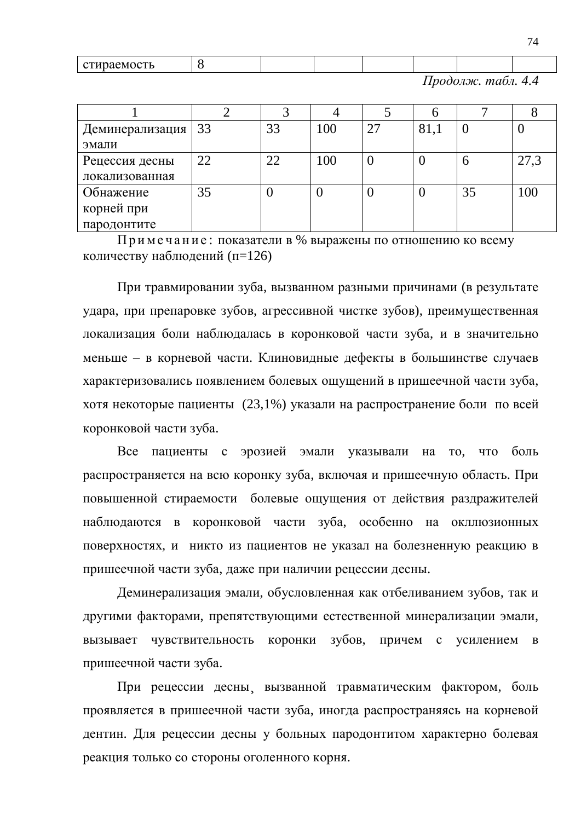|  | $\cdots$<br>$\alpha$ T<br>алтаемс<br><b>CITIDACNIOCID</b> |  |  |  |  |  |  |  |
|--|-----------------------------------------------------------|--|--|--|--|--|--|--|
|--|-----------------------------------------------------------|--|--|--|--|--|--|--|

 $\overline{II}$ *poдолж. maбл. 4.4* 

74

| Деминерализация   33 |    | 33 | 100 | 27 | 81,1 |    | U    |
|----------------------|----|----|-----|----|------|----|------|
| эмали                |    |    |     |    |      |    |      |
| Рецессия десны       | 22 | 22 | 100 |    |      | O  | 27,3 |
| локализованная       |    |    |     |    |      |    |      |
| Обнажение            | 35 |    |     |    |      | 35 | 100  |
| корней при           |    |    |     |    |      |    |      |
| пародонтите          |    |    |     |    |      |    |      |

Примечание: показатели в % выражены по отношению ко всему количеству наблюдений (п=126)

При травмировании зуба, вызванном разными причинами (в результате удара, при препаровке зубов, агрессивной чистке зубов), преимущественная локализация боли наблюдалась в коронковой части зуба, и в значительно меньше – в корневой части. Клиновидные дефекты в большинстве случаев характеризовались появлением болевых ощущений в пришеечной части зуба, хотя некоторые пациенты (23,1%) указали на распространение боли по всей коронковой части зуба.

Все пациенты с эрозией эмали указывали на то, что боль распространяется на всю коронку зуба, включая и пришеечную область. При повышенной стираемости болевые ощущения от действия раздражителей наблюдаются в коронковой части зуба, особенно на окллюзионных поверхностях, и никто из пациентов не указал на болезненную реакцию в пришеечной части зуба, даже при наличии рецессии десны.

Деминерализация эмали, обусловленная как отбеливанием зубов, так и другими факторами, препятствующими естественной минерализации эмали, вызывает чувствительность коронки зубов, причем с усилением в пришеечной части зуба.

При рецессии десны вызванной травматическим фактором, боль проявляется в пришеечной части зуба, иногда распространяясь на корневой дентин. Для рецессии десны у больных пародонтитом характерно болевая реакция только со стороны оголенного корня.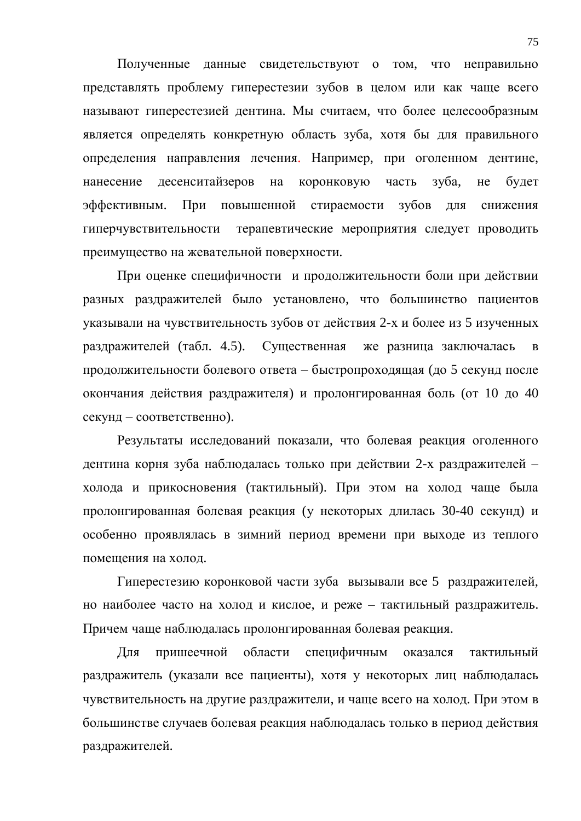Полученные данные свидетельствуют о том, что неправильно представлять проблему гиперестезии зубов в целом или как чаще всего называют гиперестезией дентина. Мы считаем, что более целесообразным является определять конкретную область зуба, хотя бы для правильного определения направления лечения. Например, при оголенном дентине, нанесение десенситайзеров на коронковую часть зуба, не будет эффективным. При повышенной стираемости зубов для снижения гиперчувствительности терапевтические мероприятия следует проводить преимущество на жевательной поверхности.

При оценке специфичности и продолжительности боли при действии разных раздражителей было установлено, что большинство пациентов указывали на чувствительность зубов от действия 2-х и более из 5 изученных раздражителей (табл. 4.5). Существенная же разница заключалась в продолжительности болевого ответа – быстропроходящая (до 5 секунд после окончания действия раздражителя) и пролонгированная боль (от 10 до 40 секунд – соответственно).

Результаты исследований показали, что болевая реакция оголенного дентина корня зуба наблюдалась только при действии 2-х раздражителей холода и прикосновения (тактильный). При этом на холод чаще была пролонгированная болевая реакция (у некоторых длилась 30-40 секунд) и особенно проявлялась в зимний период времени при выходе из теплого помещения на холод.

Гиперестезию коронковой части зуба вызывали все 5 раздражителей, но наиболее часто на холод и кислое, и реже – тактильный раздражитель. Причем чаще наблюдалась пролонгированная болевая реакция.

Для пришеечной области специфичным оказался тактильный раздражитель (указали все пациенты), хотя у некоторых лиц наблюдалась чувствительность на другие раздражители, и чаще всего на холод. При этом в большинстве случаев болевая реакция наблюдалась только в период действия раздражителей.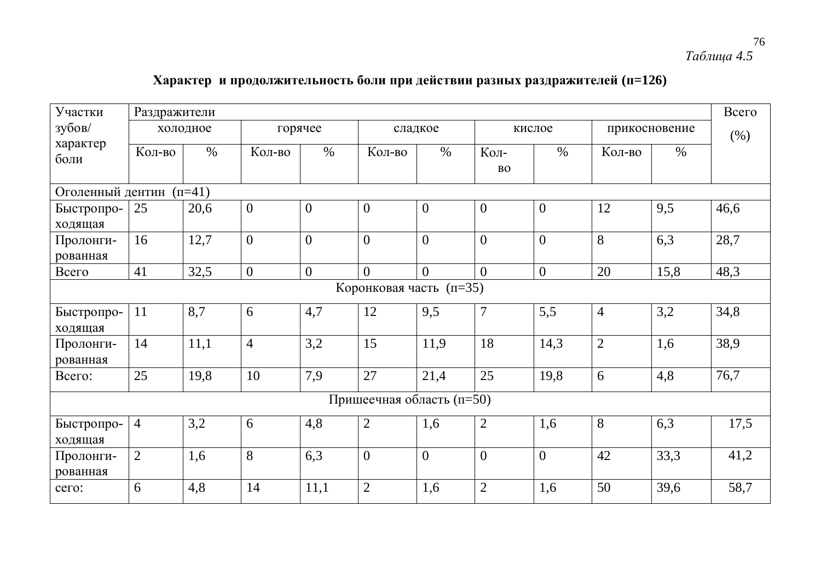## 76 *Ɍɚɛɥɢɰɚ 4.5*

# Характер и продолжительность боли при действии разных раздражителей (п=126)

| Участки                   | Раздражители   |          |                  |                |                |                |                   |                |                |               | Всего |
|---------------------------|----------------|----------|------------------|----------------|----------------|----------------|-------------------|----------------|----------------|---------------|-------|
| зубов/                    |                | холодное |                  | горячее        |                | сладкое        |                   | кислое         |                | прикосновение | (%)   |
| характер<br>боли          | Кол-во         | $\%$     | Кол-во           | $\%$           | Кол-во         | $\%$           | Кол-<br><b>BO</b> | $\%$           | Кол-во         | $\%$          |       |
| Оголенный дентин (п=41)   |                |          |                  |                |                |                |                   |                |                |               |       |
| Быстропро-<br>ходящая     | 25             | 20,6     | $\overline{0}$   | $\overline{0}$ | $\overline{0}$ | $\overline{0}$ | $\overline{0}$    | $\mathbf{0}$   | 12             | 9,5           | 46,6  |
| Пролонги-<br>рованная     | 16             | 12,7     | $\overline{0}$   | $\overline{0}$ | $\overline{0}$ | $\overline{0}$ | $\overline{0}$    | $\overline{0}$ | 8              | 6,3           | 28,7  |
| Всего                     | 41             | 32,5     | $\boldsymbol{0}$ | $\overline{0}$ | $\Omega$       | $\theta$       | $\Omega$          | $\overline{0}$ | 20             | 15,8          | 48,3  |
| Коронковая часть (п=35)   |                |          |                  |                |                |                |                   |                |                |               |       |
| Быстропро-<br>ходящая     | 11             | 8,7      | 6                | 4,7            | 12             | 9,5            | $\overline{7}$    | 5,5            | $\overline{4}$ | 3,2           | 34,8  |
| Пролонги-<br>рованная     | 14             | 11,1     | $\overline{4}$   | 3,2            | 15             | 11,9           | 18                | 14,3           | $\overline{2}$ | 1,6           | 38,9  |
| Bcero:                    | 25             | 19,8     | 10               | 7,9            | 27             | 21,4           | 25                | 19,8           | 6              | 4,8           | 76,7  |
| Пришеечная область (п=50) |                |          |                  |                |                |                |                   |                |                |               |       |
| Быстропро-<br>ходящая     | $\overline{4}$ | 3,2      | 6                | 4,8            | $\overline{2}$ | 1,6            | $\mathfrak{2}$    | 1,6            | 8              | 6,3           | 17,5  |
| Пролонги-<br>рованная     | $\overline{2}$ | 1,6      | 8                | 6,3            | $\mathbf{0}$   | $\overline{0}$ | $\overline{0}$    | $\overline{0}$ | 42             | 33,3          | 41,2  |
| сего:                     | 6              | 4,8      | 14               | 11,1           | $\overline{2}$ | 1,6            | $\overline{2}$    | 1,6            | 50             | 39,6          | 58,7  |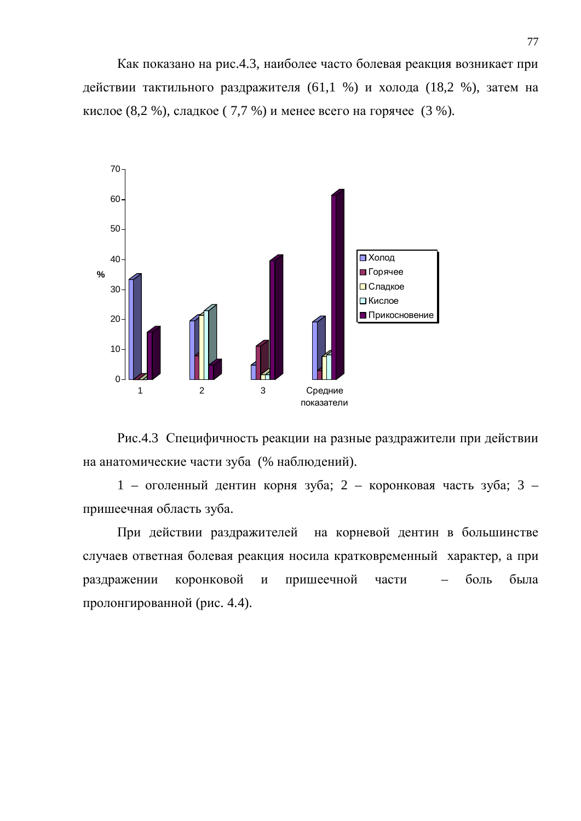Как показано на рис.4.3, наиболее часто болевая реакция возникает при действии тактильного раздражителя (61,1 %) и холода (18,2 %), затем на кислое  $(8,2, \%)$ , сладкое  $(7,7, \%)$  и менее всего на горячее  $(3, \%)$ .





 $1$  – оголенный дентин корня зуба; 2 – коронковая часть зуба; 3 – пришеечная область зуба.

При действии раздражителей на корневой дентин в большинстве случаев ответная болевая реакция носила кратковременный характер, а при раздражении коронковой и пришеечной части – боль была пролонгированной (рис. 4.4).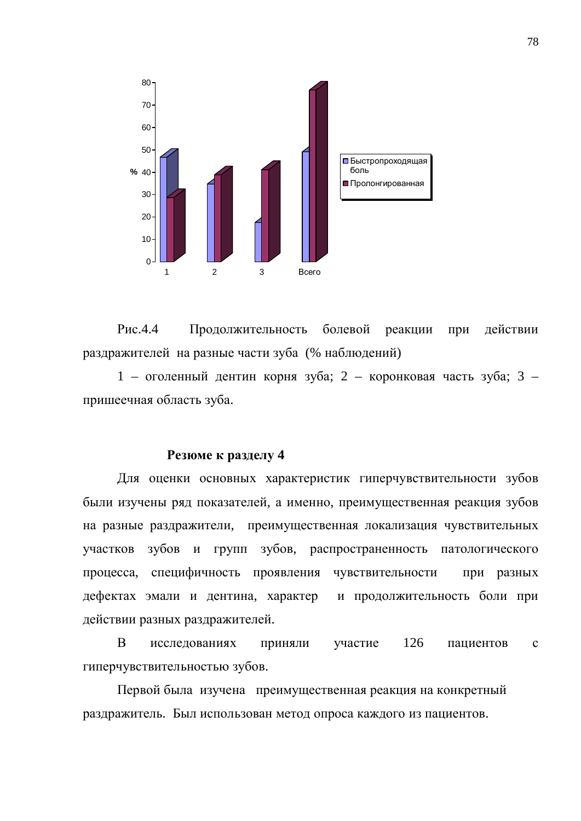

Рис.4.4 Продолжительность болевой реакции при действии раздражителей на разные части зуба (% наблюдений)

 $1$  – оголенный дентин корня зуба; 2 – коронковая часть зуба; 3 – пришеечная область зуба.

### **Резюме к разделу 4**

Для оценки основных характеристик гиперчувствительности зубов были изучены ряд показателей, а именно, преимущественная реакция зубов на разные раздражители, преимущественная локализация чувствительных участков зубов и групп зубов, распространенность патологического процесса, специфичность проявления чувствительности при разных дефектах эмали и дентина, характер и продолжительность боли при действии разных раздражителей.

В исследованиях приняли участие 126 пациентов с гиперчувствительностью зубов.

Первой была изучена преимущественная реакция на конкретный раздражитель. Был использован метод опроса каждого из пациентов.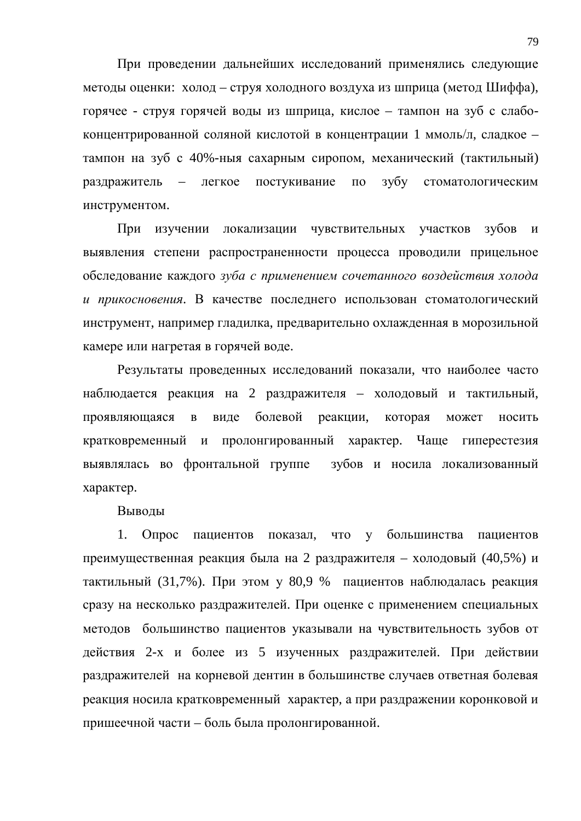При проведении дальнейших исследований применялись следующие методы оценки: холод – струя холодного воздуха из шприца (метод Шиффа), горячее - струя горячей воды из шприца, кислое – тампон на зуб с слабоконцентрированной соляной кислотой в концентрации 1 ммоль/л, сладкое – тампон на зуб с 40%-ныя сахарным сиропом, механический (тактильный) раздражитель – легкое постукивание по зубу стоматологическим инструментом.

При изучении локализации чувствительных участков зубов и выявления степени распространенности процесса проводили прицельное обследование каждого *зуба с применением сочетанного воздействия холода* и прикосновения. В качестве последнего использован стоматологический инструмент, например гладилка, предварительно охлажденная в морозильной камере или нагретая в горячей воде.

Результаты проведенных исследований показали, что наиболее часто наблюдается реакция на 2 раздражителя – холодовый и тактильный, проявляющаяся в виде болевой реакции, которая может носить кратковременный и пролонгированный характер. Чаще гиперестезия выявлялась во фронтальной группе зубов и носила локализованный характер.

Выводы

1. Опрос пациентов показал, что у большинства пациентов преимущественная реакция была на 2 раздражителя – холодовый  $(40,5\%)$  и тактильный (31,7%). При этом у 80,9 % пациентов наблюдалась реакция сразу на несколько раздражителей. При оценке с применением специальных методов большинство пациентов указывали на чувствительность зубов от действия 2-х и более из 5 изученных раздражителей. При действии раздражителей на корневой дентин в большинстве случаев ответная болевая реакция носила кратковременный характер, а при раздражении коронковой и пришеечной части – боль была пролонгированной.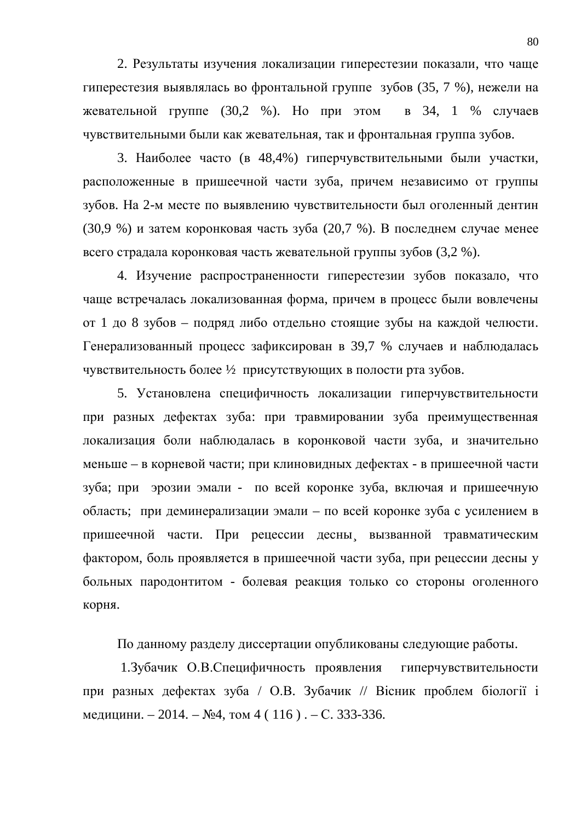2. Результаты изучения локализации гиперестезии показали, что чаще гиперестезия выявлялась во фронтальной группе зубов (35, 7 %), нежели на жевательной группе (30,2 %). Но при этом в 34, 1 % случаев чувствительными были как жевательная, так и фронтальная группа зубов.

3. Наиболее часто (в 48,4%) гиперчувствительными были участки, расположенные в пришеечной части зуба, причем независимо от группы зубов. На 2-м месте по выявлению чувствительности был оголенный дентин (30,9 %) и затем коронковая часть зуба (20,7 %). В последнем случае менее всего страдала коронковая часть жевательной группы зубов (3,2 %).

4. Изучение распространенности гиперестезии зубов показало, что чаще встречалась локализованная форма, причем в процесс были вовлечены от 1 до 8 зубов – подряд либо отдельно стоящие зубы на каждой челюсти. Генерализованный процесс зафиксирован в 39,7 % случаев и наблюдалась чувствительность более 1/2 присутствующих в полости рта зубов.

5. Установлена специфичность локализации гиперчувствительности при разных дефектах зуба: при травмировании зуба преимущественная локализация боли наблюдалась в коронковой части зуба, и значительно меньше – в корневой части; при клиновидных дефектах - в пришеечной части зуба; при эрозии эмали - по всей коронке зуба, включая и пришеечную область; при деминерализации эмали – по всей коронке зуба с усилением в пришеечной части. При рецессии десны вызванной травматическим фактором, боль проявляется в пришеечной части зуба, при рецессии десны у больных пародонтитом - болевая реакция только со стороны оголенного корня.

По данному разделу диссертации опубликованы следующие работы.

1.3 убачик О.В.Специфичность проявления гиперчувствительности при разных дефектах зуба / О.В. Зубачик // Вісник проблем біології і медицини. – 2014. – №4, том 4 (116). – С. 333-336.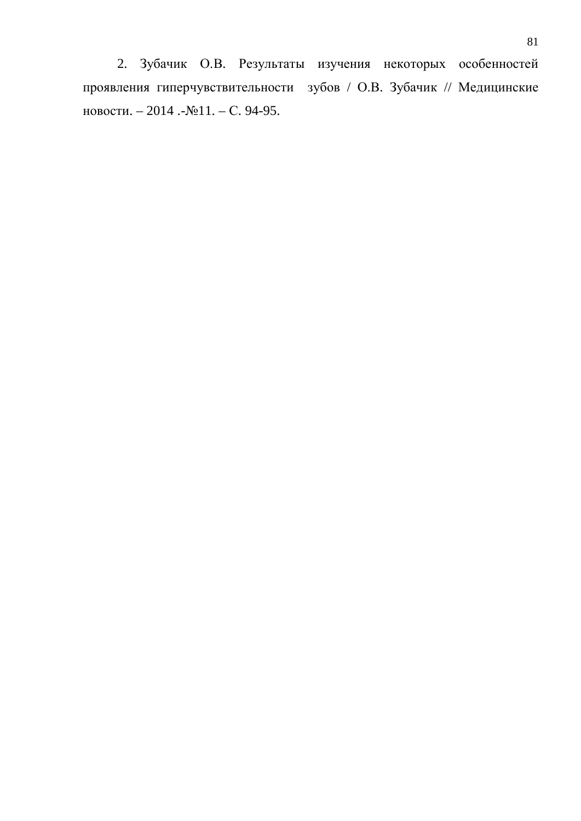2. Зубачик О.В. Результаты изучения некоторых особенностей проявления гиперчувствительности зубов / О.В. Зубачик // Медицинские новости. – 2014 .-№11. – С. 94-95.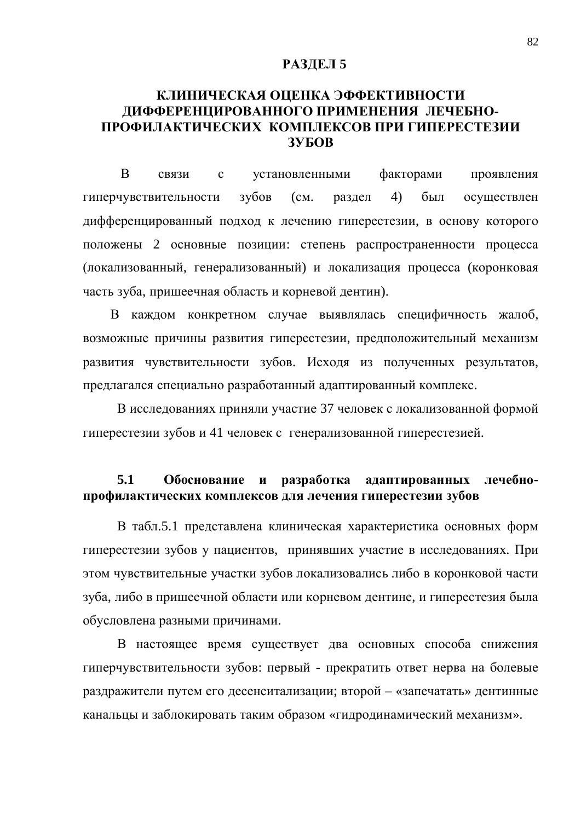### **РАЗДЕЛ 5**

## КЛИНИЧЕСКАЯ ОЦЕНКА ЭФФЕКТИВНОСТИ ДИФФЕРЕНЦИРОВАННОГО ПРИМЕНЕНИЯ ЛЕЧЕБНО**ɉɊɈɎɂɅȺɄɌɂɑȿɋɄɂɏ ɄɈɆɉɅȿɄɋɈȼɉɊɂȽɂɉȿɊȿɋɌȿɁɂɂ 3VEOB**

В связи с установленными факторами проявления гиперчувствительности зубов (см. раздел 4) был осуществлен дифференцированный подход к лечению гиперестезии, в основу которого положены 2 основные позиции: степень распространенности процесса (локализованный, генерализованный) и локализация процесса (коронковая часть зуба, пришеечная область и корневой дентин).

В каждом конкретном случае выявлялась специфичность жалоб, возможные причины развития гиперестезии, предположительный механизм развития чувствительности зубов. Исходя из полученных результатов, предлагался специально разработанный адаптированный комплекс.

В исследованиях приняли участие 37 человек с локализованной формой гиперестезии зубов и 41 человек с генерализованной гиперестезией.

## 5.1 Обоснование и разработка адаптированных лечебнопрофилактических комплексов для лечения гиперестезии зубов

В табл.5.1 представлена клиническая характеристика основных форм гиперестезии зубов у пациентов, принявших участие в исследованиях. При этом чувствительные участки зубов локализовались либо в коронковой части зуба, либо в пришеечной области или корневом дентине, и гиперестезия была обусловлена разными причинами.

В настоящее время существует два основных способа снижения гиперчувствительности зубов: первый - прекратить ответ нерва на болевые раздражители путем его десенситализации; второй – «запечатать» дентинные канальцы и заблокировать таким образом «гидродинамический механизм».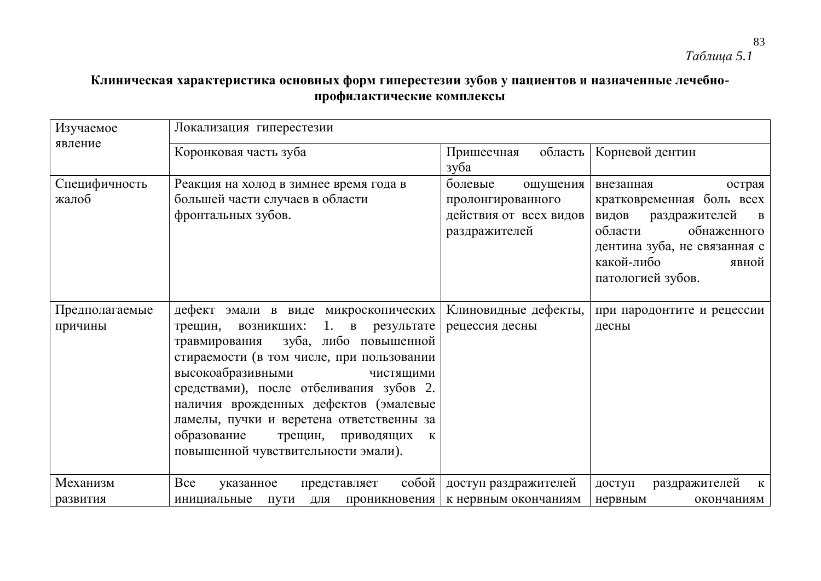# Клиническая характеристика основных форм гиперестезии зубов у пациентов и назначенные лечебнопрофилактические комплексы

| Изучаемое                 | Локализация гиперестезии                                                                                                                                                                                                                                                                                                                                                                                           |                                                                                     |                                                                                                                                                                                                  |
|---------------------------|--------------------------------------------------------------------------------------------------------------------------------------------------------------------------------------------------------------------------------------------------------------------------------------------------------------------------------------------------------------------------------------------------------------------|-------------------------------------------------------------------------------------|--------------------------------------------------------------------------------------------------------------------------------------------------------------------------------------------------|
| явление                   | Коронковая часть зуба                                                                                                                                                                                                                                                                                                                                                                                              | область<br>Пришеечная<br>зуба                                                       | Корневой дентин                                                                                                                                                                                  |
| Специфичность<br>жалоб    | Реакция на холод в зимнее время года в<br>большей части случаев в области<br>фронтальных зубов.                                                                                                                                                                                                                                                                                                                    | болевые<br>ощущения<br>пролонгированного<br>действия от всех видов<br>раздражителей | острая<br>внезапная<br>кратковременная боль всех<br>раздражителей<br>видов<br>$\mathbf{B}$<br>области<br>обнаженного<br>дентина зуба, не связанная с<br>какой-либо<br>явной<br>патологией зубов. |
| Предполагаемые<br>причины | дефект эмали в виде микроскопических<br>1. в результате<br>трещин, возникших:<br>зуба, либо повышенной<br>травмирования<br>стираемости (в том числе, при пользовании<br>высокоабразивными<br>чистящими<br>средствами), после отбеливания зубов 2.<br>наличия врожденных дефектов (эмалевые<br>ламелы, пучки и веретена ответственны за<br>образование<br>трещин, приводящих<br>повышенной чувствительности эмали). | Клиновидные дефекты,<br>рецессия десны                                              | при пародонтите и рецессии<br>десны                                                                                                                                                              |
| Механизм<br>развития      | Bce<br>собой<br>указанное<br>представляет<br>инициальные пути для проникновения                                                                                                                                                                                                                                                                                                                                    | доступ раздражителей<br>к нервным окончаниям                                        | раздражителей<br>доступ<br>$\mathbf{K}$<br>нервным<br>окончаниям                                                                                                                                 |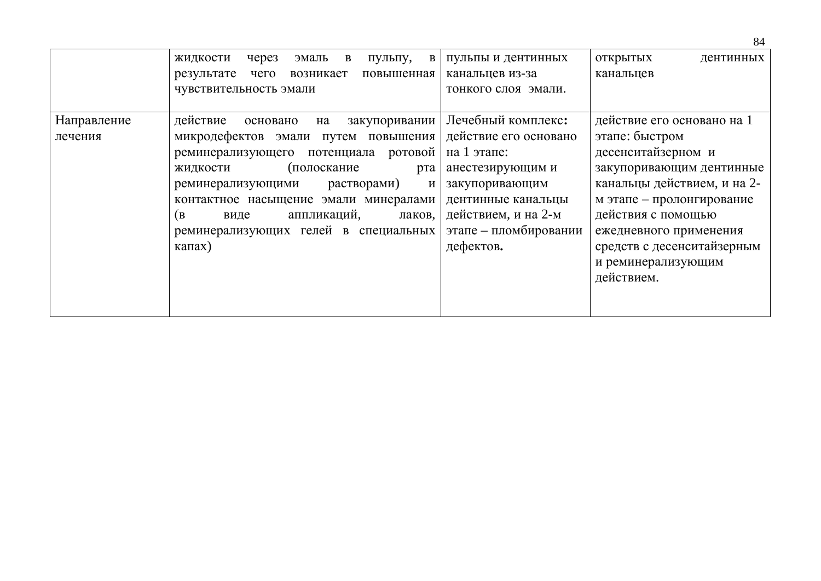|             |                                                               |                       | 84                          |
|-------------|---------------------------------------------------------------|-----------------------|-----------------------------|
|             | жидкости<br>пульпу,<br>через<br>эмаль<br>B<br>B               | пульпы и дентинных    | открытых<br>дентинных       |
|             | результате<br>чего<br>возникает<br>повышенная                 | канальцев из-за       | канальцев                   |
|             | чувствительность эмали                                        | тонкого слоя эмали.   |                             |
|             |                                                               |                       |                             |
| Направление | действие<br>закупоривании<br>основано<br>на                   | Лечебный комплекс:    | действие его основано на 1  |
| лечения     | микродефектов эмали путем повышения                           | действие его основано | этапе: быстром              |
|             | ротовой<br>потенциала<br>реминерализующего                    | на 1 этапе:           | десенситайзерном и          |
|             | (полоскание<br>жидкости<br>рта                                | анестезирующим и      | закупоривающим дентинные    |
|             | растворами)<br>реминерализующими<br>$\boldsymbol{\mathit{M}}$ | закупоривающим        | канальцы действием, и на 2- |
|             | контактное насыщение эмали минералами                         | дентинные канальцы    | м этапе - пролонгирование   |
|             | аппликаций,<br>(B<br>лаков,<br>виде                           | действием, и на 2-м   | действия с помощью          |
|             | реминерализующих гелей в специальных                          | этапе - пломбировании | ежедневного применения      |
|             | $\kappa$ апах)                                                | дефектов.             | средств с десенситайзерным  |
|             |                                                               |                       | и реминерализующим          |
|             |                                                               |                       | действием.                  |
|             |                                                               |                       |                             |
|             |                                                               |                       |                             |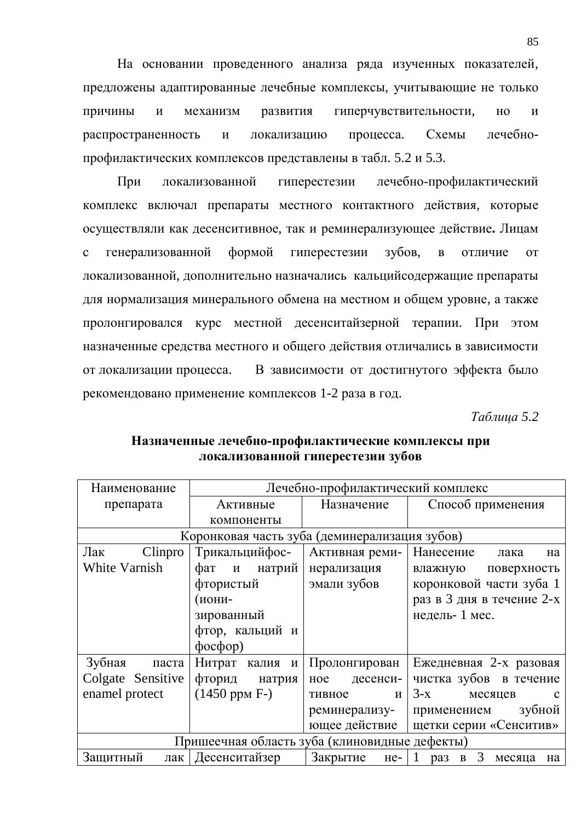На основании проведенного анализа ряда изученных показателей, предложены адаптированные лечебные комплексы, учитывающие не только причины и механизм развития гиперчувствительности, но и распространенность и локализацию процесса. Схемы лечебнопрофилактических комплексов представлены в табл. 5.2 и 5.3.

При локализованной гиперестезии лечебно-профилактический комплекс включал препараты местного контактного действия, которые осуществляли как десенситивное, так и реминерализующее действие. Лицам с генерализованной формой гиперестезии зубов, в отличие от локализованной, дополнительно назначались кальцийсодержащие препараты для нормализация минерального обмена на местном и общем уровне, а также пролонгировался курс местной десенситайзерной терапии. При этом назначенные средства местного и общего действия отличались в зависимости от локализации процесса. В зависимости от достигнутого эффекта было рекомендовано применение комплексов 1-2 раза в год.

*Tаблица* 5.2

| Наименование                           | Лечебно-профилактический комплекс             |                 |                                                  |  |  |  |
|----------------------------------------|-----------------------------------------------|-----------------|--------------------------------------------------|--|--|--|
| препарата                              | Активные                                      | Назначение      | Способ применения                                |  |  |  |
|                                        | компоненты                                    |                 |                                                  |  |  |  |
|                                        | Коронковая часть зуба (деминерализация зубов) |                 |                                                  |  |  |  |
| Лак<br>Clinpro                         | Трикальцийфос-                                | Активная реми-  | Нанесение<br>лака<br>Ha                          |  |  |  |
| White Varnish                          | фат<br>и натрий                               | нерализация     | влажную<br>поверхность                           |  |  |  |
|                                        | фтористый                                     | эмали зубов     | коронковой части зуба 1                          |  |  |  |
|                                        | (иони-                                        |                 | раз в 3 дня в течение 2-х                        |  |  |  |
|                                        | зированный                                    |                 | недель-1 мес.                                    |  |  |  |
|                                        | фтор, кальций и                               |                 |                                                  |  |  |  |
|                                        | $\phi$ oc $\phi$ op)                          |                 |                                                  |  |  |  |
| Зубная<br>паста                        | Нитрат калия и                                | Пролонгирован   | Ежедневная 2-х разовая                           |  |  |  |
| Colgate Sensitive                      | фторид<br>натрия                              | десенси-<br>ное | чистка зубов в течение                           |  |  |  |
| enamel protect                         | $(1450$ ppm F- $)$                            | тивное<br>И     | $3-x$<br>месяцев<br>$\mathbf{C}$                 |  |  |  |
|                                        |                                               | реминерализу-   | зубной<br>применением                            |  |  |  |
| ющее действие   щетки серии «Сенситив» |                                               |                 |                                                  |  |  |  |
|                                        | Пришеечная область зуба (клиновидные дефекты) |                 |                                                  |  |  |  |
| Защитный                               | лак   Десенситайзер                           | Закрытие        | $\mathfrak{Z}$<br>$He - 1$ pas B<br>месяца<br>на |  |  |  |

## Назначенные лечебно-профилактические комплексы при локализованной гиперестезии зубов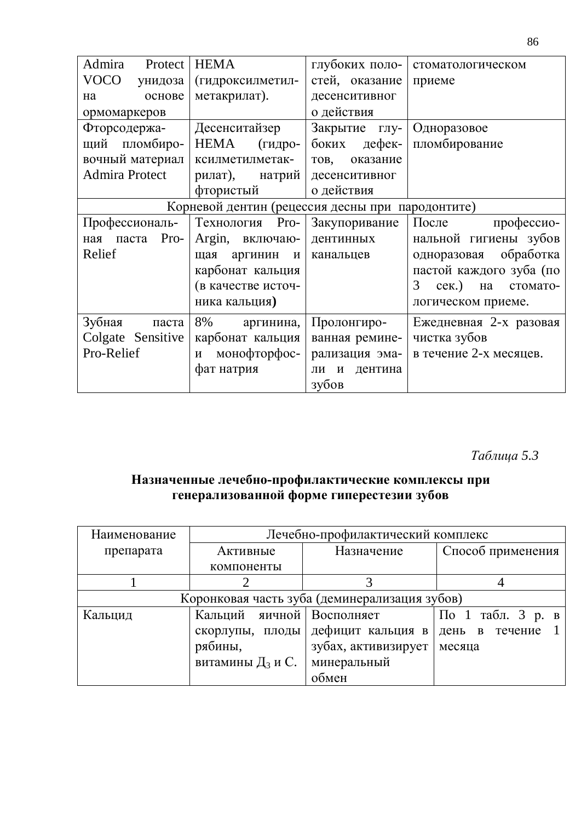| Admira<br>Protect                                | <b>HEMA</b>                    | глубоких поло-     | стоматологическом            |  |
|--------------------------------------------------|--------------------------------|--------------------|------------------------------|--|
| <b>VOCO</b><br>унидоза                           | (гидроксилметил-               | стей, оказание     | приеме                       |  |
| основе<br>на                                     | метакрилат).                   | десенситивног      |                              |  |
| ормомаркеров                                     |                                | о действия         |                              |  |
| Фторсодержа-                                     | Десенситайзер                  | Закрытие глу-      | Одноразовое                  |  |
| щий пломбиро-                                    | HEMA<br>(гидро-                | дефек-<br>боких    | пломбирование                |  |
| вочный материал                                  | ксилметилметак-                | оказание<br>TOB,   |                              |  |
| <b>Admira Protect</b>                            | рилат),<br>натрий              | десенситивног      |                              |  |
|                                                  | фтористый                      | о действия         |                              |  |
| Корневой дентин (рецессия десны при пародонтите) |                                |                    |                              |  |
| Профессиональ-                                   | Технология<br>Pro-             | Закупоривание      | После<br>профессио-          |  |
| Pro-<br>паста<br>ная                             | Argin, включаю-                | дентинных          | нальной гигиены зубов        |  |
| Relief                                           | аргинин<br>$\mathbf{M}$<br>щая | канальцев          | обработка<br>одноразовая     |  |
|                                                  | карбонат кальция               |                    | пастой каждого зуба (по      |  |
|                                                  | (в качестве источ-             |                    | cex.)<br>3<br>стомато-<br>на |  |
|                                                  | ника кальция)                  |                    | логическом приеме.           |  |
| Зубная<br>паста                                  | 8%<br>аргинина,                | Пролонгиро-        | Ежедневная 2-х разовая       |  |
| Colgate Sensitive                                | карбонат кальция               | ванная ремине-     | чистка зубов                 |  |
| Pro-Relief                                       | монофторфос-<br>И              | рализация эма-     | в течение 2-х месяцев.       |  |
|                                                  | фат натрия                     | дентина<br>И<br>ЛИ |                              |  |
|                                                  |                                | зубов              |                              |  |

# *Ɍɚɛɥɢɰɚ 5.3*

## Назначенные лечебно-профилактические комплексы при генерализованной форме гиперестезии зубов

| Наименование | Лечебно-профилактический комплекс |                                               |                   |  |  |
|--------------|-----------------------------------|-----------------------------------------------|-------------------|--|--|
| препарата    | Активные                          | Назначение                                    | Способ применения |  |  |
|              | компоненты                        |                                               |                   |  |  |
|              |                                   |                                               |                   |  |  |
|              |                                   | Коронковая часть зуба (деминерализация зубов) |                   |  |  |
| Кальцид      | Кальций яичной   Восполняет       |                                               | По 1 табл. 3 р. в |  |  |
|              | скорлупы, плоды                   | дефицит кальция в                             | день в течение    |  |  |
|              | рябины,                           | зубах, активизирует                           | месяца            |  |  |
|              | витамины $\mathcal{I}_3$ и С.     | минеральный                                   |                   |  |  |
|              |                                   | обмен                                         |                   |  |  |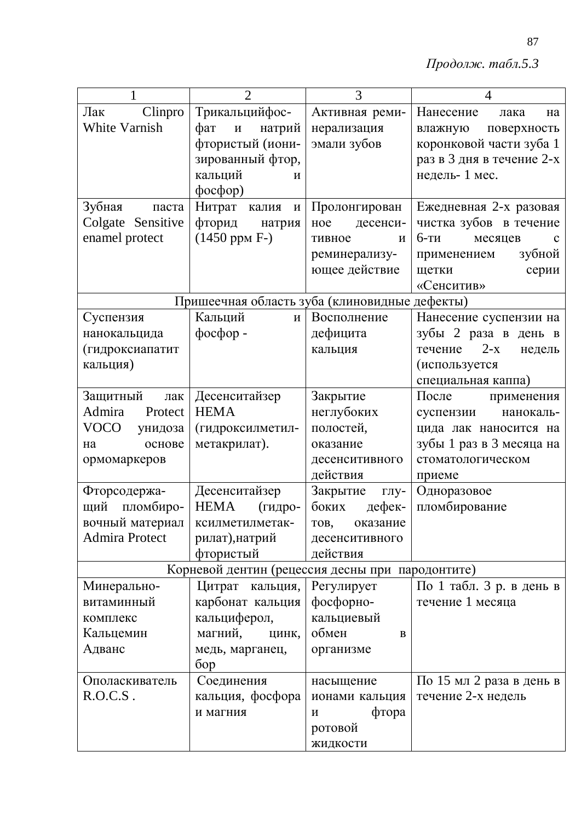$II$ родолж. табл.5.3

|                       | $\overline{2}$                                   | 3                | $\overline{4}$                   |
|-----------------------|--------------------------------------------------|------------------|----------------------------------|
| Clinpro<br>Лак        | Трикальцийфос-                                   | Активная реми-   | Нанесение<br>лака<br>Ha          |
| White Varnish         | фат<br>натрий<br>$\,$ M                          | нерализация      | поверхность<br>влажную           |
|                       | фтористый (иони-                                 | эмали зубов      | коронковой части зуба 1          |
|                       | зированный фтор,                                 |                  | раз в 3 дня в течение 2-х        |
|                       | кальций<br>$\boldsymbol{\mathsf{M}}$             |                  | недель-1 мес.                    |
|                       | $\phi$ oc $\phi$ op)                             |                  |                                  |
| Зубная<br>паста       | Нитрат калия<br>И                                | Пролонгирован    | Ежедневная 2-х разовая           |
| Colgate Sensitive     | фторид натрия                                    | десенси-<br>ное  | чистка зубов в течение           |
| enamel protect        | $(1450$ ppm $F-$ )                               | тивное<br>И      | $6-TH$<br>месяцев<br>$\mathbf c$ |
|                       |                                                  | реминерализу-    | зубной<br>применением            |
|                       |                                                  | ющее действие    | щетки<br>серии                   |
|                       |                                                  |                  | «Сенситив»                       |
|                       | Пришеечная область зуба (клиновидные дефекты)    |                  |                                  |
| Суспензия             | Кальций<br>$\mathbf{M}$                          | Восполнение      | Нанесение суспензии на           |
| нанокальцида          | фосфор -                                         | дефицита         | зубы 2 раза в день в             |
| (гидроксиапатит       |                                                  | кальция          | $2-x$<br>течение<br>недель       |
| кальция)              |                                                  |                  | (используется                    |
|                       |                                                  |                  | специальная каппа)               |
| Защитный<br>лак       | Десенситайзер                                    | Закрытие         | После применения                 |
| Admira<br>Protect     | <b>HEMA</b>                                      | неглубоких       | суспензии<br>нанокаль-           |
| VOCO<br>унидоза       | (гидроксилметил-                                 | полостей,        | цида лак наносится на            |
| основе<br>на          | метакрилат).                                     | оказание         | зубы 1 раз в 3 месяца на         |
| ормомаркеров          |                                                  | десенситивного   | стоматологическом                |
|                       |                                                  | действия         | приеме                           |
| Фторсодержа-          | Десенситайзер                                    | Закрытие<br>глу- | Одноразовое                      |
| щий пломбиро-         | HEMA<br>(гидро-                                  | боких<br>дефек-  | пломбирование                    |
| вочный материал       | ксилметилметак-                                  | TOB,<br>оказание |                                  |
| <b>Admira Protect</b> | рилат), натрий                                   | десенситивного   |                                  |
|                       | фтористый                                        | действия         |                                  |
|                       | Корневой дентин (рецессия десны при пародонтите) |                  |                                  |
| Минерально-           | Цитрат кальция,                                  | Регулирует       | По 1 табл. 3 р. в день в         |
| витаминный            | карбонат кальция                                 | фосфорно-        | течение 1 месяца                 |
| комплекс              | кальциферол,                                     | кальциевый       |                                  |
| Кальцемин             | магний,<br>цинк,                                 | обмен<br>B       |                                  |
| Адванс                | медь, марганец,<br>6op                           | организме        |                                  |
| Ополаскиватель        | Соединения                                       | насыщение        | По 15 мл 2 раза в день в         |
| R.O.C.S.              | кальция, фосфора                                 | ионами кальция   | течение 2-х недель               |
|                       | и магния                                         | фтора<br>И       |                                  |
|                       |                                                  | ротовой          |                                  |
|                       |                                                  | жидкости         |                                  |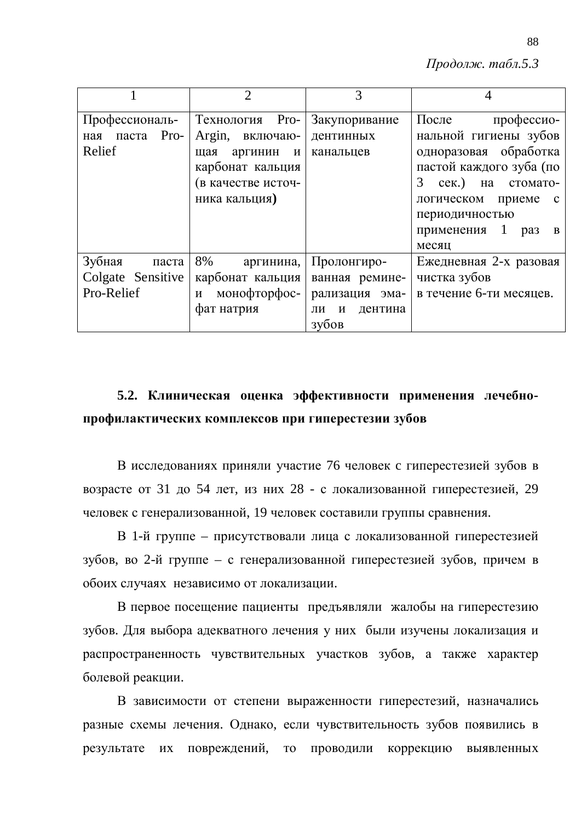$II$ родолж. табл.5.3

|                                                    | $\overline{2}$                                                                                                                     |                                                                             |                                                                                                                                                                                                                                            |
|----------------------------------------------------|------------------------------------------------------------------------------------------------------------------------------------|-----------------------------------------------------------------------------|--------------------------------------------------------------------------------------------------------------------------------------------------------------------------------------------------------------------------------------------|
| Профессиональ-<br>ная паста Pro-<br>Relief         | Pro-<br>Технология<br>Argin, включаю-<br>щая<br>аргинин<br>$\mathbf{M}$<br>карбонат кальция<br>(в качестве источ-<br>ника кальция) | Закупоривание<br>дентинных<br>канальцев                                     | После<br>профессио-<br>нальной гигиены зубов<br>одноразовая обработка<br>пастой каждого зуба (по<br>3<br>$cex.$ )<br>на стомато-<br>логическом приеме<br>$\mathbf c$<br>периодичностью<br>применения<br>1<br>pa <sub>3</sub><br>B<br>месяц |
| Зубная<br>паста<br>Colgate Sensitive<br>Pro-Relief | 8%<br>аргинина,<br>карбонат кальция<br>монофторфос-<br>$\mathbf{M}$<br>фат натрия                                                  | Пролонгиро-<br>ванная ремине-<br>рализация эма-<br>дентина<br>ли и<br>зубов | Ежедневная 2-х разовая<br>чистка зубов<br>в течение 6-ти месяцев.                                                                                                                                                                          |

# 5.2. Клиническая оценка эффективности применения лечебнопрофилактических комплексов при гиперестезии зубов

В исследованиях приняли участие 76 человек с гиперестезией зубов в возрасте от 31 до 54 лет, из них 28 - с локализованной гиперестезией, 29 человек с генерализованной, 19 человек составили группы сравнения.

В 1-й группе – присутствовали лица с локализованной гиперестезией зубов, во 2-й группе – с генерализованной гиперестезией зубов, причем в обоих случаях независимо от локализации.

В первое посещение пациенты предъявляли жалобы на гиперестезию зубов. Для выбора адекватного лечения у них были изучены локализация и распространенность чувствительных участков зубов, а также характер болевой реакции.

В зависимости от степени выраженности гиперестезий, назначались разные схемы лечения. Однако, если чувствительность зубов появились в результате их повреждений, то проводили коррекцию выявленных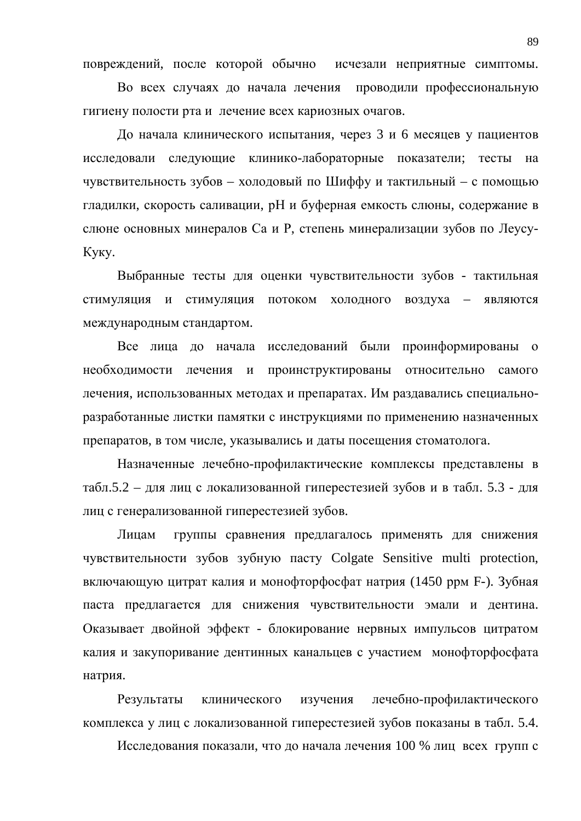повреждений, после которой обычно исчезали неприятные симптомы.

Во всех случаях до начала лечения проводили профессиональную гигиену полости рта и лечение всех кариозных очагов.

До начала клинического испытания, через 3 и 6 месяцев у пациентов исследовали следующие клинико-лабораторные показатели; тесты на чувствительность зубов – холодовый по Шиффу и тактильный – с помощью гладилки, скорость саливации, рН и буферная емкость слюны, содержание в слюне основных минералов Са и Р, степень минерализации зубов по Леусу-Куку.

Выбранные тесты для оценки чувствительности зубов - тактильная стимуляция и стимуляция потоком холодного воздуха - являются международным стандартом.

Все лица до начала исследований были проинформированы о необходимости лечения и проинструктированы относительно самого лечения, использованных методах и препаратах. Им раздавались специальноразработанные листки памятки с инструкциями по применению назначенных препаратов, в том числе, указывались и даты посещения стоматолога.

Назначенные лечебно-профилактические комплексы представлены в табл.5.2 – для лиц с локализованной гиперестезией зубов и в табл. 5.3 - для лиц с генерализованной гиперестезией зубов.

Лицам группы сравнения предлагалось применять для снижения чувствительности зубов зубную пасту Colgate Sensitive multi protection, включающую цитрат калия и монофторфосфат натрия (1450 ррм F-). Зубная паста предлагается для снижения чувствительности эмали и дентина. Оказывает двойной эффект - блокирование нервных импульсов цитратом калия и закупоривание дентинных канальцев с участием монофторфосфата натрия.

Результаты клинического изучения лечебно-профилактического комплекса у лиц с локализованной гиперестезией зубов показаны в табл. 5.4.

Исследования показали, что до начала лечения 100 % лиц всех групп с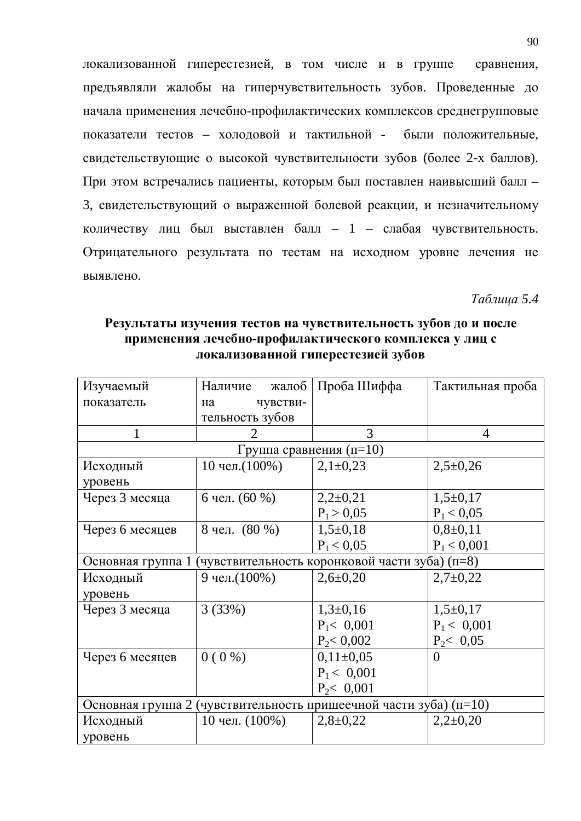локализованной гиперестезией, в том числе и в группе сравнения, предъявляли жалобы на гиперчувствительность зубов. Проведенные до начала применения лечебно-профилактических комплексов среднегрупповые показатели тестов - холодовой и тактильной - были положительные, свидетельствующие о высокой чувствительности зубов (более 2-х баллов). При этом встречались пациенты, которым был поставлен наивысший балл – 3, свидетельствующий о выраженной болевой реакции, и незначительному количеству лиц был выставлен балл – 1 – слабая чувствительность. Отрицательного результата по тестам на исходном уровне лечения не выявлено.

*Ɍɚɛɥɢɰɚ 5.4*

| Изучаемый         | Наличие<br>жалоб                                                        | Проба Шиффа                                    | Тактильная проба |
|-------------------|-------------------------------------------------------------------------|------------------------------------------------|------------------|
| показатель        | чувстви-<br>на                                                          |                                                |                  |
|                   | тельность зубов                                                         |                                                |                  |
|                   | 2                                                                       | 3                                              | 4                |
|                   | Группа сравнения $(n=10)$                                               |                                                |                  |
| Исходный          | 10 чел. $(100\%)$                                                       | $2,1\pm0,23$                                   | $2,5+0,26$       |
| уровень           |                                                                         |                                                |                  |
| Через 3 месяца    | 6 чел. (60 %)                                                           | $2,2\pm0,21$                                   | $1,5+0,17$       |
|                   |                                                                         | $P_1 > 0,05$                                   | $P_1 < 0.05$     |
| Через 6 месяцев   | 8 чел. (80 %)                                                           | $1,5+0,18$                                     | $0,8+0,11$       |
|                   |                                                                         | $P_1 < 0.05$                                   | $P_1 < 0,001$    |
| Основная группа 1 |                                                                         | (чувствительность коронковой части зуба) (п=8) |                  |
| Исходный          | 9 чел. (100%)                                                           | $2,6 \pm 0,20$                                 | $2,7+0,22$       |
| уровень           |                                                                         |                                                |                  |
| Через 3 месяца    | 3(33%)                                                                  | $1,3\pm0,16$                                   | $1,5+0,17$       |
|                   |                                                                         | $P_1 < 0,001$                                  | $P_1 < 0,001$    |
|                   |                                                                         | $P_2 < 0,002$                                  | $P_2 < 0.05$     |
| Через 6 месяцев   | $0(0\%)$                                                                | $0,11\pm0,05$                                  | $\theta$         |
|                   |                                                                         | $P_1 < 0.001$                                  |                  |
|                   |                                                                         | $P_2 < 0,001$                                  |                  |
|                   | Основная группа 2 (чувствительность пришеечной части зуба) ( $\pi$ =10) |                                                |                  |
| Исходный          | 10 чел. $(100\%)$                                                       | $2,8+0,22$                                     | $2,2\pm0,20$     |
| уровень           |                                                                         |                                                |                  |

Результаты изучения тестов на чувствительность зубов до и после применения лечебно-профилактического комплекса у лиц с локализованной гиперестезией зубов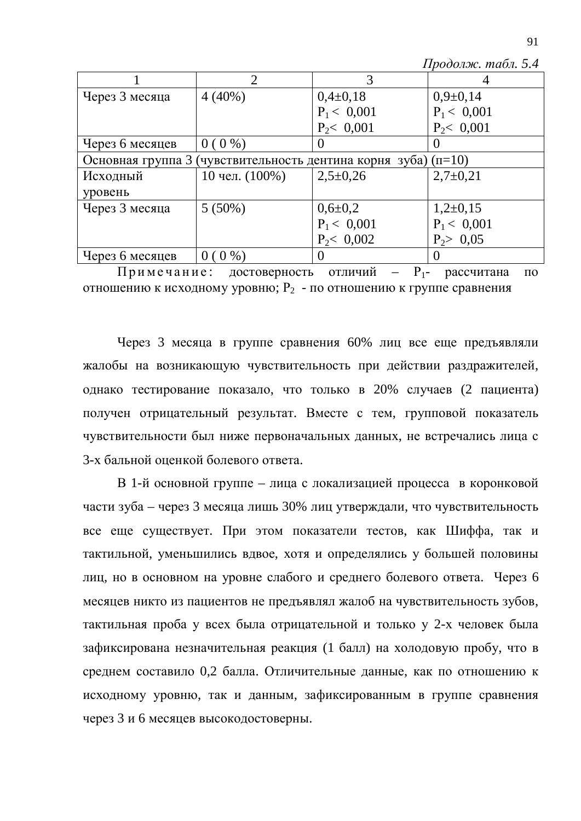$\Pi$ родолж. табл. 5.4

|                                                                      | $\overline{2}$    | 3             |               |  |
|----------------------------------------------------------------------|-------------------|---------------|---------------|--|
| Через 3 месяца                                                       | $4(40\%)$         | $0,4\pm0,18$  | $0,9+0,14$    |  |
|                                                                      |                   | $P_1 < 0,001$ | $P_1 < 0,001$ |  |
|                                                                      |                   | $P_2 < 0,001$ | $P_2 < 0,001$ |  |
| Через 6 месяцев                                                      | $0(0\%)$          | O             | $\theta$      |  |
| Основная группа 3 (чувствительность дентина корня зуба) ( $\pi$ =10) |                   |               |               |  |
| Исходный                                                             | 10 чел. $(100\%)$ | $2,5\pm0,26$  | $2,7+0,21$    |  |
| уровень                                                              |                   |               |               |  |
| Через 3 месяца                                                       | $5(50\%)$         | $0,6{\pm}0,2$ | $1,2\pm0,15$  |  |
|                                                                      |                   | $P_1 < 0,001$ | $P_1 < 0,001$ |  |
|                                                                      |                   | $P_2 < 0,002$ | $P_2 > 0.05$  |  |
| Через 6 месяцев                                                      | $0(0\%)$          | $\theta$      | $\theta$      |  |

 $\Pi$ римечание: достоверность отличий –  $P_1$ - рассчитана по отношению к исходному уровню;  $P_2$  - по отношению к группе сравнения

Через 3 месяца в группе сравнения 60% лиц все еще предъявляли жалобы на возникающую чувствительность при действии раздражителей, однако тестирование показало, что только в 20% случаев (2 пациента) получен отрицательный результат. Вместе с тем, групповой показатель чувствительности был ниже первоначальных данных, не встречались лица с 3-х бальной оценкой болевого ответа.

В 1-й основной группе – лица с локализацией процесса в коронковой части зуба – через 3 месяца лишь 30% лиц утверждали, что чувствительность все еще существует. При этом показатели тестов, как Шиффа, так и тактильной, уменьшились вдвое, хотя и определялись у большей половины лиц, но в основном на уровне слабого и среднего болевого ответа. Через 6 месяцев никто из пациентов не предъявлял жалоб на чувствительность зубов, тактильная проба у всех была отрицательной и только у 2-х человек была зафиксирована незначительная реакция (1 балл) на холодовую пробу, что в среднем составило 0,2 балла. Отличительные данные, как по отношению к исходному уровню, так и данным, зафиксированным в группе сравнения через 3 и 6 месяцев высокодостоверны.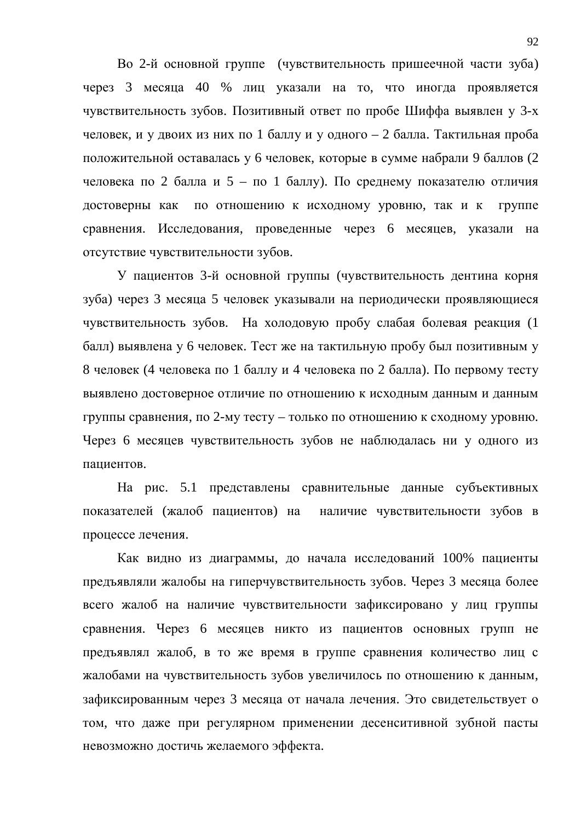Во 2-й основной группе (чувствительность пришеечной части зуба) через 3 месяца 40 % лиц указали на то, что иногда проявляется чувствительность зубов. Позитивный ответ по пробе Шиффа выявлен у 3-х человек, и у двоих из них по 1 баллу и у одного – 2 балла. Тактильная проба положительной оставалась у 6 человек, которые в сумме набрали 9 баллов (2 человека по 2 балла и 5 – по 1 баллу). По среднему показателю отличия достоверны как по отношению к исходному уровню, так и к группе сравнения. Исследования, проведенные через 6 месяцев, указали на отсутствие чувствительности зубов.

У пациентов 3-й основной группы (чувствительность дентина корня зуба) через 3 месяца 5 человек указывали на периодически проявляющиеся чувствительность зубов. На холодовую пробу слабая болевая реакция (1 балл) выявлена у 6 человек. Тест же на тактильную пробу был позитивным у 8 человек (4 человека по 1 баллу и 4 человека по 2 балла). По первому тесту выявлено достоверное отличие по отношению к исходным данным и данным группы сравнения, по 2-му тесту – только по отношению к сходному уровню. Через 6 месяцев чувствительность зубов не наблюдалась ни у одного из пациентов.

На рис. 5.1 представлены сравнительные данные субъективных показателей (жалоб пациентов) на наличие чувствительности зубов в процессе лечения.

Как видно из диаграммы, до начала исследований 100% пациенты предъявляли жалобы на гиперчувствительность зубов. Через 3 месяца более всего жалоб на наличие чувствительности зафиксировано у лиц группы сравнения. Через 6 месяцев никто из пациентов основных групп не предъявлял жалоб, в то же время в группе сравнения количество лиц с жалобами на чувствительность зубов увеличилось по отношению к данным, зафиксированным через 3 месяца от начала лечения. Это свидетельствует о том, что даже при регулярном применении десенситивной зубной пасты невозможно достичь желаемого эффекта.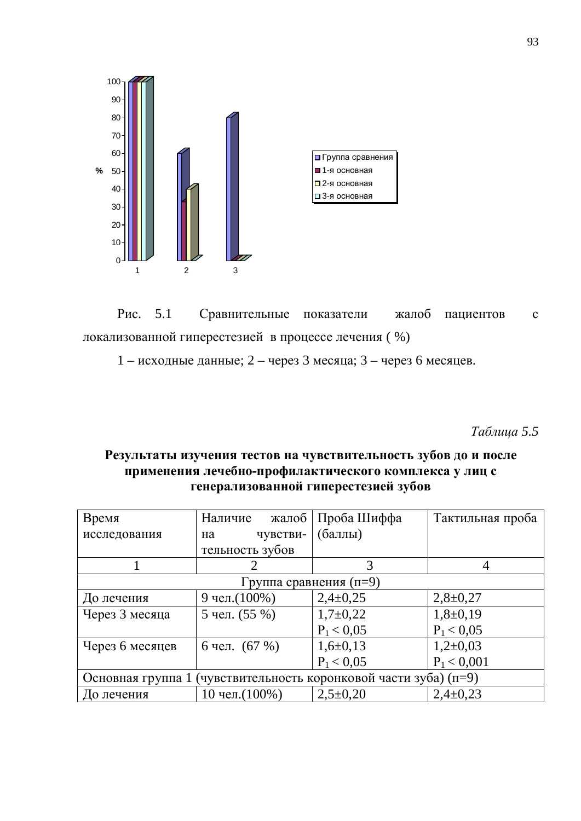

Рис. 5.1 Сравнительные показатели жалоб пациентов с локализованной гиперестезией в процессе лечения (%)

1 – исходные данные; 2 – через 3 месяца; 3 – через 6 месяцев.

*Ɍɚɛɥɢɰɚ 5.5*

## Результаты изучения тестов на чувствительность зубов до и после применения лечебно-профилактического комплекса у лиц с генерализованной гиперестезией зубов

| Время                                                               | Наличие<br>жалоб | Проба Шиффа  | Тактильная проба |  |
|---------------------------------------------------------------------|------------------|--------------|------------------|--|
| исследования                                                        | чувстви-<br>на   | (баллы)      |                  |  |
|                                                                     | тельность зубов  |              |                  |  |
|                                                                     | 2                |              | 4                |  |
| Группа сравнения (п=9)                                              |                  |              |                  |  |
| До лечения                                                          | 9 чел. (100%)    | $2,4\pm0,25$ | $2,8+0,27$       |  |
| Через 3 месяца                                                      | 5 чел. (55 %)    | $1,7+0,22$   | $1,8+0,19$       |  |
|                                                                     |                  | $P_1 < 0.05$ | $P_1 < 0.05$     |  |
| Через 6 месяцев                                                     | 6 чел. $(67%)$   | $1,6+0,13$   | $1,2\pm0,03$     |  |
|                                                                     |                  | $P_1 < 0.05$ | $P_1 < 0,001$    |  |
| (чувствительность коронковой части зуба) (п=9)<br>Основная группа 1 |                  |              |                  |  |
| До лечения                                                          | 10 чел. (100%)   | $2,5+0,20$   | $2,4\pm0,23$     |  |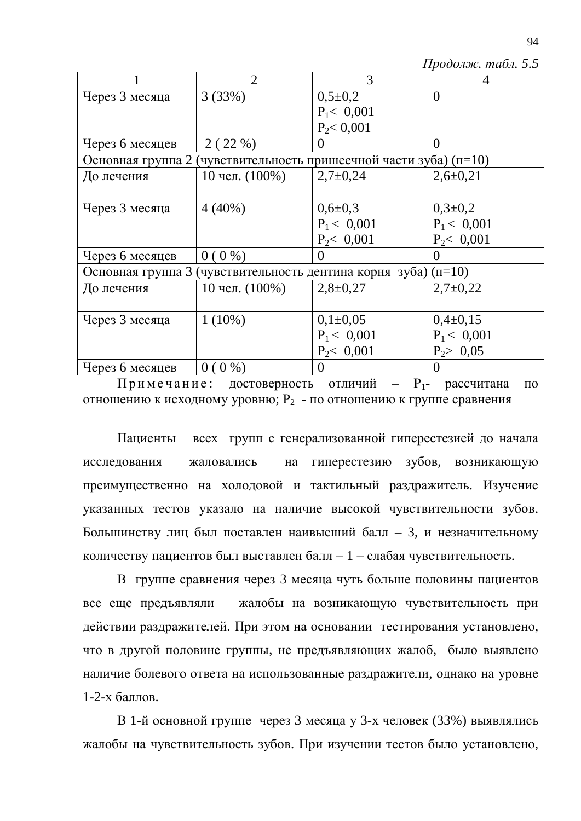*Продолж. табл. 5.5* 

|                                                                         | $\overline{2}$    | 3             | 4                |  |
|-------------------------------------------------------------------------|-------------------|---------------|------------------|--|
| Через 3 месяца                                                          | 3(33%)            | $0,5\pm0,2$   | $\theta$         |  |
|                                                                         |                   | $P_1 < 0,001$ |                  |  |
|                                                                         |                   | $P_2 < 0,001$ |                  |  |
| Через 6 месяцев                                                         | 2(22%)            | $\Omega$      | $\theta$         |  |
| Основная группа 2 (чувствительность пришеечной части зуба) (п=10)       |                   |               |                  |  |
| До лечения                                                              | 10 чел. $(100\%)$ | $2,7\pm0,24$  | $2,6 \pm 0,21$   |  |
|                                                                         |                   |               |                  |  |
| Через 3 месяца                                                          | $4(40\%)$         | $0,6 \pm 0,3$ | $0,3\pm0,2$      |  |
|                                                                         |                   | $P_1 < 0.001$ | $P_1 < 0,001$    |  |
|                                                                         |                   | $P_2 < 0,001$ | $P_2 < 0,001$    |  |
| Через 6 месяцев                                                         | $0(0\%)$          | $\theta$      | $\left( \right)$ |  |
| Основная группа 3<br>(чувствительность дентина корня зуба) ( $\pi$ =10) |                   |               |                  |  |
| До лечения                                                              | 10 чел. $(100\%)$ | $2,8+0,27$    | $2,7+0,22$       |  |
|                                                                         |                   |               |                  |  |
| Через 3 месяца                                                          | $1(10\%)$         | $0,1\pm0,05$  | $0,4\pm 0,15$    |  |
|                                                                         |                   | $P_1 < 0.001$ | $P_1 < 0.001$    |  |
|                                                                         |                   | $P_2 < 0,001$ | $P_2 > 0.05$     |  |
| Через 6 месяцев                                                         | $0(0\%)$          | 0             | $\overline{0}$   |  |

Примечание: достоверность отличий –  $P_1$ - рассчитана по отношению к исходному уровню;  $P_2$  - по отношению к группе сравнения

Пациенты всех групп с генерализованной гиперестезией до начала исследования жаловались на гиперестезию зубов, возникающую преимущественно на холодовой и тактильный раздражитель. Изучение указанных тестов указало на наличие высокой чувствительности зубов. Большинству лиц был поставлен наивысший балл – 3, и незначительному количеству пациентов был выставлен балл – 1 – слабая чувствительность.

В группе сравнения через 3 месяца чуть больше половины пациентов все еще предъявляли жалобы на возникающую чувствительность при действии раздражителей. При этом на основании тестирования установлено, что в другой половине группы, не предъявляющих жалоб, было выявлено наличие болевого ответа на использованные раздражители, однако на уровне  $1-2-x$  баллов.

В 1-й основной группе через 3 месяца у 3-х человек (33%) выявлялись жалобы на чувствительность зубов. При изучении тестов было установлено,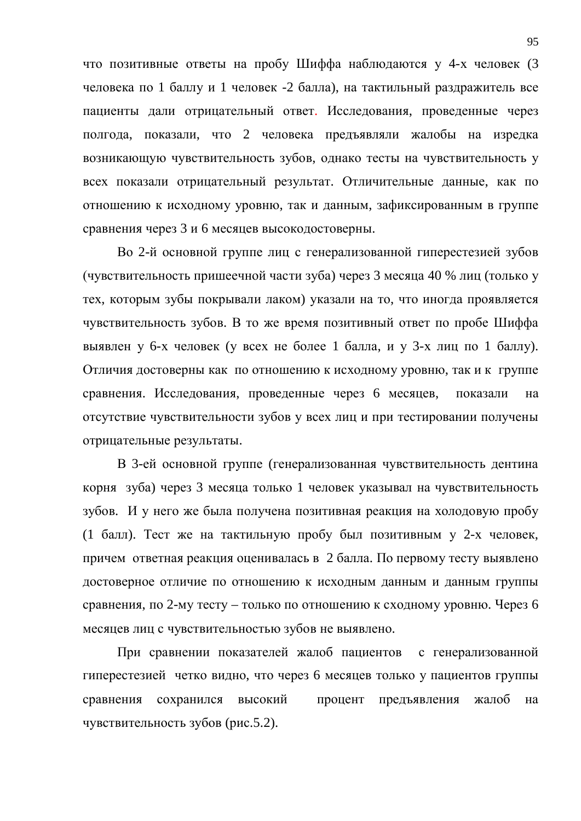что позитивные ответы на пробу Шиффа наблюдаются у 4-х человек (3 человека по 1 баллу и 1 человек -2 балла), на тактильный раздражитель все пациенты дали отрицательный ответ. Исследования, проведенные через полгода, показали, что 2 человека предъявляли жалобы на изредка возникающую чувствительность зубов, однако тесты на чувствительность у всех показали отрицательный результат. Отличительные данные, как по отношению к исходному уровню, так и данным, зафиксированным в группе сравнения через 3 и 6 месяцев высокодостоверны.

Во 2-й основной группе лиц с генерализованной гиперестезией зубов (чувствительность пришеечной части зуба) через 3 месяца 40 % лиц (только у тех, которым зубы покрывали лаком) указали на то, что иногда проявляется чувствительность зубов. В то же время позитивный ответ по пробе Шиффа выявлен у 6-х человек (у всех не более 1 балла, и у 3-х лиц по 1 баллу). Отличия достоверны как по отношению к исходному уровню, так и к группе сравнения. Исследования, проведенные через 6 месяцев, показали на отсутствие чувствительности зубов у всех лиц и при тестировании получены отрицательные результаты.

В 3-ей основной группе (генерализованная чувствительность дентина корня зуба) через 3 месяца только 1 человек указывал на чувствительность зубов. И у него же была получена позитивная реакция на холодовую пробу (1 балл). Тест же на тактильную пробу был позитивным у 2-х человек, причем ответная реакция оценивалась в 2 балла. По первому тесту выявлено достоверное отличие по отношению к исходным данным и данным группы сравнения, по 2-му тесту – только по отношению к сходному уровню. Через 6 месяцев лиц с чувствительностью зубов не выявлено.

При сравнении показателей жалоб пациентов с генерализованной гиперестезией четко видно, что через 6 месяцев только у пациентов группы сравнения сохранился высокий процент предъявления жалоб на чувствительность зубов (рис.5.2).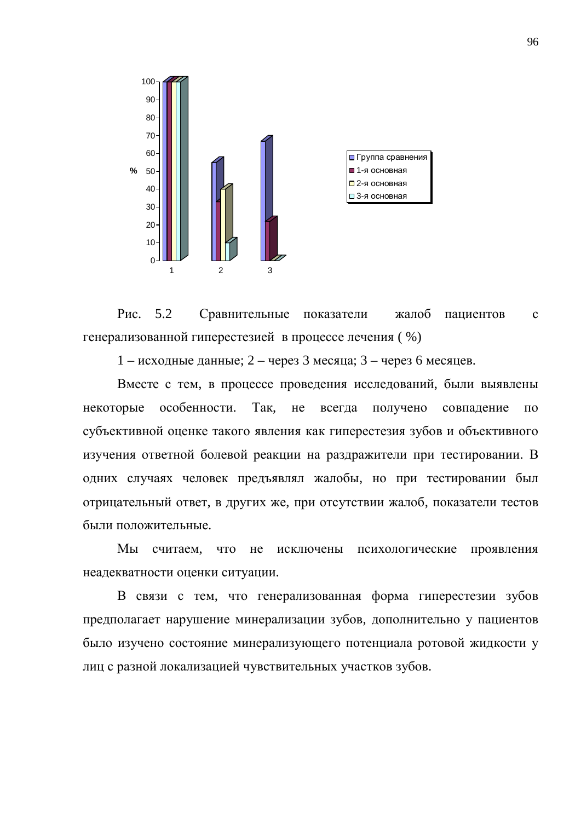

Рис. 5.2 Сравнительные показатели жалоб пациентов с генерализованной гиперестезией в процессе лечения ( %)

 $1 - \mu$ сходные данные; 2 – через 3 месяца; 3 – через 6 месяцев.

Вместе с тем, в процессе проведения исследований, были выявлены некоторые особенности. Так, не всегда получено совпадение по субъективной оценке такого явления как гиперестезия зубов и объективного изучения ответной болевой реакции на раздражители при тестировании. В одних случаях человек предъявлял жалобы, но при тестировании был отрицательный ответ, в других же, при отсутствии жалоб, показатели тестов были положительные.

Мы считаем, что не исключены психологические проявления неадекватности оценки ситуации.

В связи с тем, что генерализованная форма гиперестезии зубов предполагает нарушение минерализации зубов, дополнительно у пациентов было изучено состояние минерализующего потенциала ротовой жидкости у лиц с разной локализацией чувствительных участков зубов.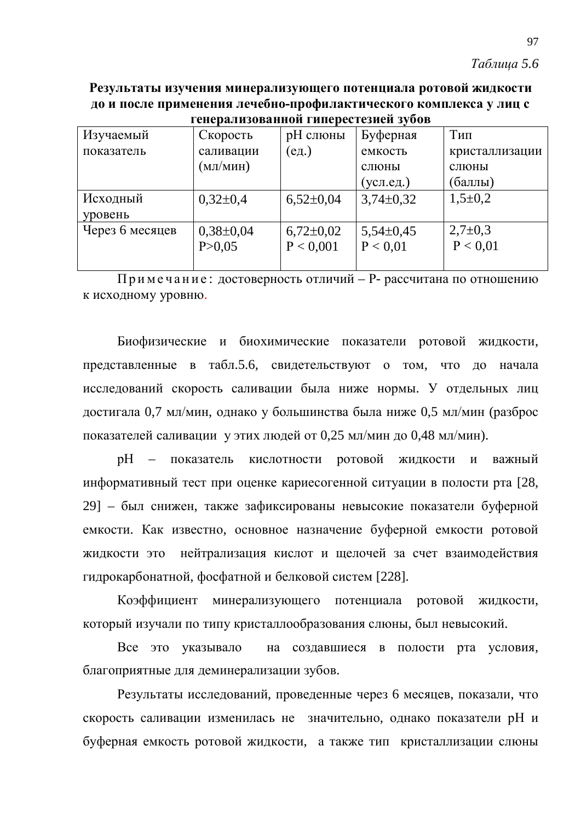Результаты изучения минерализующего потенциала ротовой жидкости до и после применения лечебно-профилактического комплекса у лиц с **ɝɟɧɟɪɚɥɢɡɨɜɚɧɧɨɣɝɢɩɟɪɟɫɬɟɡɢɟɣɡɭɛɨɜ**

| генерализованной гиперестезией зубов |               |               |               |                |
|--------------------------------------|---------------|---------------|---------------|----------------|
| Изучаемый                            | Скорость      | рН слюны      | Буферная      | Тип            |
| показатель                           | саливации     | (ед.)         | емкость       | кристаллизации |
|                                      | (мл/мин)      |               | слюны         | слюны          |
|                                      |               |               | (усл.ед.)     | (баллы)        |
| Исходный                             | $0,32\pm0.4$  | $6,52\pm0.04$ | $3,74\pm0,32$ | $1,5\pm0,2$    |
| уровень                              |               |               |               |                |
| Через 6 месяцев                      | $0,38\pm0,04$ | $6,72\pm0,02$ | $5,54\pm0,45$ | $2,7\pm0,3$    |
|                                      | P > 0,05      | P < 0,001     | P < 0.01      | P < 0.01       |
|                                      |               |               |               |                |

Примечание: достоверность отличий – P- рассчитана по отношению к исходному уровню.

Биофизические и биохимические показатели ротовой жидкости, представленные в табл.5.6, свидетельствуют о том, что до начала исследований скорость саливации была ниже нормы. У отдельных лиц достигала 0,7 мл/мин, однако у большинства была ниже 0,5 мл/мин (разброс показателей саливации у этих людей от 0,25 мл/мин до 0,48 мл/мин).

рН – показатель кислотности ротовой жидкости и важный информативный тест при оценке кариесогенной ситуации в полости рта [28, 29] – был снижен, также зафиксированы невысокие показатели буферной емкости. Как известно, основное назначение буферной емкости ротовой жидкости это нейтрализация кислот и щелочей за счет взаимодействия гидрокарбонатной, фосфатной и белковой систем [228].

Коэффициент минерализующего потенциала ротовой жидкости, который изучали по типу кристаллообразования слюны, был невысокий.

Все это указывало на создавшиеся в полости рта условия, благоприятные для деминерализации зубов.

Результаты исследований, проведенные через 6 месяцев, показали, что скорость саливации изменилась не значительно, однако показатели рН и буферная емкость ротовой жидкости, а также тип кристаллизации слюны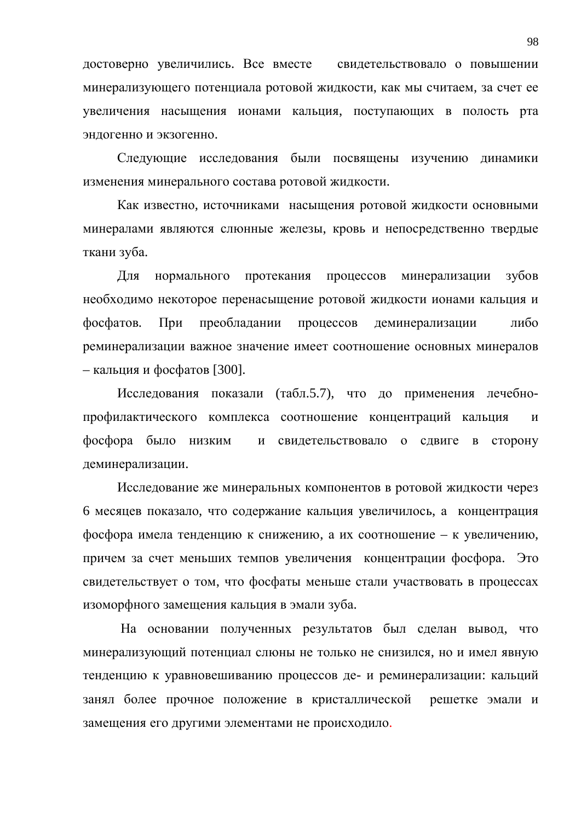достоверно увеличились. Все вместе свидетельствовало о повышении минерализующего потенциала ротовой жидкости, как мы считаем, за счет ее увеличения насыщения ионами кальция, поступающих в полость рта эндогенно и экзогенно.

Следующие исследования были посвящены изучению динамики изменения минерального состава ротовой жидкости.

Как известно, источниками насыщения ротовой жидкости основными минералами являются слюнные железы, кровь и непосредственно твердые ткани зуба.

Для нормального протекания процессов минерализации зубов необходимо некоторое перенасыщение ротовой жидкости ионами кальция и фосфатов. При преобладании процессов деминерализации либо реминерализации важное значение имеет соотношение основных минералов – кальция и фосфатов [300].

Исследования показали (табл.5.7), что до применения лечебнопрофилактического комплекса соотношение концентраций кальция и фосфора было низким и свидетельствовало о сдвиге в сторону деминерализации.

Исследование же минеральных компонентов в ротовой жидкости через 6 месяцев показало, что содержание кальция увеличилось, а концентрация фосфора имела тенденцию к снижению, а их соотношение – к увеличению, причем за счет меньших темпов увеличения концентрации фосфора. Это свидетельствует о том, что фосфаты меньше стали участвовать в процессах изоморфного замещения кальция в эмали зуба.

На основании полученных результатов был сделан вывод, что минерализующий потенциал слюны не только не снизился, но и имел явную тенденцию к уравновешиванию процессов де- и реминерализации: кальций занял более прочное положение в кристаллической решетке эмали и замещения его другими элементами не происходило.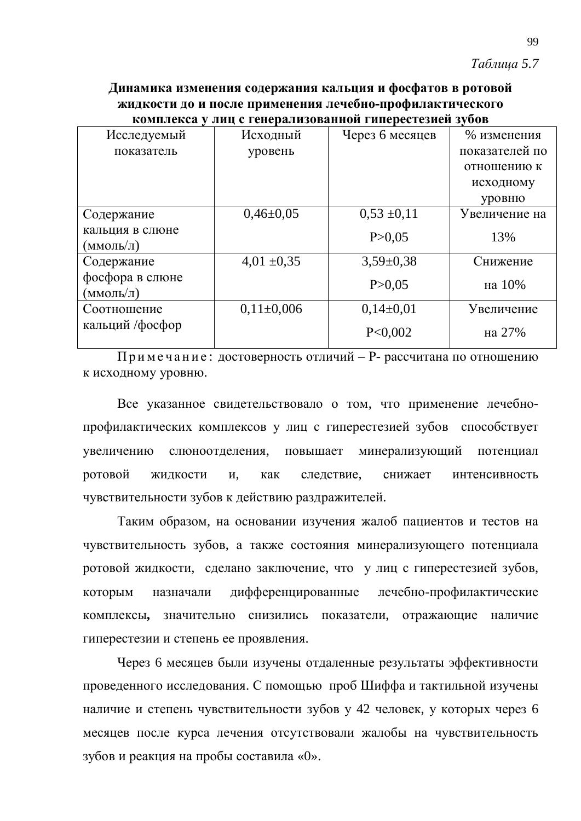### *Tаблииа* 5.7

Динамика изменения содержания кальция и фосфатов в ротовой **ЖИДКОСТИ ДО И ПОСЛЕ ПРИМЕНЕНИЯ ЛЕЧЕбно-профилактического** комплекса у лиц с генерализованной гиперестезией зубов

| Исследуемый     | Исходный         | Через 6 месяцев | % изменения    |
|-----------------|------------------|-----------------|----------------|
| показатель      | уровень          |                 | показателей по |
|                 |                  |                 | отношению к    |
|                 |                  |                 | исходному      |
|                 |                  |                 | уровню         |
| Содержание      | $0,46\pm0,05$    | $0,53 \pm 0,11$ | Увеличение на  |
| кальция в слюне |                  | P > 0,05        | 13%            |
| (ммоль/л)       |                  |                 |                |
| Содержание      | $4,01 \pm 0,35$  | $3,59\pm0,38$   | Снижение       |
| фосфора в слюне |                  | P > 0.05        | на 10%         |
| (ммоль/л)       |                  |                 |                |
| Соотношение     | $0.11 \pm 0.006$ | $0,14\pm0.01$   | Увеличение     |
| кальций /фосфор |                  | P<0,002         | на 27%         |
|                 |                  |                 |                |

Примечание: достоверность отличий – P- рассчитана по отношению к исходному уровню.

Все указанное свидетельствовало о том, что применение лечебнопрофилактических комплексов у лиц с гиперестезией зубов способствует увеличению слюноотделения, повышает минерализующий потенциал ротовой жидкости и, как следствие, снижает интенсивность чувствительности зубов к действию раздражителей.

Таким образом, на основании изучения жалоб пациентов и тестов на чувствительность зубов, а также состояния минерализующего потенциала ротовой жидкости, сделано заключение, что у лиц с гиперестезией зубов, которым назначали дифференцированные лечебно-профилактические комплексы, значительно снизились показатели, отражающие наличие гиперестезии и степень ее проявления.

Через 6 месяцев были изучены отдаленные результаты эффективности проведенного исследования. С помощью проб Шиффа и тактильной изучены наличие и степень чувствительности зубов у 42 человек, у которых через 6 месяцев после курса лечения отсутствовали жалобы на чувствительность зубов и реакция на пробы составила «0».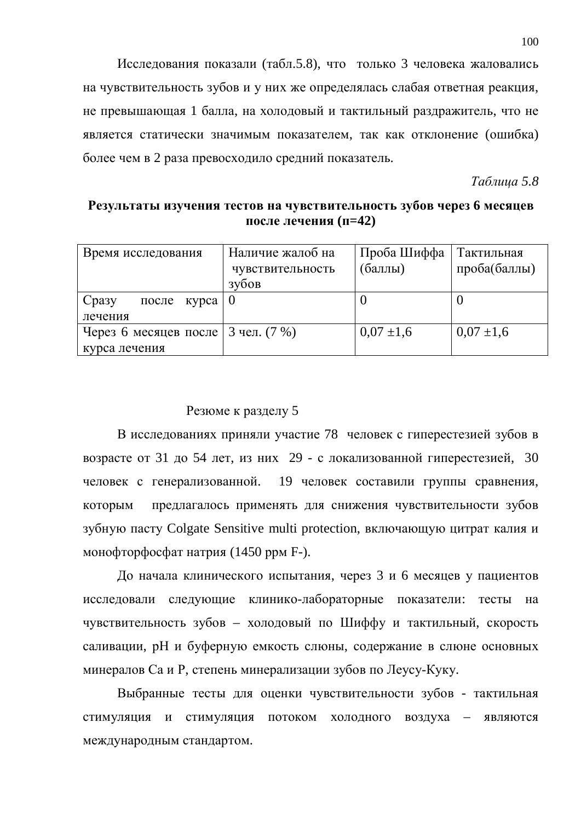Исследования показали (табл.5.8), что только 3 человека жаловались на чувствительность зубов и у них же определялась слабая ответная реакция, не превышающая 1 балла, на холодовый и тактильный раздражитель, что не является статически значимым показателем, так как отклонение (ошибка) более чем в 2 раза превосходило средний показатель.

*Tаблица* 5.8

## Результаты изучения тестов на чувствительность зубов через 6 месяцев после лечения (п=42)

| Время исследования                    | Наличие жалоб на | Проба Шиффа    | Тактильная     |
|---------------------------------------|------------------|----------------|----------------|
|                                       | чувствительность | (баллы)        | проба(баллы)   |
|                                       | зубов            |                |                |
| Сразу<br>после курса                  |                  |                |                |
| лечения                               |                  |                |                |
| Через 6 месяцев после   3 чел. $(7%)$ |                  | $0.07 \pm 1.6$ | $0.07 \pm 1.6$ |
| курса лечения                         |                  |                |                |

## Резюме к разделу 5

В исследованиях приняли участие 78 человек с гиперестезией зубов в возрасте от 31 до 54 лет, из них 29 - с локализованной гиперестезией, 30 человек с генерализованной. 19 человек составили группы сравнения, которым предлагалось применять для снижения чувствительности зубов зубную пасту Colgate Sensitive multi protection, включающую цитрат калия и монофторфосфат натрия  $(1450 \text{ ppm F-})$ .

До начала клинического испытания, через 3 и 6 месяцев у пациентов исследовали следующие клинико-лабораторные показатели: тесты на чувствительность зубов – холодовый по Шиффу и тактильный, скорость саливации, рН и буферную емкость слюны, содержание в слюне основных минералов Са и Р, степень минерализации зубов по Леусу-Куку.

Выбранные тесты для оценки чувствительности зубов - тактильная стимуляция и стимуляция потоком холодного воздуха - являются международным стандартом.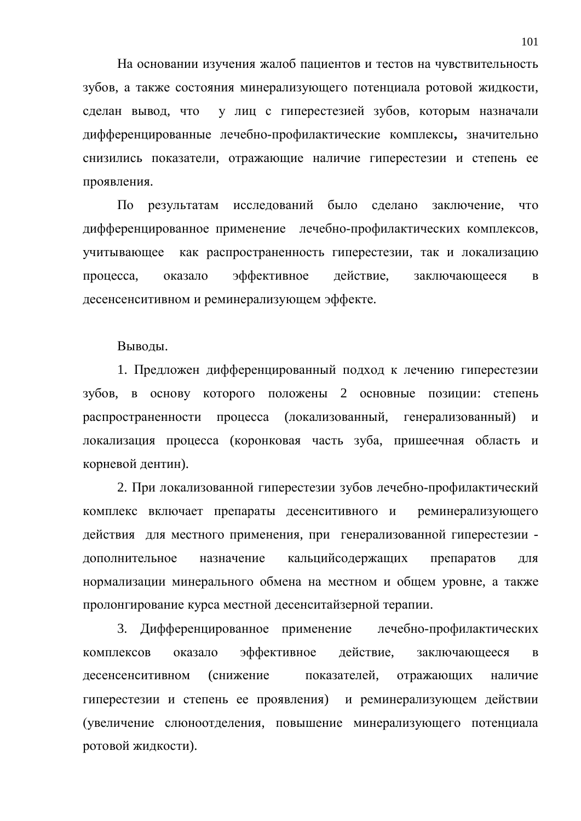На основании изучения жалоб пациентов и тестов на чувствительность зубов, а также состояния минерализующего потенциала ротовой жидкости, сделан вывод, что у лиц с гиперестезией зубов, которым назначали дифференцированные лечебно-профилактические комплексы, значительно снизились показатели, отражающие наличие гиперестезии и степень ее проявления.

По результатам исследований было сделано заключение, что дифференцированное применение лечебно-профилактических комплексов, учитывающее как распространенность гиперестезии, так и локализацию процесса, оказало эффективное действие, заключающееся в десенсенситивном и реминерализующем эффекте.

Выводы.

1. Предложен дифференцированный подход к лечению гиперестезии зубов, в основу которого положены 2 основные позиции: степень распространенности процесса (локализованный, генерализованный) и локализация процесса (коронковая часть зуба, пришеечная область и корневой дентин).

2. При локализованной гиперестезии зубов лечебно-профилактический комплекс включает препараты десенситивного и реминерализующего действия для местного применения, при генерализованной гиперестезии дополнительное назначение кальцийсодержащих препаратов для нормализации минерального обмена на местном и общем уровне, а также пролонгирование курса местной десенситайзерной терапии.

3. Дифференцированное применение лечебно-профилактических комплексов оказало эффективное действие, заключающееся в десенсенситивном (снижение показателей, отражающих наличие гиперестезии и степень ее проявления) и реминерализующем действии (увеличение слюноотделения, повышение минерализующего потенциала ротовой жидкости).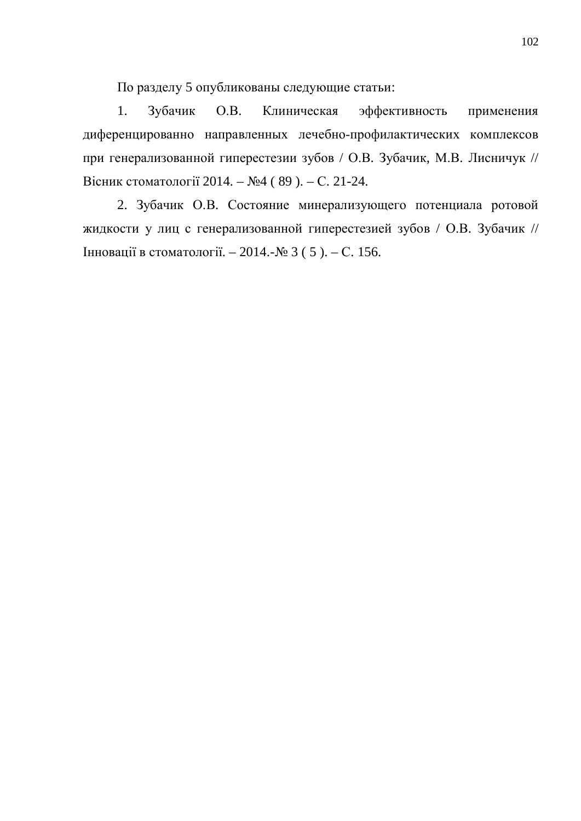По разделу 5 опубликованы следующие статьи:

1. Зубачик О.В. Клиническая эффективность применения диференцированно направленных лечебно-профилактических комплексов при генерализованной гиперестезии зубов / О.В. Зубачик, М.В. Лисничук // Вісник стоматології 2014. – №4 (89). – С. 21-24.

2. Зубачик О.В. Состояние минерализующего потенциала ротовой жидкости у лиц с генерализованной гиперестезией зубов / О.В. Зубачик // Нновації в стоматології. – 2014.-№ 3 (5). – С. 156.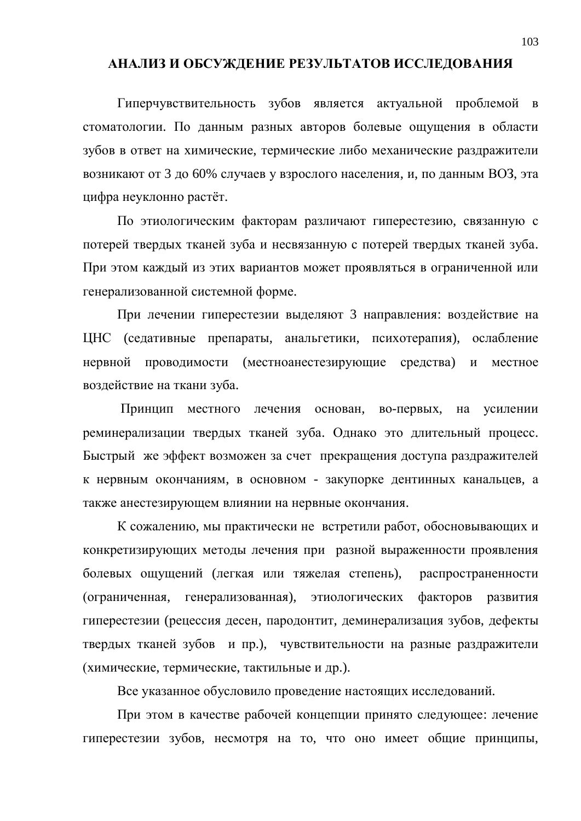### АНАЛИЗ И ОБСУЖДЕНИЕ РЕЗУЛЬТАТОВ ИССЛЕДОВАНИЯ

Гиперчувствительность зубов является актуальной проблемой в стоматологии. По данным разных авторов болевые ощущения в области зубов в ответ на химические, термические либо механические раздражители возникают от 3 до 60% случаев у взрослого населения, и, по данным ВОЗ, эта цифра неуклонно растёт.

По этиологическим факторам различают гиперестезию, связанную с потерей твердых тканей зуба и несвязанную с потерей твердых тканей зуба. При этом каждый из этих вариантов может проявляться в ограниченной или генерализованной системной форме.

При лечении гиперестезии выделяют 3 направления: воздействие на ЦНС (седативные препараты, анальгетики, психотерапия), ослабление нервной проводимости (местноанестезирующие средства) и местное воздействие на ткани зуба.

Принцип местного лечения основан, во-первых, на усилении реминерализации твердых тканей зуба. Однако это длительный процесс. Быстрый же эффект возможен за счет прекращения доступа раздражителей к нервным окончаниям, в основном - закупорке дентинных канальцев, а также анестезирующем влиянии на нервные окончания.

К сожалению, мы практически не встретили работ, обосновывающих и конкретизирующих методы лечения при разной выраженности проявления болевых ощущений (легкая или тяжелая степень), распространенности (ограниченная, генерализованная), этиологических факторов развития гиперестезии (рецессия десен, пародонтит, деминерализация зубов, дефекты твердых тканей зубов и пр.), чувствительности на разные раздражители (химические, термические, тактильные и др.).

Все указанное обусловило проведение настоящих исследований.

При этом в качестве рабочей концепции принято следующее: лечение гиперестезии зубов, несмотря на то, что оно имеет общие принципы,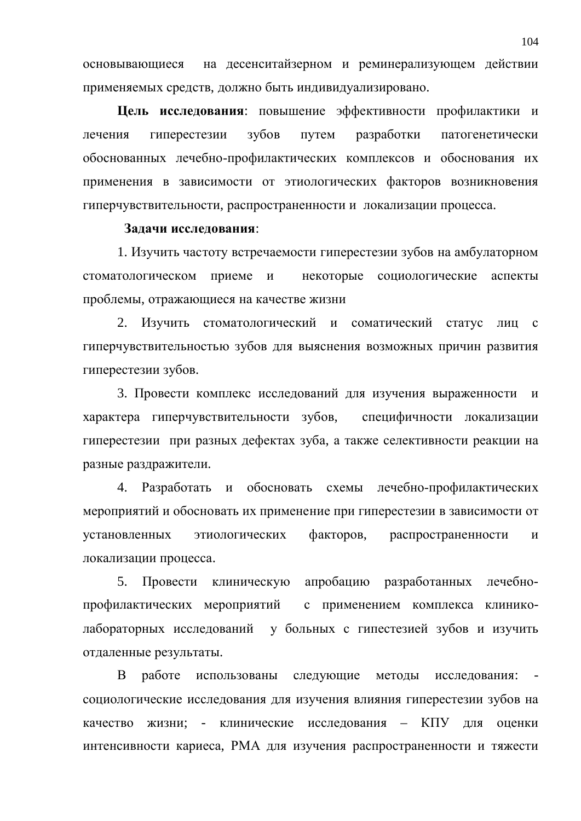основывающиеся на десенситайзерном и реминерализующем действии применяемых средств, должно быть индивидуализировано.

**Цель исследования:** повышение эффективности профилактики и лечения гиперестезии зубов путем разработки патогенетически обоснованных лечебно-профилактических комплексов и обоснования их применения в зависимости от этиологических факторов возникновения гиперчувствительности, распространенности и локализации процесса.

### Задачи исследования:

1. Изучить частоту встречаемости гиперестезии зубов на амбулаторном стоматологическом приеме и некоторые социологические аспекты проблемы, отражающиеся на качестве жизни

2. Изучить стоматологический и соматический статус лиц с гиперчувствительностью зубов для выяснения возможных причин развития гиперестезии зубов.

3. Провести комплекс исследований для изучения выраженности и характера гиперчувствительности зубов, специфичности локализации гиперестезии при разных дефектах зуба, а также селективности реакции на разные раздражители.

4. Разработать и обосновать схемы лечебно-профилактических мероприятий и обосновать их применение при гиперестезии в зависимости от установленных этиологических факторов, распространенности и локализации процесса.

5. Провести клиническую апробацию разработанных лечебнопрофилактических мероприятий с применением комплекса клиниколабораторных исследований у больных с гипестезией зубов и изучить отдаленные результаты.

В работе использованы следующие методы исследования: социологические исследования для изучения влияния гиперестезии зубов на качество жизни: - клинические исследования – КПУ для оценки интенсивности кариеса, РМА для изучения распространенности и тяжести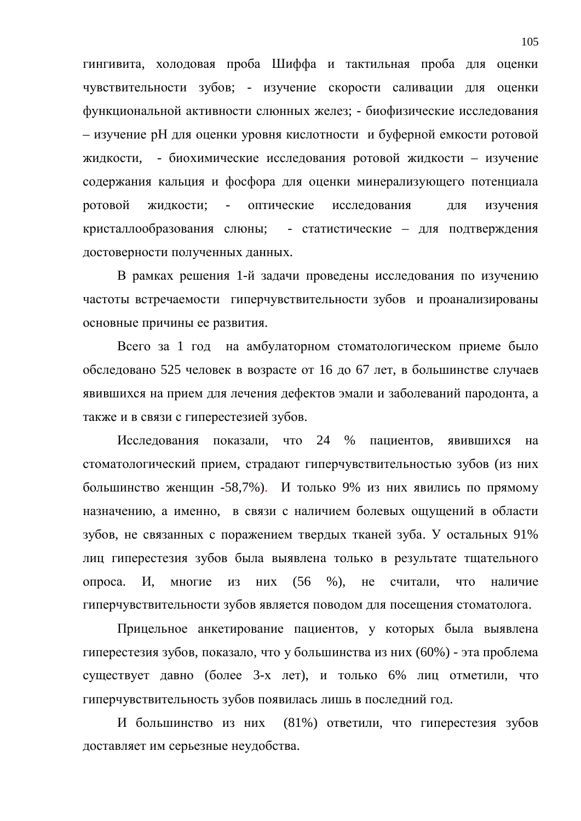гингивита, холодовая проба Шиффа и тактильная проба для оценки чувствительности зубов; - изучение скорости саливации для оценки функциональной активности слюнных желез; - биофизические исследования – изучение рН для оценки уровня кислотности и буферной емкости ротовой жидкости, - биохимические исследования ротовой жидкости – изучение содержания кальция и фосфора для оценки минерализующего потенциала ротовой жидкости; - оптические исследования для изучения кристаллообразования слюны; - статистические – для подтверждения достоверности полученных данных.

В рамках решения 1-й задачи проведены исследования по изучению частоты встречаемости гиперчувствительности зубов и проанализированы основные причины ее развития.

Всего за 1 год на амбулаторном стоматологическом приеме было обследовано 525 человек в возрасте от 16 до 67 лет, в большинстве случаев явившихся на прием для лечения дефектов эмали и заболеваний пародонта, а также и в связи с гиперестезией зубов.

Исследования показали, что 24 % пациентов, явившихся на стоматологический прием, страдают гиперчувствительностью зубов (из них большинство женщин -58,7%). И только 9% из них явились по прямому назначению, а именно, в связи с наличием болевых ощущений в области зубов, не связанных с поражением твердых тканей зуба. У остальных 91% лиц гиперестезия зубов была выявлена только в результате тщательного опроса. И, многие из них (56 %), не считали, что наличие гиперчувствительности зубов является поводом для посещения стоматолога.

Прицельное анкетирование пациентов, у которых была выявлена гиперестезия зубов, показало, что у большинства из них (60%) - эта проблема существует давно (более 3-х лет), и только 6% лиц отметили, что гиперчувствительность зубов появилась лишь в последний год.

И большинство из них (81%) ответили, что гиперестезия зубов доставляет им серьезные неудобства.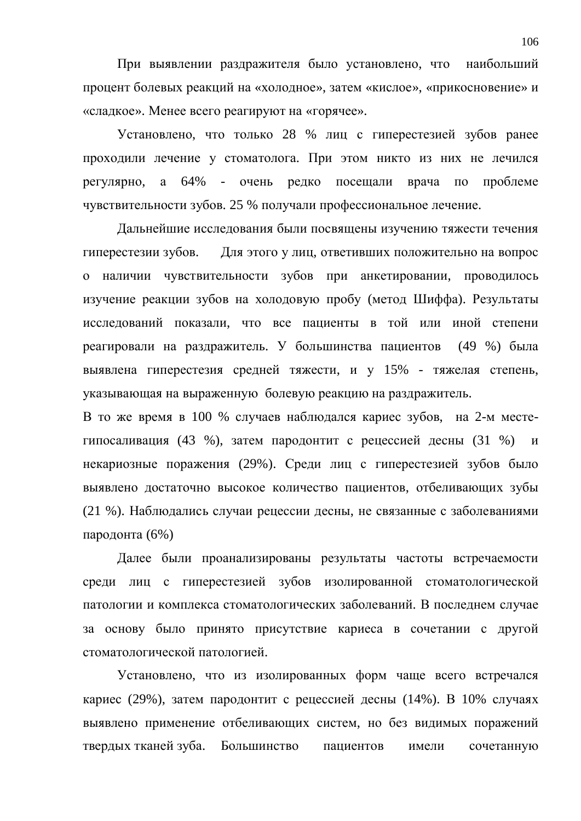При выявлении раздражителя было установлено, что наибольший процент болевых реакций на «холодное», затем «кислое», «прикосновение» и «сладкое». Менее всего реагируют на «горячее».

Установлено, что только 28 % лиц с гиперестезией зубов ранее проходили лечение у стоматолога. При этом никто из них не лечился регулярно, а  $64\%$  - очень редко посещали врача по проблеме чувствительности зубов. 25 % получали профессиональное лечение.

Дальнейшие исследования были посвящены изучению тяжести течения гиперестезии зубов. Для этого у лиц, ответивших положительно на вопрос о наличии чувствительности зубов при анкетировании, проводилось изучение реакции зубов на холодовую пробу (метод Шиффа). Результаты исследований показали, что все пациенты в той или иной степени реагировали на раздражитель. У большинства пациентов (49 %) была выявлена гиперестезия средней тяжести, и у 15% - тяжелая степень, указывающая на выраженную болевую реакцию на раздражитель.

В то же время в 100 % случаев наблюдался кариес зубов, на 2-м местегипосаливация (43 %), затем пародонтит с рецессией десны (31 %) и некариозные поражения (29%). Среди лиц с гиперестезией зубов было выявлено достаточно высокое количество пациентов, отбеливающих зубы (21 %). Наблюдались случаи рецессии десны, не связанные с заболеваниями пародонта (6%)

Далее были проанализированы результаты частоты встречаемости среди лиц с гиперестезией зубов изолированной стоматологической патологии и комплекса стоматологических заболеваний. В последнем случае за основу было принято присутствие кариеса в сочетании с другой стоматологической патологией.

Установлено, что из изолированных форм чаще всего встречался кариес (29%), затем пародонтит с рецессией десны (14%). В 10% случаях выявлено применение отбеливающих систем, но без видимых поражений твердых тканей зуба. Большинство пациентов имели сочетанную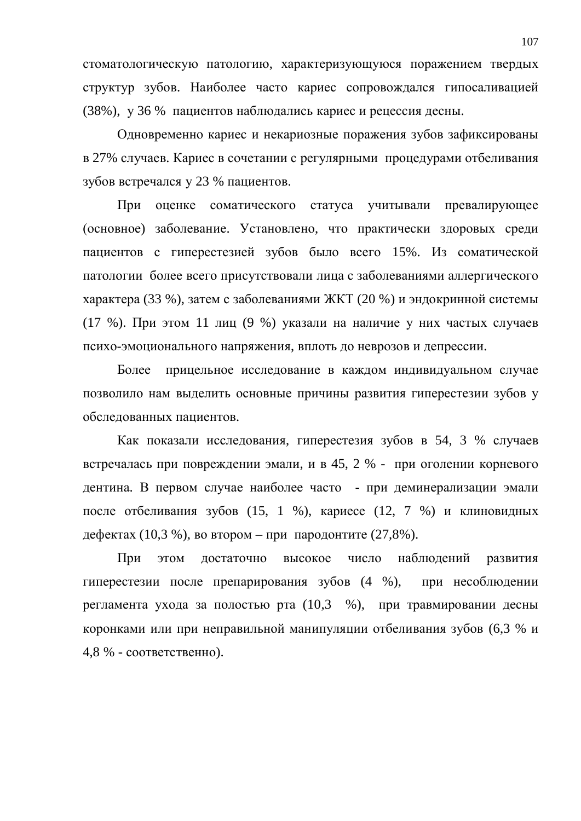стоматологическую патологию, характеризующуюся поражением твердых структур зубов. Наиболее часто кариес сопровождался гипосаливацией (38%), у 36 % пациентов наблюдались кариес и рецессия десны.

Одновременно кариес и некариозные поражения зубов зафиксированы в 27% случаев. Кариес в сочетании с регулярными процедурами отбеливания зубов встречался у 23 % пациентов.

При оценке соматического статуса учитывали превалирующее (основное) заболевание. Установлено, что практически здоровых среди пациентов с гиперестезией зубов было всего 15%. Из соматической патологии более всего присутствовали лица с заболеваниями аллергического характера (33 %), затем с заболеваниями ЖКТ (20 %) и эндокринной системы (17 %). При этом 11 лиц (9 %) указали на наличие у них частых случаев психо-эмоционального напряжения, вплоть до неврозов и депрессии.

Более прицельное исследование в каждом индивидуальном случае позволило нам выделить основные причины развития гиперестезии зубов у обследованных пациентов.

Как показали исследования, гиперестезия зубов в 54, 3 % случаев встречалась при повреждении эмали, и в 45, 2 % - при оголении корневого дентина. В первом случае наиболее часто - при деминерализации эмали после отбеливания зубов (15, 1 %), кариесе (12, 7 %) и клиновидных дефектах (10,3 %), во втором – при пародонтите (27,8%).

При этом достаточно высокое число наблюдений развития гиперестезии после препарирования зубов (4 %), при несоблюдении регламента ухода за полостью рта  $(10,3 \%)$ , при травмировании десны коронками или при неправильной манипуляции отбеливания зубов (6,3 % и  $4,8$  % - соответственно).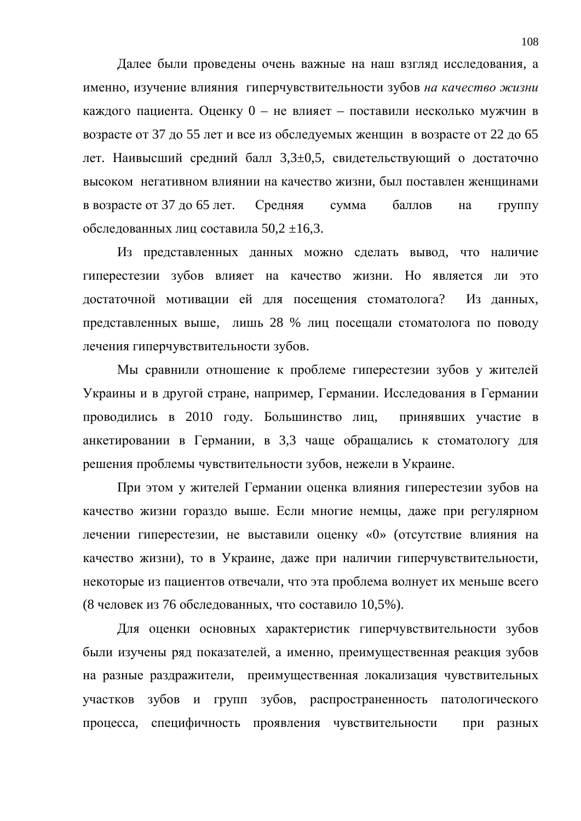Далее были проведены очень важные на наш взгляд исследования, а именно, изучение влияния гиперчувствительности зубов на качество жизни каждого пациента. Оценку 0 – не влияет – поставили несколько мужчин в возрасте от 37 до 55 лет и все из обследуемых женщин в возрасте от 22 до 65 дет. Наивысший средний балл 3,3±0,5, свидетельствующий о достаточно высоком негативном влиянии на качество жизни, был поставлен женщинами в возрасте от 37 до 65 лет. Средняя сумма баллов на группу обследованных лиц составила  $50.2 \pm 16.3$ .

Из представленных данных можно сделать вывод, что наличие гиперестезии зубов влияет на качество жизни. Но является ли это достаточной мотивации ей для посещения стоматолога? Из данных, представленных выше, лишь 28 % лиц посещали стоматолога по поводу лечения гиперчувствительности зубов.

Мы сравнили отношение к проблеме гиперестезии зубов у жителей Украины и в другой стране, например, Германии. Исследования в Германии проводились в 2010 году. Большинство лиц, принявших участие в анкетировании в Германии, в 3,3 чаще обращались к стоматологу для решения проблемы чувствительности зубов, нежели в Украине.

При этом у жителей Германии оценка влияния гиперестезии зубов на качество жизни гораздо выше. Если многие немцы, даже при регулярном лечении гиперестезии, не выставили оценку «0» (отсутствие влияния на качество жизни), то в Украине, даже при наличии гиперчувствительности, некоторые из пациентов отвечали, что эта проблема волнует их меньше всего (8 человек из 76 обследованных, что составило 10,5%).

Для оценки основных характеристик гиперчувствительности зубов были изучены ряд показателей, а именно, преимущественная реакция зубов на разные раздражители, преимущественная локализация чувствительных участков зубов и групп зубов, распространенность патологического процесса, специфичность проявления чувствительности при разных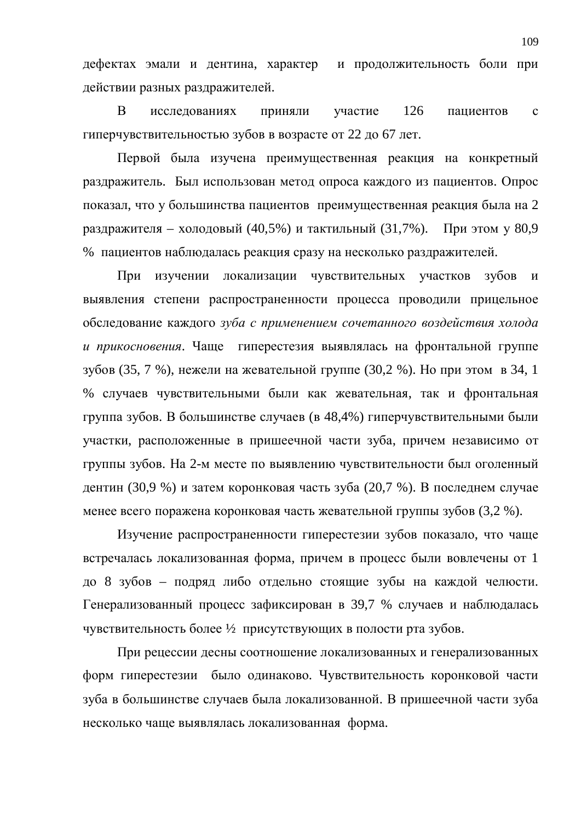дефектах эмали и дентина, характер и продолжительность боли при действии разных раздражителей.

В исследованиях приняли участие 126 пациентов с гиперчувствительностью зубов в возрасте от 22 до 67 лет.

Первой была изучена преимущественная реакция на конкретный раздражитель. Был использован метод опроса каждого из пациентов. Опрос показал, что у большинства пациентов преимущественная реакция была на 2 раздражителя – холодовый (40,5%) и тактильный (31,7%). При этом у 80,9 % пациентов наблюдалась реакция сразу на несколько раздражителей.

При изучении локализации чувствительных участков зубов и выявления степени распространенности процесса проводили прицельное обследование каждого *зуба с применением сочетанного воздействия холода* и прикосновения. Чаще гиперестезия выявлялась на фронтальной группе зубов (35, 7 %), нежели на жевательной группе (30,2 %). Но при этом в 34, 1 % случаев чувствительными были как жевательная, так и фронтальная группа зубов. В большинстве случаев (в 48,4%) гиперчувствительными были участки, расположенные в пришеечной части зуба, причем независимо от группы зубов. На 2-м месте по выявлению чувствительности был оголенный дентин (30,9 %) и затем коронковая часть зуба (20,7 %). В последнем случае менее всего поражена коронковая часть жевательной группы зубов (3,2 %).

Изучение распространенности гиперестезии зубов показало, что чаще встречалась локализованная форма, причем в процесс были вовлечены от 1 до 8 зубов – подряд либо отдельно стоящие зубы на каждой челюсти. Генерализованный процесс зафиксирован в 39,7 % случаев и наблюдалась чувствительность более 1/2 присутствующих в полости рта зубов.

При рецессии десны соотношение локализованных и генерализованных форм гиперестезии было одинаково. Чувствительность коронковой части зуба в большинстве случаев была локализованной. В пришеечной части зуба несколько чаще выявлялась локализованная форма.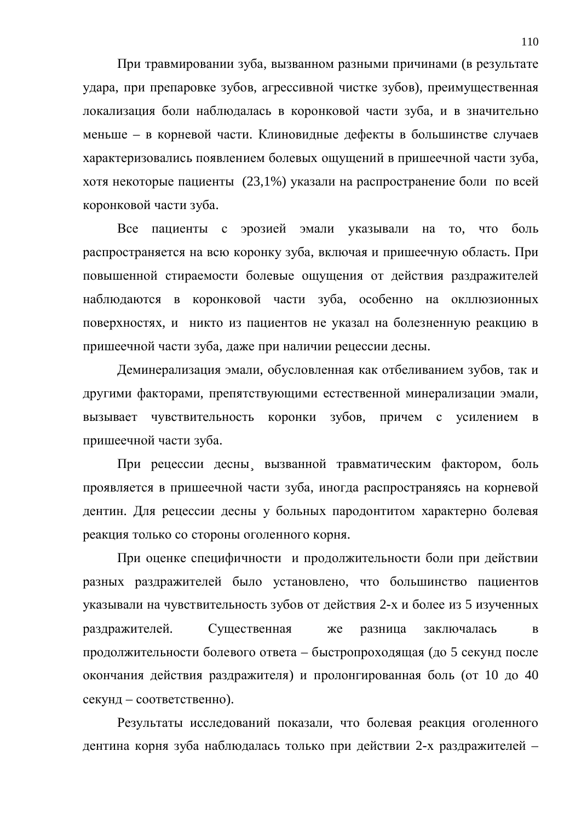При травмировании зуба, вызванном разными причинами (в результате удара, при препаровке зубов, агрессивной чистке зубов), преимущественная локализация боли наблюдалась в коронковой части зуба, и в значительно меньше – в корневой части. Клиновидные дефекты в большинстве случаев характеризовались появлением болевых ощущений в пришеечной части зуба, хотя некоторые пациенты (23,1%) указали на распространение боли по всей коронковой части зуба.

Все пациенты с эрозией эмали указывали на то, что боль распространяется на всю коронку зуба, включая и пришеечную область. При повышенной стираемости болевые ощущения от действия раздражителей наблюдаются в коронковой части зуба, особенно на окллюзионных поверхностях, и никто из пациентов не указал на болезненную реакцию в пришеечной части зуба, даже при наличии рецессии десны.

Деминерализация эмали, обусловленная как отбеливанием зубов, так и другими факторами, препятствующими естественной минерализации эмали, вызывает чувствительность коронки зубов, причем с усилением в пришеечной части зуба.

При рецессии десны вызванной травматическим фактором, боль проявляется в пришеечной части зуба, иногда распространяясь на корневой дентин. Для рецессии десны у больных пародонтитом характерно болевая реакция только со стороны оголенного корня.

При оценке специфичности и продолжительности боли при действии разных раздражителей было установлено, что большинство пациентов указывали на чувствительность зубов от действия 2-х и более из 5 изученных раздражителей. Существенная же разница заключалась в продолжительности болевого ответа – быстропроходящая (до 5 секунд после окончания действия раздражителя) и пролонгированная боль (от 10 до 40 секунд – соответственно).

Результаты исследований показали, что болевая реакция оголенного дентина корня зуба наблюдалась только при действии 2-х раздражителей -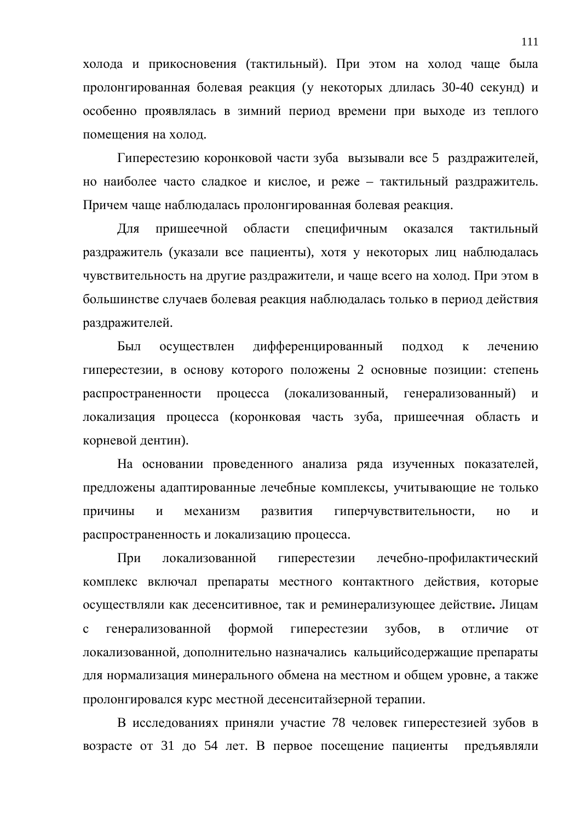холода и прикосновения (тактильный). При этом на холод чаще была пролонгированная болевая реакция (у некоторых длилась 30-40 секунд) и особенно проявлялась в зимний период времени при выходе из теплого помещения на холод.

Гиперестезию коронковой части зуба вызывали все 5 раздражителей, но наиболее часто сладкое и кислое, и реже – тактильный раздражитель. Причем чаще наблюдалась пролонгированная болевая реакция.

Для пришеечной области специфичным оказался тактильный раздражитель (указали все пациенты), хотя у некоторых лиц наблюдалась чувствительность на другие раздражители, и чаще всего на холод. При этом в большинстве случаев болевая реакция наблюдалась только в период действия раздражителей.

Был осуществлен дифференцированный подход к лечению гиперестезии, в основу которого положены 2 основные позиции: степень распространенности процесса (локализованный, генерализованный) и локализация процесса (коронковая часть зуба, пришеечная область и корневой дентин).

На основании проведенного анализа ряда изученных показателей, предложены адаптированные лечебные комплексы, учитывающие не только причины и механизм развития гиперчувствительности, но и распространенность и локализацию процесса.

При локализованной гиперестезии лечебно-профилактический комплекс включал препараты местного контактного действия, которые осуществляли как десенситивное, так и реминерализующее действие. Лицам с генерализованной формой гиперестезии зубов, в отличие от локализованной, дополнительно назначались кальцийсодержащие препараты для нормализация минерального обмена на местном и общем уровне, а также пролонгировался курс местной десенситайзерной терапии.

В исследованиях приняли участие 78 человек гиперестезией зубов в возрасте от 31 до 54 лет. В первое посещение пациенты предъявляли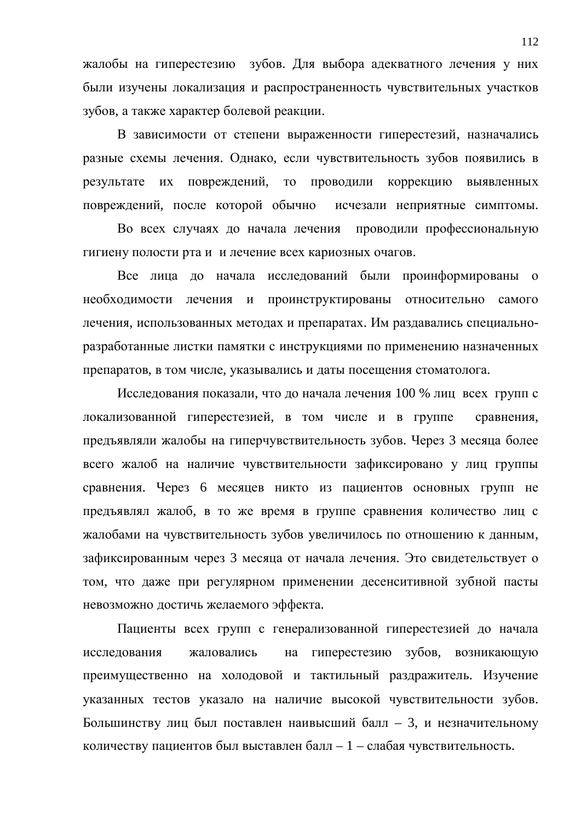жалобы на гиперестезию зубов. Для выбора адекватного лечения у них были изучены локализация и распространенность чувствительных участков зубов, а также характер болевой реакции.

В зависимости от степени выраженности гиперестезий, назначались разные схемы лечения. Однако, если чувствительность зубов появились в результате их повреждений, то проводили коррекцию выявленных повреждений, после которой обычно исчезали неприятные симптомы.

Во всех случаях до начала лечения проводили профессиональную гигиену полости рта и и лечение всех кариозных очагов.

Все лица до начала исследований были проинформированы о необходимости лечения и проинструктированы относительно самого лечения, использованных методах и препаратах. Им раздавались специальноразработанные листки памятки с инструкциями по применению назначенных препаратов, в том числе, указывались и даты посещения стоматолога.

Исследования показали, что до начала лечения 100 % лиц всех групп с локализованной гиперестезией, в том числе и в группе сравнения, предъявляли жалобы на гиперчувствительность зубов. Через 3 месяца более всего жалоб на наличие чувствительности зафиксировано у лиц группы сравнения. Через 6 месяцев никто из пациентов основных групп не предъявлял жалоб, в то же время в группе сравнения количество лиц с жалобами на чувствительность зубов увеличилось по отношению к данным, зафиксированным через 3 месяца от начала лечения. Это свидетельствует о том, что даже при регулярном применении десенситивной зубной пасты невозможно достичь желаемого эффекта.

Пациенты всех групп с генерализованной гиперестезией до начала исследования жаловались на гиперестезию зубов, возникающую преимущественно на холодовой и тактильный раздражитель. Изучение указанных тестов указало на наличие высокой чувствительности зубов. Большинству лиц был поставлен наивысший балл – 3, и незначительному количеству пациентов был выставлен балл – 1 – слабая чувствительность.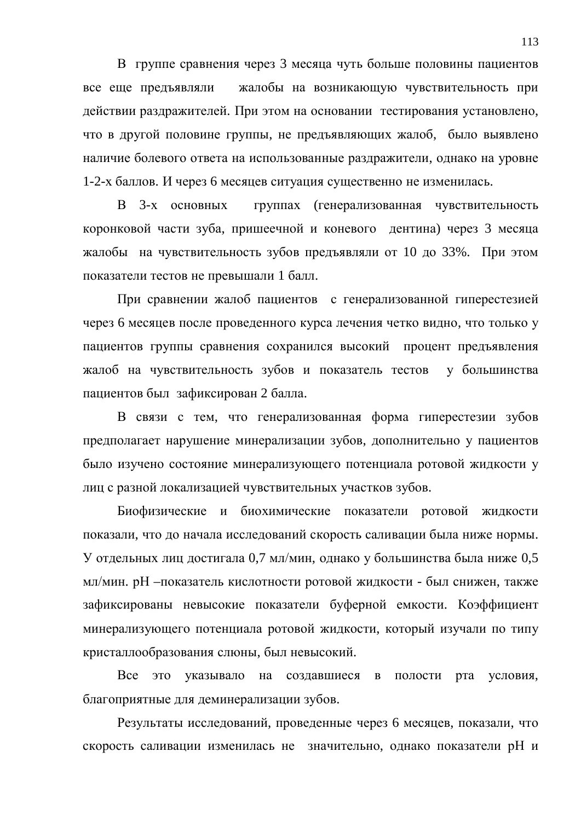В группе сравнения через 3 месяца чуть больше половины пациентов все еще предъявляли жалобы на возникающую чувствительность при действии раздражителей. При этом на основании тестирования установлено, что в другой половине группы, не предъявляющих жалоб, было выявлено наличие болевого ответа на использованные раздражители, однако на уровне 1-2-х баллов. И через 6 месяцев ситуация существенно не изменилась.

В 3-х основных группах (генерализованная чувствительность коронковой части зуба, пришеечной и коневого дентина) через 3 месяца жалобы на чувствительность зубов предъявляли от 10 до 33%. При этом показатели тестов не превышали 1 балл.

При сравнении жалоб пациентов с генерализованной гиперестезией через 6 месяцев после проведенного курса лечения четко видно, что только у пациентов группы сравнения сохранился высокий процент предъявления жалоб на чувствительность зубов и показатель тестов у большинства пациентов был зафиксирован 2 балла.

В связи с тем, что генерализованная форма гиперестезии зубов предполагает нарушение минерализации зубов, дополнительно у пациентов было изучено состояние минерализующего потенциала ротовой жидкости у лиц с разной локализацией чувствительных участков зубов.

Биофизические и биохимические показатели ротовой жидкости показали, что до начала исследований скорость саливации была ниже нормы. У отдельных лиц достигала 0,7 мл/мин, однако у большинства была ниже 0,5 мл/мин. рН – показатель кислотности ротовой жидкости - был снижен, также зафиксированы невысокие показатели буферной емкости. Коэффициент минерализующего потенциала ротовой жидкости, который изучали по типу кристаллообразования слюны, был невысокий.

Все это указывало на создавшиеся в полости рта условия, благоприятные для деминерализации зубов.

Результаты исследований, проведенные через 6 месяцев, показали, что скорость саливации изменилась не значительно, однако показатели рН и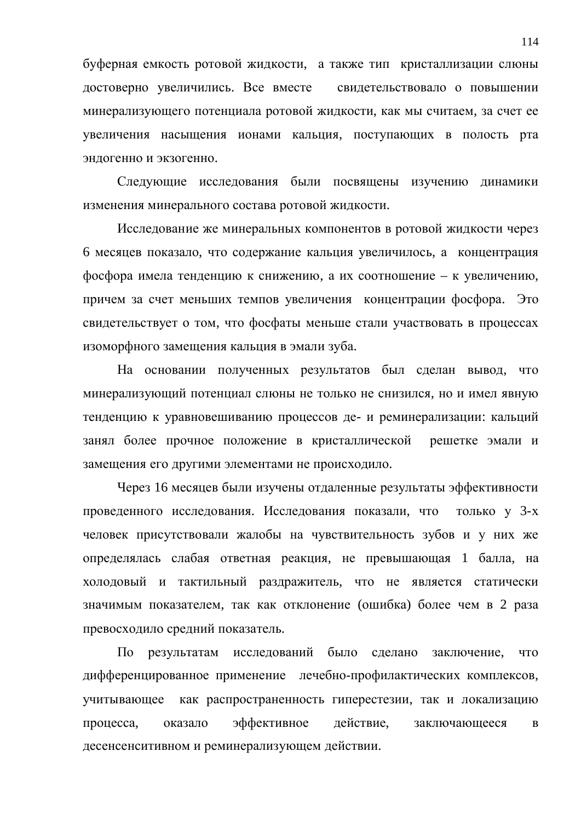буферная емкость ротовой жидкости, а также тип кристаллизации слюны достоверно увеличились. Все вместе свидетельствовало о повышении минерализующего потенциала ротовой жидкости, как мы считаем, за счет ее увеличения насыщения ионами кальция, поступающих в полость рта эндогенно и экзогенно.

Следующие исследования были посвящены изучению динамики изменения минерального состава ротовой жидкости.

Исследование же минеральных компонентов в ротовой жидкости через 6 месяцев показало, что содержание кальция увеличилось, а концентрация фосфора имела тенденцию к снижению, а их соотношение – к увеличению, причем за счет меньших темпов увеличения концентрации фосфора. Это свидетельствует о том, что фосфаты меньше стали участвовать в процессах изоморфного замещения кальция в эмали зуба.

На основании полученных результатов был сделан вывод, что минерализующий потенциал слюны не только не снизился, но и имел явную тенденцию к уравновешиванию процессов де- и реминерализации: кальций занял более прочное положение в кристаллической решетке эмали и замещения его другими элементами не происходило.

Через 16 месяцев были изучены отдаленные результаты эффективности проведенного исследования. Исследования показали, что только у 3-х человек присутствовали жалобы на чувствительность зубов и у них же определялась слабая ответная реакция, не превышающая 1 балла, на холодовый и тактильный раздражитель, что не является статически значимым показателем, так как отклонение (ошибка) более чем в 2 раза превосходило средний показатель.

По результатам исследований было сделано заключение, что дифференцированное применение лечебно-профилактических комплексов, учитывающее как распространенность гиперестезии, так и локализацию процесса, оказало эффективное действие, заключающееся в десенсенситивном и реминерализующем действии.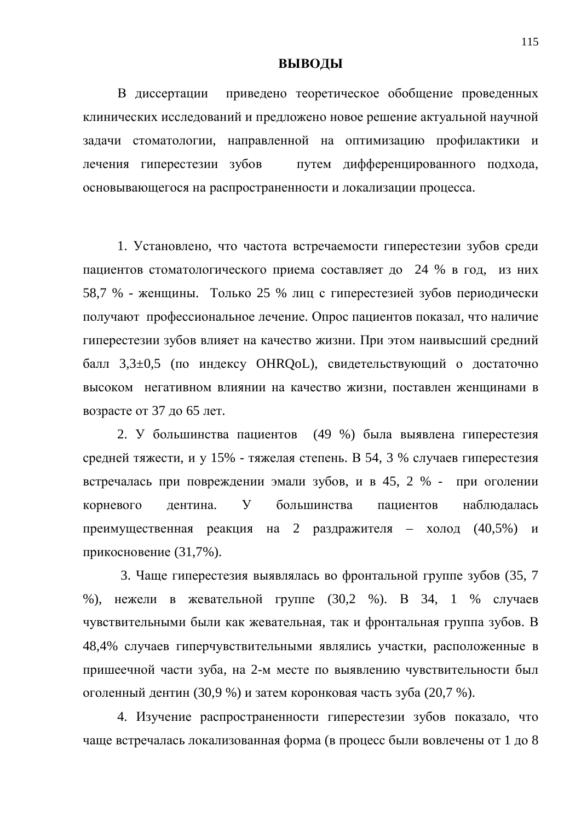## **ВЫВОДЫ**

В диссертации приведено теоретическое обобщение проведенных клинических исследований и предложено новое решение актуальной научной задачи стоматологии, направленной на оптимизацию профилактики и лечения гиперестезии зубов путем дифференцированного подхода, основывающегося на распространенности и локализации процесса.

1. Установлено, что частота встречаемости гиперестезии зубов среди пациентов стоматологического приема составляет до 24 % в год, из них 58,7 % - женщины. Только 25 % лиц с гиперестезией зубов периодически получают профессиональное лечение. Опрос пациентов показал, что наличие гиперестезии зубов влияет на качество жизни. При этом наивысший средний балл 3,3±0,5 (по индексу OHRQoL), свидетельствующий о достаточно высоком негативном влиянии на качество жизни, поставлен женщинами в возрасте от 37 до 65 лет.

2. У большинства пациентов (49 %) была выявлена гиперестезия средней тяжести, и у 15% - тяжелая степень. В 54, 3 % случаев гиперестезия встречалась при повреждении эмали зубов, и в 45, 2 % - при оголении корневого дентина. У большинства пациентов наблюдалась преимущественная реакция на 2 раздражителя – холод (40,5%) и прикосновение (31,7%).

3. Чаще гиперестезия выявлялась во фронтальной группе зубов (35, 7 %), нежели в жевательной группе (30,2 %). В 34, 1 % случаев чувствительными были как жевательная, так и фронтальная группа зубов. В 48,4% случаев гиперчувствительными являлись участки, расположенные в пришеечной части зуба, на 2-м месте по выявлению чувствительности был оголенный дентин (30,9 %) и затем коронковая часть зуба (20,7 %).

4. Изучение распространенности гиперестезии зубов показало, что чаще встречалась локализованная форма (в процесс были вовлечены от 1 до 8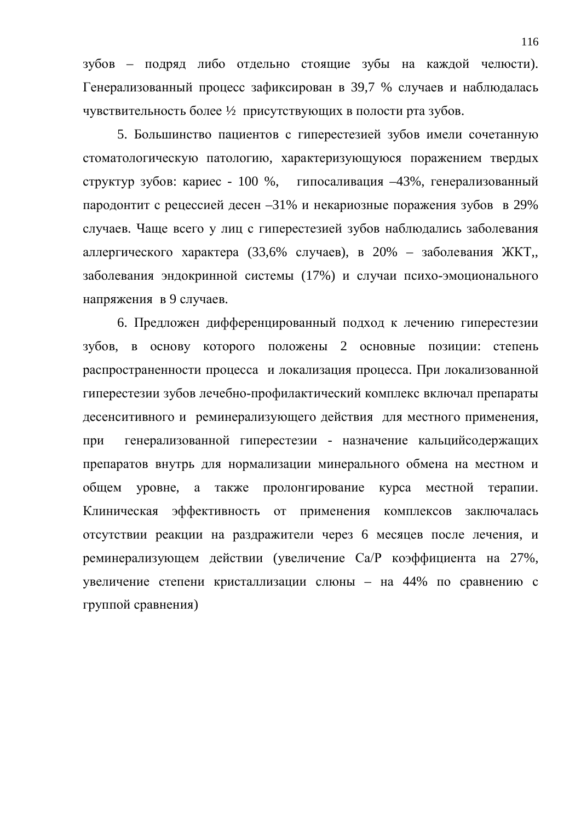зубов – подряд либо отдельно стоящие зубы на каждой челюсти). Генерализованный процесс зафиксирован в 39,7 % случаев и наблюдалась чувствительность более 1/2 присутствующих в полости рта зубов.

5. Большинство пациентов с гиперестезией зубов имели сочетанную стоматологическую патологию, характеризующуюся поражением твердых структур зубов: кариес - 100 %, гипосаливация  $-43\%$ , генерализованный пародонтит с рецессией десен –31% и некариозные поражения зубов в 29% случаев. Чаще всего у лиц с гиперестезией зубов наблюдались заболевания аллергического характера (33,6% случаев), в 20% – заболевания ЖКТ, заболевания эндокринной системы (17%) и случаи психо-эмоционального напряжения в 9 случаев.

6. Предложен дифференцированный подход к лечению гиперестезии зубов, в основу которого положены 2 основные позиции: степень распространенности процесса и локализация процесса. При локализованной гиперестезии зубов лечебно-профилактический комплекс включал препараты десенситивного и реминерализующего действия для местного применения, при генерализованной гиперестезии - назначение кальцийсодержащих препаратов внутрь для нормализации минерального обмена на местном и общем уровне, а также пролонгирование курса местной терапии. Клиническая эффективность от применения комплексов заключалась отсутствии реакции на раздражители через 6 месяцев после лечения, и реминерализующем действии (увеличение Ca/P коэффициента на 27%, увеличение степени кристаллизации слюны - на 44% по сравнению с группой сравнения)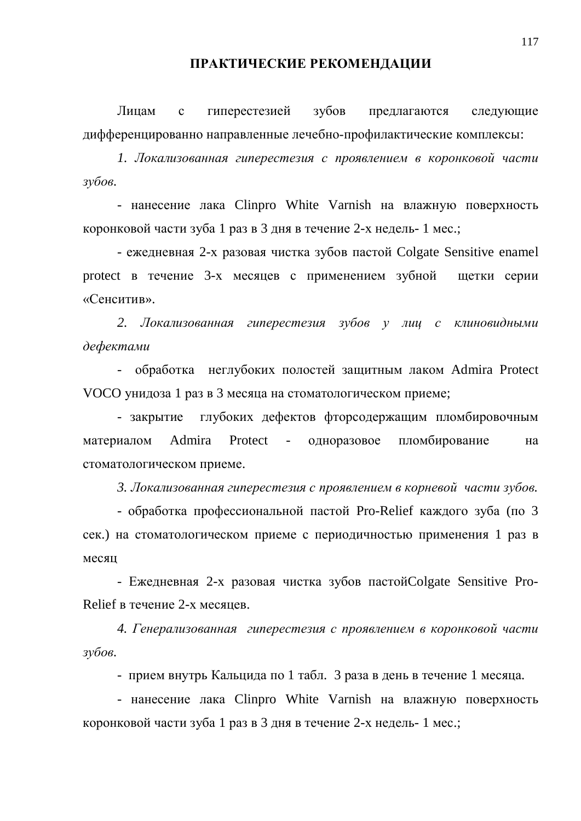## ПРАКТИЧЕСКИЕ РЕКОМЕНДАЦИИ

Лицам с гиперестезией зубов предлагаются следующие дифференцированно направленные лечебно-профилактические комплексы:

1. Локализованная гиперестезия с проявлением в коронковой части  $3\gamma$ *бов*.

- нанесение лака Clinpro White Varnish на влажную поверхность коронковой части зуба 1 раз в 3 дня в течение 2-х недель-1 мес.;

- ежедневная 2-х разовая чистка зубов пастой Colgate Sensitive enamel protect в течение 3-х месяцев с применением зубной щетки серии «Сенситив».

2. Локализованная гиперестезия зубов у лиц с клиновидными дефектами

- обработка неглубоких полостей защитным лаком Admira Protect VOCO унидоза 1 раз в 3 месяца на стоматологическом приеме;

- закрытие глубоких дефектов фторсодержащим пломбировочным материалом Admira Protect - одноразовое пломбирование на стоматологическом приеме.

3. Локализованная гиперестезия с проявлением в корневой части зубов.

- обработка профессиональной пастой Pro-Relief каждого зуба (по 3 сек.) на стоматологическом приеме с периодичностью применения 1 раз в месян

- Ежедневная 2-х разовая чистка зубов пастой Colgate Sensitive Pro-Relief в течение 2-х месяцев.

4. Генерализованная гиперестезия с проявлением в коронковой части  $3\gamma\delta$ *06.* 

- прием внутрь Кальцида по 1 табл. 3 раза в день в течение 1 месяца.

- нанесение лака Clinpro White Varnish на влажную поверхность коронковой части зуба 1 раз в 3 дня в течение 2-х недель-1 мес.;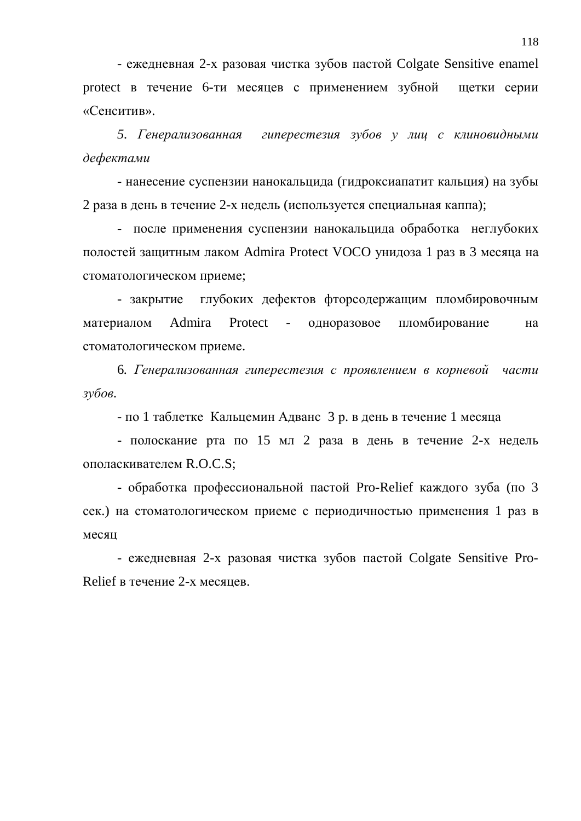- ежедневная 2-х разовая чистка зубов пастой Colgate Sensitive enamel protect в течение 6-ти месяцев с применением зубной щетки серии «Сенситив».

5. Генерализованная гиперестезия зубов у лиц с клиновидными дефектами

- нанесение суспензии нанокальцида (гидроксиапатит кальция) на зубы 2 раза в день в течение 2-х недель (используется специальная каппа);

- после применения суспензии нанокальцида обработка неглубоких полостей защитным лаком Admira Protect VOCO унидоза 1 раз в 3 месяца на стоматологическом приеме;

- закрытие глубоких дефектов фторсодержащим пломбировочным материалом Admira Protect - одноразовое пломбирование на стоматологическом приеме.

6. Генерализованная гиперестезия с проявлением в корневой части  $3\gamma\delta$ *06.* 

- по 1 таблетке Кальцемин Адванс 3 р. в день в течение 1 месяца

- полоскание рта по 15 мл 2 раза в день в течение 2-х недель ополаскивателем R.O.C.S:

- обработка профессиональной пастой Pro-Relief каждого зуба (по 3 сек.) на стоматологическом приеме с периодичностью применения 1 раз в месяц

- ежедневная 2-х разовая чистка зубов пастой Colgate Sensitive Pro-Relief в течение 2-х месяцев.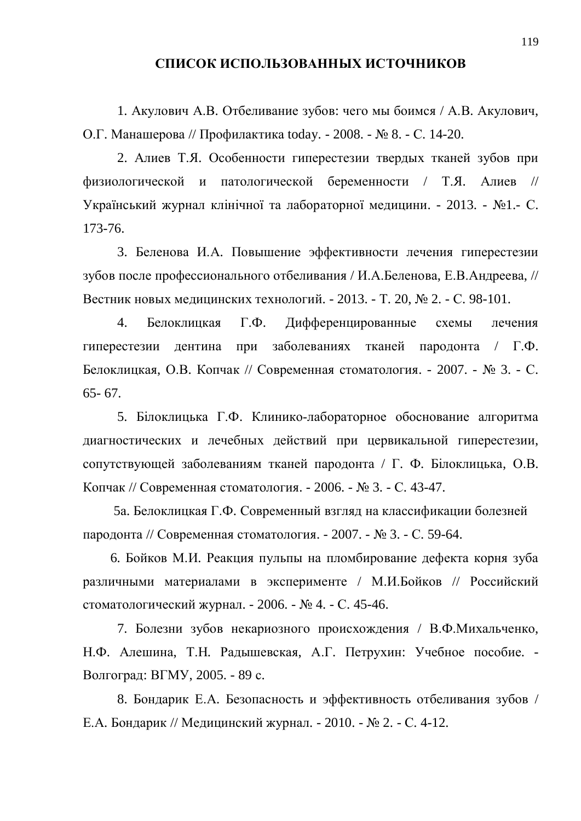## СПИСОК ИСПОЛЬЗОВАННЫХ ИСТОЧНИКОВ

1. Акулович А.В. Отбеливание зубов: чего мы боимся / А.В. Акулович, О.Г. Манашерова // Профилактика today. - 2008. - № 8. - С. 14-20.

2. Алиев Т.Я. Особенности гиперестезии твердых тканей зубов при физиологической и патологической беременности / Т.Я. Алиев // Український журнал клінічної та лабораторної медицини. - 2013. - №1.- С. 173-76.

3. Беленова И.А. Повышение эффективности лечения гиперестезии зубов после профессионального отбеливания / И.А.Беленова, Е.В.Андреева, // Вестник новых медицинских технологий. - 2013. - Т. 20, № 2. - С. 98-101.

4. Белоклицкая Г.Ф. Дифференцированные схемы лечения гиперестезии дентина при заболеваниях тканей пародонта / Г.Ф. Белоклицкая, О.В. Копчак // Современная стоматология. - 2007. - № 3. - С. 65- 67.

5. Білоклицька Г.Ф. Клинико-лабораторное обоснование алгоритма диагностических и лечебных действий при цервикальной гиперестезии, сопутствующей заболеваниям тканей пародонта / Г. Ф. Білоклицька, О.В. Копчак // Современная стоматология. - 2006. - № 3. - С. 43-47.

5а. Белоклицкая Г.Ф. Современный взгляд на классификации болезней пародонта // Современная стоматология. - 2007. - № 3. - С. 59-64.

6. Бойков М.И. Реакция пульпы на пломбирование дефекта корня зуба различными материалами в эксперименте / М.И.Бойков // Российский стоматологический журнал. - 2006. - № 4. - С. 45-46.

7. Болезни зубов некариозного происхождения / В.Ф.Михальченко, Н.Ф. Алешина, Т.Н. Радышевская, А.Г. Петрухин: Учебное пособие. -Волгоград: ВГМУ, 2005. - 89 с.

8. Бондарик Е.А. Безопасность и эффективность отбеливания зубов / Е.А. Бондарик // Медицинский журнал. - 2010. - № 2. - С. 4-12.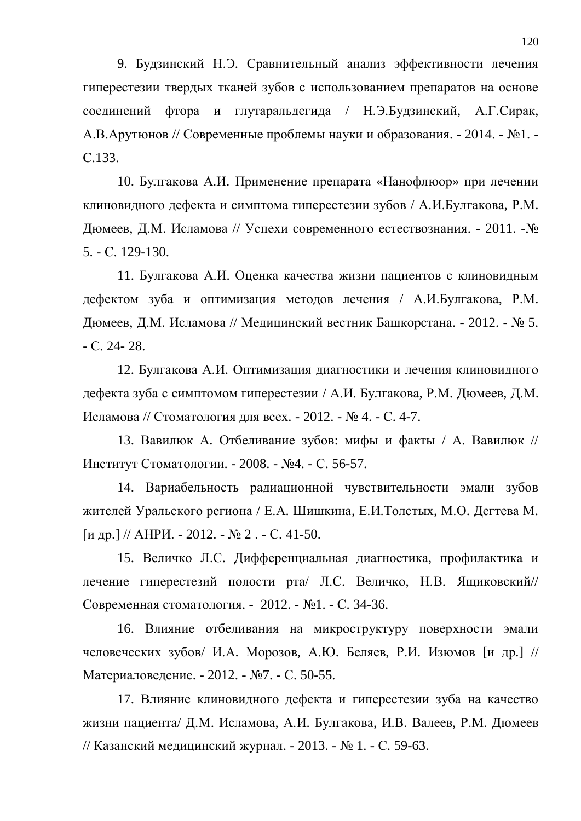9. Будзинский Н.Э. Сравнительный анализ эффективности лечения гиперестезии твердых тканей зубов с использованием препаратов на основе соединений фтора и глутаральдегида / Н.Э.Будзинский, А.Г.Сирак, А.В. Арутюнов // Современные проблемы науки и образования. - 2014. - №1. -C.133.

10. Булгакова А.И. Применение препарата «Нанофлюор» при лечении клиновидного дефекта и симптома гиперестезии зубов / А.И.Булгакова, Р.М. Дюмеев, Д.М. Исламова // Успехи современного естествознания. - 2011. - № 5. - ɋ. 129-130.

11. Булгакова А.И. Оценка качества жизни пациентов с клиновидным дефектом зуба и оптимизация методов лечения / А.И.Булгакова, Р.М. Дюмеев, Д.М. Исламова // Медицинский вестник Башкорстана. - 2012. - № 5.  $-C. 24 - 28.$ 

12. Булгакова А.И. Оптимизация диагностики и лечения клиновидного дефекта зуба с симптомом гиперестезии / А.И. Булгакова, Р.М. Дюмеев, Д.М. Исламова // Стоматология для всех. - 2012. - № 4. - С. 4-7.

13. Вавилюк А. Отбеливание зубов: мифы и факты / А. Вавилюк // Институт Стоматологии. - 2008. - №4. - С. 56-57.

14. Вариабельность радиационной чувствительности эмали зубов жителей Уральского региона / Е.А. Шишкина, Е.И. Толстых, М.О. Дегтева М.  $\lceil \text{u } \text{dp.} \rceil$  // AHPH. - 2012. -  $\mathbb{N}$  2. - C. 41-50.

15. Величко Л.С. Дифференциальная диагностика, профилактика и лечение гиперестезий полости рта/ Л.С. Величко, Н.В. Ящиковский// Современная стоматология. - 2012. - №1. - С. 34-36.

16. Влияние отбеливания на микроструктуру поверхности эмали человеческих зубов/ И.А. Морозов, А.Ю. Беляев, Р.И. Изюмов [и др.] // Материаловедение. - 2012. - №7. - С. 50-55.

17. Влияние клиновидного дефекта и гиперестезии зуба на качество жизни пациента/ Д.М. Исламова, А.И. Булгакова, И.В. Валеев, Р.М. Дюмеев // Казанский медицинский журнал. - 2013. - № 1. - С. 59-63.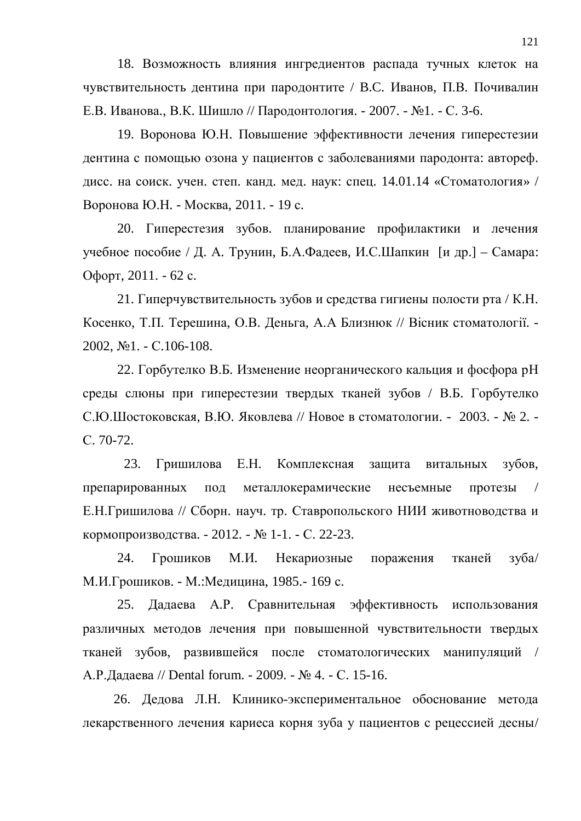18. Возможность влияния ингредиентов распада тучных клеток на чувствительность дентина при пародонтите / В.С. Иванов, П.В. Почивалин Е.В. Иванова., В.К. Шишло // Пародонтология. - 2007. - №1. - С. 3-6.

19. Воронова Ю.Н. Повышение эффективности лечения гиперестезии дентина с помощью озона у пациентов с заболеваниями пародонта: автореф. дисс. на соиск. учен. степ. канд. мед. наук: спец. 14.01.14 «Стоматология» / Воронова Ю.Н. - Москва, 2011. - 19 с.

20. Гиперестезия зубов. планирование профилактики и лечения учебное пособие / Д. А. Трунин, Б.А.Фадеев, И.С.Шапкин [и др.] – Самара: Офорт, 2011. - 62 с.

21. Гиперчувствительность зубов и средства гигиены полости рта / К.Н. Косенко, Т.П. Терешина, О.В. Деньга, А.А Близнюк // Вісник стоматології. - $2002$ ,  $\text{Ne}1$ . -  $\text{C}.106$ -108.

22. Горбутелко В.Б. Изменение неорганического кальция и фосфора рН среды слюны при гиперестезии твердых тканей зубов / В.Б. Горбутелко С.Ю.Шостоковская, В.Ю. Яковлева // Новое в стоматологии. - 2003. - № 2. -C. 70-72.

23. Гришилова Е.Н. Комплексная зашита витальных зубов. препарированных под металлокерамические несъемные протезы Е.Н.Гришилова // Сборн. науч. тр. Ставропольского НИИ животноводства и кормопроизводства. - 2012. - № 1-1. - С. 22-23.

24. Грошиков М.И. Некариозные поражения тканей зуба/ М.И.Грошиков. - М.:Медицина, 1985.- 169 с.

25. Дадаева А.Р. Сравнительная эффективность использования различных методов лечения при повышенной чувствительности твердых тканей зубов, развившейся после стоматологических манипуляций / А.Р.Дадаева // Dental forum. - 2009. - № 4. - С. 15-16.

26. Дедова Л.Н. Клинико-экспериментальное обоснование метода лекарственного лечения кариеса корня зуба у пациентов с рецессией десны/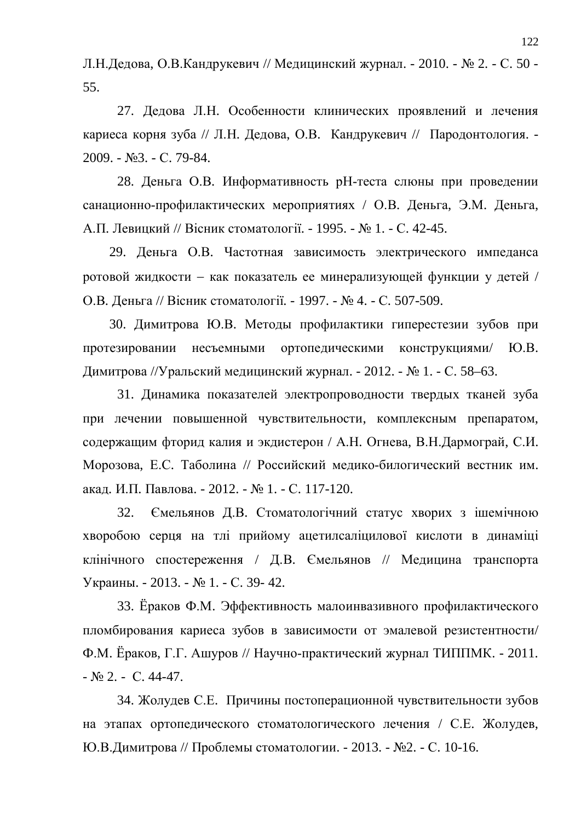Л.Н.Дедова, О.В.Кандрукевич // Медицинский журнал. - 2010. - № 2. - С. 50 -55.

27. Дедова Л.Н. Особенности клинических проявлений и лечения кариеса корня зуба // Л.Н. Дедова, О.В. Кандрукевич // Пародонтология. -2009. - №3. - С. 79-84.

28. Деньга О.В. Информативность рН-теста слюны при проведении санационно-профилактических мероприятиях / О.В. Деньга, Э.М. Деньга, А.П. Левицкий // Вісник стоматології. - 1995. - № 1. - С. 42-45.

29. Деньга О.В. Частотная зависимость электрического импеданса ротовой жидкости - как показатель ее минерализующей функции у детей / О.В. Деньга // Вісник стоматології. - 1997. - № 4. - С. 507-509.

30. Димитрова Ю.В. Методы профилактики гиперестезии зубов при протезировании несъемными ортопедическими конструкциями/ Ю.В. Димитрова //Уральский медицинский журнал. - 2012. - № 1. - С. 58–63.

31. Динамика показателей электропроводности твердых тканей зуба при лечении повышенной чувствительности, комплексным препаратом, содержащим фторид калия и экдистерон / А.Н. Огнева, В.Н. Дармограй, С.И. Морозова, Е.С. Таболина // Российский медико-билогический вестник им. акад. И.П. Павлова. - 2012. - № 1. - С. 117-120.

32. Ємельянов Д.В. Стоматологічний статус хворих з ішемічною хворобою серця на тлі прийому ацетилсаліцилової кислоти в динаміці клінічного спостереження / Д.В. Ємельянов // Медицина транспорта Украины. - 2013. - № 1. - С. 39- 42.

33. Ёраков Ф.М. Эффективность малоинвазивного профилактического пломбирования кариеса зубов в зависимости от эмалевой резистентности/ Ф.М. Ёраков, Г.Г. Ашуров // Научно-практический журнал ТИППМК. - 2011.  $\mathbb{N}$ <sup>0</sup> 2. - C. 44-47.

34. Жолудев С.Е. Причины постоперационной чувствительности зубов на этапах ортопедического стоматологического лечения / С.Е. Жолудев, Ю.В.Димитрова // Проблемы стоматологии. - 2013. - №2. - С. 10-16.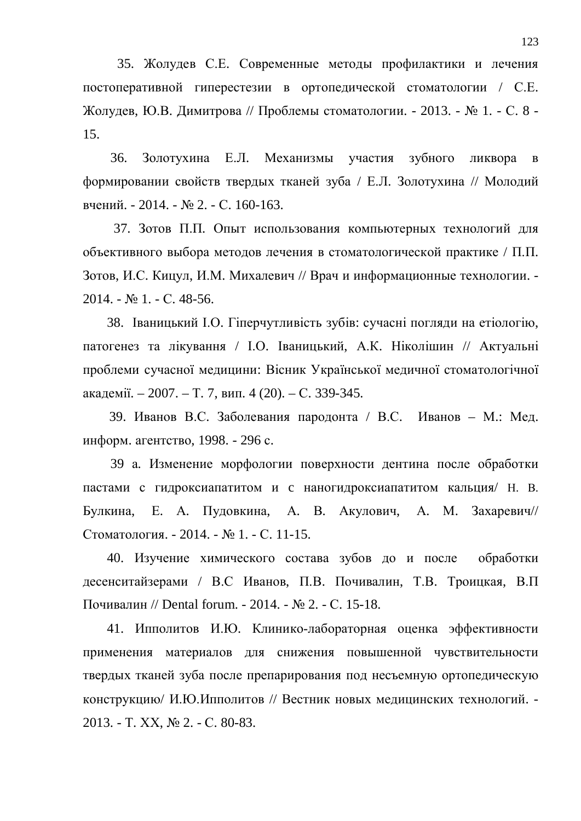35. Жолудев С.Е. Современные методы профилактики и лечения постоперативной гиперестезии в ортопедической стоматологии / С.Е. Жолудев, Ю.В. Димитрова // Проблемы стоматологии. - 2013. - № 1. - С. 8 -15.

36. Золотухина Е.Л. Механизмы участия зубного ликвора в формировании свойств твердых тканей зуба / Е.Л. Золотухина // Молодий вчений. - 2014. - № 2. - С. 160-163.

37. Зотов П.П. Опыт использования компьютерных технологий для объективного выбора методов лечения в стоматологической практике / П.П. Зотов, И.С. Кицул, И.М. Михалевич // Врач и информационные технологии. -2014. - № 1. - С. 48-56.

38. Іваницький І.О. Гіперчутливість зубів: сучасні погляди на етіологію, патогенез та лікування / І.О. Іваницький, А.К. Ніколішин // Актуальні проблеми сучасної медицини: Вісник Української медичної стоматологічної академії. – 2007. – Т. 7, вип. 4 (20). – С. 339-345.

39. Иванов В.С. Заболевания пародонта / В.С. Иванов – М.: Мед. информ. агентство, 1998. - 296 с.

39 а. Изменение морфологии поверхности дентина после обработки пастами с гидроксиапатитом и с наногидроксиапатитом кальция/ Н. В. Булкина, Е. А. Пудовкина, А. В. Акулович, А. М. Захаревич// Стоматология. - 2014. - № 1. - С. 11-15.

40. Изучение химического состава зубов до и после обработки десенситайзерами / В.С Иванов, П.В. Почивалин, Т.В. Троицкая, В.П. Почивалин // Dental forum. - 2014. - № 2. - С. 15-18.

41. Ипполитов И.Ю. Клинико-лабораторная оценка эффективности применения материалов для снижения повышенной чувствительности твердых тканей зуба после препарирования под несъемную ортопедическую конструкцию/ И.Ю.Ипполитов // Вестник новых медицинских технологий. -2013. - T. XX, № 2. - C. 80-83.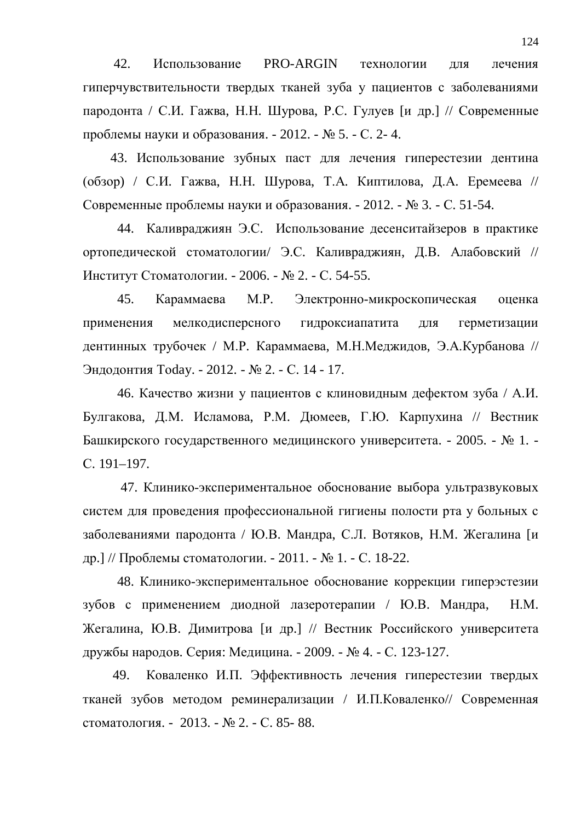42. Использование PRO-ARGIN технологии для лечения гиперчувствительности твердых тканей зуба у пациентов с заболеваниями пародонта / С.И. Гажва, Н.Н. Шурова, Р.С. Гулуев [и др.] // Современные проблемы науки и образования. - 2012. - № 5. - С. 2- 4.

43. Использование зубных паст для лечения гиперестезии дентина (обзор) / С.И. Гажва, Н.Н. Шурова, Т.А. Киптилова, Д.А. Еремеева // Современные проблемы науки и образования. - 2012. - № 3. - С. 51-54.

44. Каливраджиян Э.С. Использование десенситайзеров в практике ортопедической стоматологии/ Э.С. Каливраджиян, Д.В. Алабовский // Институт Стоматологии. - 2006. - № 2. - С. 54-55.

45. Караммаева М.Р. Электронно-микроскопическая оценка применения мелкодисперсного гидроксиапатита для герметизации дентинных трубочек / М.Р. Караммаева, М.Н.Меджидов, Э.А.Курбанова // Эндодонтия Today. - 2012. - № 2. - С. 14 - 17.

46. Качество жизни у пациентов с клиновидным дефектом зуба / А.И. Булгакова, Д.М. Исламова, Р.М. Дюмеев, Г.Ю. Карпухина // Вестник Башкирского государственного медицинского университета. - 2005. - № 1. -C. 191–197.

47. Клинико-экспериментальное обоснование выбора ультразвуковых систем для проведения профессиональной гигиены полости рта у больных с заболеваниями пародонта / Ю.В. Мандра, С.Л. Вотяков, Н.М. Жегалина [и др.] // Проблемы стоматологии. - 2011. - № 1. - С. 18-22.

48. Клинико-экспериментальное обоснование коррекции гиперэстезии зубов с применением диодной лазеротерапии / Ю.В. Мандра, Н.М. Жегалина, Ю.В. Димитрова [и др.] // Вестник Российского университета дружбы народов. Серия: Медицина. - 2009. - № 4. - С. 123-127.

49. Коваленко И.П. Эффективность лечения гиперестезии твердых тканей зубов методом реминерализации / И.П.Коваленко// Современная стоматология. - 2013. - № 2. - С. 85- 88.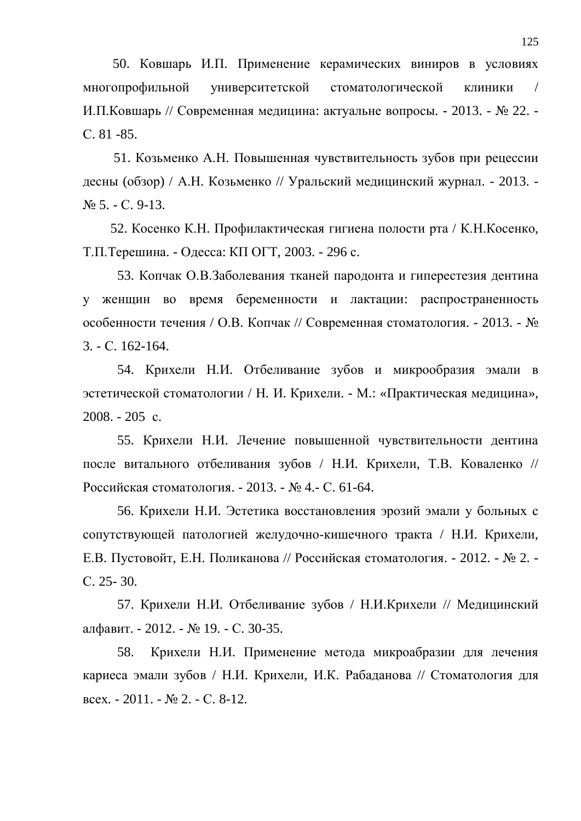50. Ковшарь И.П. Применение керамических виниров в условиях многопрофильной университетской стоматологической клиники / И.П. Ковшарь // Современная медицина: актуальне вопросы. - 2013. - № 22. -C. 81 -85.

51. Козьменко А.Н. Повышенная чувствительность зубов при рецессии десны (обзор) / А.Н. Козьменко // Уральский медицинский журнал. - 2013. - $N<sub>0</sub>$  5. - C. 9-13.

52. Косенко К.Н. Профилактическая гигиена полости рта / К.Н.Косенко, Т.П. Терешина. - Одесса: КП ОГТ, 2003. - 296 с.

53. Копчак О.В.Заболевания тканей пародонта и гиперестезия дентина у женщин во время беременности и лактации: распространенность особенности течения / О.В. Копчак // Современная стоматология. - 2013. - № 3. - ɋ. 162-164.

54. Крихели Н.И. Отбеливание зубов и микрообразия эмали в эстетической стоматологии / Н. И. Крихели. - М.: «Практическая медицина»,  $2008. - 205$  c.

55. Крихели Н.И. Лечение повышенной чувствительности дентина после витального отбеливания зубов / Н.И. Крихели. Т.В. Коваленко // Российская стоматология. - 2013. - № 4.- С. 61-64.

56. Крихели Н.И. Эстетика восстановления эрозий эмали у больных с сопутствующей патологией желудочно-кишечного тракта / Н.И. Крихели, Е.В. Пустовойт, Е.Н. Поликанова // Российская стоматология. - 2012. - № 2. ɋ. 25- 30.

57. Крихели Н.И. Отбеливание зубов / Н.И.Крихели // Медицинский алфавит. - 2012. - № 19. - С. 30-35.

58. Крихели Н.И. Применение метода микроабразии для лечения кариеса эмали зубов / Н.И. Крихели, И.К. Рабаданова // Стоматология для BCCX. -  $2011. - N_2 2. - C. 8-12.$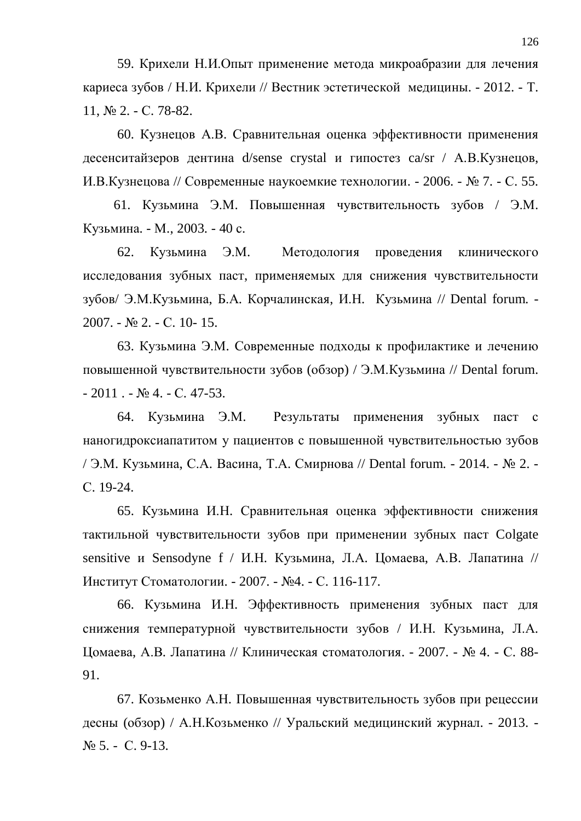59. Крихели Н.И.Опыт применение метода микроабразии для лечения кариеса зубов / Н.И. Крихели // Вестник эстетической медицины. - 2012. - Т.  $11,$   $\mathcal{N}$ <sup>o</sup> 2. - C. 78-82.

60. Кузнецов А.В. Сравнительная оценка эффективности применения десенситайзеров дентина d/sense crystal и гипостез са/sr / А.В.Кузнецов, И.В.Кузнецова // Современные наукоемкие технологии. - 2006. - № 7. - С. 55.

61. Кузьмина Э.М. Повышенная чувствительность зубов / Э.М. Кузьмина. - М., 2003. - 40 с.

62. Кузьмина Э.М. Методология проведения клинического исследования зубных паст, применяемых для снижения чувствительности зубов/ Э.М. Кузьмина, Б.А. Корчалинская, И.Н. Кузьмина // Dental forum. -2007. - № 2. - С. 10- 15.

63. Кузьмина Э.М. Современные подходы к профилактике и лечению повышенной чувствительности зубов (обзор) / Э.М. Кузьмина // Dental forum.  $-2011$ .  $\mathbb{N}$ <sup>0</sup> 4.  $-$  C. 47-53.

64. Кузьмина Э.М. Результаты применения зубных паст с наногидроксиапатитом у пациентов с повышенной чувствительностью зубов / Э.М. Кузьмина, С.А. Васина, Т.А. Смирнова // Dental forum. - 2014. - № 2. -C. 19-24.

65. Кузьмина И.Н. Сравнительная оценка эффективности снижения тактильной чувствительности зубов при применении зубных паст Colgate sensitive и Sensodyne f / И.Н. Кузьмина, Л.А. Цомаева, А.В. Лапатина // Институт Стоматологии. - 2007. - №4. - С. 116-117.

66. Кузьмина И.Н. Эффективность применения зубных паст для снижения температурной чувствительности зубов / И.Н. Кузьмина, Л.А. Цомаева, А.В. Лапатина // Клиническая стоматология. - 2007. - № 4. - С. 88-91.

67. Козьменко А.Н. Повышенная чувствительность зубов при рецессии десны (обзор) / А.Н.Козьменко // Уральский медицинский журнал. - 2013. - $N<sub>2</sub> 5. - C. 9-13.$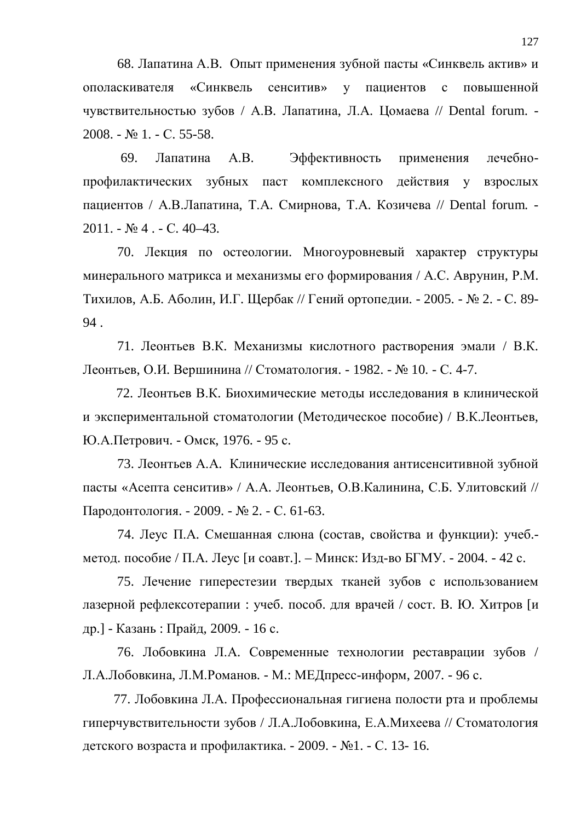68. Лапатина А.В. Опыт применения зубной пасты «Синквель актив» и ополаскивателя «Синквель сенситив» у пациентов с повышенной чувствительностью зубов / А.В. Лапатина, Л.А. Цомаева // Dental forum. - $2008. - N_2$  1. - C. 55-58.

69. Лапатина А.В. Эффективность применения лечебнопрофилактических зубных паст комплексного действия у взрослых пациентов / А.В.Лапатина, Т.А. Смирнова, Т.А. Козичева // Dental forum. - $2011. - N<sub>2</sub>4. - C. 40-43.$ 

70. Лекция по остеологии. Многоуровневый характер структуры минерального матрикса и механизмы его формирования / А.С. Аврунин, Р.М. Тихилов, А.Б. Аболин, И.Г. Щербак // Гений ортопедии. - 2005. - № 2. - С. 89-94 .

71. Леонтьев В.К. Механизмы кислотного растворения эмали / В.К. Леонтьев, О.И. Вершинина // Стоматология. - 1982. - № 10. - С. 4-7.

72. Леонтьев В.К. Биохимические методы исследования в клинической и экспериментальной стоматологии (Методическое пособие) / В.К.Леонтьев, Ю.А.Петрович. - Омск, 1976. - 95 с.

73. Леонтьев А.А. Клинические исследования антисенситивной зубной пасты «Асепта сенситив» / А.А. Леонтьев, О.В.Калинина, С.Б. Улитовский // Пародонтология. - 2009. - № 2. - С. 61-63.

74. Леус П.А. Смешанная слюна (состав, свойства и функции): учеб.метод. пособие / П.А. Леус [и соавт.]. – Минск: Изд-во БГМУ. - 2004. - 42 с.

75. Лечение гиперестезии твердых тканей зубов с использованием лазерной рефлексотерапии: учеб. пособ. для врачей / сост. В. Ю. Хитров [и др.] - Казань : Прайд, 2009. - 16 с.

76. Лобовкина Л.А. Современные технологии реставрации зубов / Л.А.Лобовкина, Л.М.Романов. - М.: МЕДпресс-информ, 2007. - 96 с.

77. Лобовкина Л.А. Профессиональная гигиена полости рта и проблемы гиперчувствительности зубов / Л.А.Лобовкина, Е.А.Михеева // Стоматология детского возраста и профилактика. - 2009. - №1. - С. 13- 16.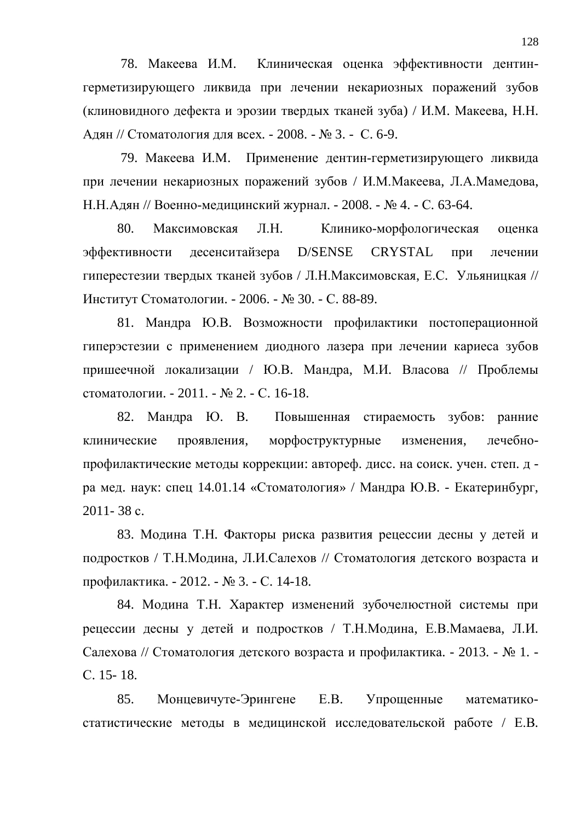78. Макеева И.М. Клиническая оценка эффективности дентингерметизирующего ликвида при лечении некариозных поражений зубов (клиновидного дефекта и эрозии твердых тканей зуба) / И.М. Макеева, Н.Н. Адян // Стоматология для всех. - 2008. - № 3. - С. 6-9.

79. Макеева И.М. Применение дентин-герметизирующего ликвида при лечении некариозных поражений зубов / И.М.Макеева, Л.А.Мамедова, Н.Н.Адян // Военно-медицинский журнал. - 2008. - № 4. - С. 63-64.

80. Максимовская Л.Н. Клинико-морфологическая оценка эффективности десенситайзера D/SENSE CRYSTAL при лечении гиперестезии твердых тканей зубов / Л.Н.Максимовская, Е.С. Ульяницкая // Институт Стоматологии. - 2006. - № 30. - С. 88-89.

81. Мандра Ю.В. Возможности профилактики постоперационной гиперэстезии с применением диодного лазера при лечении кариеса зубов пришеечной локализации / Ю.В. Мандра, М.И. Власова // Проблемы стоматологии. - 2011. - № 2. - С. 16-18.

82. Мандра Ю. В. Повышенная стираемость зубов: ранние клинические проявления, морфоструктурные изменения, лечебнопрофилактические метолы коррекции: автореф. лисс. на соиск. ∨чен. степ. л ра мед. наук: спец 14.01.14 «Стоматология» / Мандра Ю.В. - Екатеринбург,  $2011 - 38$  c.

83. Модина Т.Н. Факторы риска развития рецессии десны у детей и подростков / Т.Н.Модина, Л.И.Салехов // Стоматология детского возраста и профилактика. - 2012. - № 3. - С. 14-18.

84. Модина Т.Н. Характер изменений зубочелюстной системы при рецессии десны у детей и подростков / Т.Н.Модина, Е.В.Мамаева, Л.И. Салехова // Стоматология детского возраста и профилактика. - 2013. - № 1. ɋ. 15- 18.

85. Монцевичуте-Эрингене Е.В. Упрощенные математикостатистические методы в медицинской исследовательской работе / Е.В.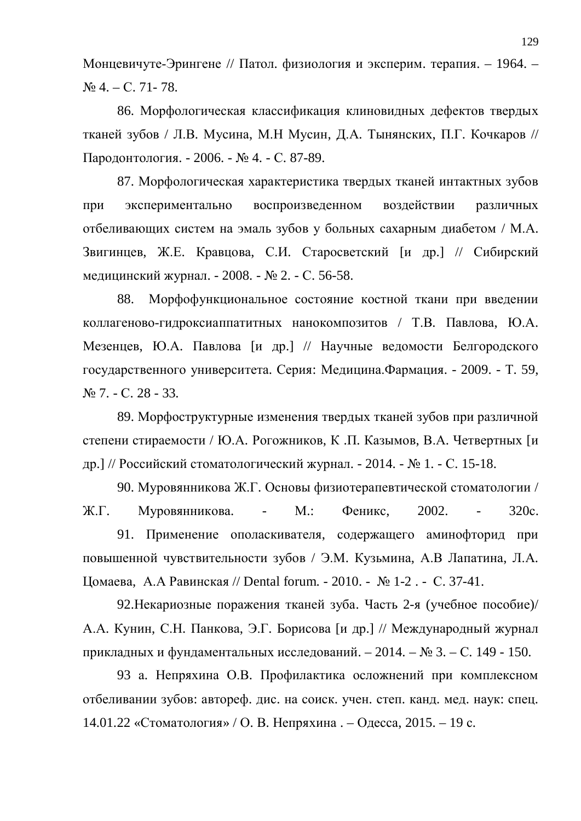Монцевичуте-Эрингене // Патол. физиология и эксперим. терапия. – 1964. –  $\mathbb{N}$ <sup>o</sup> 4. – C. 71 - 78.

86. Морфологическая классификация клиновидных дефектов твердых тканей зубов / Л.В. Мусина, М.Н Мусин, Д.А. Тынянских, П.Г. Кочкаров // Пародонтология. - 2006. - № 4. - С. 87-89.

87. Морфологическая характеристика твердых тканей интактных зубов при экспериментально воспроизведенном воздействии различных отбеливающих систем на эмаль зубов у больных сахарным диабетом / М.А. Звигинцев, Ж.Е. Кравцова, С.И. Старосветский [и др.] // Сибирский медицинский журнал. - 2008. - № 2. - С. 56-58.

88. Морфофункциональное состояние костной ткани при введении коллагеново-гидроксиаппатитных нанокомпозитов / Т.В. Павлова, Ю.А. Мезенцев, Ю.А. Павлова [и др.] // Научные ведомости Белгородского государственного университета. Серия: Медицина. Фармация. - 2009. - Т. 59, No 7. − C. 28 − 33.

89. Морфоструктурные изменения твердых тканей зубов при различной степени стираемости / Ю.А. Рогожников, К.П. Казымов, В.А. Четвертных [и др.] // Российский стоматологический журнал. - 2014. - № 1. - С. 15-18.

90. Муровянникова Ж.Г. Основы физиотерапевтической стоматологии / Ж.Г. Муровянникова. - М.: Феникс, 2002. - 320с. 91. Применение ополаскивателя, содержащего аминофторид при повышенной чувствительности зубов / Э.М. Кузьмина, А.В Лапатина, Л.А. Цомаева, А.А Равинская // Dental forum. - 2010. - № 1-2 . - С. 37-41.

92. Некариозные поражения тканей зуба. Часть 2-я (учебное пособие)/ А.А. Кунин, С.Н. Панкова, Э.Г. Борисова [и др.] // Международный журнал прикладных и фундаментальных исследований. – 2014. – № 3. – С. 149 - 150.

93 а. Непряхина О.В. Профилактика осложнений при комплексном отбеливании зубов: автореф. дис. на соиск. учен. степ. канд. мед. наук: спец. 14.01.22 «Стоматология» / О. В. Непряхина. – Одесса, 2015. – 19 с.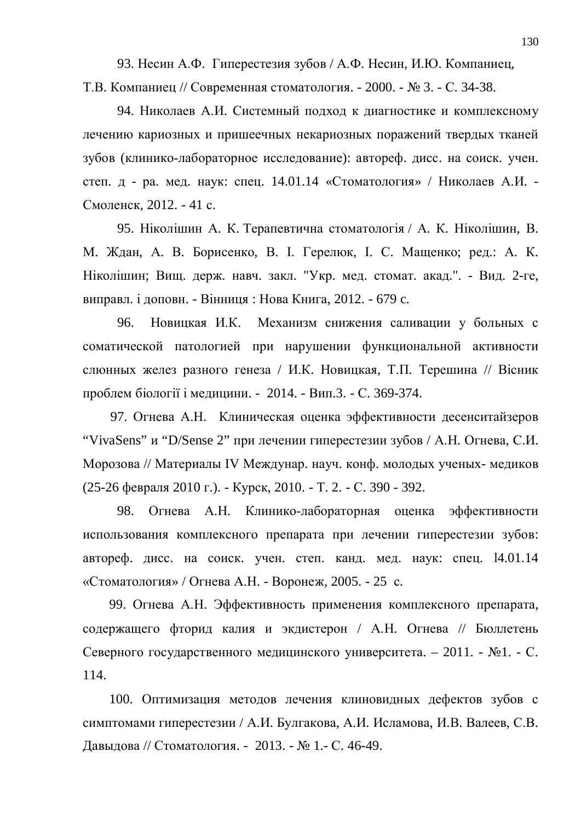93. Несин А.Ф. Гиперестезия зубов / А.Ф. Несин, И.Ю. Компаниец, Т.В. Компаниец // Современная стоматология. - 2000. - № 3. - С. 34-38.

94. Николаев А.И. Системный подход к диагностике и комплексному лечению кариозных и пришеечных некариозных поражений твердых тканей зубов (клинико-лабораторное исследование): автореф. дисс. на соиск. учен. степ. д - ра. мед. наук: спец.  $14.01.14$  «Стоматология» / Николаев А.И. -Смоленск, 2012. - 41 с.

95. Ніколішин А. К. Терапевтична стоматологія / А. К. Ніколішин, В. М. Ждан, А. В. Борисенко, В. І. Герелюк, І. С. Мащенко; ред.: А. К. Ніколішин; Вищ. держ. навч. закл. "Укр. мед. стомат. акад.". - Вид. 2-ге, виправл. і доповн. - Вінниця: Нова Книга, 2012. - 679 с.

96. Новицкая И.К. Механизм снижения саливации у больных с соматической патологией при нарушении функциональной активности слюнных желез разного генеза / И.К. Новицкая, Т.П. Терешина // Вісник проблем біології і медицини. - 2014. - Вип.3. - С. 369-374.

97. Огнева А.Н. Клиническая оценка эффективности десенситайзеров "VivaSens" и "D/Sense 2" при лечении гиперестезии зубов / А.Н. Огнева, С.И. Морозова // Материалы IV Междунар. науч. конф. молодых ученых-медиков (25-26 февраля 2010 г.). - Курск, 2010. - Т. 2. - С. 390 - 392.

98. Огнева А.Н. Клинико-лабораторная оценка эффективности использования комплексного препарата при лечении гиперестезии зубов: автореф. дисс. на соиск. учен. степ. канд. мед. наук: спец. 14.01.14 «Стоматология» / Огнева А.Н. - Воронеж, 2005. - 25 с.

99. Огнева А.Н. Эффективность применения комплексного препарата, содержащего фторид калия и экдистерон / А.Н. Огнева // Бюллетень Северного государственного медицинского университета. – 2011. - №1. - С. 114.

100. Оптимизация методов лечения клиновидных дефектов зубов с симптомами гиперестезии / А.И. Булгакова, А.И. Исламова, И.В. Валеев, С.В. Давыдова // Стоматология. - 2013. - № 1.- С. 46-49.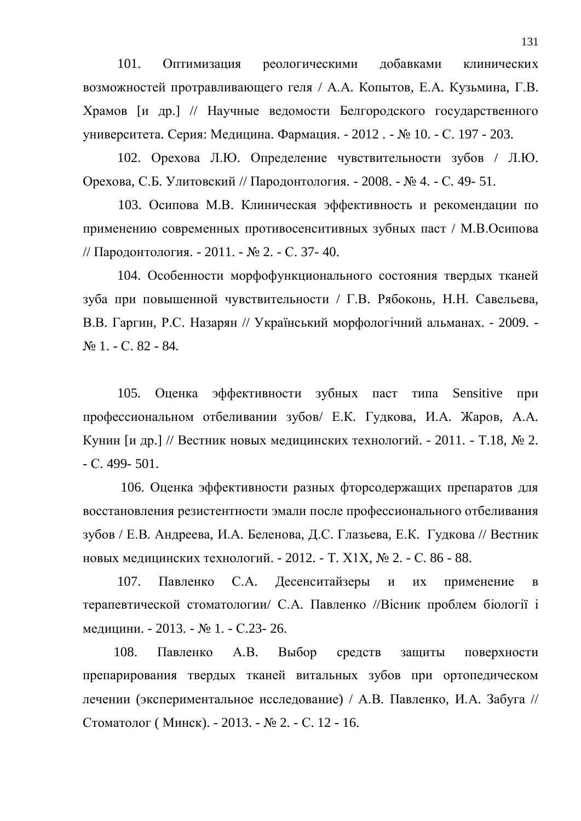101. Оптимизация реологическими добавками клинических возможностей протравливающего геля / А.А. Копытов, Е.А. Кузьмина, Г.В. Храмов [и др.] // Научные ведомости Белгородского государственного университета. Серия: Медицина. Фармация. - 2012 . - № 10. - С. 197 - 203.

102. Орехова Л.Ю. Определение чувствительности зубов / Л.Ю. Орехова, С.Б. Улитовский // Пародонтология. - 2008. - № 4. - С. 49- 51.

103. Осипова М.В. Клиническая эффективность и рекомендации по применению современных противосенситивных зубных паст / М.В.Осипова // Пародонтология. - 2011. - № 2. - С. 37- 40.

104. Особенности морфофункционального состояния твердых тканей зуба при повышенной чувствительности / Г.В. Рябоконь, Н.Н. Савельева, В.В. Гаргин, Р.С. Назарян // Український морфологічний альманах. - 2009. -No 1. − C. 82 − 84.

105. Оценка эффективности зубных паст типа Sensitive при профессиональном отбеливании зубов/ Е.К. Гудкова, И.А. Жаров, А.А. Кунин [и др.] // Вестник новых медицинских технологий. - 2011. - Т.18, № 2.  $-C. 499 - 501.$ 

106. Оценка эффективности разных фторсодержащих препаратов для восстановления резистентности эмали после профессионального отбеливания зубов / Е.В. Андреева, И.А. Беленова, Д.С. Глазьева, Е.К. Гудкова // Вестник новых медицинских технологий. - 2012. - Т. X1X, № 2. - С. 86 - 88.

107. Павленко С.А. Десенситайзеры и их применение в терапевтической стоматологии/ С.А. Павленко //Вісник проблем біології і медицини. - 2013. - № 1. - С.23- 26.

108. Павленко А.В. Выбор средств защиты поверхности препарирования твердых тканей витальных зубов при ортопедическом дечении (экспериментальное исследование) / А.В. Павленко, И.А. Забуга // Стоматолог (Минск). - 2013. - № 2. - С. 12 - 16.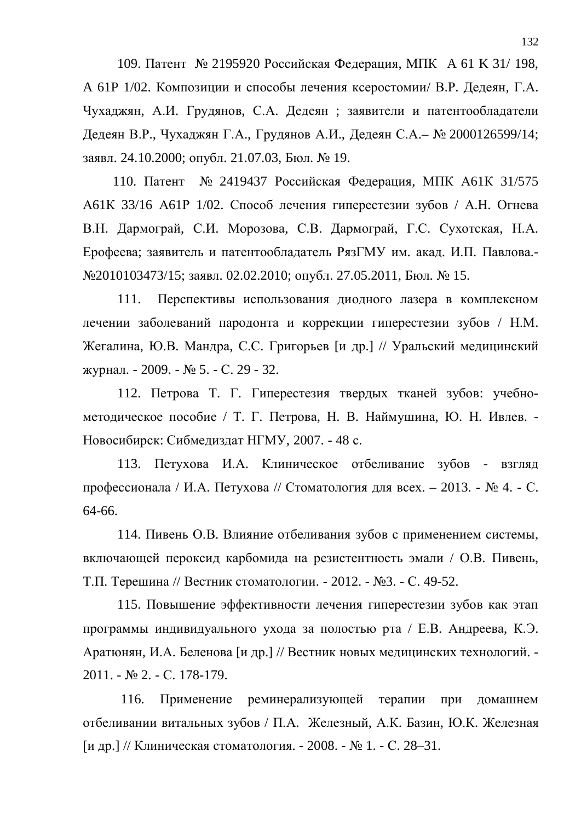109. Патент № 2195920 Российская Федерация, МПК А 61 К 31/ 198, А 61Р 1/02. Композиции и способы лечения ксеростомии/ В.Р. Дедеян, Г.А. Чухаджян, А.И. Грудянов, С.А. Дедеян; заявители и патентообладатели Дедеян В.Р., Чухаджян Г.А., Грудянов А.И., Дедеян С.А.– № 2000126599/14; заявл. 24.10.2000; опубл. 21.07.03, Бюл. № 19.

110. Патент № 2419437 Российская Федерация, МПК А61К 31/575 А61К 33/16 А61Р 1/02. Способ лечения гиперестезии зубов / А.Н. Огнева В.Н. Дармограй, С.И. Морозова, С.В. Дармограй, Г.С. Сухотская, Н.А. Ерофеева; заявитель и патентообладатель РязГМУ им. акад. И.П. Павлова.-№2010103473/15; заявл. 02.02.2010; опубл. 27.05.2011, Бюл. № 15.

111. Перспективы использования диодного лазера в комплексном лечении заболеваний пародонта и коррекции гиперестезии зубов / Н.М. Жегалина, Ю.В. Мандра, С.С. Григорьев [и др.] // Уральский медицинский журнал. - 2009. - № 5. - С. 29 - 32.

112. Петрова Т. Г. Гиперестезия твердых тканей зубов: учебнометодическое пособие / Т. Г. Петрова, Н. В. Наймушина, Ю. Н. Ивлев. -Новосибирск: Сибмедиздат НГМУ, 2007. - 48 с.

113. Петухова И.А. Клиническое отбеливание зубов - взгляд профессионала / И.А. Петухова // Стоматология для всех. – 2013. - № 4. - С. 64-66.

114. Пивень О.В. Влияние отбеливания зубов с применением системы, включающей пероксид карбомида на резистентность эмали / О.В. Пивень, Т.П. Терешина // Вестник стоматологии. - 2012. - №3. - С. 49-52.

115. Повышение эффективности лечения гиперестезии зубов как этап программы индивидуального ухода за полостью рта / Е.В. Андреева, К.Э. Аратюнян, И.А. Беленова [и др.] // Вестник новых медицинских технологий. -2011. - № 2. - С. 178-179.

116. Применение реминерализующей терапии при домашнем отбеливании витальных зубов / П.А. Железный, А.К. Базин, Ю.К. Железная [и др.] // Клиническая стоматология. - 2008. - № 1. - С. 28–31.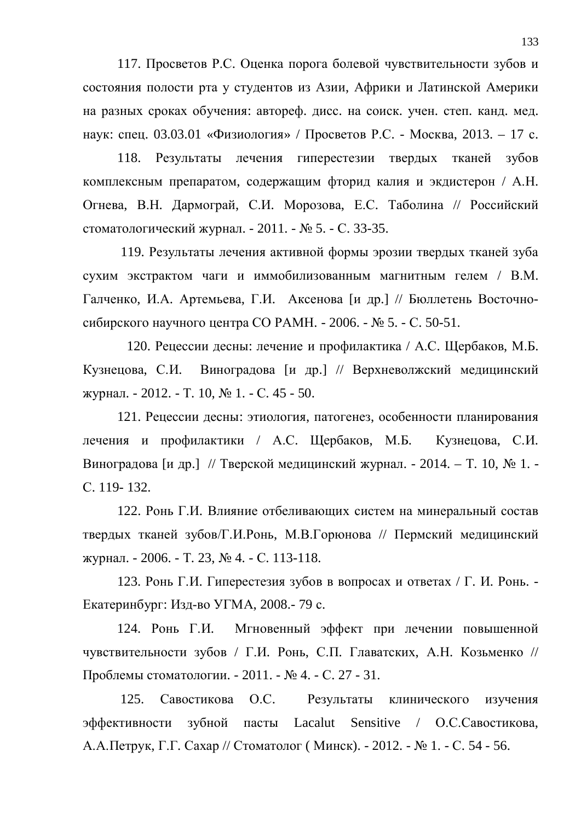117. Просветов Р.С. Оценка порога болевой чувствительности зубов и состояния полости рта у студентов из Азии, Африки и Латинской Америки на разных сроках обучения: автореф. дисс. на соиск. учен. степ. канд. мед. наук: спец. 03.03.01 «Физиология» / Просветов Р.С. - Москва, 2013. – 17 с.

118. Результаты лечения гиперестезии твердых тканей зубов комплексным препаратом, содержащим фторид калия и экдистерон / А.Н. Огнева, В.Н. Дармограй, С.И. Морозова, Е.С. Таболина // Российский стоматологический журнал. - 2011. -  $\mathbb{N}$  5. - С. 33-35.

119. Результаты лечения активной формы эрозии твердых тканей зуба сухим экстрактом чаги и иммобилизованным магнитным гелем / В.М. Галченко, И.А. Артемьева, Г.И. Аксенова [и др.] // Бюллетень Восточносибирского научного центра СО РАМН. - 2006. - № 5. - С. 50-51.

120. Рецессии десны: лечение и профилактика / А.С. Щербаков, М.Б. Кузнецова, С.И. Виноградова [и др.] // Верхневолжский медицинский журнал. - 2012. - Т. 10, № 1. - С. 45 - 50.

121. Рецессии десны: этиология, патогенез, особенности планирования лечения и профилактики / А.С. Щербаков, М.Б. Кузнецова, С.И. Виноградова [и др.] // Тверской медицинский журнал. - 2014. – Т. 10, № 1. -C. 119- 132.

122. Ронь Г.И. Влияние отбеливающих систем на минеральный состав твердых тканей зубов/Г.И.Ронь, М.В.Горюнова // Пермский медицинский журнал. - 2006. - Т. 23, № 4. - С. 113-118.

123. Ронь Г.И. Гиперестезия зубов в вопросах и ответах / Г. И. Ронь. -Екатеринбург: Изд-во УГМА, 2008.- 79 с.

124. Ронь Г.И. Мгновенный эффект при лечении повышенной чувствительности зубов / Г.И. Ронь, С.П. Главатских, А.Н. Козьменко // Проблемы стоматологии. - 2011. - № 4. - С. 27 - 31.

125. Савостикова О.С. Результаты клинического изучения эффективности зубной пасты Lacalut Sensitive / О.С.Савостикова. А.А.Петрук, Г.Г. Сахар // Стоматолог (Минск). - 2012. - № 1. - С. 54 - 56.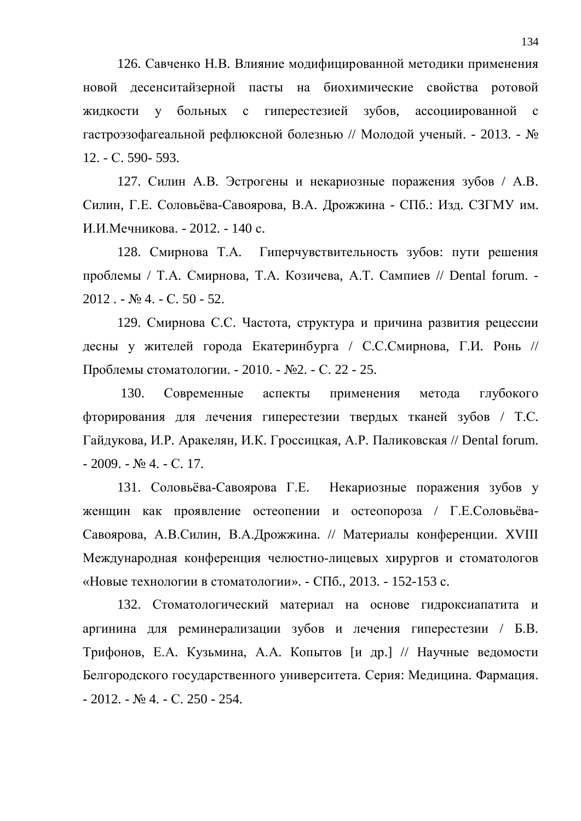126. Савченко Н.В. Влияние модифицированной методики применения новой десенситайзерной пасты на биохимические свойства ротовой жидкости у больных с гиперестезией зубов, ассоциированной с гастроэзофагеальной рефлюксной болезнью // Молодой ученый. - 2013. - № 12. - C. 590- 593.

127. Силин А.В. Эстрогены и некариозные поражения зубов / А.В. Силин, Г.Е. Соловьёва-Савоярова, В.А. Дрожжина - СПб.: Изд. СЗГМУ им. И.И.Мечникова. - 2012. - 140 с.

128. Смирнова Т.А. Гиперчувствительность зубов: пути решения проблемы / Т.А. Смирнова, Т.А. Козичева, А.Т. Сампиев // Dental forum. - $2012 - N<sub>2</sub>4 - C.50 - 52.$ 

129. Смирнова С.С. Частота, структура и причина развития рецессии десны у жителей города Екатеринбурга / С.С.Смирнова, Г.И. Ронь // Проблемы стоматологии. - 2010. - №2. - С. 22 - 25.

130. Современные аспекты применения метода глубокого фторирования для лечения гиперестезии твердых тканей зубов / Т.С. Гайдукова, И.Р. Аракелян, И.К. Гроссицкая, А.Р. Паликовская // Dental forum.  $-2009. - N_2$  4.  $- C. 17.$ 

131. Соловьёва-Савоярова Г.Е. Некариозные поражения зубов у женщин как проявление остеопении и остеопороза / Г.Е.Соловьёва-Савоярова, А.В.Силин, В.А.Дрожжина. // Материалы конференции. XVIII Международная конференция челюстно-лицевых хирургов и стоматологов «Новые технологии в стоматологии». - СПб., 2013. - 152-153 с.

132. Стоматологический материал на основе гидроксиапатита и аргинина для реминерализации зубов и лечения гиперестезии / Б.В. Трифонов, Е.А. Кузьмина, А.А. Копытов [и др.] // Научные ведомости Белгородского государственного университета. Серия: Медицина. Фармация.  $-2012. - N<sub>2</sub>4. - C. 250 - 254.$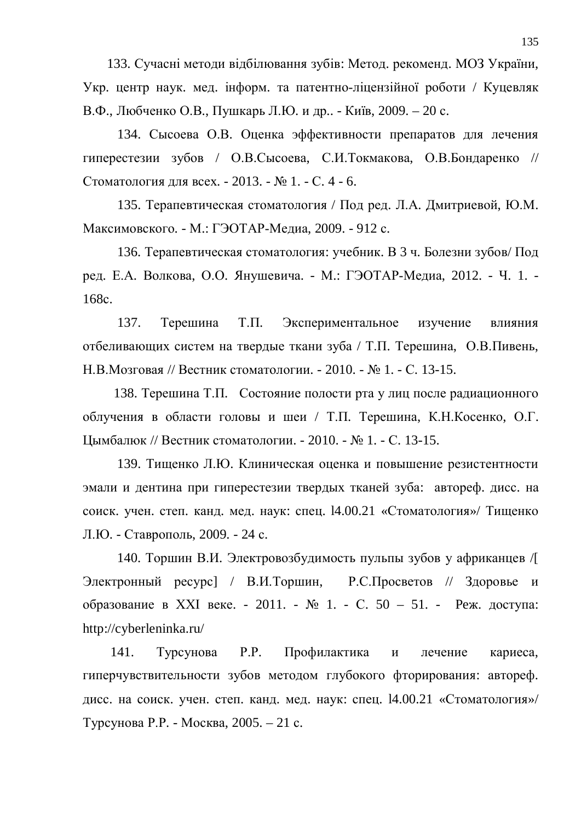133. Сучасні методи відбілювання зубів: Метод. рекоменд. МОЗ України, Укр. центр наук. мед. інформ. та патентно-ліцензійної роботи / Куцевляк В.Ф., Любченко О.В., Пушкарь Л.Ю. и др.. - Київ, 2009. – 20 с.

134. Сысоева О.В. Оценка эффективности препаратов для лечения гиперестезии зубов / О.В.Сысоева, С.И.Токмакова, О.В.Бондаренко // Стоматология для всех. - 2013. - № 1. - С. 4 - 6.

135. Терапевтическая стоматология / Под ред. Л.А. Дмитриевой, Ю.М. Максимовского. - М.: ГЭОТАР-Медиа, 2009. - 912 с.

136. Терапевтическая стоматология: учебник. В 3 ч. Болезни зубов/ Под ред. Е.А. Волкова, О.О. Янушевича. - М.: ГЭОТАР-Медиа, 2012. - Ч. 1. -168c.

137. Терешина Т.П. Экспериментальное изучение влияния отбеливающих систем на твердые ткани зуба / Т.П. Терешина, О.В.Пивень, Н.В.Мозговая // Вестник стоматологии. - 2010. - № 1. - С. 13-15.

138. Терешина Т.П. Состояние полости рта у лиц после радиационного облучения в области головы и шеи / Т.П. Терешина, К.Н. Косенко, О.Г. Цымбалюк // Вестник стоматологии. - 2010. - № 1. - С. 13-15.

139. Тищенко Л.Ю. Клиническая оценка и повышение резистентности эмали и дентина при гиперестезии твердых тканей зуба: автореф. дисс. на соиск. учен. степ. канд. мед. наук: спец. 14.00.21 «Стоматология»/ Тищенко Л.Ю. - Ставрополь, 2009. - 24 с.

140. Торшин В.И. Электровозбудимость пульпы зубов у африканцев /[ Электронный ресурс] / В.И.Торшин, Р.С.Просветов // Здоровье и  $\overline{1}$ образование в XXI веке. - 2011. - № 1. - С. 50 – 51. - Реж. доступа: http://cyberleninka.ru/

141. Турсунова Р.Р. Профилактика и лечение кариеса, гиперчувствительности зубов методом глубокого фторирования: автореф. дисс. на соиск. учен. степ. канд. мед. наук: спец. 14.00.21 «Стоматология»/ Турсунова Р.Р. - Москва, 2005. – 21 с.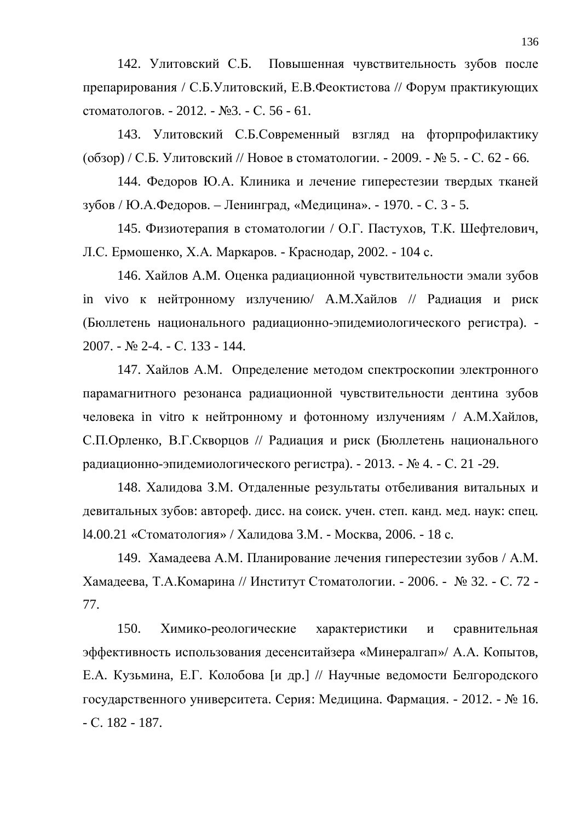142. Улитовский С.Б. Повышенная чувствительность зубов после препарирования / С.Б.Улитовский, Е.В.Феоктистова // Форум практикующих стоматологов. - 2012. - №3. - С. 56 - 61.

143. Улитовский С.Б.Современный взгляд на фторпрофилактику  $(16630) / C.E. YJIUTOBCKИЙ // НОВО$ *є* $в стоматологии. - 2009. - № 5. - С. 62 - 66.$ 

144. Федоров Ю.А. Клиника и лечение гиперестезии твердых тканей зубов / Ю.А.Федоров. – Ленинград, «Медицина». - 1970. - С. 3 - 5.

145. Физиотерапия в стоматологии / О.Г. Пастухов, Т.К. Шефтелович, Л.С. Ермошенко, Х.А. Маркаров. - Краснодар, 2002. - 104 с.

146. Хайлов А.М. Оценка радиационной чувствительности эмали зубов in vivo к нейтронному излучению/ А.М. Хайлов // Радиация и риск (Бюллетень национального радиационно-эпидемиологического регистра). -2007. - № 2-4. - С. 133 - 144.

147. Хайлов А.М. Определение методом спектроскопии электронного парамагнитного резонанса радиационной чувствительности дентина зубов человека in vitro к нейтронному и фотонному излучениям / А.М.Хайлов, С.П.Орленко, В.Г.Скворцов // Радиация и риск (Бюллетень национального радиационно-эпидемиологического регистра). - 2013. -  $\mathbb{N}$  4. - С. 21 -29.

148. Халидова З.М. Отдаленные результаты отбеливания витальных и девитальных зубов: автореф. дисс. на соиск. учен. степ. канд. мед. наук: спец. 14.00.21 «Стоматология» / Халидова З.М. - Москва, 2006. - 18 с.

149. Хамадеева А.М. Планирование лечения гиперестезии зубов / А.М. Хамадеева, Т.А.Комарина // Институт Стоматологии. - 2006. - № 32. - С. 72 -77.

150. Химико-реологические характеристики и сравнительная эффективность использования десенситайзера «Минералгап»/ А.А. Копытов, Е.А. Кузьмина, Е.Г. Колобова [и др.] // Научные ведомости Белгородского государственного университета. Серия: Медицина. Фармация. - 2012. - № 16.  $-C. 182 - 187.$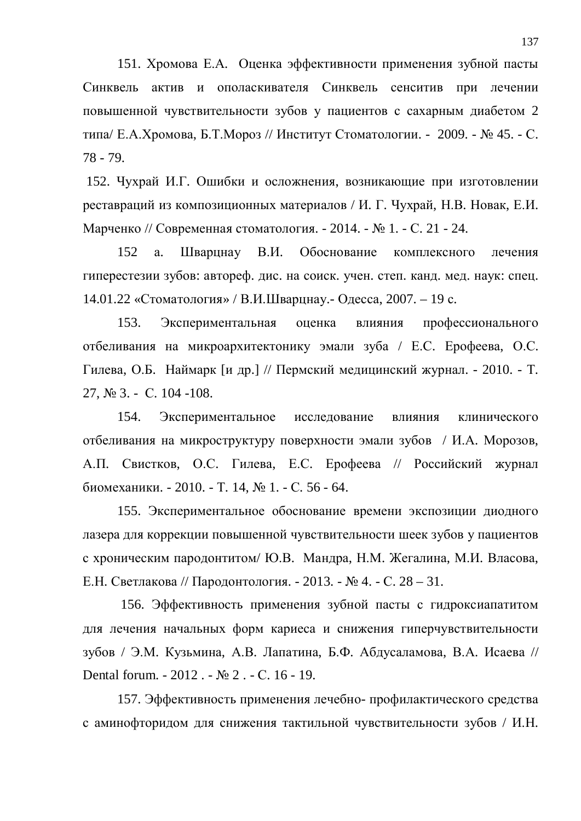151. Хромова Е.А. Оценка эффективности применения зубной пасты Синквель актив и ополаскивателя Синквель сенситив при лечении повышенной чувствительности зубов у пациентов с сахарным диабетом 2 типа/ Е.А.Хромова, Б.Т.Мороз // Институт Стоматологии. - 2009. - № 45. - С. 78 - 79.

152. Чухрай И.Г. Ошибки и осложнения, возникающие при изготовлении реставраций из композиционных материалов / И. Г. Чухрай, Н.В. Новак, Е.И. Марченко // Современная стоматология. - 2014. - № 1. - С. 21 - 24.

152 а. Шварцнау В.И. Обоснование комплексного лечения гиперестезии зубов: автореф. дис. на соиск. учен. степ. канд. мед. наук: спец. 14.01.22 «Стоматология» / В.И.Шварцнау.- Одесса, 2007. – 19 с.

153. Экспериментальная оценка влияния профессионального отбеливания на микроархитектонику эмали зуба / Е.С. Ерофеева, О.С. Гилева, О.Б. Наймарк [и др.] // Пермский медицинский журнал. - 2010. - Т.  $27, N<sub>2</sub> 3. - C. 104 - 108.$ 

154. Экспериментальное исследование влияния клинического отбеливания на микроструктуру поверхности эмали зубов / И.А. Морозов, А.П. Свистков, О.С. Гилева, Е.С. Ерофеева // Российский журнал биомеханики. - 2010. - Т. 14, № 1. - С. 56 - 64.

155. Экспериментальное обоснование времени экспозиции диодного лазера для коррекции повышенной чувствительности шеек зубов у пациентов с хроническим пародонтитом/ Ю.В. Мандра, Н.М. Жегалина, М.И. Власова, Е.Н. Светлакова // Пародонтология. - 2013. - № 4. - С. 28 – 31.

156. Эффективность применения зубной пасты с гидроксиапатитом для лечения начальных форм кариеса и снижения гиперчувствительности зубов / Э.М. Кузьмина, А.В. Лапатина, Б.Ф. Абдусаламова, В.А. Исаева // Dental forum. - 2012. - № 2. - С. 16 - 19.

157. Эффективность применения лечебно- профилактического средства с аминофторидом для снижения тактильной чувствительности зубов / И.Н.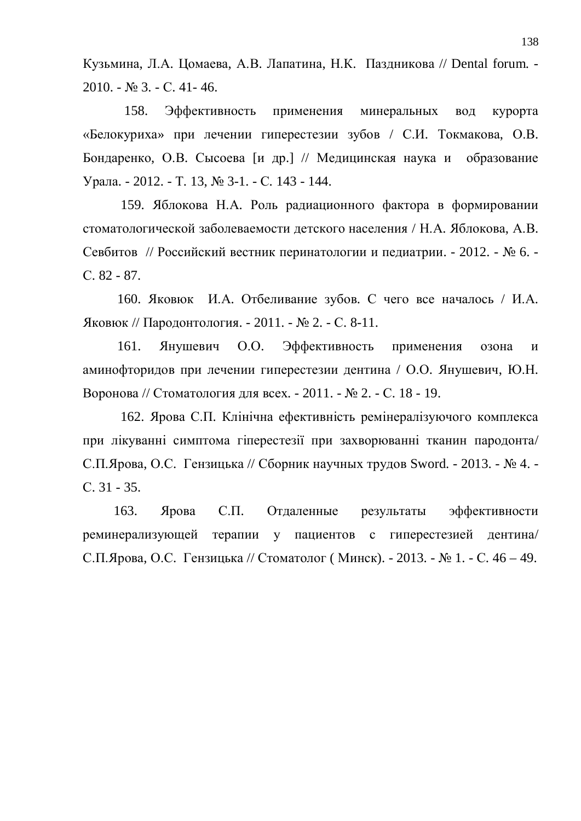Кузьмина, Л.А. Цомаева, А.В. Лапатина, Н.К. Паздникова // Dental forum. -2010. - № 3. - С. 41- 46.

158. Эффективность применения минеральных вод курорта «Белокуриха» при лечении гиперестезии зубов / С.И. Токмакова, О.В. Бондаренко, О.В. Сысоева [и др.] // Медицинская наука и образование Урала. - 2012. - Т. 13, № 3-1. - С. 143 - 144.

159. Яблокова Н.А. Роль радиационного фактора в формировании стоматологической заболеваемости детского населения / Н.А. Яблокова, А.В. Севбитов // Российский вестник перинатологии и педиатрии. - 2012. - № 6. ɋ. 82 - 87.

160. Яковюк И.А. Отбеливание зубов. С чего все началось / И.А. Яковюк // Пародонтология. - 2011. - № 2. - С. 8-11.

161. Янушевич О.О. Эффективность применения озона и аминофторидов при лечении гиперестезии дентина / О.О. Янушевич, Ю.Н. Воронова // Стоматология для всех. - 2011. - № 2. - С. 18 - 19.

162. Ярова С.П. Клінічна ефективність ремінералізуючого комплекса при лікуванні симптома гіперестезії при захворюванні тканин пародонта/ С.П.Ярова, О.С. Гензицька // Сборник научных трудов Sword. - 2013. - № 4. - $C. 31 - 35.$ 

163. Ярова С.П. Отдаленные результаты эффективности реминерализующей терапии у пациентов с гиперестезией дентина/ С.П.Ярова, О.С. Гензицька // Стоматолог (Минск). - 2013. - № 1. - С. 46 – 49.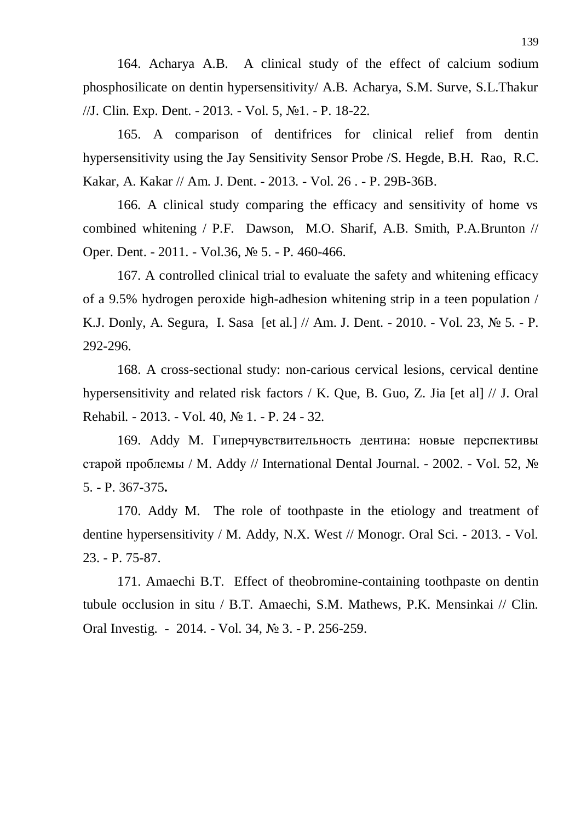164. Acharya A.B. A clinical study of the effect of calcium sodium phosphosilicate on dentin hypersensitivity/ A.B. Acharya, S.M. Surve, S.L.Thakur //J. Clin. Exp. Dent. - 2013. - Vol. 5, No1. - P. 18-22.

165. A comparison of dentifrices for clinical relief from dentin hypersensitivity using the Jay Sensitivity Sensor Probe /S. Hegde, B.H. Rao, R.C. Kakar, A. Kakar // Am. J. Dent. - 2013. - Vol. 26 . - P. 29B-36B.

166. A clinical study comparing the efficacy and sensitivity of home vs combined whitening / P.F. Dawson, M.O. Sharif, A.B. Smith, P.A.Brunton // Oper. Dent. - 2011. - Vol.36, № 5. - P. 460-466.

167. A controlled clinical trial to evaluate the safety and whitening efficacy of a 9.5% hydrogen peroxide high-adhesion whitening strip in a teen population / K.J. Donly, A. Segura, I. Sasa [et al.] // Am. J. Dent. - 2010. - Vol. 23,  $\mathbb{N}_2$  5. - P. 292-296.

168. A cross-sectional study: non-carious cervical lesions, cervical dentine hypersensitivity and related risk factors / K. Que, B. Guo, Z. Jia [et al] // J. Oral Rehabil. - 2013. - Vol. 40, № 1. - P. 24 - 32.

169. Addy M. Гиперчувствительность дентина: новые перспективы старой проблемы / М. Addy // International Dental Journal. - 2002. - Vol. 52,  $\mathcal{N}_{\mathcal{Q}}$ 5. - P. 367-375**.**

170. Addy M. The role of toothpaste in the etiology and treatment of dentine hypersensitivity / M. Addy, N.X. West // Monogr. Oral Sci. - 2013. - Vol. 23. - P. 75-87.

171. Amaechi B.T. Effect of theobromine-containing toothpaste on dentin tubule occlusion in situ / B.T. Amaechi, S.M. Mathews, P.K. Mensinkai // Clin. Oral Investig. - 2014. - Vol. 34,  $\mathcal{N}$  3. - P. 256-259.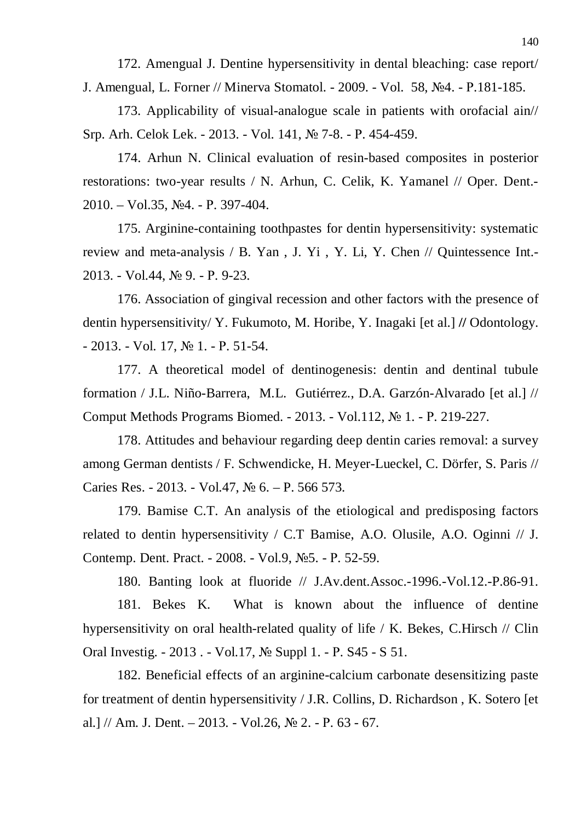172. Amengual J. Dentine hypersensitivity in dental bleaching: case report/ J. Amengual, L. Forner // Minerva Stomatol. - 2009. - Vol. 58, No.4. - P.181-185.

173. Applicability of visual-analogue scale in patients with orofacial ain// Srp. Arh. Celok Lek. - 2013. - Vol. 141, № 7-8. - P. 454-459.

174. Arhun N. Clinical evaluation of resin-based composites in posterior restorations: two-year results / N. Arhun, C. Celik, K. Yamanel // Oper. Dent.-  $2010. - Vol.35$ ,  $N<sub>2</sub>4. - P.397-404.$ 

175. Arginine-containing toothpastes for dentin hypersensitivity: systematic review and meta-analysis / B. Yan , J. Yi , Y. Li, Y. Chen // Quintessence Int.- 2013. - Vol.44, № 9. - P. 9-23.

176. Association of gingival recession and other factors with the presence of dentin hypersensitivity/ Y. Fukumoto, M. Horibe, Y. Inagaki [et al.] **//** Odontology.  $- 2013. - Vol.$  17,  $\mathbb{N} \times 1. - P.$  51-54.

177. A theoretical model of dentinogenesis: dentin and dentinal tubule formation / J.L. Niño-Barrera, M.L. Gutiérrez., D.A. Garzón-Alvarado [et al.] // Comput Methods Programs Biomed. - 2013. - Vol.112, № 1. - P. 219-227.

178. Attitudes and behaviour regarding deep dentin caries removal: a survey among German dentists / F. Schwendicke, H. Meyer-Lueckel, C. Dörfer, S. Paris // Caries Res. - 2013. - Vol.47,  $\mathcal{N}_2$  6. - P. 566 573.

179. Bamise C.T. An analysis of the etiological and predisposing factors related to dentin hypersensitivity / C.T Bamise, A.O. Olusile, A.O. Oginni // J. Contemp. Dent. Pract. - 2008. - Vol.9, №5. - P. 52-59.

180. Banting look at fluoride // J.Av.dent.Assoc.-1996.-Vol.12.-P.86-91.

181. Bekes K. What is known about the influence of dentine hypersensitivity on oral health-related quality of life / K. Bekes, C.Hirsch // Clin Oral Investig. - 2013. - Vol.17, № Suppl 1. - P. S45 - S 51.

182. Beneficial effects of an arginine-calcium carbonate desensitizing paste for treatment of dentin hypersensitivity / J.R. Collins, D. Richardson , K. Sotero [et al.] // Am. J. Dent.  $-2013. - Vol.26$ ,  $\mathbb{N}^2$  2.  $- P. 63 - 67$ .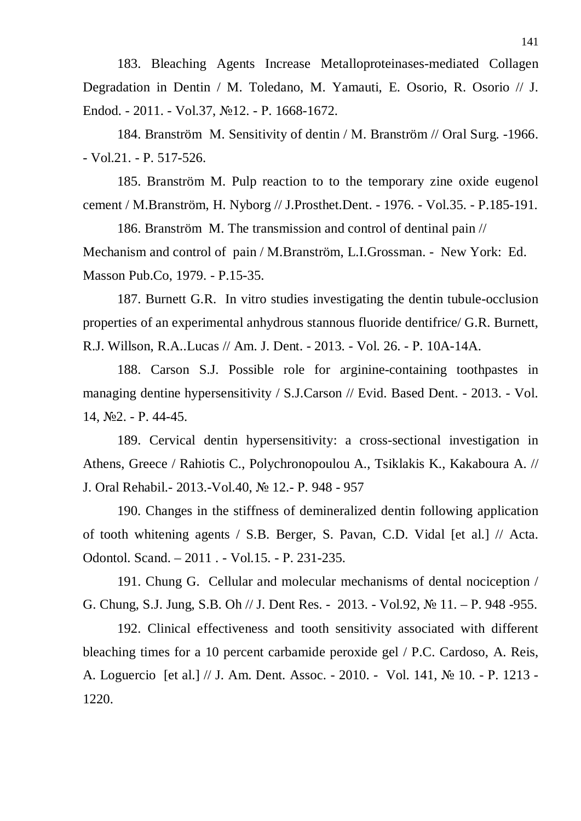183. Bleaching Agents Increase Metalloproteinases-mediated Collagen Degradation in Dentin / M. Toledano, M. Yamauti, E. Osorio, R. Osorio // J. Endod. - 2011. - Vol.37, №12. - P. 1668-1672.

184. Branström Ɇ. Sensitivity of dentin / Ɇ. Branström // Oral Surg. -1966. - Vol.21. - P. 517-526.

185. Branström M. Pulp reaction to to the temporary zine oxide eugenol cement / Ɇ.Branström, H. Nyborg // J.Prosthet.Dent. - 1976. - Vol.35. - P.185-191.

186. Branström M. The transmission and control of dentinal pain // Mechanism and control of pain / M.Branström, L.I.Grossman. - New York: Ed. Masson Pub.Co, 1979. - P.15-35.

187. Burnett G.R. In vitro studies investigating the dentin tubule-occlusion properties of an experimental anhydrous stannous fluoride dentifrice/ G.R. Burnett, R.J. Willson, R.A..Lucas // Am. J. Dent. - 2013. - Vol. 26. - P. 10A-14A.

188. Carson S.J. Possible role for arginine-containing toothpastes in managing dentine hypersensitivity / S.J.Carson // Evid. Based Dent. - 2013. - Vol.  $14, N<sub>2</sub>2. - P. 44-45.$ 

189. Cervical dentin hypersensitivity: a cross-sectional investigation in Athens, Greece / Rahiotis C., Polychronopoulou A., Tsiklakis K., Kakaboura A. // J. Oral Rehabil. - 2013. - Vol. 40, № 12. - P. 948 - 957

190. Changes in the stiffness of demineralized dentin following application of tooth whitening agents / S.B. Berger, S. Pavan, C.D. Vidal [et al.] // Acta. Odontol. Scand. – 2011. - Vol.15. - P. 231-235.

191. Chung G. Cellular and molecular mechanisms of dental nociception / G. Chung, S.J. Jung, S.B. Oh // J. Dent Res. - 2013. - Vol.92,  $\mathcal{N}$  11. - P. 948 -955.

192. Clinical effectiveness and tooth sensitivity associated with different bleaching times for a 10 percent carbamide peroxide gel / P.C. Cardoso, A. Reis, A. Loguercio [et al.] // J. Am. Dent. Assoc. - 2010. - Vol. 141, No 10. - P. 1213 -1220.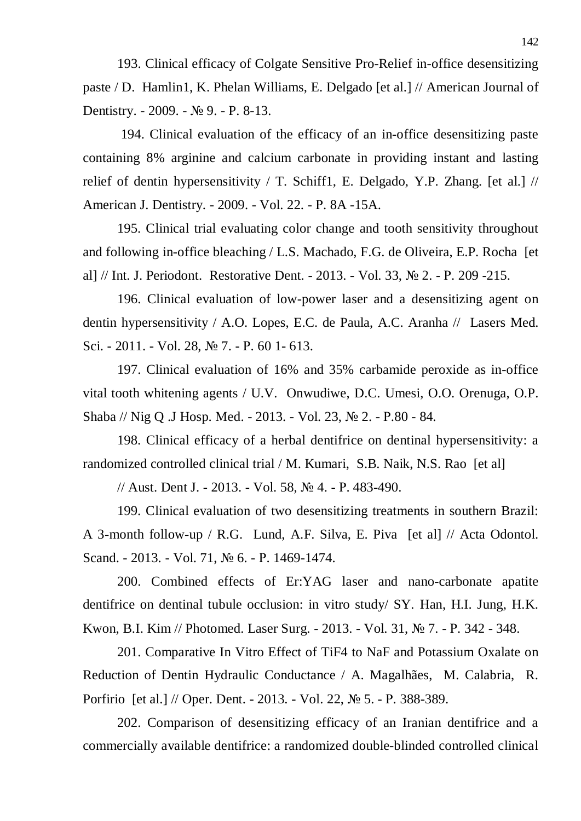193. Clinical efficacy of Colgate Sensitive Pro-Relief in-office desensitizing paste / D. Hamlin1, K. Phelan Williams, E. Delgado [et al.] // American Journal of Dentistry. - 2009. -  $\mathbb{N}$  9. - P. 8-13.

 194. Clinical evaluation of the efficacy of an in-office desensitizing paste containing 8% arginine and calcium carbonate in providing instant and lasting relief of dentin hypersensitivity / T. Schiff1, E. Delgado, Y.P. Zhang. [et al.]  $\frac{1}{2}$ American J. Dentistry. - 2009. - Vol. 22. - P. 8A -15A.

195. Clinical trial evaluating color change and tooth sensitivity throughout and following in-office bleaching / L.S. Machado, F.G. de Oliveira, E.P. Rocha [et al] // Int. J. Periodont. Restorative Dent. - 2013. - Vol. 33,  $\mathbb{N}^{\circ}$  2. - P. 209 -215.

196. Clinical evaluation of low-power laser and a desensitizing agent on dentin hypersensitivity / A.O. Lopes, E.C. de Paula, A.C. Aranha // Lasers Med. Sci. - 2011. - Vol. 28, № 7. - P. 60 1 - 613.

197. Clinical evaluation of 16% and 35% carbamide peroxide as in-office vital tooth whitening agents / U.V. Onwudiwe, D.C. Umesi, O.O. Orenuga, O.P. Shaba // Nig Q .J Hosp. Med. - 2013. - Vol. 23, № 2. - P.80 - 84.

198. Clinical efficacy of a herbal dentifrice on dentinal hypersensitivity: a randomized controlled clinical trial / M. Kumari, S.B. Naik, N.S. Rao [et al]

// Aust. Dent J. - 2013. - Vol. 58, № 4. - P. 483-490.

199. Clinical evaluation of two desensitizing treatments in southern Brazil: A 3-month follow-up / R.G. Lund, A.F. Silva, E. Piva [et al] // Acta Odontol. Scand. - 2013. - Vol. 71, No 6. - P. 1469-1474.

200. Combined effects of Er:YAG laser and nano-carbonate apatite dentifrice on dentinal tubule occlusion: in vitro study/ SY. Han, H.I. Jung, H.K. Kwon, B.I. Kim // Photomed. Laser Surg. - 2013. - Vol. 31, № 7. - P. 342 - 348.

201. Comparative In Vitro Effect of TiF4 to NaF and Potassium Oxalate on Reduction of Dentin Hydraulic Conductance / A. Magalhães, M. Calabria, R. Porfirio [et al.] // Oper. Dent. - 2013. - Vol. 22, No 5. - P. 388-389.

202. Comparison of desensitizing efficacy of an Iranian dentifrice and a commercially available dentifrice: a randomized double-blinded controlled clinical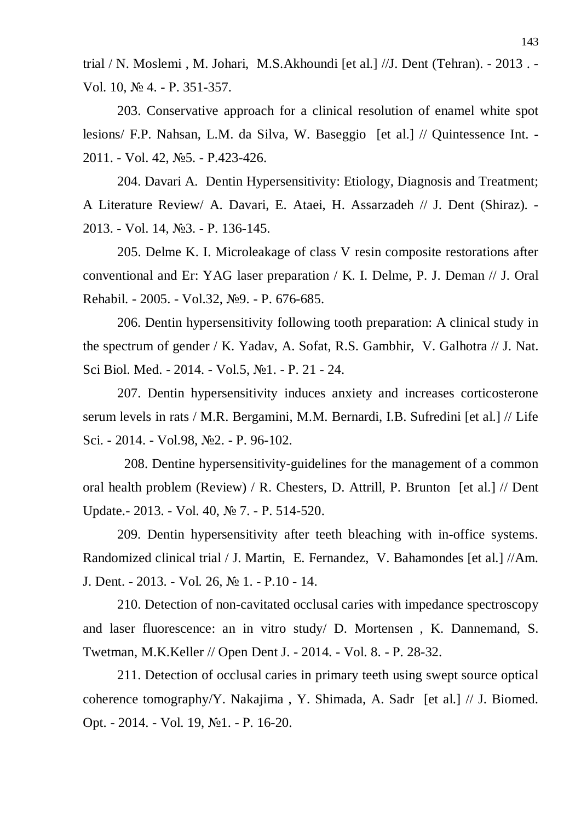trial / N. Moslemi , M. Johari, M.S.Akhoundi [et al.] //J. Dent (Tehran). - 2013 . - Vol. 10, № 4. - P. 351-357.

203. Conservative approach for a clinical resolution of enamel white spot lesions/ F.P. Nahsan, L.M. da Silva, W. Baseggio [et al.] // Quintessence Int. - 2011. - Vol. 42, No.5. - P.423-426.

204. Davari A. Dentin Hypersensitivity: Etiology, Diagnosis and Treatment; A Literature Review/ A. Davari, E. Ataei, H. Assarzadeh // J. Dent (Shiraz). - 2013. - Vol. 14, №3. - P. 136-145.

205. Delme K. I. Microleakage of class V resin composite restorations after conventional and Er: YAG laser preparation / K. I. Delme, P. J. Deman // J. Oral Rehabil. - 2005. - Vol.32, Nº9. - P. 676-685.

206. Dentin hypersensitivity following tooth preparation: A clinical study in the spectrum of gender / K. Yadav, A. Sofat, R.S. Gambhir, V. Galhotra // J. Nat. Sci Biol. Med. - 2014. - Vol.5, No1. - P. 21 - 24.

207. Dentin hypersensitivity induces anxiety and increases corticosterone serum levels in rats / M.R. Bergamini, M.M. Bernardi, I.B. Sufredini [et al.] // Life Sci. - 2014. - Vol.98, №2. - P. 96-102.

 208. Dentine hypersensitivity-guidelines for the management of a common oral health problem (Review) / R. Chesters, D. Attrill, P. Brunton [et al.] // Dent Update. - 2013. - Vol. 40, № 7. - P. 514-520.

209. Dentin hypersensitivity after teeth bleaching with in-office systems. Randomized clinical trial / J. Martin, E. Fernandez, V. Bahamondes [et al.] //Am. J. Dent. - 2013. - Vol. 26, № 1. - P.10 - 14.

210. Detection of non-cavitated occlusal caries with impedance spectroscopy and laser fluorescence: an in vitro study/ D. Mortensen , K. Dannemand, S. Twetman, M.K.Keller // Open Dent J. - 2014. - Vol. 8. - P. 28-32.

211. Detection of occlusal caries in primary teeth using swept source optical coherence tomography/Y. Nakajima , Y. Shimada, A. Sadr [et al.] // J. Biomed. Opt. - 2014. - Vol. 19, No1. - P. 16-20.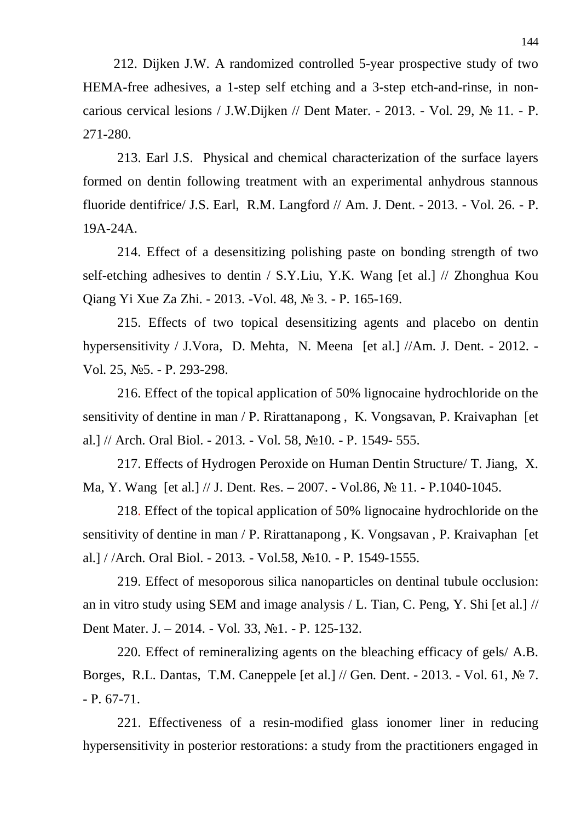212. Dijken J.W. A randomized controlled 5-year prospective study of two HEMA-free adhesives, a 1-step self etching and a 3-step etch-and-rinse, in noncarious cervical lesions / J.W.Dijken // Dent Mater. - 2013. - Vol. 29,  $\mathbb{N}^{\circ}$  11. - P. 271-280.

213. Earl J.S. Physical and chemical characterization of the surface layers formed on dentin following treatment with an experimental anhydrous stannous fluoride dentifrice/ J.S. Earl, R.M. Langford  $//$  Am. J. Dent. - 2013. - Vol. 26. - P. 19A-24A.

214. Effect of a desensitizing polishing paste on bonding strength of two self-etching adhesives to dentin / S.Y.Liu, Y.K. Wang [et al.] // Zhonghua Kou Qiang Yi Xue Za Zhi. - 2013. - Vol. 48, № 3. - P. 165-169.

215. Effects of two topical desensitizing agents and placebo on dentin hypersensitivity / J.Vora, D. Mehta, N. Meena [et al.] //Am. J. Dent. - 2012. - Vol. 25, No<sub>5.</sub> - P. 293-298.

216. Effect of the topical application of 50% lignocaine hydrochloride on the sensitivity of dentine in man / P. Rirattanapong , K. Vongsavan, P. Kraivaphan [et al.] // Arch. Oral Biol. - 2013. - Vol. 58, No 10. - P. 1549- 555.

217. Effects of Hydrogen Peroxide on Human Dentin Structure/ T. Jiang, X. Ma, Y. Wang [et al.] // J. Dent. Res. - 2007. - Vol.86,  $\mathcal{N}$  11. - P.1040-1045.

218. Effect of the topical application of 50% lignocaine hydrochloride on the sensitivity of dentine in man / P. Rirattanapong , K. Vongsavan , P. Kraivaphan [et al.] / /Arch. Oral Biol. - 2013. - Vol.58, №10. - P. 1549-1555.

219. Effect of mesoporous silica nanoparticles on dentinal tubule occlusion: an in vitro study using SEM and image analysis / L. Tian, C. Peng, Y. Shi [et al.] // Dent Mater. J. – 2014. - Vol. 33, №1. - P. 125-132.

220. Effect of remineralizing agents on the bleaching efficacy of gels/ A.B. Borges, R.L. Dantas, T.M. Caneppele [et al.] // Gen. Dent. - 2013. - Vol. 61, No 7.  $- P. 67-71.$ 

221. Effectiveness of a resin-modified glass ionomer liner in reducing hypersensitivity in posterior restorations: a study from the practitioners engaged in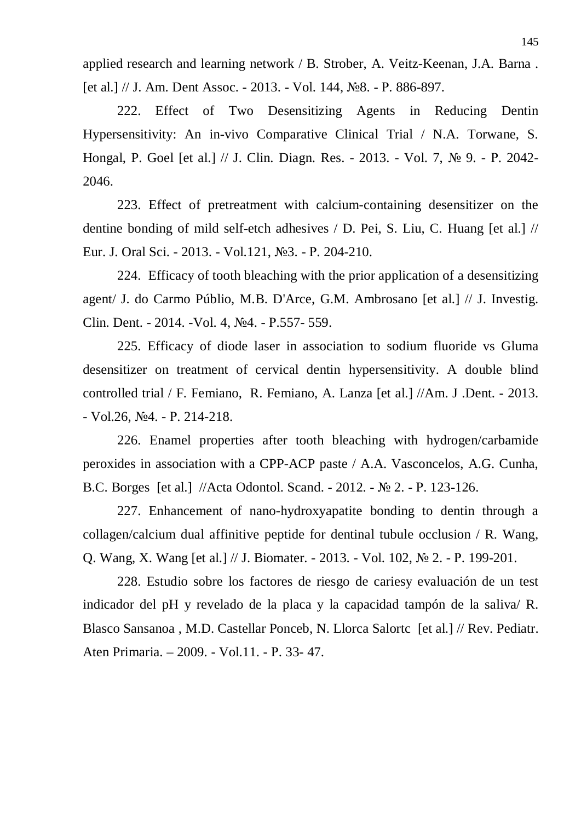applied research and learning network / B. Strober, A. Veitz-Keenan, J.A. Barna . [et al.]  $//$  J. Am. Dent Assoc. - 2013. - Vol. 144,  $N_28.$  - P. 886-897.

222. Effect of Two Desensitizing Agents in Reducing Dentin Hypersensitivity: An in-vivo Comparative Clinical Trial / N.A. Torwane, S. Hongal, P. Goel [et al.] // J. Clin. Diagn. Res. - 2013. - Vol. 7, № 9. - P. 2042-2046.

223. Effect of pretreatment with calcium-containing desensitizer on the dentine bonding of mild self-etch adhesives / D. Pei, S. Liu, C. Huang [et al.] // Eur. J. Oral Sci. - 2013. - Vol.121, №3. - P. 204-210.

224. Efficacy of tooth bleaching with the prior application of a desensitizing agent/ J. do Carmo Públio, M.B. D'Arce, G.M. Ambrosano [et al.] // J. Investig. Clin. Dent. - 2014. - Vol. 4, No. 4. - P.557- 559.

225. Efficacy of diode laser in association to sodium fluoride vs Gluma desensitizer on treatment of cervical dentin hypersensitivity. A double blind controlled trial / F. Femiano, R. Femiano, A. Lanza [et al.] //Am. J .Dent. - 2013.  $-Vol.26$ ,  $N<sub>2</sub>4$ . - P. 214-218.

226. Enamel properties after tooth bleaching with hydrogen/carbamide peroxides in association with a CPP-ACP paste / A.A. Vasconcelos, A.G. Cunha, B.C. Borges [et al.] //Acta Odontol. Scand. - 2012. - № 2. - P. 123-126.

227. Enhancement of nano-hydroxyapatite bonding to dentin through a collagen/calcium dual affinitive peptide for dentinal tubule occlusion / R. Wang, Q. Wang, X. Wang [et al.] // J. Biomater. - 2013. - Vol. 102,  $\mathcal{N}_2$  2. - P. 199-201.

228. Estudio sobre los factores de riesgo de cariesy evaluación de un test indicador del pH y revelado de la placa y la capacidad tampón de la saliva/ R. Blasco Sansanoa , M.D. Castellar Ponceb, N. Llorca Salortc [et al.] // Rev. Pediatr. Aten Primaria. – 2009. - Vol.11. - P. 33- 47.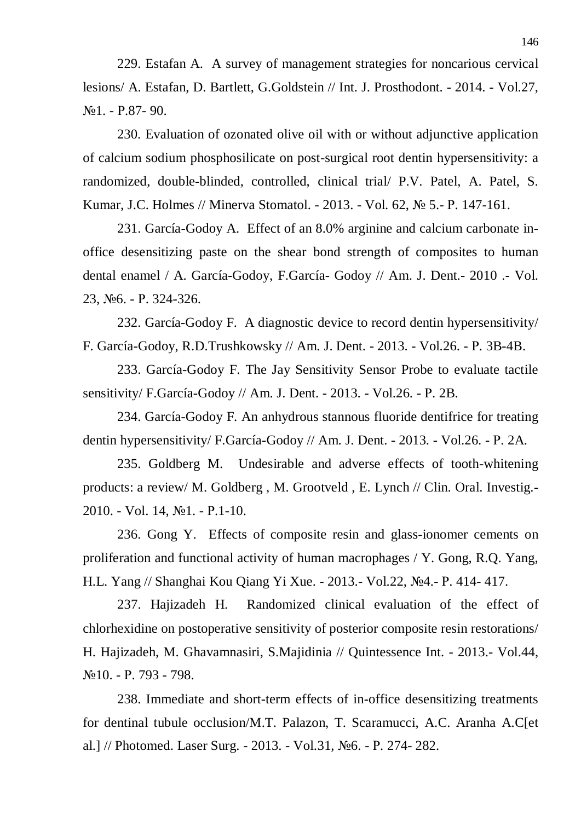229. Estafan A. A survey of management strategies for noncarious cervical lesions/ A. Estafan, D. Bartlett, G.Goldstein // Int. J. Prosthodont. - 2014. - Vol.27,  $N<sub>2</sub>1. - P.87-90.$ 

230. Evaluation of ozonated olive oil with or without adjunctive application of calcium sodium phosphosilicate on post-surgical root dentin hypersensitivity: a randomized, double-blinded, controlled, clinical trial/ P.V. Patel, A. Patel, S. Kumar, J.C. Holmes // Minerva Stomatol. - 2013. - Vol. 62, № 5.- P. 147-161.

231. García-Godoy A. Effect of an 8.0% arginine and calcium carbonate inoffice desensitizing paste on the shear bond strength of composites to human dental enamel / A. García-Godoy, F.García- Godoy // Am. J. Dent.- 2010 .- Vol. 23, №6. - P. 324-326.

232. García-Godoy F. A diagnostic device to record dentin hypersensitivity/ F. García-Godoy, R.D.Trushkowsky // Am. J. Dent. - 2013. - Vol.26. - P. 3B-4B.

233. García-Godoy F. The Jay Sensitivity Sensor Probe to evaluate tactile sensitivity/ F.García-Godoy // Am. J. Dent. - 2013. - Vol.26. - P. 2B.

234. García-Godoy F. An anhydrous stannous fluoride dentifrice for treating dentin hypersensitivity/ F.García-Godoy // Am. J. Dent. - 2013. - Vol.26. - P. 2A.

235. Goldberg M. Undesirable and adverse effects of tooth-whitening products: a review/ M. Goldberg , M. Grootveld , E. Lynch // Clin. Oral. Investig.- 2010. - Vol. 14, №1. - P.1-10.

236. Gong Y. Effects of composite resin and glass-ionomer cements on proliferation and functional activity of human macrophages / Y. Gong, R.Q. Yang, H.L. Yang // Shanghai Kou Qiang Yi Xue. - 2013.- Vol.22, No. - P. 414- 417.

237. Hajizadeh H. Randomized clinical evaluation of the effect of chlorhexidine on postoperative sensitivity of posterior composite resin restorations/ H. Hajizadeh, M. Ghavamnasiri, S.Majidinia // Quintessence Int. - 2013.- Vol.44, No 10. − P. 793 - 798.

238. Immediate and short-term effects of in-office desensitizing treatments for dentinal tubule occlusion/M.T. Palazon, T. Scaramucci, A.C. Aranha A.C[et al.] // Photomed. Laser Surg. - 2013. - Vol.31, No. - P. 274- 282.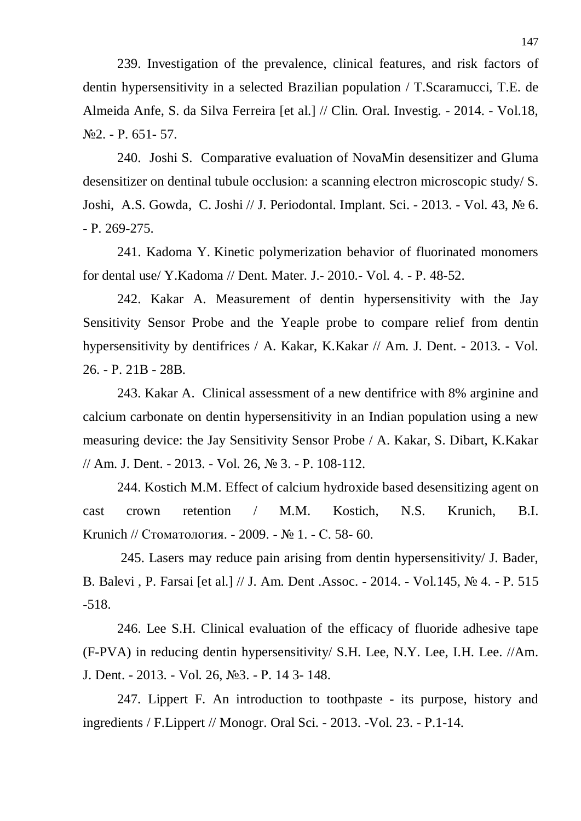239. Investigation of the prevalence, clinical features, and risk factors of dentin hypersensitivity in a selected Brazilian population / T.Scaramucci, T.E. de Almeida Anfe, S. da Silva Ferreira [et al.] // Clin. Oral. Investig. - 2014. - Vol.18,  $\mathbb{N}^{\circ}2.$  - P. 651 - 57.

240. Joshi S. Comparative evaluation of NovaMin desensitizer and Gluma desensitizer on dentinal tubule occlusion: a scanning electron microscopic study/ S. Joshi, A.S. Gowda, C. Joshi // J. Periodontal. Implant. Sci. - 2013. - Vol. 43, № 6.  $- P. 269 - 275.$ 

241. Kadoma Y. Kinetic polymerization behavior of fluorinated monomers for dental use/ Y.Kadoma // Dent. Mater. J. - 2010. - Vol. 4. - P. 48-52.

242. Kakar A. Measurement of dentin hypersensitivity with the Jay Sensitivity Sensor Probe and the Yeaple probe to compare relief from dentin hypersensitivity by dentifrices / A. Kakar, K.Kakar // Am. J. Dent. - 2013. - Vol. 26. - P. 21B - 28B.

243. Kakar A. Clinical assessment of a new dentifrice with 8% arginine and calcium carbonate on dentin hypersensitivity in an Indian population using a new measuring device: the Jay Sensitivity Sensor Probe / A. Kakar, S. Dibart, K.Kakar // Am. J. Dent. - 2013. - Vol. 26, № 3. - P. 108-112.

244. Kostich M.M. Effect of calcium hydroxide based desensitizing agent on cast crown retention / M.M. Kostich, N.S. Krunich, B.I. Krunich // Стоматология. - 2009. - № 1. - С. 58- 60.

 245. Lasers may reduce pain arising from dentin hypersensitivity/ J. Bader, B. Balevi, P. Farsai [et al.] // J. Am. Dent .Assoc. - 2014. - Vol.145, No 4. - P. 515 -518.

246. Lee S.H. Clinical evaluation of the efficacy of fluoride adhesive tape (F-PVA) in reducing dentin hypersensitivity/ S.H. Lee, N.Y. Lee, I.H. Lee. //Am. J. Dent. - 2013. - Vol. 26, No 3. - P. 14 3 - 148.

247. Lippert F. An introduction to toothpaste - its purpose, history and ingredients / F. Lippert // Monogr. Oral Sci.  $-$  2013. -Vol. 23.  $-$  P. 1 - 14.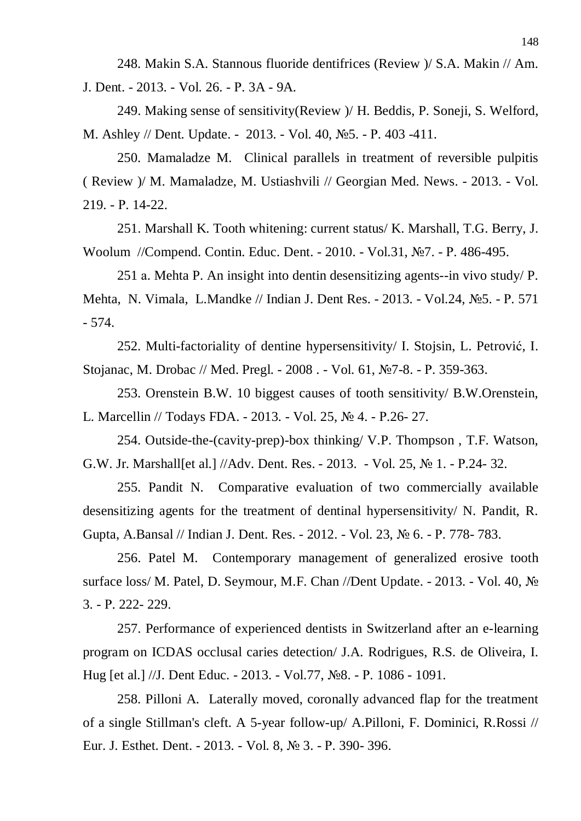248. Makin S.A. Stannous fluoride dentifrices (Review )/ S.A. Makin // Am. J. Dent. - 2013. - Vol. 26. - P. 3A - 9A.

249. Making sense of sensitivity(Review )/ H. Beddis, P. Soneji, S. Welford, M. Ashley // Dent. Update. - 2013. - Vol. 40, No. - P. 403 -411.

250. Mamaladze M. Clinical parallels in treatment of reversible pulpitis ( Review )/ M. Mamaladze, M. Ustiashvili // Georgian Med. News. - 2013. - Vol. 219. - Ɋ. 14-22.

251. Marshall K. Tooth whitening: current status/ K. Marshall, T.G. Berry, J. Woolum //Compend. Contin. Educ. Dent. - 2010. - Vol.31, No.7. - P. 486-495.

251 a. Mehta P. An insight into dentin desensitizing agents--in vivo study/ P. Mehta, N. Vimala, L.Mandke // Indian J. Dent Res. - 2013. - Vol.24, №5. - P. 571 - 574.

252. Multi-factoriality of dentine hypersensitivity/ I. Stojsin, L. Petrović, I. Stojanac, M. Drobac // Med. Pregl. - 2008. - Vol. 61, Nº7-8. - P. 359-363.

253. Orenstein B.W. 10 biggest causes of tooth sensitivity/ B.W.Orenstein, L. Marcellin // Todays FDA. - 2013. - Vol. 25, № 4. - P.26- 27.

254. Outside-the-(cavity-prep)-box thinking/ V.P. Thompson , T.F. Watson, G.W. Jr. Marshall[et al.] //Adv. Dent. Res. - 2013. - Vol. 25,  $\mathbb{N}^{\circ}$  1. - P.24- 32.

255. Pandit N. Comparative evaluation of two commercially available desensitizing agents for the treatment of dentinal hypersensitivity/ N. Pandit, R. Gupta, A.Bansal // Indian J. Dent. Res. - 2012. - Vol. 23, No 6. - P. 778- 783.

256. Patel M. Contemporary management of generalized erosive tooth surface loss/ M. Patel, D. Seymour, M.F. Chan //Dent Update.  $-$  2013. - Vol. 40,  $\mathcal{N}_2$ 3. - Ɋ. 222- 229.

257. Performance of experienced dentists in Switzerland after an e-learning program on ICDAS occlusal caries detection/ J.A. Rodrigues, R.S. de Oliveira, I. Hug [et al.] //J. Dent Educ. - 2013. - Vol.77, №8. - P. 1086 - 1091.

258. Pilloni A. Laterally moved, coronally advanced flap for the treatment of a single Stillman's cleft. A 5-year follow-up/ A.Pilloni, F. Dominici, R.Rossi // Eur. J. Esthet. Dent. - 2013. - Vol. 8, № 3. - P. 390- 396.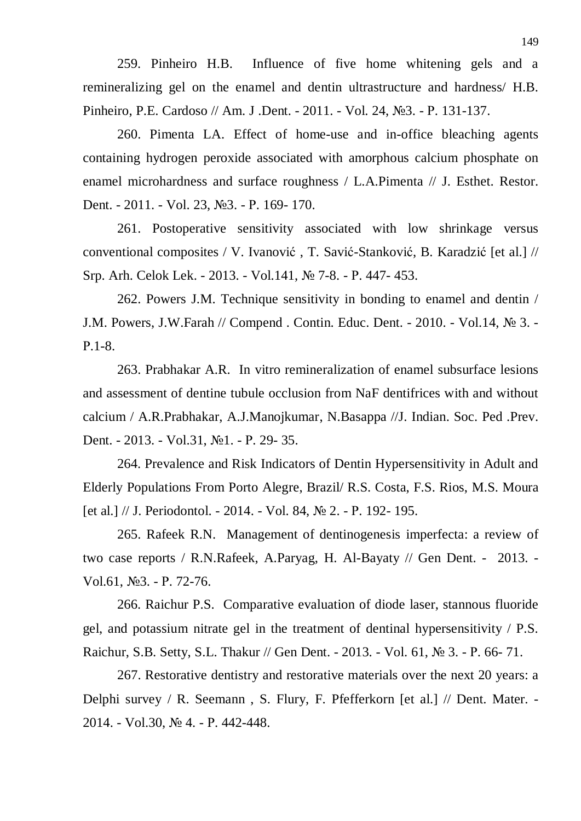259. Pinheiro H.B. Influence of five home whitening gels and a remineralizing gel on the enamel and dentin ultrastructure and hardness/ H.B. Pinheiro, P.E. Cardoso // Am. J .Dent. - 2011. - Vol. 24, №3. - P. 131-137.

260. Pimenta LA. Effect of home-use and in-office bleaching agents containing hydrogen peroxide associated with amorphous calcium phosphate on enamel microhardness and surface roughness / L.A.Pimenta // J. Esthet. Restor. Dent. - 2011. - Vol. 23, №3. - P. 169- 170.

261. Postoperative sensitivity associated with low shrinkage versus conventional composites / V. Ivanović, T. Savić-Stanković, B. Karadzić [et al.] // Srp. Arh. Celok Lek. - 2013. - Vol.141, № 7-8. - P. 447- 453.

262. Powers J.M. Technique sensitivity in bonding to enamel and dentin / J.M. Powers, J.W.Farah // Compend. Contin. Educ. Dent. - 2010. - Vol.14, № 3. -Ɋ.1-8.

263. Prabhakar A.R. In vitro remineralization of enamel subsurface lesions and assessment of dentine tubule occlusion from NaF dentifrices with and without calcium / A.R.Prabhakar, A.J.Manojkumar, N.Basappa //J. Indian. Soc. Ped .Prev. Dent. - 2013. - Vol.31, No1. - P. 29- 35.

264. Prevalence and Risk Indicators of Dentin Hypersensitivity in Adult and Elderly Populations From Porto Alegre, Brazil/ R.S. Costa, F.S. Rios, M.S. Moura [et al.]  $//$  J. Periodontol. - 2014. - Vol. 84,  $\mathbb{N}^{\circ}$  2. - P. 192- 195.

265. Rafeek R.N. Management of dentinogenesis imperfecta: a review of two case reports / R.N.Rafeek, A.Paryag, H. Al-Bayaty // Gen Dent. - 2013. - Vol.61, №3. - P. 72-76.

266. Raichur P.S. Comparative evaluation of diode laser, stannous fluoride gel, and potassium nitrate gel in the treatment of dentinal hypersensitivity / P.S. Raichur, S.B. Setty, S.L. Thakur // Gen Dent. - 2013. - Vol. 61, № 3. - P. 66- 71.

267. Restorative dentistry and restorative materials over the next 20 years: a Delphi survey / R. Seemann , S. Flury, F. Pfefferkorn [et al.] // Dent. Mater. - 2014. - Vol.30, № 4. - P. 442-448.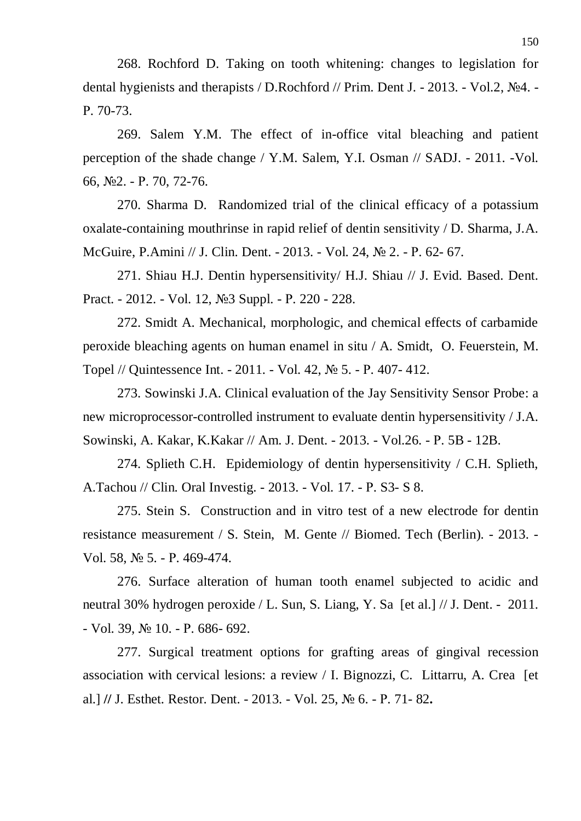268. Rochford D. Taking on tooth whitening: changes to legislation for dental hygienists and therapists / D.Rochford // Prim. Dent J. - 2013. - Vol.2,  $\mathbb{N}^2$ 4. -P. 70-73.

269. Salem Y.M. The effect of in-office vital bleaching and patient perception of the shade change / Y.M. Salem, Y.I. Osman // SADJ. - 2011. -Vol. 66,  $N<sub>2</sub>2. - P. 70, 72-76.$ 

270. Sharma D. Randomized trial of the clinical efficacy of a potassium oxalate-containing mouthrinse in rapid relief of dentin sensitivity / D. Sharma, J.A. McGuire, P.Amini // J. Clin. Dent. - 2013. - Vol. 24, № 2. - P. 62- 67.

271. Shiau H.J. Dentin hypersensitivity/ H.J. Shiau // J. Evid. Based. Dent. Pract. - 2012. - Vol. 12, №3 Suppl. - P. 220 - 228.

272. Smidt A. Mechanical, morphologic, and chemical effects of carbamide peroxide bleaching agents on human enamel in situ / A. Smidt, O. Feuerstein, M. Topel // Quintessence Int. - 2011. - Vol. 42, № 5. - P. 407- 412.

273. Sowinski J.A. Clinical evaluation of the Jay Sensitivity Sensor Probe: a new microprocessor-controlled instrument to evaluate dentin hypersensitivity / J.A. Sowinski, A. Kakar, K. Kakar // Am. J. Dent. - 2013. - Vol. 26. - P. 5B - 12B.

274. Splieth C.H. Epidemiology of dentin hypersensitivity / C.H. Splieth, A.Tachou // Clin. Oral Investig. - 2013. - Vol. 17. - P. S3- S 8.

275. Stein S. Construction and in vitro test of a new electrode for dentin resistance measurement / S. Stein, M. Gente // Biomed. Tech (Berlin). - 2013. - Vol. 58, № 5. - P. 469-474.

276. Surface alteration of human tooth enamel subjected to acidic and neutral 30% hydrogen peroxide / L. Sun, S. Liang, Y. Sa [et al.] // J. Dent. - 2011.  $-$  Vol. 39,  $\mathbb{N}$  10.  $-$  P. 686 $-$  692.

277. Surgical treatment options for grafting areas of gingival recession association with cervical lesions: a review / I. Bignozzi, C. Littarru, A. Crea [et al.] *//* J. Esthet. Restor. Dent. - 2013. - Vol. 25, № 6. - P. 71-82.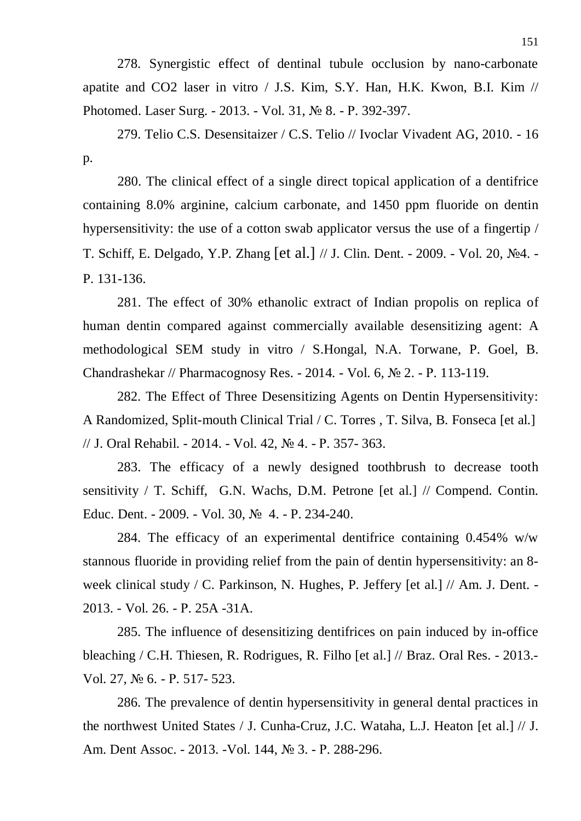278. Synergistic effect of dentinal tubule occlusion by nano-carbonate apatite and CO2 laser in vitro / J.S. Kim, S.Y. Han, H.K. Kwon, B.I. Kim // Photomed. Laser Surg. - 2013. - Vol. 31, № 8. - P. 392-397.

279. Telio C.S. Desensitaizer / C.S. Telio // Ivoclar Vivadent AG, 2010. - 16 p.

280. The clinical effect of a single direct topical application of a dentifrice containing 8.0% arginine, calcium carbonate, and 1450 ppm fluoride on dentin hypersensitivity: the use of a cotton swab applicator versus the use of a fingertip / T. Schiff, E. Delgado, Y.P. Zhang [et al.] // J. Clin. Dent. - 2009. - Vol. 20, №4. -P. 131-136.

281. The effect of 30% ethanolic extract of Indian propolis on replica of human dentin compared against commercially available desensitizing agent: A methodological SEM study in vitro / S.Hongal, N.A. Torwane, P. Goel, B. Chandrashekar // Pharmacognosy Res. - 2014. - Vol. 6,  $\mathbb{N}^{\circ}$  2. - P. 113-119.

282. The Effect of Three Desensitizing Agents on Dentin Hypersensitivity: A Randomized, Split-mouth Clinical Trial / C. Torres , T. Silva, B. Fonseca [et al.] // J. Oral Rehabil. - 2014. - Vol. 42, No. 4. - P. 357- 363.

283. The efficacy of a newly designed toothbrush to decrease tooth sensitivity / T. Schiff, G.N. Wachs, D.M. Petrone [et al.] // Compend. Contin. Educ. Dent. - 2009. - Vol. 30, № 4. - P. 234-240.

284. The efficacy of an experimental dentifrice containing 0.454% w/w stannous fluoride in providing relief from the pain of dentin hypersensitivity: an 8 week clinical study / C. Parkinson, N. Hughes, P. Jeffery [et al.] // Am. J. Dent. - 2013. - Vol. 26. - P. 25A -31A.

285. The influence of desensitizing dentifrices on pain induced by in-office bleaching / C.H. Thiesen, R. Rodrigues, R. Filho [et al.] // Braz. Oral Res. - 2013.- Vol. 27, No 6. - P. 517- 523.

286. The prevalence of dentin hypersensitivity in general dental practices in the northwest United States / J. Cunha-Cruz, J.C. Wataha, L.J. Heaton [et al.] // J. Am. Dent Assoc. - 2013. - Vol. 144, № 3. - P. 288-296.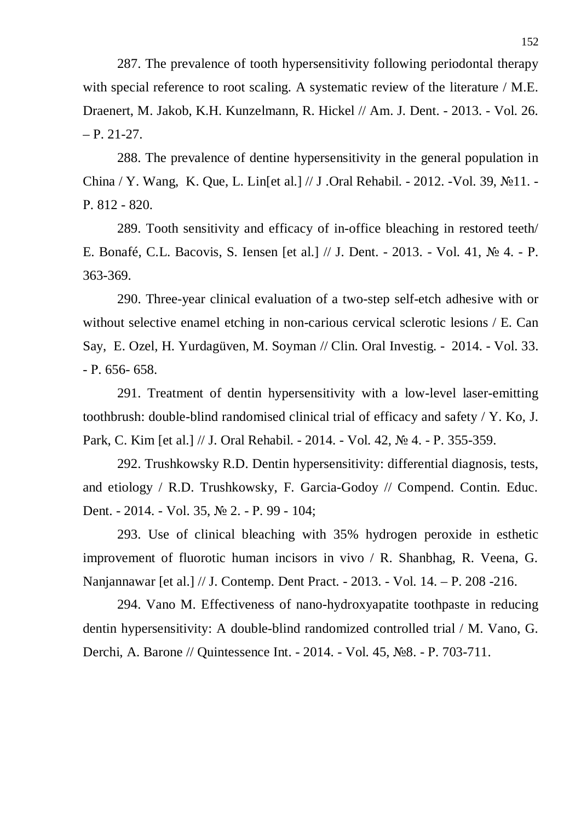287. The prevalence of tooth hypersensitivity following periodontal therapy with special reference to root scaling. A systematic review of the literature / M.E. Draenert, M. Jakob, K.H. Kunzelmann, R. Hickel // Am. J. Dent. - 2013. - Vol. 26.  $- P. 21-27.$ 

288. The prevalence of dentine hypersensitivity in the general population in China / Y. Wang, K. Que, L. Lin[et al.] // J .Oral Rehabil. - 2012. -Vol. 39, №11. -Ɋ. 812 - 820.

289. Tooth sensitivity and efficacy of in-office bleaching in restored teeth/ E. Bonafé, C.L. Bacovis, S. Iensen [et al.] // J. Dent. - 2013. - Vol. 41, № 4. - P. 363-369.

290. Three-year clinical evaluation of a two-step self-etch adhesive with or without selective enamel etching in non-carious cervical sclerotic lesions / E. Can Say, E. Ozel, H. Yurdagüven, M. Soyman // Clin. Oral Investig. - 2014. - Vol. 33.  $- P. 656 - 658.$ 

291. Treatment of dentin hypersensitivity with a low-level laser-emitting toothbrush: double-blind randomised clinical trial of efficacy and safety / Y. Ko, J. Park, C. Kim [et al.] // J. Oral Rehabil. - 2014. - Vol. 42, № 4. - P. 355-359.

292. Trushkowsky R.D. Dentin hypersensitivity: differential diagnosis, tests, and etiology / R.D. Trushkowsky, F. Garcia-Godoy // Compend. Contin. Educ. Dent. - 2014. - Vol. 35, № 2. - P. 99 - 104;

293. Use of clinical bleaching with 35% hydrogen peroxide in esthetic improvement of fluorotic human incisors in vivo / R. Shanbhag, R. Veena, G. Nanjannawar [et al.] // J. Contemp. Dent Pract. - 2013. - Vol. 14. – P. 208 -216.

294. Vano M. Effectiveness of nano-hydroxyapatite toothpaste in reducing dentin hypersensitivity: A double-blind randomized controlled trial / M. Vano, G. Derchi, A. Barone // Quintessence Int. - 2014. - Vol. 45, No. - P. 703-711.